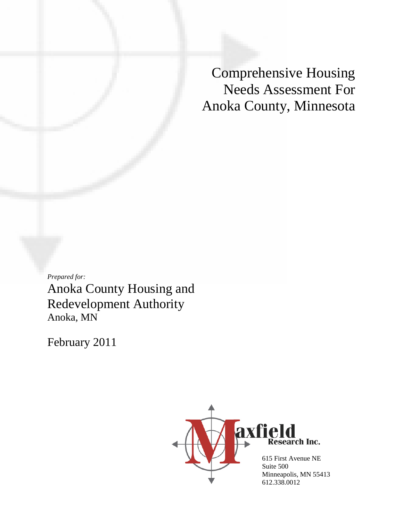Comprehensive Housing Needs Assessment For Anoka County, Minnesota

*Prepared for:* Anoka County Housing and Redevelopment Authority Anoka, MN

February 2011

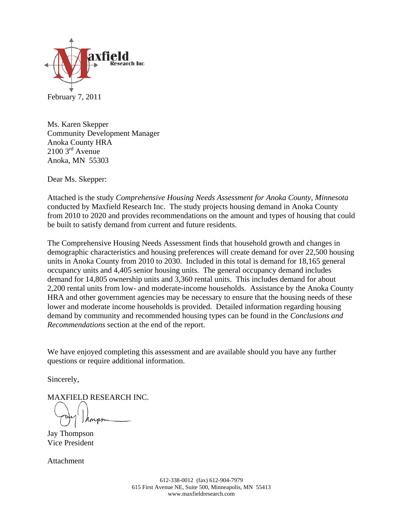

February 7, 2011

Ms. Karen Skepper Community Development Manager Anoka County HRA  $2100$  3<sup>rd</sup> Avenue Anoka, MN 55303

Dear Ms. Skepper:

Attached is the study *Comprehensive Housing Needs Assessment for Anoka County, Minnesota* conducted by Maxfield Research Inc. The study projects housing demand in Anoka County from 2010 to 2020 and provides recommendations on the amount and types of housing that could be built to satisfy demand from current and future residents.

The Comprehensive Housing Needs Assessment finds that household growth and changes in demographic characteristics and housing preferences will create demand for over 22,500 housing units in Anoka County from 2010 to 2030. Included in this total is demand for 18,165 general occupancy units and 4,405 senior housing units. The general occupancy demand includes demand for 14,805 ownership units and 3,360 rental units. This includes demand for about 2,200 rental units from low- and moderate-income households. Assistance by the Anoka County HRA and other government agencies may be necessary to ensure that the housing needs of these lower and moderate income households is provided. Detailed information regarding housing demand by community and recommended housing types can be found in the *Conclusions and Recommendations* section at the end of the report.

We have enjoyed completing this assessment and are available should you have any further questions or require additional information.

Sincerely,

MAXFIELD RESEARCH INC.

Jay Thompson Vice President

Attachment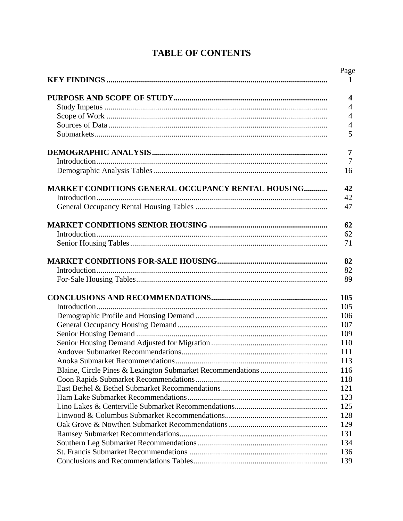| <b>MARKET CONDITIONS GENERAL OCCUPANCY RENTAL HOUSING</b> |  |
|-----------------------------------------------------------|--|
|                                                           |  |
|                                                           |  |
|                                                           |  |
|                                                           |  |
|                                                           |  |
|                                                           |  |
|                                                           |  |
|                                                           |  |
|                                                           |  |
|                                                           |  |
|                                                           |  |
|                                                           |  |
|                                                           |  |
|                                                           |  |
|                                                           |  |
|                                                           |  |
|                                                           |  |
|                                                           |  |
|                                                           |  |
|                                                           |  |
|                                                           |  |
|                                                           |  |
|                                                           |  |
|                                                           |  |
|                                                           |  |
|                                                           |  |
|                                                           |  |
|                                                           |  |

## **TABLE OF CONTENTS**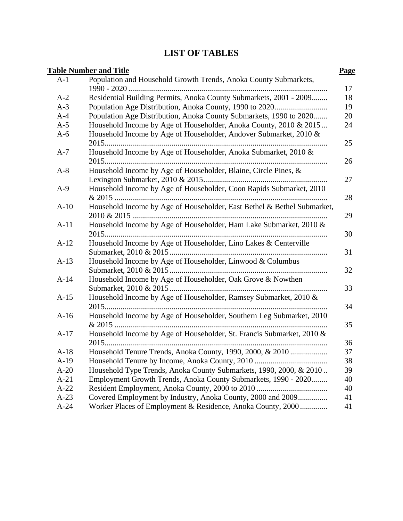## **LIST OF TABLES**

|        | <b>Table Number and Title</b>                                           | Page |
|--------|-------------------------------------------------------------------------|------|
| $A-1$  | Population and Household Growth Trends, Anoka County Submarkets,        |      |
|        |                                                                         | 17   |
| $A-2$  | Residential Building Permits, Anoka County Submarkets, 2001 - 2009      | 18   |
| $A-3$  |                                                                         | 19   |
| $A-4$  | Population Age Distribution, Anoka County Submarkets, 1990 to 2020      | 20   |
| $A-5$  | Household Income by Age of Householder, Anoka County, 2010 & 2015       | 24   |
| $A-6$  | Household Income by Age of Householder, Andover Submarket, 2010 &       |      |
|        |                                                                         | 25   |
| $A-7$  | Household Income by Age of Householder, Anoka Submarket, 2010 &         | 26   |
| $A-8$  | Household Income by Age of Householder, Blaine, Circle Pines, &         |      |
|        |                                                                         | 27   |
| $A-9$  | Household Income by Age of Householder, Coon Rapids Submarket, 2010     |      |
|        |                                                                         | 28   |
| $A-10$ | Household Income by Age of Householder, East Bethel & Bethel Submarket, |      |
|        |                                                                         |      |
| $A-11$ | Household Income by Age of Householder, Ham Lake Submarket, 2010 &      |      |
|        |                                                                         | 30   |
| $A-12$ | Household Income by Age of Householder, Lino Lakes & Centerville        |      |
|        |                                                                         |      |
| $A-13$ | Household Income by Age of Householder, Linwood & Columbus              |      |
|        |                                                                         | 32   |
| $A-14$ | Household Income by Age of Householder, Oak Grove & Nowthen             |      |
|        |                                                                         | 33   |
| $A-15$ | Household Income by Age of Householder, Ramsey Submarket, 2010 &        |      |
|        |                                                                         | 34   |
| $A-16$ | Household Income by Age of Householder, Southern Leg Submarket, 2010    |      |
|        |                                                                         | 35   |
| $A-17$ | Household Income by Age of Householder, St. Francis Submarket, 2010 &   |      |
|        |                                                                         | 36   |
| $A-18$ | Household Tenure Trends, Anoka County, 1990, 2000, & 2010               | 37   |
| $A-19$ |                                                                         | 38   |
| $A-20$ | Household Type Trends, Anoka County Submarkets, 1990, 2000, & 2010      | 39   |
| $A-21$ | Employment Growth Trends, Anoka County Submarkets, 1990 - 2020          | 40   |
| $A-22$ |                                                                         | 40   |
| $A-23$ | Covered Employment by Industry, Anoka County, 2000 and 2009             | 41   |
| $A-24$ | Worker Places of Employment & Residence, Anoka County, 2000             | 41   |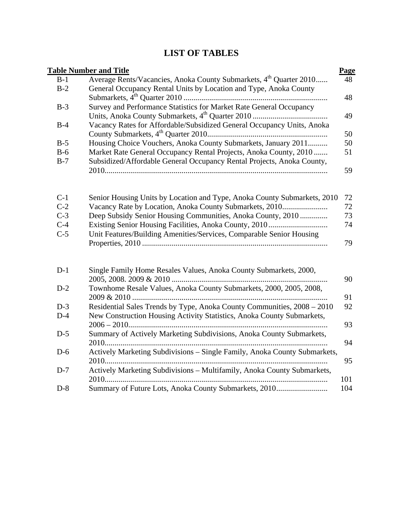## **LIST OF TABLES**

|       | <b>Table Number and Title</b>                                                  | Page |
|-------|--------------------------------------------------------------------------------|------|
| $B-1$ | Average Rents/Vacancies, Anoka County Submarkets, 4 <sup>th</sup> Quarter 2010 | 48   |
| $B-2$ | General Occupancy Rental Units by Location and Type, Anoka County              |      |
|       |                                                                                | 48   |
| $B-3$ | Survey and Performance Statistics for Market Rate General Occupancy            |      |
|       |                                                                                | 49   |
| $B-4$ | Vacancy Rates for Affordable/Subsidized General Occupancy Units, Anoka         |      |
|       |                                                                                | 50   |
| $B-5$ | Housing Choice Vouchers, Anoka County Submarkets, January 2011                 | 50   |
| $B-6$ | Market Rate General Occupancy Rental Projects, Anoka County, 2010              | 51   |
| $B-7$ | Subsidized/Affordable General Occupancy Rental Projects, Anoka County,         |      |
|       |                                                                                | 59   |
|       |                                                                                |      |
|       |                                                                                |      |
| $C-1$ | Senior Housing Units by Location and Type, Anoka County Submarkets, 2010       | 72   |
| $C-2$ | Vacancy Rate by Location, Anoka County Submarkets, 2010                        | 72   |
| $C-3$ | Deep Subsidy Senior Housing Communities, Anoka County, 2010                    | 73   |
| $C-4$ |                                                                                | 74   |
| $C-5$ | Unit Features/Building Amenities/Services, Comparable Senior Housing           |      |
|       |                                                                                | 79   |
|       |                                                                                |      |
| $D-1$ | Single Family Home Resales Values, Anoka County Submarkets, 2000,              |      |
|       |                                                                                | 90   |
| $D-2$ | Townhome Resale Values, Anoka County Submarkets, 2000, 2005, 2008,             |      |
|       |                                                                                | 91   |
| $D-3$ | Residential Sales Trends by Type, Anoka County Communities, 2008 - 2010        | 92   |
| $D-4$ | New Construction Housing Activity Statistics, Anoka County Submarkets,         |      |
|       |                                                                                | 93   |
| $D-5$ | Summary of Actively Marketing Subdivisions, Anoka County Submarkets,           |      |
|       |                                                                                | 94   |
| $D-6$ | Actively Marketing Subdivisions - Single Family, Anoka County Submarkets,      |      |
|       |                                                                                | 95   |
| $D-7$ | Actively Marketing Subdivisions - Multifamily, Anoka County Submarkets,        |      |
|       |                                                                                | 101  |
| $D-8$ | Summary of Future Lots, Anoka County Submarkets, 2010                          | 104  |
|       |                                                                                |      |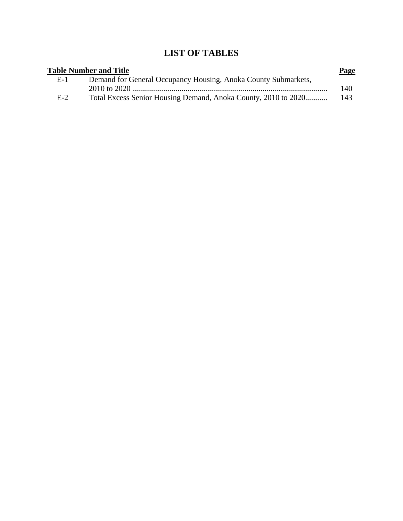## **LIST OF TABLES**

|       | <b>Table Number and Title</b>                                  | Page |
|-------|----------------------------------------------------------------|------|
| E-1   | Demand for General Occupancy Housing, Anoka County Submarkets, |      |
|       |                                                                | 140  |
| $E-2$ | Total Excess Senior Housing Demand, Anoka County, 2010 to 2020 | -143 |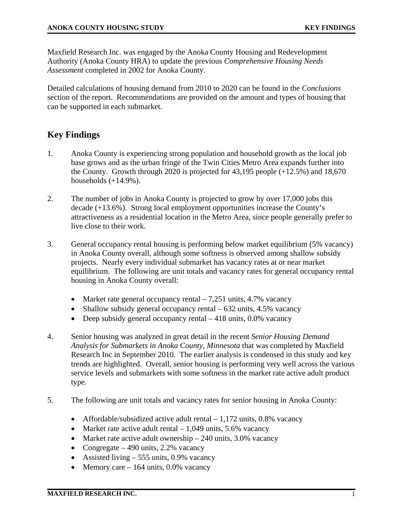Maxfield Research Inc. was engaged by the Anoka County Housing and Redevelopment Authority (Anoka County HRA) to update the previous *Comprehensive Housing Needs Assessment* completed in 2002 for Anoka County.

Detailed calculations of housing demand from 2010 to 2020 can be found in the *Conclusions*  section of the report. Recommendations are provided on the amount and types of housing that can be supported in each submarket.

## **Key Findings**

- 1. Anoka County is experiencing strong population and household growth as the local job base grows and as the urban fringe of the Twin Cities Metro Area expands further into the County. Growth through 2020 is projected for  $43,195$  people  $(+12.5%)$  and  $18,670$ households  $(+14.9\%)$ .
- 2. The number of jobs in Anoka County is projected to grow by over 17,000 jobs this decade (+13.6%). Strong local employment opportunities increase the County's attractiveness as a residential location in the Metro Area, since people generally prefer to live close to their work.
- 3. General occupancy rental housing is performing below market equilibrium (5% vacancy) in Anoka County overall, although some softness is observed among shallow subsidy projects. Nearly every individual submarket has vacancy rates at or near market equilibrium. The following are unit totals and vacancy rates for general occupancy rental housing in Anoka County overall:
	- Market rate general occupancy rental  $-7,251$  units, 4.7% vacancy
	- Shallow subsidy general occupancy rental  $-632$  units, 4.5% vacancy
	- Deep subsidy general occupancy rental  $-418$  units, 0.0% vacancy
- 4. Senior housing was analyzed in great detail in the recent *Senior Housing Demand Analysis for Submarkets in Anoka County, Minnesota* that was completed by Maxfield Research Inc in September 2010. The earlier analysis is condensed in this study and key trends are highlighted. Overall, senior housing is performing very well across the various service levels and submarkets with some softness in the market rate active adult product type.
- 5. The following are unit totals and vacancy rates for senior housing in Anoka County:
	- Affordable/subsidized active adult rental  $-1,172$  units, 0.8% vacancy
	- Market rate active adult rental  $-1,049$  units, 5.6% vacancy
	- Market rate active adult ownership  $-240$  units, 3.0% vacancy
	- Congregate 490 units, 2.2% vacancy
	- Assisted living 555 units, 0.9% vacancy
	- Memory care  $-164$  units, 0.0% vacancy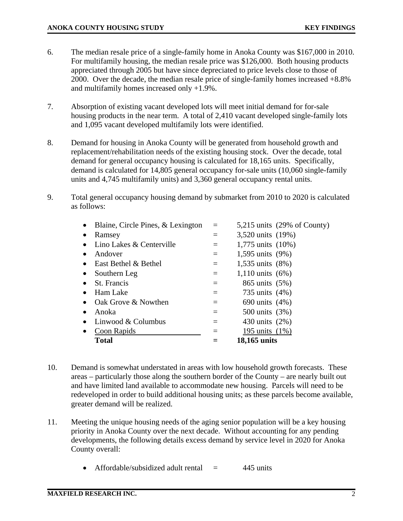- 6. The median resale price of a single-family home in Anoka County was \$167,000 in 2010. For multifamily housing, the median resale price was \$126,000. Both housing products appreciated through 2005 but have since depreciated to price levels close to those of 2000. Over the decade, the median resale price of single-family homes increased +8.8% and multifamily homes increased only +1.9%.
- 7. Absorption of existing vacant developed lots will meet initial demand for for-sale housing products in the near term. A total of 2,410 vacant developed single-family lots and 1,095 vacant developed multifamily lots were identified.
- 8. Demand for housing in Anoka County will be generated from household growth and replacement/rehabilitation needs of the existing housing stock. Over the decade, total demand for general occupancy housing is calculated for 18,165 units. Specifically, demand is calculated for 14,805 general occupancy for-sale units (10,060 single-family units and 4,745 multifamily units) and 3,360 general occupancy rental units.
- 9. Total general occupancy housing demand by submarket from 2010 to 2020 is calculated as follows:

| $\bullet$ | Blaine, Circle Pines, & Lexington | $=$      | $5,215$ units (29% of County) |
|-----------|-----------------------------------|----------|-------------------------------|
|           | Ramsey                            |          | 3,520 units (19%)             |
|           | Lino Lakes & Centerville          | $=$      | 1,775 units (10%)             |
|           | Andover                           | $=$      | 1,595 units (9%)              |
|           | East Bethel & Bethel              | $=$      | 1,535 units (8%)              |
| $\bullet$ | Southern Leg                      | $=$      | 1,110 units $(6\%)$           |
| $\bullet$ | St. Francis                       | $=$      | 865 units (5%)                |
| ٠         | Ham Lake                          | $=$      | 735 units (4%)                |
|           | Oak Grove & Nowthen               |          | 690 units (4%)                |
| $\bullet$ | Anoka                             |          | 500 units (3%)                |
| $\bullet$ | Linwood & Columbus                | $\equiv$ | 430 units (2%)                |
| $\bullet$ | Coon Rapids                       |          | 195 units (1%)                |
|           | <b>Total</b>                      |          | 18,165 units                  |
|           |                                   |          |                               |

- 10. Demand is somewhat understated in areas with low household growth forecasts. These areas – particularly those along the southern border of the County – are nearly built out and have limited land available to accommodate new housing. Parcels will need to be redeveloped in order to build additional housing units; as these parcels become available, greater demand will be realized.
- 11. Meeting the unique housing needs of the aging senior population will be a key housing priority in Anoka County over the next decade. Without accounting for any pending developments, the following details excess demand by service level in 2020 for Anoka County overall:
	- Affordable/subsidized adult rental  $=$  445 units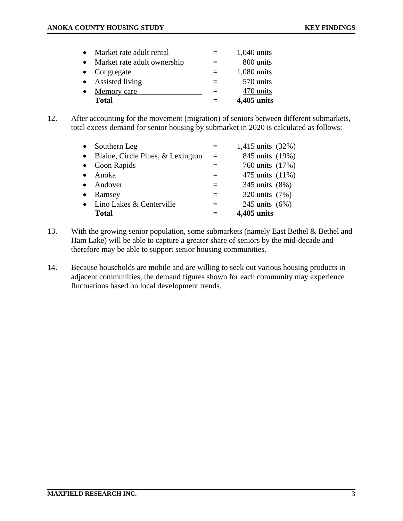| $\bullet$ | Market rate adult rental    | $=$ | $1,040$ units |
|-----------|-----------------------------|-----|---------------|
| $\bullet$ | Market rate adult ownership | $=$ | 800 units     |
|           | $\bullet$ Congregate        | $=$ | $1,080$ units |
|           | • Assisted living           | $=$ | 570 units     |
| $\bullet$ | Memory care                 |     | 470 units     |
|           | <b>Total</b>                |     | 4,405 units   |

12. After accounting for the movement (migration) of seniors between different submarkets, total excess demand for senior housing by submarket in 2020 is calculated as follows:

| $\bullet$ | Southern Leg                        | $\equiv$ | 1,415 units (32%) |
|-----------|-------------------------------------|----------|-------------------|
|           | • Blaine, Circle Pines, & Lexington | $=$      | 845 units (19%)   |
| $\bullet$ | Coon Rapids                         |          | 760 units (17%)   |
| $\bullet$ | Anoka                               |          | 475 units (11%)   |
|           | • Andover                           |          | 345 units (8%)    |
| $\bullet$ | Ramsey                              |          | 320 units (7%)    |
|           | • Lino Lakes & Centerville          |          | 245 units (6%)    |
|           | <b>Total</b>                        |          | 4,405 units       |

- 13. With the growing senior population, some submarkets (namely East Bethel & Bethel and Ham Lake) will be able to capture a greater share of seniors by the mid-decade and therefore may be able to support senior housing communities.
- 14. Because households are mobile and are willing to seek out various housing products in adjacent communities, the demand figures shown for each community may experience fluctuations based on local development trends.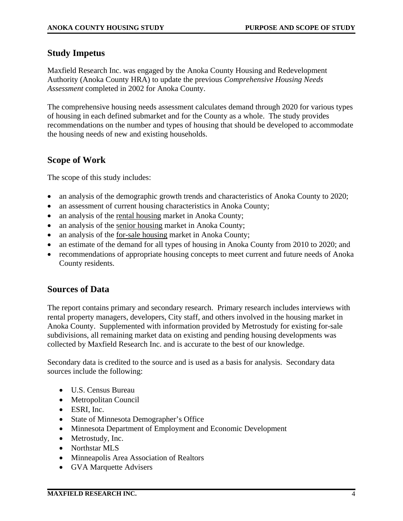#### **Study Impetus**

Maxfield Research Inc. was engaged by the Anoka County Housing and Redevelopment Authority (Anoka County HRA) to update the previous *Comprehensive Housing Needs Assessment* completed in 2002 for Anoka County.

The comprehensive housing needs assessment calculates demand through 2020 for various types of housing in each defined submarket and for the County as a whole. The study provides recommendations on the number and types of housing that should be developed to accommodate the housing needs of new and existing households.

## **Scope of Work**

The scope of this study includes:

- an analysis of the demographic growth trends and characteristics of Anoka County to 2020;
- an assessment of current housing characteristics in Anoka County;
- an analysis of the rental housing market in Anoka County;
- an analysis of the senior housing market in Anoka County;
- an analysis of the for-sale housing market in Anoka County;
- an estimate of the demand for all types of housing in Anoka County from 2010 to 2020; and
- recommendations of appropriate housing concepts to meet current and future needs of Anoka County residents.

#### **Sources of Data**

The report contains primary and secondary research. Primary research includes interviews with rental property managers, developers, City staff, and others involved in the housing market in Anoka County. Supplemented with information provided by Metrostudy for existing for-sale subdivisions, all remaining market data on existing and pending housing developments was collected by Maxfield Research Inc. and is accurate to the best of our knowledge.

Secondary data is credited to the source and is used as a basis for analysis. Secondary data sources include the following:

- U.S. Census Bureau
- Metropolitan Council
- ESRI, Inc.
- State of Minnesota Demographer's Office
- Minnesota Department of Employment and Economic Development
- Metrostudy, Inc.
- Northstar MLS
- Minneapolis Area Association of Realtors
- GVA Marquette Advisers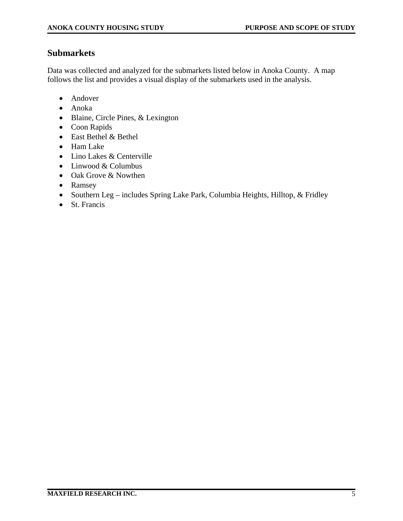## **Submarkets**

Data was collected and analyzed for the submarkets listed below in Anoka County. A map follows the list and provides a visual display of the submarkets used in the analysis.

- Andover
- Anoka
- Blaine, Circle Pines, & Lexington
- Coon Rapids
- East Bethel & Bethel
- Ham Lake
- Lino Lakes & Centerville
- Linwood & Columbus
- Oak Grove & Nowthen
- Ramsey
- Southern Leg includes Spring Lake Park, Columbia Heights, Hilltop, & Fridley
- St. Francis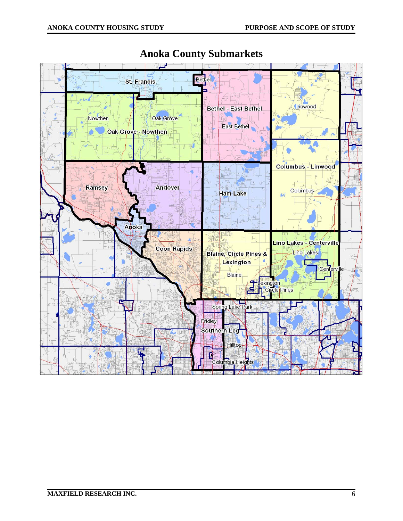

## **Anoka County Submarkets**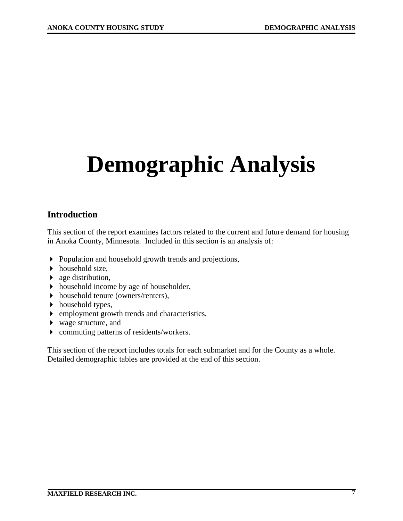# **Demographic Analysis**

## **Introduction**

This section of the report examines factors related to the current and future demand for housing in Anoka County, Minnesota. Included in this section is an analysis of:

- Population and household growth trends and projections,
- $\blacktriangleright$  household size,
- age distribution,
- household income by age of householder,
- household tenure (owners/renters),
- $\blacktriangleright$  household types,
- employment growth trends and characteristics,
- wage structure, and
- commuting patterns of residents/workers.

This section of the report includes totals for each submarket and for the County as a whole. Detailed demographic tables are provided at the end of this section.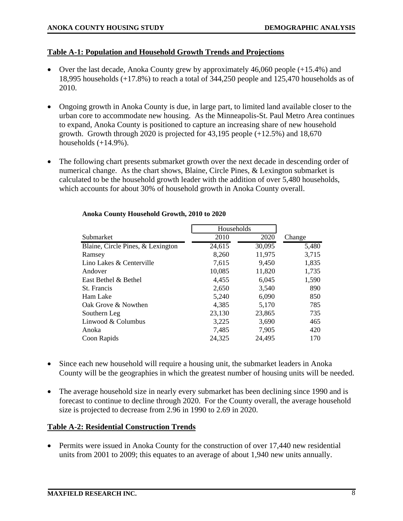#### **Table A-1: Population and Household Growth Trends and Projections**

- Over the last decade, Anoka County grew by approximately  $46,060$  people  $(+15.4\%)$  and 18,995 households (+17.8%) to reach a total of 344,250 people and 125,470 households as of 2010.
- Ongoing growth in Anoka County is due, in large part, to limited land available closer to the urban core to accommodate new housing. As the Minneapolis-St. Paul Metro Area continues to expand, Anoka County is positioned to capture an increasing share of new household growth. Growth through 2020 is projected for 43,195 people (+12.5%) and 18,670 households  $(+14.9\%)$ .
- The following chart presents submarket growth over the next decade in descending order of numerical change. As the chart shows, Blaine, Circle Pines, & Lexington submarket is calculated to be the household growth leader with the addition of over 5,480 households, which accounts for about 30% of household growth in Anoka County overall.

| 2010   | 2020   | Change     |
|--------|--------|------------|
| 24,615 | 30,095 | 5,480      |
| 8,260  | 11,975 | 3,715      |
| 7,615  | 9,450  | 1,835      |
| 10,085 | 11,820 | 1,735      |
| 4,455  | 6,045  | 1,590      |
| 2,650  | 3,540  | 890        |
| 5,240  | 6,090  | 850        |
| 4,385  | 5,170  | 785        |
| 23,130 | 23,865 | 735        |
| 3,225  | 3,690  | 465        |
| 7,485  | 7,905  | 420        |
| 24,325 | 24,495 | 170        |
|        |        | Households |

#### **Anoka County Household Growth, 2010 to 2020**

- Since each new household will require a housing unit, the submarket leaders in Anoka County will be the geographies in which the greatest number of housing units will be needed.
- The average household size in nearly every submarket has been declining since 1990 and is forecast to continue to decline through 2020. For the County overall, the average household size is projected to decrease from 2.96 in 1990 to 2.69 in 2020.

#### **Table A-2: Residential Construction Trends**

• Permits were issued in Anoka County for the construction of over 17,440 new residential units from 2001 to 2009; this equates to an average of about 1,940 new units annually.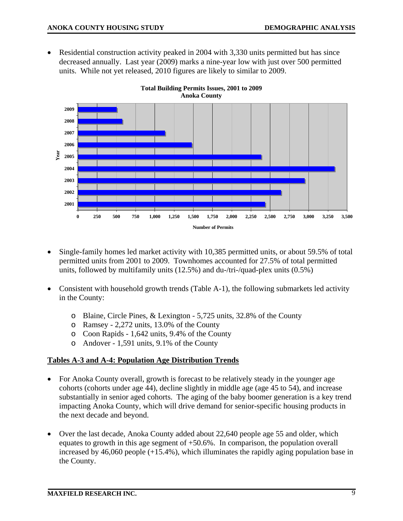• Residential construction activity peaked in 2004 with 3,330 units permitted but has since decreased annually. Last year (2009) marks a nine-year low with just over 500 permitted units. While not yet released, 2010 figures are likely to similar to 2009.



**Total Building Permits Issues, 2001 to 2009 Anoka County** 

- Single-family homes led market activity with 10,385 permitted units, or about 59.5% of total permitted units from 2001 to 2009. Townhomes accounted for 27.5% of total permitted units, followed by multifamily units (12.5%) and du-/tri-/quad-plex units (0.5%)
- Consistent with household growth trends (Table A-1), the following submarkets led activity in the County:
	- o Blaine, Circle Pines, & Lexington 5,725 units, 32.8% of the County
	- o Ramsey 2,272 units, 13.0% of the County
	- o Coon Rapids 1,642 units, 9.4% of the County
	- o Andover 1,591 units, 9.1% of the County

#### **Tables A-3 and A-4: Population Age Distribution Trends**

- For Anoka County overall, growth is forecast to be relatively steady in the younger age cohorts (cohorts under age 44), decline slightly in middle age (age 45 to 54), and increase substantially in senior aged cohorts. The aging of the baby boomer generation is a key trend impacting Anoka County, which will drive demand for senior-specific housing products in the next decade and beyond.
- Over the last decade, Anoka County added about 22,640 people age 55 and older, which equates to growth in this age segment of +50.6%. In comparison, the population overall increased by 46,060 people (+15.4%), which illuminates the rapidly aging population base in the County.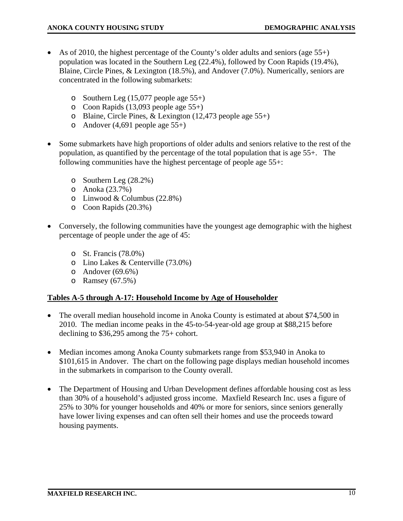- As of 2010, the highest percentage of the County's older adults and seniors (age  $55+)$ ) population was located in the Southern Leg (22.4%), followed by Coon Rapids (19.4%), Blaine, Circle Pines, & Lexington (18.5%), and Andover (7.0%). Numerically, seniors are concentrated in the following submarkets:
	- o Southern Leg  $(15,077)$  people age  $55+)$
	- o Coon Rapids (13,093 people age 55+)
	- o Blaine, Circle Pines, & Lexington (12,473 people age 55+)
	- o Andover  $(4,691)$  people age  $55+)$
- Some submarkets have high proportions of older adults and seniors relative to the rest of the population, as quantified by the percentage of the total population that is age 55+. The following communities have the highest percentage of people age 55+:
	- o Southern Leg (28.2%)
	- o Anoka (23.7%)
	- o Linwood & Columbus (22.8%)
	- o Coon Rapids (20.3%)
- Conversely, the following communities have the youngest age demographic with the highest percentage of people under the age of 45:
	- o St. Francis (78.0%)
	- o Lino Lakes & Centerville (73.0%)
	- o Andover  $(69.6\%)$
	- $\circ$  Ramsey (67.5%)

#### **Tables A-5 through A-17: Household Income by Age of Householder**

- The overall median household income in Anoka County is estimated at about \$74,500 in 2010. The median income peaks in the 45-to-54-year-old age group at \$88,215 before declining to \$36,295 among the 75+ cohort.
- Median incomes among Anoka County submarkets range from \$53,940 in Anoka to \$101,615 in Andover. The chart on the following page displays median household incomes in the submarkets in comparison to the County overall.
- The Department of Housing and Urban Development defines affordable housing cost as less than 30% of a household's adjusted gross income. Maxfield Research Inc. uses a figure of 25% to 30% for younger households and 40% or more for seniors, since seniors generally have lower living expenses and can often sell their homes and use the proceeds toward housing payments.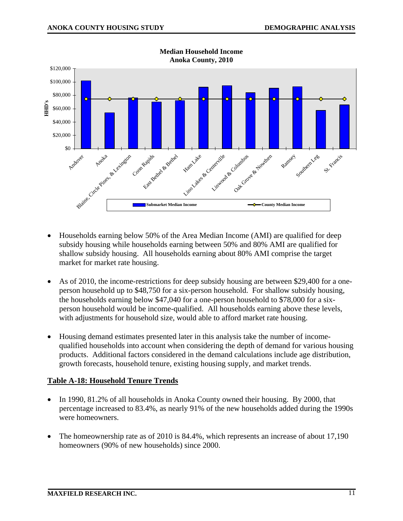

- Households earning below 50% of the Area Median Income (AMI) are qualified for deep subsidy housing while households earning between 50% and 80% AMI are qualified for shallow subsidy housing. All households earning about 80% AMI comprise the target market for market rate housing.
- As of 2010, the income-restrictions for deep subsidy housing are between \$29,400 for a oneperson household up to \$48,750 for a six-person household. For shallow subsidy housing, the households earning below \$47,040 for a one-person household to \$78,000 for a sixperson household would be income-qualified. All households earning above these levels, with adjustments for household size, would able to afford market rate housing.
- Housing demand estimates presented later in this analysis take the number of incomequalified households into account when considering the depth of demand for various housing products. Additional factors considered in the demand calculations include age distribution, growth forecasts, household tenure, existing housing supply, and market trends.

#### **Table A-18: Household Tenure Trends**

- In 1990, 81.2% of all households in Anoka County owned their housing. By 2000, that percentage increased to 83.4%, as nearly 91% of the new households added during the 1990s were homeowners.
- The homeownership rate as of 2010 is 84.4%, which represents an increase of about 17,190 homeowners (90% of new households) since 2000.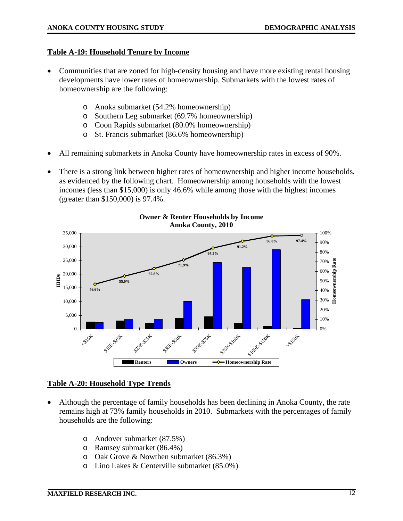#### **Table A-19: Household Tenure by Income**

- Communities that are zoned for high-density housing and have more existing rental housing developments have lower rates of homeownership. Submarkets with the lowest rates of homeownership are the following:
	- o Anoka submarket (54.2% homeownership)
	- o Southern Leg submarket (69.7% homeownership)
	- o Coon Rapids submarket (80.0% homeownership)
	- o St. Francis submarket (86.6% homeownership)
- All remaining submarkets in Anoka County have homeownership rates in excess of 90%.
- There is a strong link between higher rates of homeownership and higher income households, as evidenced by the following chart. Homeownership among households with the lowest incomes (less than \$15,000) is only 46.6% while among those with the highest incomes (greater than \$150,000) is 97.4%.



**Owner & Renter Households by Income Anoka County, 2010**

#### **Table A-20: Household Type Trends**

- Although the percentage of family households has been declining in Anoka County, the rate remains high at 73% family households in 2010. Submarkets with the percentages of family households are the following:
	- o Andover submarket (87.5%)
	- o Ramsey submarket (86.4%)
	- o Oak Grove & Nowthen submarket (86.3%)
	- o Lino Lakes & Centerville submarket (85.0%)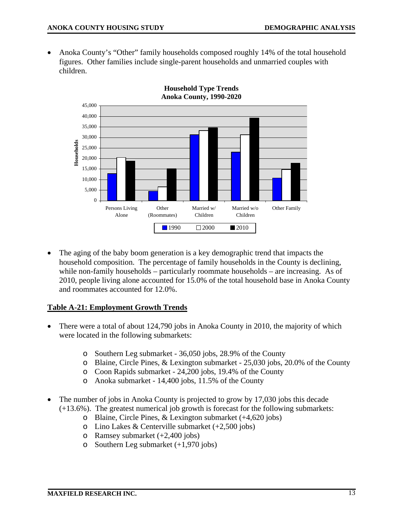• Anoka County's "Other" family households composed roughly 14% of the total household figures. Other families include single-parent households and unmarried couples with children.



**Household Type Trends Anoka County, 1990-2020** 

The aging of the baby boom generation is a key demographic trend that impacts the household composition. The percentage of family households in the County is declining, while non-family households – particularly roommate households – are increasing. As of 2010, people living alone accounted for 15.0% of the total household base in Anoka County and roommates accounted for 12.0%.

#### **Table A-21: Employment Growth Trends**

- There were a total of about 124,790 jobs in Anoka County in 2010, the majority of which were located in the following submarkets:
	- o Southern Leg submarket 36,050 jobs, 28.9% of the County
	- o Blaine, Circle Pines, & Lexington submarket 25,030 jobs, 20.0% of the County
	- o Coon Rapids submarket 24,200 jobs, 19.4% of the County
	- o Anoka submarket 14,400 jobs, 11.5% of the County
- The number of jobs in Anoka County is projected to grow by 17,030 jobs this decade (+13.6%). The greatest numerical job growth is forecast for the following submarkets:
	- o Blaine, Circle Pines, & Lexington submarket (+4,620 jobs)
	- o Lino Lakes & Centerville submarket  $(+2,500)$  jobs)
	- o Ramsey submarket (+2,400 jobs)
	- o Southern Leg submarket (+1,970 jobs)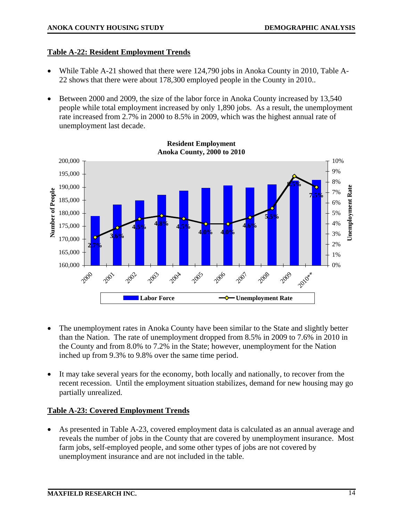#### **Table A-22: Resident Employment Trends**

- While Table A-21 showed that there were 124,790 jobs in Anoka County in 2010, Table A-22 shows that there were about 178,300 employed people in the County in 2010..
- Between 2000 and 2009, the size of the labor force in Anoka County increased by 13,540 people while total employment increased by only 1,890 jobs. As a result, the unemployment rate increased from 2.7% in 2000 to 8.5% in 2009, which was the highest annual rate of unemployment last decade.



- The unemployment rates in Anoka County have been similar to the State and slightly better than the Nation. The rate of unemployment dropped from 8.5% in 2009 to 7.6% in 2010 in the County and from 8.0% to 7.2% in the State; however, unemployment for the Nation inched up from 9.3% to 9.8% over the same time period.
- It may take several years for the economy, both locally and nationally, to recover from the recent recession. Until the employment situation stabilizes, demand for new housing may go partially unrealized.

#### **Table A-23: Covered Employment Trends**

• As presented in Table A-23, covered employment data is calculated as an annual average and reveals the number of jobs in the County that are covered by unemployment insurance. Most farm jobs, self-employed people, and some other types of jobs are not covered by unemployment insurance and are not included in the table.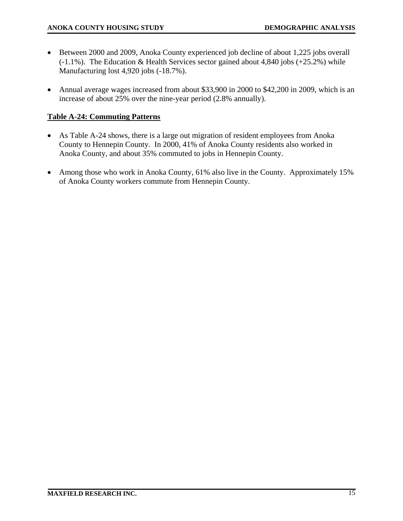- Between 2000 and 2009, Anoka County experienced job decline of about 1,225 jobs overall (-1.1%). The Education & Health Services sector gained about 4,840 jobs (+25.2%) while Manufacturing lost 4,920 jobs (-18.7%).
- Annual average wages increased from about \$33,900 in 2000 to \$42,200 in 2009, which is an increase of about 25% over the nine-year period (2.8% annually).

#### **Table A-24: Commuting Patterns**

- As Table A-24 shows, there is a large out migration of resident employees from Anoka County to Hennepin County. In 2000, 41% of Anoka County residents also worked in Anoka County, and about 35% commuted to jobs in Hennepin County.
- Among those who work in Anoka County, 61% also live in the County. Approximately 15% of Anoka County workers commute from Hennepin County.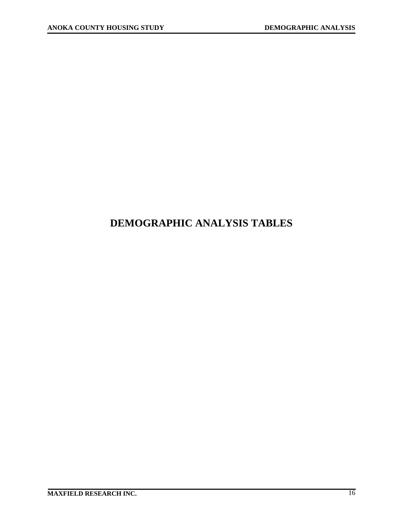## **DEMOGRAPHIC ANALYSIS TABLES**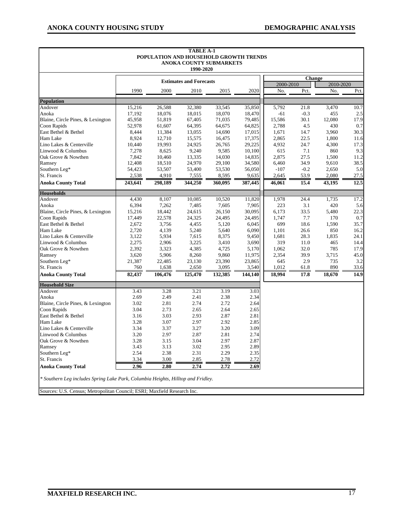٦

| <b>TABLE A-1</b><br>POPULATION AND HOUSEHOLD GROWTH TRENDS<br><b>ANOKA COUNTY SUBMARKETS</b><br>1990-2020                                                    |         |         |                                |         |         |           |               |           |      |  |  |
|--------------------------------------------------------------------------------------------------------------------------------------------------------------|---------|---------|--------------------------------|---------|---------|-----------|---------------|-----------|------|--|--|
|                                                                                                                                                              |         |         |                                |         |         |           | <b>Change</b> |           |      |  |  |
|                                                                                                                                                              |         |         | <b>Estimates and Forecasts</b> |         |         | 2000-2010 |               | 2010-2020 |      |  |  |
|                                                                                                                                                              | 1990    | 2000    | 2010                           | 2015    | 2020    | No.       | Pct.          | No.       | Pct. |  |  |
| <b>Population</b>                                                                                                                                            |         |         |                                |         |         |           |               |           |      |  |  |
| Andover                                                                                                                                                      | 15,216  | 26,588  | 32,380                         | 33,545  | 35,850  | 5,792     | 21.8          | 3,470     | 10.7 |  |  |
| Anoka                                                                                                                                                        | 17,192  | 18,076  | 18,015                         | 18,070  | 18,470  | $-61$     | $-0.3$        | 455       | 2.5  |  |  |
| Blaine, Circle Pines, & Lexington                                                                                                                            | 45,958  | 51,819  | 67,405                         | 71,035  | 79,485  | 15,586    | 30.1          | 12,080    | 17.9 |  |  |
| Coon Rapids                                                                                                                                                  | 52,978  | 61,607  | 64,395                         | 64,675  | 64,825  | 2,788     | 4.5           | 430       | 0.7  |  |  |
| East Bethel & Bethel                                                                                                                                         | 8,444   | 11,384  | 13,055                         | 14,690  | 17,015  | 1,671     | 14.7          | 3,960     | 30.3 |  |  |
| Ham Lake                                                                                                                                                     | 8,924   | 12,710  | 15,575                         | 16,475  | 17,375  | 2,865     | 22.5          | 1,800     | 11.6 |  |  |
| Lino Lakes & Centerville                                                                                                                                     | 10,440  | 19,993  | 24,925                         | 26,765  | 29,225  | 4,932     | 24.7          | 4,300     | 17.3 |  |  |
| Linwood & Columbus                                                                                                                                           | 7,278   | 8,625   | 9,240                          | 9,585   | 10,100  | 615       | 7.1           | 860       | 9.3  |  |  |
| Oak Grove & Nowthen                                                                                                                                          | 7,842   | 10,460  | 13,335                         | 14,030  | 14,835  | 2,875     | 27.5          | 1,500     | 11.2 |  |  |
| Ramsey                                                                                                                                                       | 12,408  | 18,510  | 24,970                         | 29,100  | 34,580  | 6,460     | 34.9          | 9,610     | 38.5 |  |  |
| Southern Leg*                                                                                                                                                | 54,423  | 53,507  | 53,400                         | 53,530  | 56,050  | $-107$    | $-0.2$        | 2,650     | 5.0  |  |  |
| St. Francis                                                                                                                                                  | 2,538   | 4,910   | 7,555                          | 8,595   | 9,635   | 2,645     | 53.9          | 2,080     | 27.5 |  |  |
| <b>Anoka County Total</b>                                                                                                                                    | 243,641 | 298,189 | 344,250                        | 360,095 | 387,445 | 46,061    | 15.4          | 43,195    | 12.5 |  |  |
| <b>Households</b>                                                                                                                                            |         |         |                                |         |         |           |               |           |      |  |  |
| Andover                                                                                                                                                      | 4,430   | 8,107   | 10,085                         | 10,520  | 11,820  | 1,978     | 24.4          | 1,735     | 17.2 |  |  |
| Anoka                                                                                                                                                        | 6,394   | 7,262   | 7,485                          | 7,605   | 7,905   | 223       | 3.1           | 420       | 5.6  |  |  |
| Blaine, Circle Pines, & Lexington                                                                                                                            | 15,216  | 18,442  | 24,615                         | 26,150  | 30,095  | 6,173     | 33.5          | 5,480     | 22.3 |  |  |
| Coon Rapids                                                                                                                                                  | 17,449  | 22,578  | 24,325                         | 24,495  | 24,495  | 1,747     | 7.7           | 170       | 0.7  |  |  |
| East Bethel & Bethel                                                                                                                                         | 2,672   | 3,756   | 4,455                          | 5,120   | 6,045   | 699       | 18.6          | 1,590     | 35.7 |  |  |
| Ham Lake                                                                                                                                                     | 2,720   | 4,139   | 5,240                          | 5,640   | 6,090   | 1,101     | 26.6          | 850       | 16.2 |  |  |
| Lino Lakes & Centerville                                                                                                                                     | 3,122   | 5,934   | 7,615                          | 8,375   | 9,450   | 1,681     | 28.3          | 1,835     | 24.1 |  |  |
| Linwood & Columbus                                                                                                                                           | 2,275   | 2,906   | 3,225                          | 3,410   | 3,690   | 319       | 11.0          | 465       | 14.4 |  |  |
| Oak Grove & Nowthen                                                                                                                                          | 2,392   | 3,323   | 4,385                          | 4,725   | 5,170   | 1,062     | 32.0          | 785       | 17.9 |  |  |
| Ramsey                                                                                                                                                       | 3,620   | 5,906   | 8,260                          | 9,860   | 11,975  | 2,354     | 39.9          | 3,715     | 45.0 |  |  |
| Southern Leg*                                                                                                                                                | 21,387  | 22,485  | 23,130                         | 23,390  | 23,865  | 645       | 2.9           | 735       | 3.2  |  |  |
| St. Francis                                                                                                                                                  | 760     | 1,638   | 2,650                          | 3,095   | 3,540   | 1,012     | 61.8          | 890       | 33.6 |  |  |
| <b>Anoka County Total</b>                                                                                                                                    | 82,437  | 106,476 | 125,470                        | 132,385 | 144,140 | 18,994    | 17.8          | 18,670    | 14.9 |  |  |
| <b>Household Size</b>                                                                                                                                        |         |         |                                |         |         |           |               |           |      |  |  |
| Andover                                                                                                                                                      | 3.43    | 3.28    | 3.21                           | 3.19    | 3.03    |           |               |           |      |  |  |
| Anoka                                                                                                                                                        | 2.69    | 2.49    | 2.41                           | 2.38    | 2.34    |           |               |           |      |  |  |
| Blaine, Circle Pines, & Lexington                                                                                                                            | 3.02    | 2.81    | 2.74                           | 2.72    | 2.64    |           |               |           |      |  |  |
| Coon Rapids                                                                                                                                                  | 3.04    | 2.73    | 2.65                           | 2.64    | 2.65    |           |               |           |      |  |  |
| East Bethel & Bethel                                                                                                                                         | 3.16    | 3.03    | 2.93                           | 2.87    | 2.81    |           |               |           |      |  |  |
| Ham Lake                                                                                                                                                     | 3.28    | 3.07    | 2.97                           | 2.92    | 2.85    |           |               |           |      |  |  |
| Lino Lakes & Centerville                                                                                                                                     | 3.34    | 3.37    | 3.27                           | 3.20    | 3.09    |           |               |           |      |  |  |
| Linwood & Columbus                                                                                                                                           | 3.20    | 2.97    | 2.87                           | 2.81    | 2.74    |           |               |           |      |  |  |
| Oak Grove & Nowthen                                                                                                                                          | 3.28    | 3.15    | 3.04                           | 2.97    | 2.87    |           |               |           |      |  |  |
| Ramsey                                                                                                                                                       | 3.43    | 3.13    | 3.02                           | 2.95    | 2.89    |           |               |           |      |  |  |
| Southern Leg*                                                                                                                                                | 2.54    | 2.38    | 2.31                           | 2.29    | 2.35    |           |               |           |      |  |  |
| St. Francis                                                                                                                                                  | 3.34    | 3.00    | 2.85                           | 2.78    | 2.72    |           |               |           |      |  |  |
| <b>Anoka County Total</b>                                                                                                                                    | 2.96    | 2.80    | 2.74                           | 2.72    | 2.69    |           |               |           |      |  |  |
| * Southern Leg includes Spring Lake Park, Columbia Heights, Hilltop and Fridley.<br>Sources: U.S. Census; Metropolitan Council; ESRI; Maxfield Research Inc. |         |         |                                |         |         |           |               |           |      |  |  |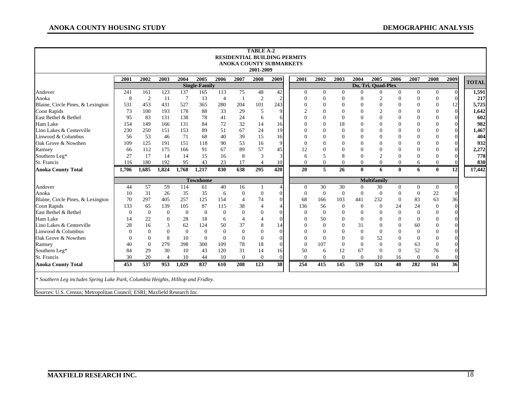|                                   |                                                                                                                                                              |                  |                  |              |                      |                |                  | <b>TABLE A-2</b><br>2001-2009 | <b>RESIDENTIAL BUILDING PERMITS</b><br><b>ANOKA COUNTY SUBMARKETS</b> |                |                |                |                |                    |                  |              |                  |                |              |
|-----------------------------------|--------------------------------------------------------------------------------------------------------------------------------------------------------------|------------------|------------------|--------------|----------------------|----------------|------------------|-------------------------------|-----------------------------------------------------------------------|----------------|----------------|----------------|----------------|--------------------|------------------|--------------|------------------|----------------|--------------|
|                                   | 2001                                                                                                                                                         | 2002             | 2003             | 2004         | 2005                 | 2006           | 2007             | 2008                          | 2009                                                                  | 2001           | 2002           | 2003           | 2004           | 2005               | 2006             | 2007         | 2008             | 2009           | <b>TOTAL</b> |
|                                   |                                                                                                                                                              |                  |                  |              | <b>Single-Family</b> |                |                  |                               |                                                                       |                |                |                |                | Du, Tri, Quad-Plex |                  |              |                  |                |              |
| Andover                           | 241                                                                                                                                                          | 161              | 123              | 137          | 165                  | 113            | 75               | 48                            | 42                                                                    | $\overline{0}$ | $\Omega$       | $\overline{0}$ | $\Omega$       | $\theta$           | $\overline{0}$   | $\Omega$     | $\overline{0}$   | $\Omega$       | 1,591        |
| Anoka                             | 8                                                                                                                                                            | $\boldsymbol{2}$ | 11               | 7            | 13                   | $\overline{4}$ | $\mathbf{1}$     | $\overline{2}$                | $\overline{2}$                                                        | $\Omega$       |                | $\theta$       | $\Omega$       | $\overline{2}$     | $\Omega$         | $\Omega$     | $\boldsymbol{0}$ | $\Omega$       | 217          |
| Blaine, Circle Pines, & Lexington | 531                                                                                                                                                          | 453              | 431              | 527          | 365                  | 280            | 204              | 101                           | 243                                                                   | $\Omega$       | $\Omega$       | $\Omega$       | $\theta$       | $\Omega$           | 0                |              | $\mathbf{0}$     | 12             | 5,725        |
| Coon Rapids                       | 73                                                                                                                                                           | 100              | 193              | 178          | 88                   | 33             | 29               | 5                             | q                                                                     | $\overline{c}$ | $\Omega$       | $\theta$       | $\overline{0}$ | $\overline{c}$     | $\Omega$         |              | $\mathbf{0}$     | $\Omega$       | 1,642        |
| East Bethel & Bethel              | 95                                                                                                                                                           | 83               | 131              | 138          | 78                   | 41             | 24               | 6                             | 6                                                                     | $\theta$       | $\mathbf{0}$   | $\mathbf{0}$   | $\Omega$       | $\theta$           | $\overline{0}$   |              | $\mathbf{0}$     | $\overline{0}$ | 602          |
| Ham Lake                          | 154                                                                                                                                                          | 149              | 166              | 131          | 84                   | 72             | 32               | 14                            | 16                                                                    | $\Omega$       | $\mathbf{0}$   | 18             | $\theta$       | $\Omega$           | $\overline{0}$   |              | $\mathbf{0}$     | $\overline{0}$ | 982          |
| Lino Lakes & Centerville          | 230                                                                                                                                                          | 250              | 151              | 153          | 89                   | 51             | 67               | 24                            | 19                                                                    | $\mathbf{0}$   | $\mathbf{0}$   | $\theta$       | $\theta$       | $\theta$           | $\overline{0}$   |              | $\mathbf{0}$     | $\overline{0}$ | 1,467        |
| Linwood & Columbus                | 56                                                                                                                                                           | 53               | 46               | 71           | 68                   | 40             | 39               | 15                            | 16                                                                    | $\mathbf{0}$   | $\Omega$       | $\theta$       | $\theta$       | $\Omega$           | $\overline{0}$   |              | $\Omega$         | $\Omega$       | 404          |
| Oak Grove & Nowthen               | 109                                                                                                                                                          | 125              | 191              | 151          | 118                  | 90             | 53               | 16                            | 9                                                                     | $\Omega$       | $\Omega$       | $\theta$       | $\theta$       |                    |                  |              | $\Omega$         | $\Omega$       | 932          |
| Ramsey                            | 66                                                                                                                                                           | 112              | 175              | 166          | 91                   | 67             | 89               | 57                            | 45                                                                    | 12             | $\Omega$       | $\theta$       | $\overline{0}$ | $\Omega$           |                  |              | 0                | $\overline{0}$ | 2,272        |
| Southern Leg*                     | 27                                                                                                                                                           | 17               | 14               | 14           | 15                   | 16             | 8                | 3                             | 3                                                                     | 6              | 5              | 8              | $\Omega$       | $\overline{2}$     | $\Omega$         |              | $\theta$         | $\overline{0}$ | 778          |
| St. Francis                       | 116                                                                                                                                                          | 180              | 192              | 95           | 43                   | 23             | 17               | $\overline{4}$                | 10                                                                    | $\Omega$       | $\mathbf{0}$   | 0              | $\mathbf{0}$   | $\theta$           | $\overline{0}$   | 6            | $\mathbf{0}$     | $\Omega$       | 830          |
| <b>Anoka County Total</b>         | 1,706                                                                                                                                                        | 1,685            | 1,824            | 1,768        | 1,217                | 830            | 638              | 295                           | 420                                                                   | 20             | 5              | 26             | $\mathbf{0}$   | 6                  | $\mathbf{0}$     | 6            | $\mathbf{0}$     | 12             | 17,442       |
|                                   |                                                                                                                                                              |                  |                  |              | <b>Townhome</b>      |                |                  |                               |                                                                       |                |                |                |                | <b>Multifamily</b> |                  |              |                  |                |              |
| Andover                           | 44                                                                                                                                                           | 57               | 59               | 114          | 61                   | 40             | 16               |                               | $\overline{A}$                                                        | $\Omega$       | 30             | 30             | $\mathbf{0}$   | 30                 | $\overline{0}$   | $\mathbf{0}$ | $\mathbf{0}$     | 0              |              |
| Anoka                             | 10                                                                                                                                                           | 31               | 26               | 35           | 35                   | 6              | $\boldsymbol{0}$ | $\mathbf{0}$                  | $\sqrt{ }$                                                            | $\mathbf{0}$   | $\mathbf{0}$   | $\mathbf{0}$   | $\mathbf{0}$   | $\overline{0}$     | $\mathbf{0}$     | $\theta$     | 22               | $\Omega$       |              |
| Blaine, Circle Pines, & Lexington | 70                                                                                                                                                           | 297              | 405              | 257          | 125                  | 154            | $\overline{4}$   | 74                            | $\overline{0}$                                                        | 68             | 166            | 103            | 441            | 232                | $\boldsymbol{0}$ | 83           | 63               | 36             |              |
| Coon Rapids                       | 133                                                                                                                                                          | 65               | 139              | 105          | 87                   | 115            | 38               | $\overline{4}$                | $\overline{A}$                                                        | 136            | 56             | $\theta$       | $\overline{0}$ | $\overline{0}$     | 24               | 24           | $\boldsymbol{0}$ | $\overline{0}$ |              |
| East Bethel & Bethel              | $\Omega$                                                                                                                                                     | $\overline{0}$   | $\boldsymbol{0}$ | $\mathbf{0}$ | $\mathbf{0}$         | $\mathbf{0}$   | $\mathbf{0}$     | $\boldsymbol{0}$              | $\sqrt{ }$                                                            | $\mathbf{0}$   | $\overline{0}$ | $\theta$       | $\Omega$       | $\Omega$           | $\mathbf{0}$     | $\Omega$     | $\mathbf{0}$     | $\theta$       |              |
| Ham Lake                          | 14                                                                                                                                                           | 22               | $\overline{0}$   | 28           | 18                   | 6              | $\overline{4}$   | $\overline{4}$                | $\sqrt{ }$                                                            | $\Omega$       | 50             | $\theta$       | $\mathbf{0}$   | $\Omega$           | $\Omega$         |              | $\theta$         | $\Omega$       |              |
| Lino Lakes & Centerville          | 28                                                                                                                                                           | 16               | 3                | 62           | 124                  | 50             | 37               | 8                             | 14                                                                    | $\mathbf{0}$   | $\theta$       | $\overline{0}$ | 31             | $\Omega$           | $\overline{0}$   | 60           | $\overline{0}$   | $\overline{0}$ |              |
| Linwood & Columbus                | $\Omega$                                                                                                                                                     | $\Omega$         | $\overline{0}$   | $\mathbf{0}$ | $\mathbf{0}$         | $\theta$       | $\mathbf{0}$     | $\boldsymbol{0}$              | $\bigcap$                                                             | $\Omega$       |                | $\overline{0}$ | $\overline{0}$ | $\overline{0}$     | $\overline{0}$   | $\Omega$     | $\overline{0}$   | $\Omega$       |              |
| Oak Grove & Nowthen               | $\Omega$                                                                                                                                                     | $\theta$         | 8                | 10           | $\overline{0}$       | $\Omega$       | $\overline{0}$   | $\mathbf{0}$                  | $\sqrt{ }$                                                            | $\Omega$       | $\Omega$       | $\theta$       | $\overline{0}$ | 52                 | $\overline{0}$   | $\Omega$     | $\mathbf{0}$     | $\Omega$       |              |
| Ramsey                            | 40                                                                                                                                                           | $\Omega$         | 279              | 398          | 300                  | 109            | 78               | 18                            | $\sqrt{ }$                                                            | $\Omega$       | 107            | $\Omega$       | $\mathbf{0}$   | $\Omega$           | $\mathbf{0}$     | 63           | $\overline{0}$   | $\theta$       |              |
| Southern Leg*                     | 84                                                                                                                                                           | 29               | 30               | 10           | 43                   | 120            | 31               | 14                            | 16                                                                    | 50             | 6              | 12             | 67             | $\Omega$           | $\theta$         | 52           | 76               | $\overline{0}$ |              |
| St. Francis                       | 30                                                                                                                                                           | 20               | $\overline{4}$   | 10           | 44                   | 10             | $\overline{0}$   | $\overline{0}$                | $\overline{0}$                                                        | $\mathbf{0}$   | $\Omega$       | $\overline{0}$ | $\mathbf{0}$   | 10                 | 16               | $\Omega$     | $\mathbf{0}$     | $\Omega$       |              |
| <b>Anoka County Total</b>         | 453                                                                                                                                                          | 537              | 953              | 1,029        | 837                  | 610            | 208              | 123                           | 38                                                                    | 254            | 415            | 145            | 539            | 324                | 40               | 282          | 161              | 36             |              |
|                                   | * Southern Leg includes Spring Lake Park, Columbia Heights, Hilltop and Fridley.<br>Sources: U.S. Census; Metropolitan Council; ESRI; Maxfield Research Inc. |                  |                  |              |                      |                |                  |                               |                                                                       |                |                |                |                |                    |                  |              |                  |                |              |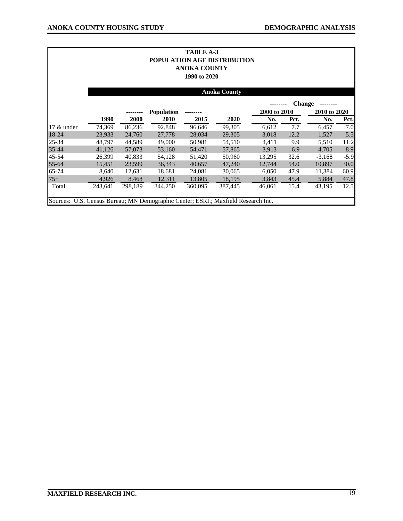| TABLE A-3<br><b>POPULATION AGE DISTRIBUTION</b><br><b>ANOKA COUNTY</b><br>1990 to 2020 |         |         |                   |         |                     |              |               |              |        |  |  |  |
|----------------------------------------------------------------------------------------|---------|---------|-------------------|---------|---------------------|--------------|---------------|--------------|--------|--|--|--|
|                                                                                        |         |         |                   |         | <b>Anoka County</b> |              |               |              |        |  |  |  |
|                                                                                        |         |         |                   |         |                     |              | <b>Change</b> |              |        |  |  |  |
|                                                                                        |         |         | <b>Population</b> |         |                     | 2000 to 2010 |               | 2010 to 2020 |        |  |  |  |
|                                                                                        | 1990    | 2000    | 2010              | 2015    | 2020                | No.          | Pct.          | No.          | Pct.   |  |  |  |
| $17 \&$ under                                                                          | 74,369  | 86,236  | 92,848            | 96,646  | 99,305              | 6,612        | 7.7           | 6,457        | 7.0    |  |  |  |
| 18-24                                                                                  | 23,933  | 24,760  | 27,778            | 28,034  | 29,305              | 3,018        | 12.2          | 1,527        | 5.5    |  |  |  |
| 25-34                                                                                  | 48,797  | 44,589  | 49,000            | 50,981  | 54,510              | 4,411        | 9.9           | 5,510        | 11.2   |  |  |  |
| 35-44                                                                                  | 41,126  | 57,073  | 53,160            | 54,471  | 57,865              | $-3,913$     | $-6.9$        | 4,705        | 8.9    |  |  |  |
| 45-54                                                                                  | 26,399  | 40,833  | 54,128            | 51,420  | 50,960              | 13,295       | 32.6          | $-3,168$     | $-5.9$ |  |  |  |
| 55-64                                                                                  | 15,451  | 23,599  | 36,343            | 40,657  | 47,240              | 12,744       | 54.0          | 10,897       | 30.0   |  |  |  |
| 65-74                                                                                  | 8,640   | 12,631  | 18,681            | 24,081  | 30,065              | 6,050        | 47.9          | 11,384       | 60.9   |  |  |  |
| $75+$                                                                                  | 4,926   | 8,468   | 12,311            | 13,805  | 18,195              | 3,843        | 45.4          | 5,884        | 47.8   |  |  |  |
| Total                                                                                  | 243,641 | 298,189 | 344,250           | 360,095 | 387,445             | 46,061       | 15.4          | 43,195       | 12.5   |  |  |  |
| Sources: U.S. Census Bureau; MN Demographic Center; ESRI.; Maxfield Research Inc.      |         |         |                   |         |                     |              |               |              |        |  |  |  |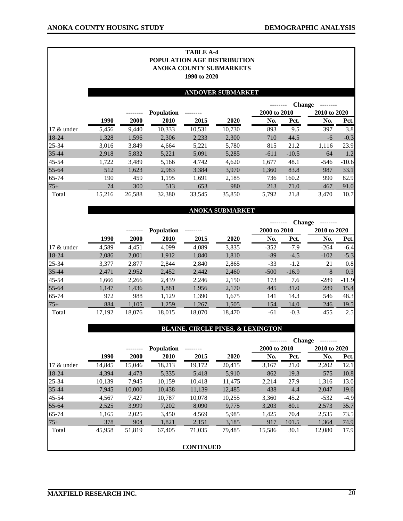|               |        |        |                   | <b>TABLE A-4</b> |                             |              |               |              |         |
|---------------|--------|--------|-------------------|------------------|-----------------------------|--------------|---------------|--------------|---------|
|               |        |        |                   |                  | POPULATION AGE DISTRIBUTION |              |               |              |         |
|               |        |        |                   |                  | ANOKA COUNTY SUBMARKETS     |              |               |              |         |
|               |        |        |                   | 1990 to 2020     |                             |              |               |              |         |
|               |        |        |                   |                  |                             |              |               |              |         |
|               |        |        |                   |                  | <b>ANDOVER SUBMARKET</b>    |              |               |              |         |
|               |        |        |                   |                  |                             |              | <b>Change</b> |              |         |
|               |        |        | <b>Population</b> |                  |                             | 2000 to 2010 |               | 2010 to 2020 |         |
|               | 1990   | 2000   | 2010              | 2015             | 2020                        | No.          | Pct.          | No.          | Pct.    |
| 17 & under    | 5,456  | 9,440  | 10,333            | 10,531           | 10,730                      | 893          | 9.5           | 397          | 3.8     |
| 18-24         | 1,328  | 1,596  | 2,306             | 2,233            | 2,300                       | 710          | 44.5          | $-6$         | $-0.3$  |
| 25-34         | 3,016  | 3,849  | 4,664             | 5,221            | 5,780                       | 815          | 21.2          | 1,116        | 23.9    |
| 35-44         | 2,918  | 5,832  | 5,221             | 5,091            | 5,285                       | $-611$       | $-10.5$       | 64           | 1.2     |
| 45-54         | 1,722  | 3,489  | 5,166             | 4,742            | 4,620                       | 1,677        | 48.1          | $-546$       | $-10.6$ |
| 55-64         | 512    | 1,623  | 2,983             | 3,384            | 3,970                       | 1,360        | 83.8          | 987          | 33.1    |
| 65-74         | 190    | 459    | 1,195             | 1,691            | 2,185                       | 736          | 160.2         | 990          | 82.9    |
| $75+$         | 74     | 300    | 513               | 653              | 980                         | 213          | 71.0          | 467          | 91.0    |
| Total         | 15,216 | 26,588 | 32,380            | 33,545           | 35,850                      | 5,792        | 21.8          | 3,470        | 10.7    |
|               |        |        |                   |                  |                             |              |               |              |         |
|               |        |        |                   |                  | <b>ANOKA SUBMARKET</b>      |              |               |              |         |
|               |        |        |                   |                  |                             |              | <b>Change</b> |              |         |
|               |        |        | <b>Population</b> |                  |                             | 2000 to 2010 |               | 2010 to 2020 |         |
|               | 1990   | 2000   | 2010              | 2015             | 2020                        | No.          | Pct.          | No.          | Pct.    |
| $17 \&$ under | 4,589  | 4,451  | 4,099             | 4,089            | 3,835                       | $-352$       | $-7.9$        | $-264$       | $-6.4$  |
| $18-24$       | 2.086  | 2.001  | 1912              | 1 840            | 1.810                       | $-89$        | $-45$         | $-102$       | $-53$   |

| 18-24     | 2,086  | 2,001  | 1,912  | 1,840  | 1,810  | -89    | $-4.5$  | $-102$ | $-5.3$  |
|-----------|--------|--------|--------|--------|--------|--------|---------|--------|---------|
| $25 - 34$ | 3,377  | 2,877  | 2,844  | 2,840  | 2,865  | $-33$  | $-1.2$  | 21     | 0.8     |
| $35 - 44$ | 2,471  | 2,952  | 2,452  | 2,442  | 2,460  | $-500$ | $-16.9$ |        | 0.3     |
| 45-54     | 1.666  | 2,266  | 2,439  | 2,246  | 2,150  | 173    | 7.6     | $-289$ | $-11.9$ |
| $55 - 64$ | 1.147  | 1,436  | 1,881  | 1,956  | 2,170  | 445    | 31.0    | 289    | 15.4    |
| 65-74     | 972    | 988    | 1.129  | 1,390  | 1.675  | 141    | 14.3    | 546    | 48.3    |
| $75+$     | 884    | 1,105  | 1,259  | 1,267  | 1,505  | 154    | 14.0    | 246    | 19.5    |
| Total     | 17.192 | 18,076 | 18.015 | 18.070 | 18.470 | -61    | $-0.3$  | 455    | 2.5     |

#### **BLAINE, CIRCLE PINES, & LEXINGTON**

|        |        |                   |        |        | <b>Change</b>    |       |              |        |
|--------|--------|-------------------|--------|--------|------------------|-------|--------------|--------|
|        |        | <b>Population</b> |        |        | 2000 to 2010     |       | 2010 to 2020 |        |
| 1990   | 2000   | 2010              | 2015   | 2020   | No.              | Pct.  | No.          | Pct.   |
| 14,845 | 15,046 | 18,213            | 19,172 | 20,415 | 3,167            | 21.0  | 2,202        | 12.1   |
| 4,394  | 4,473  | 5,335             | 5,418  | 5,910  | 862              | 19.3  | 575          | 10.8   |
| 10,139 | 7,945  | 10,159            | 10,418 | 11,475 | 2,214            | 27.9  | 1,316        | 13.0   |
| 7,945  | 10.000 | 10,438            | 11,139 | 12,485 | 438              | 4.4   | 2,047        | 19.6   |
| 4,567  | 7,427  | 10,787            | 10,078 | 10,255 | 3,360            | 45.2  | $-532$       | $-4.9$ |
| 2,525  | 3,999  | 7,202             | 8,090  | 9,775  | 3,203            | 80.1  | 2,573        | 35.7   |
| 1,165  | 2,025  | 3,450             | 4,569  | 5,985  | 1,425            | 70.4  | 2,535        | 73.5   |
| 378    | 904    | 1,821             | 2,151  | 3,185  | 917              | 101.5 | 1,364        | 74.9   |
| 45,958 | 51,819 | 67,405            | 71,035 | 79,485 | 15,586           | 30.1  | 12,080       | 17.9   |
|        |        |                   |        |        |                  |       |              |        |
|        |        |                   |        |        | <b>CONTINUED</b> |       |              |        |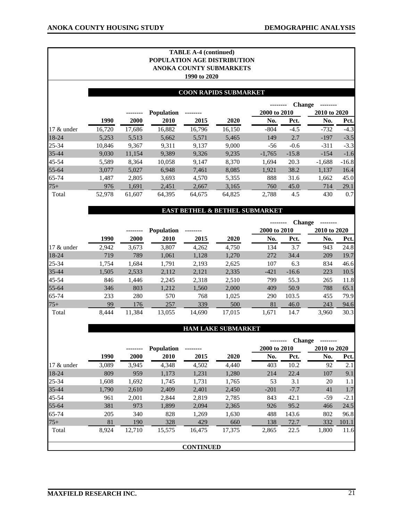|            |        |        | POPULATION AGE DISTRIBUTION | <b>TABLE A-4 (continued)</b><br>1990 to 2020 | ANOKA COUNTY SUBMARKETS      |                                           |               |              |         |
|------------|--------|--------|-----------------------------|----------------------------------------------|------------------------------|-------------------------------------------|---------------|--------------|---------|
|            |        |        |                             |                                              | <b>COON RAPIDS SUBMARKET</b> |                                           |               |              |         |
|            |        |        |                             |                                              |                              |                                           | <b>Change</b> |              |         |
|            |        |        | <b>Population</b>           |                                              |                              | 2000 to 2010                              |               | 2010 to 2020 |         |
|            | 1990   | 2000   | 2010                        | 2015                                         | 2020                         | No.                                       | Pct.          | No.          | Pct.    |
| 17 & under | 16,720 | 17,686 | 16,882                      | 16,796                                       | 16,150                       | $-804$                                    | $-4.5$        | $-732$       | $-4.3$  |
| 18-24      | 5,253  | 5,513  | 5,662                       | 5,571                                        | 5,465                        | 149                                       | 2.7           | $-197$       | $-3.5$  |
| 25-34      | 10,846 | 9,367  | 9,311                       | 9,137                                        | 9,000                        | $-56$                                     | $-0.6$        | $-311$       | $-3.3$  |
| 35-44      | 9,030  | 11,154 | 9,389                       | 9,326                                        | 9,235                        | $-1,765$                                  | $-15.8$       | $-154$       | $-1.6$  |
| 45-54      | 5,589  | 8,364  | 10,058                      | 9,147                                        | 8,370                        | 1,694                                     | 20.3          | $-1,688$     | $-16.8$ |
| 55-64      | 3,077  | 5,027  | 6,948                       | 7,461                                        | 8,085                        | 1,921                                     | 38.2          | 1,137        | 16.4    |
| 65-74      | 1,487  | 2,805  | 3,693                       | 4,570                                        | 5,355                        | 888                                       | 31.6          | 1,662        | 45.0    |
| $75+$      | 976    | 1,691  | 2,451                       | 2,667                                        | 3,165                        | 760                                       | 45.0          | 714          | 29.1    |
| Total      | 52,978 | 61,607 | 64,395                      | 64,675                                       | 64,825                       | 2,788                                     | 4.5           | 430          | 0.7     |
|            |        |        |                             |                                              |                              | <b>EAST BETHEL &amp; BETHEL SUBMARKET</b> |               |              |         |

## **-------- Change --------**

|              |       | -------- | <b>Population</b> |        |        | 2000 to 2010 |         | 2010 to 2020 |      |
|--------------|-------|----------|-------------------|--------|--------|--------------|---------|--------------|------|
|              | 1990  | 2000     | 2010              | 2015   | 2020   | No.          | Pct.    | No.          | Pct. |
| 17 $&$ under | 2,942 | 3,673    | 3,807             | 4,262  | 4,750  | 134          | 3.7     | 943          | 24.8 |
| 18-24        | 719   | 789      | 1,061             | 1,128  | 1,270  | 272          | 34.4    | 209          | 19.7 |
| 25-34        | 1,754 | 1,684    | 1,791             | 2,193  | 2,625  | 107          | 6.3     | 834          | 46.6 |
| 35-44        | 1,505 | 2,533    | 2,112             | 2,121  | 2,335  | $-421$       | $-16.6$ | 223          | 10.5 |
| 45-54        | 846   | 1,446    | 2,245             | 2,318  | 2,510  | 799          | 55.3    | 265          | 11.8 |
| 55-64        | 346   | 803      | 1,212             | 1,560  | 2,000  | 409          | 50.9    | 788          | 65.1 |
| 65-74        | 233   | 280      | 570               | 768    | 1,025  | 290          | 103.5   | 455          | 79.9 |
| $75+$        | 99    | 176      | 257               | 339    | 500    | 81           | 46.0    | 243          | 94.6 |
| Total        | 8.444 | 11,384   | 13,055            | 14,690 | 17,015 | 1.671        | 14.7    | 3,960        | 30.3 |

#### **HAM LAKE SUBMARKET**

|              |       |        |                   |                  | <b>Change</b> |              |        |              |        |
|--------------|-------|--------|-------------------|------------------|---------------|--------------|--------|--------------|--------|
|              |       |        | <b>Population</b> |                  |               | 2000 to 2010 |        | 2010 to 2020 |        |
|              | 1990  | 2000   | 2010              | 2015             | 2020          | No.          | Pct.   | No.          | Pct.   |
| 17 $&$ under | 3,089 | 3,945  | 4,348             | 4,502            | 4,440         | 403          | 10.2   | 92           | 2.1    |
| $18-24$      | 809   | 959    | 1,173             | 1,231            | 1,280         | 214          | 22.4   | 107          | 9.1    |
| 25-34        | 1,608 | 1,692  | 1,745             | 1,731            | 1,765         | 53           | 3.1    | 20           | 1.1    |
| $35 - 44$    | 1,790 | 2,610  | 2,409             | 2,401            | 2,450         | $-201$       | $-7.7$ | 41           | 1.7    |
| $45 - 54$    | 961   | 2,001  | 2,844             | 2,819            | 2,785         | 843          | 42.1   | $-59$        | $-2.1$ |
| 55-64        | 381   | 973    | 1,899             | 2,094            | 2,365         | 926          | 95.2   | 466          | 24.5   |
| $65 - 74$    | 205   | 340    | 828               | 1,269            | 1,630         | 488          | 143.6  | 802          | 96.8   |
| $75+$        | 81    | 190    | 328               | 429              | 660           | 138          | 72.7   | 332          | 101.1  |
| Total        | 8,924 | 12,710 | 15,575            | 16,475           | 17,375        | 2,865        | 22.5   | 1,800        | 11.6   |
|              |       |        |                   | <b>CONTINUED</b> |               |              |        |              |        |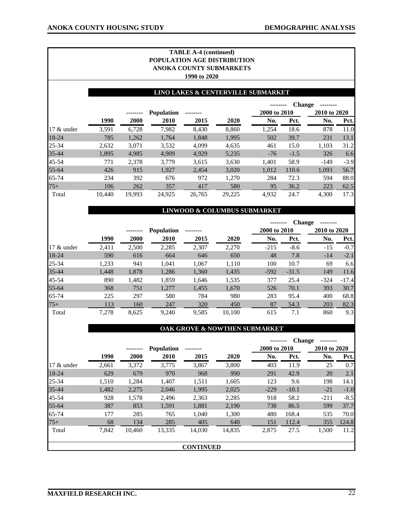|            |        |        |                   | <b>TABLE A-4 (continued)</b><br>1990 to 2020 | <b>POPULATION AGE DISTRIBUTION</b><br>ANOKA COUNTY SUBMARKETS |                                    |               |              |        |
|------------|--------|--------|-------------------|----------------------------------------------|---------------------------------------------------------------|------------------------------------|---------------|--------------|--------|
|            |        |        |                   |                                              |                                                               | LINO LAKES & CENTERVILLE SUBMARKET |               |              |        |
|            |        |        | <b>Population</b> |                                              |                                                               | 2000 to 2010                       | <b>Change</b> | 2010 to 2020 |        |
|            | 1990   | 2000   | 2010              | 2015                                         | 2020                                                          | No.                                | Pct.          | No.          | Pct.   |
| 17 & under | 3,591  | 6,728  | 7,982             | 8,430                                        | 8,860                                                         | 1,254                              | 18.6          | 878          | 11.0   |
| 18-24      | 785    | 1,262  | 1,764             | 1,848                                        | 1,995                                                         | 502                                | 39.7          | 231          | 13.1   |
| 25-34      | 2,632  | 3,071  | 3,532             | 4,099                                        | 4,635                                                         | 461                                | 15.0          | 1,103        | 31.2   |
| 35-44      | 1,895  | 4,985  | 4,909             | 4,929                                        | 5,235                                                         | $-76$                              | $-1.5$        | 326          | 6.6    |
| 45-54      | 771    | 2,378  | 3,779             | 3,615                                        | 3,630                                                         | 1,401                              | 58.9          | $-149$       | $-3.9$ |
| 55-64      | 426    | 915    | 1,927             | 2,454                                        | 3,020                                                         | 1,012                              | 110.6         | 1,093        | 56.7   |
| 65-74      | 234    | 392    | 676               | 972                                          | 1,270                                                         | 284                                | 72.3          | 594          | 88.0   |
| 75+        | 106    | 262    | 357               | 417                                          | 580                                                           | 95                                 | 36.2          | 223          | 62.5   |
| Total      | 10,440 | 19,993 | 24,925            | 26,765                                       | 29,225                                                        | 4,932                              | 24.7          | 4,300        | 17.3   |

#### **LINWOOD & COLUMBUS SUBMARKET**

|            |       |             |                   |       |        | <b>Change</b> |         |              |         |
|------------|-------|-------------|-------------------|-------|--------|---------------|---------|--------------|---------|
|            |       |             | <b>Population</b> |       |        | 2000 to 2010  |         | 2010 to 2020 |         |
|            | 1990  | <b>2000</b> | 2010              | 2015  | 2020   | No.           | Pct.    | No.          | Pct.    |
| 17 & under | 2,411 | 2,500       | 2,285             | 2,307 | 2,270  | $-215$        | $-8.6$  | $-15$        | $-0.7$  |
| 18-24      | 590   | 616         | 664               | 646   | 650    | 48            | 7.8     | $-14$        | $-2.1$  |
| $25 - 34$  | 1,233 | 941         | 1,041             | 1,067 | 1,110  | 100           | 10.7    | 69           | 6.6     |
| 35-44      | 1,448 | 1,878       | 1,286             | 1,360 | 1,435  | $-592$        | $-31.5$ | 149          | 11.6    |
| 45-54      | 890   | 1,482       | 1,859             | 1,646 | 1,535  | 377           | 25.4    | $-324$       | $-17.4$ |
| 55-64      | 368   | 751         | 1,277             | 1,455 | 1,670  | 526           | 70.1    | 393          | 30.7    |
| 65-74      | 225   | 297         | 580               | 784   | 980    | 283           | 95.4    | 400          | 68.8    |
| $75+$      | 113   | 160         | 247               | 320   | 450    | 87            | 54.3    | 203          | 82.3    |
| Total      | 7,278 | 8,625       | 9,240             | 9,585 | 10,100 | 615           | 7.1     | 860          | 9.3     |

#### **OAK GROVE & NOWTHEN SUBMARKET**

|            |       |        |                   |                  |        | <b>Change</b> |         |              |        |
|------------|-------|--------|-------------------|------------------|--------|---------------|---------|--------------|--------|
|            |       |        | <b>Population</b> |                  |        | 2000 to 2010  |         | 2010 to 2020 |        |
|            | 1990  | 2000   | 2010              | 2015             | 2020   | No.           | Pct.    | No.          | Pct.   |
| 17 & under | 2,661 | 3,372  | 3,775             | 3,867            | 3,800  | 403           | 11.9    | 25           | 0.7    |
| $18-24$    | 629   | 679    | 970               | 968              | 990    | 291           | 42.9    | 20           | 2.1    |
| 25-34      | 1,510 | 1,284  | 1,407             | 1,511            | 1,605  | 123           | 9.6     | 198          | 14.1   |
| 35-44      | 1,482 | 2,275  | 2,046             | 1,995            | 2,025  | $-229$        | $-10.1$ | $-21$        | $-1.0$ |
| $45 - 54$  | 928   | 1,578  | 2,496             | 2,363            | 2,285  | 918           | 58.2    | $-211$       | $-8.5$ |
| $55 - 64$  | 387   | 853    | 1,591             | 1,881            | 2,190  | 738           | 86.5    | 599          | 37.7   |
| $65 - 74$  | 177   | 285    | 765               | 1,040            | 1,300  | 480           | 168.4   | 535          | 70.0   |
| $75+$      | 68    | 134    | 285               | 405              | 640    | 151           | 112.4   | 355          | 124.8  |
| Total      | 7,842 | 10,460 | 13,335            | 14,030           | 14,835 | 2,875         | 27.5    | 1,500        | 11.2   |
|            |       |        |                   |                  |        |               |         |              |        |
|            |       |        |                   | <b>CONTINUED</b> |        |               |         |              |        |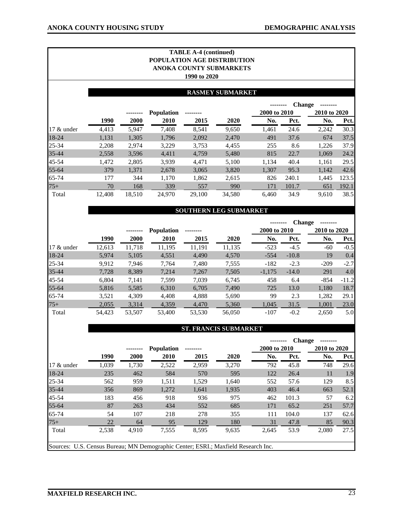|            |        |        | <b>POPULATION AGE DISTRIBUTION</b> | <b>TABLE A-4 (continued)</b><br>1990 to 2020 | <b>ANOKA COUNTY SUBMARKETS</b> |                     |               |                     |       |
|------------|--------|--------|------------------------------------|----------------------------------------------|--------------------------------|---------------------|---------------|---------------------|-------|
|            |        |        |                                    |                                              | <b>RASMEY SUBMARKET</b>        |                     |               |                     |       |
|            |        |        |                                    |                                              |                                |                     | <b>Change</b> |                     |       |
|            | 1990   | 2000   | <b>Population</b><br>2010          | 2015                                         | 2020                           | 2000 to 2010<br>No. | Pct.          | 2010 to 2020<br>No. | Pct.  |
| 17 & under | 4,413  | 5,947  | 7,408                              | 8,541                                        | 9,650                          | 1,461               | 24.6          | 2,242               | 30.3  |
| 18-24      | 1,131  | 1,305  | 1,796                              | 2,092                                        | 2,470                          | 491                 | 37.6          | 674                 | 37.5  |
| $25 - 34$  | 2,208  | 2,974  | 3,229                              | 3,753                                        | 4,455                          | 255                 | 8.6           | 1,226               | 37.9  |
| 35-44      | 2,558  | 3,596  | 4,411                              | 4,759                                        | 5,480                          | 815                 | 22.7          | 1,069               | 24.2  |
| 45-54      | 1,472  | 2,805  | 3,939                              | 4,471                                        | 5,100                          | 1,134               | 40.4          | 1,161               | 29.5  |
| 55-64      | 379    | 1,371  | 2,678                              | 3,065                                        | 3,820                          | 1,307               | 95.3          | 1,142               | 42.6  |
| 65-74      | 177    | 344    | 1,170                              | 1,862                                        | 2,615                          | 826                 | 240.1         | 1,445               | 123.5 |
| $75+$      | 70     | 168    | 339                                | 557                                          | 990                            | 171                 | 101.7         | 651                 | 192.1 |
| Total      | 12,408 | 18,510 | 24,970                             | 29,100                                       | 34,580                         | 6,460               | 34.9          | 9,610               | 38.5  |
|            |        |        |                                    |                                              | <b>SOUTHERN LEG SUBMARKET</b>  |                     |               |                     |       |

|               |        |             |                   |        |        | --------     |         | <b>Change</b> |              |  |
|---------------|--------|-------------|-------------------|--------|--------|--------------|---------|---------------|--------------|--|
|               |        |             | <b>Population</b> |        |        | 2000 to 2010 |         |               | 2010 to 2020 |  |
|               | 1990   | <b>2000</b> | 2010              | 2015   | 2020   | No.          | Pct.    | No.           | Pct.         |  |
| $17 \&$ under | 12,613 | 11,718      | 11,195            | 11,191 | 11,135 | $-523$       | $-4.5$  | -60           | $-0.5$       |  |
| 18-24         | 5,974  | 5,105       | 4,551             | 4,490  | 4,570  | $-554$       | $-10.8$ | 19            | 0.4          |  |
| $25 - 34$     | 9,912  | 7,946       | 7,764             | 7,480  | 7,555  | $-182$       | $-2.3$  | $-209$        | $-2.7$       |  |
| $35 - 44$     | 7,728  | 8,389       | 7,214             | 7,267  | 7,505  | $-1,175$     | $-14.0$ | 291           | 4.0          |  |
| 45-54         | 6,804  | 7,141       | 7,599             | 7,039  | 6,745  | 458          | 6.4     | $-854$        | $-11.2$      |  |
| $55 - 64$     | 5,816  | 5,585       | 6,310             | 6,705  | 7,490  | 725          | 13.0    | 1,180         | 18.7         |  |
| 65-74         | 3,521  | 4,309       | 4,408             | 4,888  | 5,690  | 99           | 2.3     | 1,282         | 29.1         |  |
| $75+$         | 2,055  | 3,314       | 4,359             | 4,470  | 5,360  | 1,045        | 31.5    | 1,001         | 23.0         |  |
| Total         | 54,423 | 53,507      | 53,400            | 53,530 | 56,050 | $-107$       | $-0.2$  | 2,650         | 5.0          |  |

#### **ST. FRANCIS SUBMARKET**

|                                                                                   |       |             |                   |       |       |              |       | <b>Change</b> |      |
|-----------------------------------------------------------------------------------|-------|-------------|-------------------|-------|-------|--------------|-------|---------------|------|
|                                                                                   |       | --------    | <b>Population</b> |       |       | 2000 to 2010 |       | 2010 to 2020  |      |
|                                                                                   | 1990  | <b>2000</b> | 2010              | 2015  | 2020  | No.          | Pct.  | No.           | Pct. |
| 17 $&$ under                                                                      | 1,039 | 1,730       | 2,522             | 2,959 | 3,270 | 792          | 45.8  | 748           | 29.6 |
| 18-24                                                                             | 235   | 462         | 584               | 570   | 595   | 122          | 26.4  | 11            | 1.9  |
| $25 - 34$                                                                         | 562   | 959         | 1,511             | 1,529 | 1,640 | 552          | 57.6  | 129           | 8.5  |
| 35-44                                                                             | 356   | 869         | 1,272             | 1,641 | 1,935 | 403          | 46.4  | 663           | 52.1 |
| $45 - 54$                                                                         | 183   | 456         | 918               | 936   | 975   | 462          | 101.3 | 57            | 6.2  |
| $55 - 64$                                                                         | 87    | 263         | 434               | 552   | 685   | 171          | 65.2  | 251           | 57.7 |
| 65-74                                                                             | 54    | 107         | 218               | 278   | 355   | 111          | 104.0 | 137           | 62.6 |
| $75+$                                                                             | 22    | 64          | 95                | 129   | 180   | 31           | 47.8  | 85            | 90.3 |
| Total                                                                             | 2,538 | 4,910       | 7,555             | 8,595 | 9,635 | 2,645        | 53.9  | 2,080         | 27.5 |
|                                                                                   |       |             |                   |       |       |              |       |               |      |
| Sources: U.S. Census Bureau; MN Demographic Center; ESRI.; Maxfield Research Inc. |       |             |                   |       |       |              |       |               |      |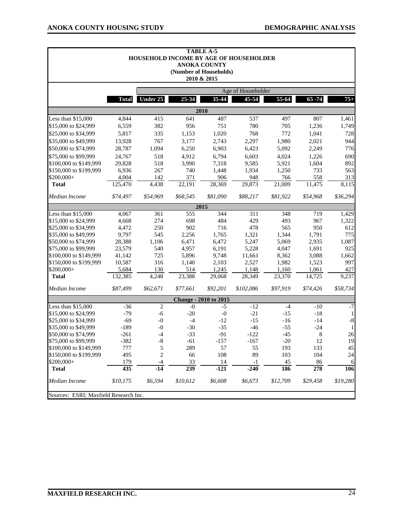|                                       |              | HOUSEHOLD INCOME BY AGE OF HOUSEHOLDER |           | <b>TABLE A-5</b><br><b>ANOKA COUNTY</b><br>(Number of Households)<br>2010 & 2015 |                    |           |           |             |
|---------------------------------------|--------------|----------------------------------------|-----------|----------------------------------------------------------------------------------|--------------------|-----------|-----------|-------------|
|                                       |              |                                        |           |                                                                                  | Age of Householder |           |           |             |
|                                       | <b>Total</b> | Under 25                               | 25-34     | 35-44                                                                            | 45-54              | 55-64     | $65 - 74$ | $75+$       |
|                                       |              |                                        |           | 2010                                                                             |                    |           |           |             |
| Less than \$15,000                    | 4,844        | 415                                    | 641       | 487                                                                              | 537                | 497       | 807       | 1,461       |
| \$15,000 to \$24,999                  | 6,559        | 382                                    | 956       | 751                                                                              | 780                | 705       | 1,236     | 1,749       |
| \$25,000 to \$34,999                  | 5,817        | 335                                    | 1,153     | 1,020                                                                            | 768                | 772       | 1,041     | 728         |
| \$35,000 to \$49,999                  | 13,928       | 767                                    | 3,177     | 2,743                                                                            | 2,297              | 1,980     | 2,021     | 944         |
| \$50,000 to \$74,999                  | 28,787       | 1,094                                  | 6,250     | 6,903                                                                            | 6,423              | 5,092     | 2,249     | 776         |
| \$75,000 to \$99,999                  | 24,767       | 518                                    | 4,912     | 6,794                                                                            | 6,603              | 4,024     | 1,226     | 690         |
| \$100,000 to \$149,999                | 29,828       | 518                                    | 3,990     | 7,318                                                                            | 9,585              | 5,921     | 1,604     | 892         |
| \$150,000 to \$199,999                | 6,936        | 267                                    | 740       | 1,448                                                                            | 1,934              | 1,250     | 733       | 563         |
| \$200,000+                            | 4,004        | 142                                    | 371       | 906                                                                              | 948                | 766       | 558       | 313         |
| <b>Total</b>                          | 125,470      | 4,438                                  | 22,191    | 28,369                                                                           | 29,873             | 21,009    | 11,475    | 8,115       |
| Median Income                         | \$74,497     | \$54,969                               | \$68,545  | \$81,090                                                                         | \$88,217           | \$81,922  | \$54,968  | \$36,294    |
|                                       |              |                                        |           | 2015                                                                             |                    |           |           |             |
| Less than \$15,000                    | 4,067        | 361                                    | 555       | 344                                                                              | 311                | 348       | 719       | 1,429       |
| \$15,000 to \$24,999                  | 4,668        | 274                                    | 698       | 484                                                                              | 429                | 493       | 967       | 1,322       |
| \$25,000 to \$34,999                  | 4,472        | 250                                    | 902       | 716                                                                              | 478                | 565       | 950       | 612         |
| \$35,000 to \$49,999                  | 9,797        | 545                                    | 2,256     | 1,765                                                                            | 1,321              | 1,344     | 1,791     | 775         |
| \$50,000 to \$74,999                  | 28,388       | 1,106                                  | 6,471     | 6,472                                                                            | 5,247              | 5,069     | 2,935     | 1,087       |
| \$75,000 to \$99,999                  | 23,579       | 540                                    | 4,957     | 6,191                                                                            | 5,228              | 4,047     | 1,691     | 925         |
| \$100,000 to \$149,999                | 41,142       | 725                                    | 5,896     | 9,748                                                                            | 11,661             | 8,362     | 3,088     | 1,662       |
| \$150,000 to \$199,999                | 10,587       | 316                                    | 1,140     | 2,103                                                                            | 2,527              | 1,982     | 1,523     | 997         |
| \$200,000+                            | 5,684        | 130                                    | 514       | 1,245                                                                            | 1,148              | 1,160     | 1,061     | 427         |
| <b>Total</b>                          | 132,385      | 4,248                                  | 23,388    | 29,068                                                                           | 28,349             | 23,370    | 14,725    | 9,237       |
| Median Income                         | \$87,499     | \$62,671                               | \$77,661  | \$92,201                                                                         | \$102,086          | \$97,919  | \$74,426  | \$58,734    |
|                                       |              |                                        |           | <b>Change - 2010 to 2015</b>                                                     |                    |           |           |             |
| Less than \$15,000                    | $-36$        | $\overline{c}$                         | $-0$      | $-5$                                                                             | $-12$              | $-4$      | $-10$     | $-7$        |
| \$15,000 to \$24,999                  | $-79$        | $-6$                                   | $-20$     | $-0$                                                                             | $-21$              | $-15$     | $-18$     | 1           |
| \$25,000 to \$34,999                  | $-69$        | $-0$                                   | $-4$      | $-12$                                                                            | $-15$              | $-16$     | $-14$     | $\text{-}8$ |
| \$35,000 to \$49,999                  | $-189$       | $-0$                                   | $-30$     | $-35$                                                                            | $-46$              | $-55$     | $-24$     | 1           |
| \$50,000 to \$74,999                  | $-261$       | $-4$                                   | $-33$     | $-91$                                                                            | $-122$             | $-45$     | 8         | 26          |
| \$75,000 to \$99,999                  | $-382$       | $-8$                                   | $-61$     | $-157$                                                                           | $-167$             | $-20$     | 12        | 19          |
| \$100,000 to \$149,999                | 777          | 5                                      | 289       | 57                                                                               | 55                 | 193       | 133       | 45          |
| \$150,000 to \$199,999                | 495          | $\overline{c}$                         | 66        | 108                                                                              | 89                 | 103       | 104       | 24          |
| \$200,000+<br><b>Total</b>            | 179<br>435   | -4<br>$-14$                            | 33<br>239 | 14<br>$-121$                                                                     | $-1$<br>$-240$     | 45<br>186 | 86<br>278 | 6<br>106    |
| Median Income                         | \$10,175     | \$6,594                                | \$10,612  | \$6,608                                                                          | \$6,673            | \$12,709  | \$29,458  | \$19,280    |
| Sources: ESRI; Maxfield Research Inc. |              |                                        |           |                                                                                  |                    |           |           |             |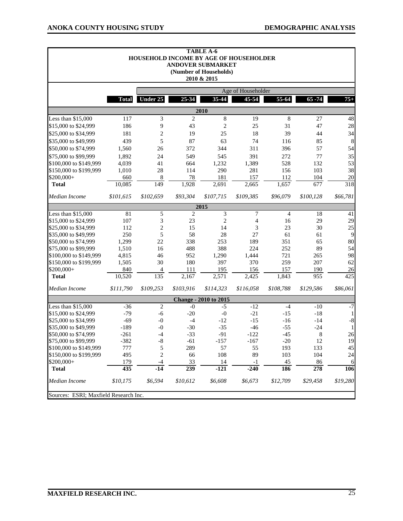$\blacksquare$ 

|                        |                                       |                |                | <b>TABLE A-6</b><br>HOUSEHOLD INCOME BY AGE OF HOUSEHOLDER<br><b>ANDOVER SUBMARKET</b><br>(Number of Households)<br>2010 & 2015 |           |                |                  |             |  |
|------------------------|---------------------------------------|----------------|----------------|---------------------------------------------------------------------------------------------------------------------------------|-----------|----------------|------------------|-------------|--|
|                        | Age of Householder                    |                |                |                                                                                                                                 |           |                |                  |             |  |
|                        | <b>Total</b>                          | Under 25       | 25-34          | 35-44                                                                                                                           | 45-54     | $55-64$        | $65 - 74$        | $75+$       |  |
|                        |                                       |                |                | 2010                                                                                                                            |           |                |                  |             |  |
| Less than \$15,000     | 117                                   | 3              | $\overline{c}$ | $\,8\,$                                                                                                                         | 19        | 8              | 27               | 48          |  |
| \$15,000 to \$24,999   | 186                                   | 9              | 43             | $\overline{c}$                                                                                                                  | 25        | 31             | 47               | 28          |  |
| \$25,000 to \$34,999   | 181                                   | $\overline{c}$ | 19             | 25                                                                                                                              | 18        | 39             | 44               | 34          |  |
| \$35,000 to \$49,999   | 439                                   | 5              | 87             | 63                                                                                                                              | 74        | 116            | 85               | 8           |  |
| \$50,000 to \$74,999   | 1,560                                 | 26             | 372            | 344                                                                                                                             | 311       | 396            | 57               | 54          |  |
| \$75,000 to \$99,999   | 1,892                                 | 24             | 549            | 545                                                                                                                             | 391       | 272            | 77               | 35          |  |
| \$100,000 to \$149,999 | 4,039                                 | 41             | 664            | 1,232                                                                                                                           | 1,389     | 528            | 132              | 53          |  |
| \$150,000 to \$199,999 | 1,010                                 | 28             | 114            | 290                                                                                                                             | 281       | 156            | 103              | 38          |  |
| \$200,000+             | 660                                   | 8              | 78             | 181                                                                                                                             | 157       | 112            | 104              | 20          |  |
| <b>Total</b>           | 10,085                                | 149            | 1,928          | 2,691                                                                                                                           | 2,665     | 1,657          | 677              | 318         |  |
| Median Income          | \$101,615                             | \$102,659      | \$93,304       | \$107,715                                                                                                                       | \$109,385 | \$96,079       | \$100,128        | \$66,781    |  |
|                        |                                       |                |                | 2015                                                                                                                            |           |                |                  |             |  |
| Less than \$15,000     | 81                                    | 5              | $\overline{c}$ | 3                                                                                                                               | 7         | $\overline{4}$ | 18               | 41          |  |
| \$15,000 to \$24,999   | 107                                   | 3              | 23             | 2                                                                                                                               | 4         | 16             | 29               | 29          |  |
| \$25,000 to \$34,999   | 112                                   | $\overline{c}$ | 15             | 14                                                                                                                              | 3         | 23             | 30               | 25          |  |
| \$35,000 to \$49,999   | 250                                   | 5              | 58             | 28                                                                                                                              | 27        | 61             | 61               | 9           |  |
| \$50,000 to \$74,999   | 1,299                                 | 22             | 338            | 253                                                                                                                             | 189       | 351            | 65               | 80          |  |
| \$75,000 to \$99,999   | 1,510                                 | 16             | 488            | 388                                                                                                                             | 224       | 252            | 89               | 54          |  |
| \$100,000 to \$149,999 | 4,815                                 | 46             | 952            | 1,290                                                                                                                           | 1,444     | 721            | 265              | 98          |  |
| \$150,000 to \$199,999 | 1,505                                 | 30             | 180            | 397                                                                                                                             | 370       | 259            | 207              | 62          |  |
| \$200,000+             | 840                                   | 4              | 111            | 195                                                                                                                             | 156       | 157            | 190              | 26          |  |
| <b>Total</b>           | 10,520                                | 135            | 2,167          | 2,571                                                                                                                           | 2,425     | 1,843          | 955              | 425         |  |
| Median Income          | \$111,790                             | \$109,253      | \$103,916      | \$114,323                                                                                                                       | \$116,058 | \$108,788      | \$129,586        | \$86,061    |  |
|                        |                                       |                |                | <b>Change - 2010 to 2015</b>                                                                                                    |           |                |                  |             |  |
| Less than \$15,000     | $-36$                                 | $\overline{c}$ | $-0$           | $-5$                                                                                                                            | $-12$     | $-4$           | $-10$            | $-7$        |  |
| \$15,000 to \$24,999   | $-79$                                 | $-6$           | $-20$          | $-0$                                                                                                                            | $-21$     | $-15$          | $-18$            | 1           |  |
| \$25,000 to \$34,999   | $-69$                                 | $-0$           | $-4$           | $-12$                                                                                                                           | $-15$     | $-16$          | $-14$            | $\mbox{-}8$ |  |
| \$35,000 to \$49,999   | $-189$                                | $-0$           | $-30$          | $-35$                                                                                                                           | $-46$     | $-55$          | $-24$            | -1          |  |
| \$50,000 to \$74,999   | $-261$                                | $-4$           | $-33$          | $-91$                                                                                                                           | $-122$    | $-45$          | 8                | 26          |  |
| \$75,000 to \$99,999   | 382                                   | $\cdot$ 8      | $-61$          | $-157$                                                                                                                          | $-167$    | $-20$          | 12               | 19          |  |
| \$100,000 to \$149,999 | 777                                   | 5              | 289            | 57                                                                                                                              | 55        | 193            | 133              | 45          |  |
| \$150,000 to \$199,999 | 495                                   | 2              | 66             | 108                                                                                                                             | 89        | 103            | 104              | 24          |  |
| \$200,000+             | 179                                   | $-4$           | 33             | 14                                                                                                                              | $-1$      | $45\,$         | 86               | 6           |  |
| <b>Total</b>           | 435                                   | $-14$          | 239            | $-121$                                                                                                                          | $-240$    | 186            | $\overline{278}$ | 106         |  |
| Median Income          | \$10,175                              | \$6,594        | \$10,612       | \$6,608                                                                                                                         | \$6,673   | \$12,709       | \$29,458         | \$19,280    |  |
|                        | Sources: ESRI; Maxfield Research Inc. |                |                |                                                                                                                                 |           |                |                  |             |  |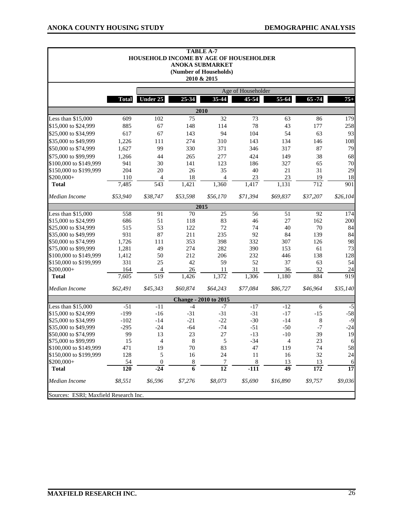|                                                  |                    |                  |                | <b>TABLE A-7</b><br>HOUSEHOLD INCOME BY AGE OF HOUSEHOLDER<br><b>ANOKA SUBMARKET</b><br>(Number of Households)<br>2010 & 2015 |          |                 |                  |          |  |
|--------------------------------------------------|--------------------|------------------|----------------|-------------------------------------------------------------------------------------------------------------------------------|----------|-----------------|------------------|----------|--|
|                                                  | Age of Householder |                  |                |                                                                                                                               |          |                 |                  |          |  |
|                                                  | <b>Total</b>       | <b>Under 25</b>  | 25-34          | 35-44                                                                                                                         | 45-54    | 55-64           | $65 - 74$        | $75+$    |  |
|                                                  |                    |                  |                | 2010                                                                                                                          |          |                 |                  |          |  |
| Less than \$15,000                               | 609                | 102              | 75             | 32                                                                                                                            | 73       | 63              | 86               | 179      |  |
| \$15,000 to \$24,999                             | 885                | 67               | 148            | 114                                                                                                                           | 78       | 43              | 177              | 258      |  |
| \$25,000 to \$34,999                             | 617                | 67               | 143            | 94                                                                                                                            | 104      | 54              | 63               | 93       |  |
| \$35,000 to \$49,999                             | 1,226              | 111              | 274            | 310                                                                                                                           | 143      | 134             | 146              | 108      |  |
| \$50,000 to \$74,999                             | 1,627              | 99               | 330            | 371                                                                                                                           | 346      | 317             | 87               | 79       |  |
| \$75,000 to \$99,999                             | 1,266              | 44               | 265            | 277                                                                                                                           | 424      | 149             | 38               | 68       |  |
| \$100,000 to \$149,999                           | 941                | 30               | 141            | 123                                                                                                                           | 186      | 327             | 65               | 70       |  |
| \$150,000 to \$199,999                           | 204                | 20               | 26             | 35                                                                                                                            | 40       | 21              | 31               | 29       |  |
| \$200,000+                                       | 110                | 4                | 18             | $\overline{4}$                                                                                                                | 23       | 23              | 19               | 18       |  |
| <b>Total</b>                                     | 7,485              | $\sqrt{543}$     | 1,421          | 1,360                                                                                                                         | 1,417    | 1,131           | 712              | 901      |  |
| Median Income                                    | \$53,940           | \$38,747         | \$53,598       | \$56,170                                                                                                                      | \$71,394 | \$69,837        | \$37,207         | \$26,104 |  |
|                                                  |                    |                  |                | 2015                                                                                                                          |          |                 |                  |          |  |
| Less than \$15,000                               | 558                | 91               | 70             | 25                                                                                                                            | 56       | 51              | 92               | 174      |  |
| \$15,000 to \$24,999                             | 686                | 51               | 118            | 83                                                                                                                            | 46       | 27              | 162              | 200      |  |
| \$25,000 to \$34,999                             | 515                | 53               | 122            | 72                                                                                                                            | 74       | 40              | 70               | 84       |  |
| \$35,000 to \$49,999                             | 931                | 87               | 211            | 235                                                                                                                           | 92       | 84              | 139              | 84       |  |
| \$50,000 to \$74,999                             | 1,726              | 111              | 353            | 398                                                                                                                           | 332      | 307             | 126              | 98       |  |
| \$75,000 to \$99,999                             | 1,281              | 49               | 274            | 282                                                                                                                           | 390      | 153             | 61               | 73       |  |
| \$100,000 to \$149,999                           | 1,412              | 50               | 212            | 206                                                                                                                           | 232      | 446             | 138              | 128      |  |
| \$150,000 to \$199,999                           | 331                | 25               | 42             | 59                                                                                                                            | 52       | 37              | 63               | 54       |  |
| \$200,000+                                       | 164                | 4                | 26             | 11                                                                                                                            | 31       | 36              | 32               | 24       |  |
| <b>Total</b>                                     | 7,605              | $\overline{519}$ | 1,426          | 1,372                                                                                                                         | 1,306    | 1,180           | 884              | 919      |  |
| Median Income                                    | \$62,491           | \$45,343         | \$60,874       | \$64,243                                                                                                                      | \$77,084 | \$86,727        | \$46,964         | \$35,140 |  |
|                                                  |                    |                  |                | <b>Change - 2010 to 2015</b>                                                                                                  |          |                 |                  |          |  |
| Less than \$15,000                               | $-51$              | $-11$            | $-4$           | $-7$                                                                                                                          | $-17$    | $-12$           | 6                | $-5$     |  |
| \$15,000 to \$24,999                             | $-199$             | $-16$            | $-31$          | $-31$                                                                                                                         | $-31$    | $-17$           | $-15$            | $-58$    |  |
| \$25,000 to \$34,999                             | $-102$             | $-14$            | $-21$          | $-22$                                                                                                                         | $-30$    | $-14$           | 8                | $-9$     |  |
| \$35,000 to \$49,999                             | $-295$             | $-24$            | $-64$          | $-74$                                                                                                                         | $-51$    | $-50$           | $-7$             | $-24$    |  |
| \$50,000 to \$74,999                             | 99                 | 13               | 23             | 27                                                                                                                            | $-13$    | $-10$           | 39               | 19       |  |
| \$75,000 to \$99,999                             | 15                 | 4                | 8              | 5                                                                                                                             | $-34$    | $\overline{4}$  | 23               | 6        |  |
| \$100,000 to \$149,999<br>\$150,000 to \$199,999 | 471<br>128         | 19<br>5          | 70<br>16       | 83<br>24                                                                                                                      | 47<br>11 | 119<br>16       | 74<br>32         | 58<br>24 |  |
| \$200,000+                                       | 54                 | $\boldsymbol{0}$ | $\,8\,$        | 7                                                                                                                             | 8        | 13              | 13               | 6        |  |
| <b>Total</b>                                     | 120                | $-24$            | $\overline{6}$ | $\overline{12}$                                                                                                               | $-111$   | $\overline{49}$ | $\overline{172}$ | 17       |  |
| Median Income                                    | \$8,551            | \$6,596          | \$7,276        | \$8,073                                                                                                                       | \$5,690  | \$16,890        | \$9,757          | \$9,036  |  |
| Sources: ESRI; Maxfield Research Inc.            |                    |                  |                |                                                                                                                               |          |                 |                  |          |  |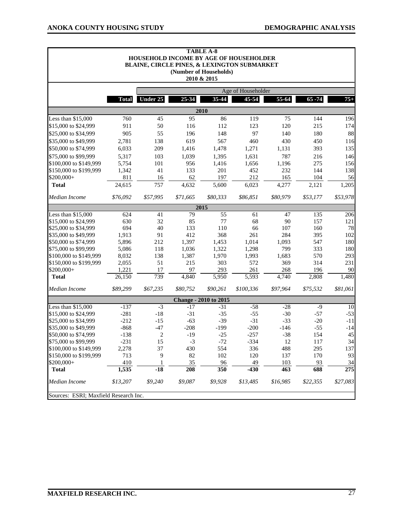|                                              |                  |                      |                 | <b>TABLE A-8</b><br>HOUSEHOLD INCOME BY AGE OF HOUSEHOLDER<br>BLAINE, CIRCLE PINES, & LEXINGTON SUBMARKET<br>(Number of Households)<br>2010 & 2015 |                |                 |                |                                    |  |  |
|----------------------------------------------|------------------|----------------------|-----------------|----------------------------------------------------------------------------------------------------------------------------------------------------|----------------|-----------------|----------------|------------------------------------|--|--|
|                                              |                  | Age of Householder   |                 |                                                                                                                                                    |                |                 |                |                                    |  |  |
|                                              | <b>Total</b>     | Under 25             | 25-34           | 35-44                                                                                                                                              | 45-54          | 55-64           | $65 - 74$      | $75+$                              |  |  |
|                                              |                  |                      |                 | 2010                                                                                                                                               |                |                 |                |                                    |  |  |
| Less than \$15,000                           | 760              | 45                   | 95              | 86                                                                                                                                                 | 119            | 75              | 144            | 196                                |  |  |
| \$15,000 to \$24,999                         | 911              | 50                   | 116             | 112                                                                                                                                                | 123            | 120             | 215            | 174                                |  |  |
| \$25,000 to \$34,999                         | 905              | 55                   | 196             | 148                                                                                                                                                | 97             | 140             | 180            | 88                                 |  |  |
| \$35,000 to \$49,999                         | 2,781            | 138                  | 619             | 567                                                                                                                                                | 460            | 430             | 450            | 116                                |  |  |
| \$50,000 to \$74,999                         | 6,033            | 209                  | 1,416           | 1,478                                                                                                                                              | 1,271          | 1,131           | 393            | 135                                |  |  |
| \$75,000 to \$99,999                         | 5,317            | 103                  | 1,039           | 1,395                                                                                                                                              | 1,631          | 787             | 216            | 146                                |  |  |
| \$100,000 to \$149,999                       | 5,754            | 101                  | 956             | 1,416                                                                                                                                              | 1,656          | 1,196           | 275            | 156                                |  |  |
| \$150,000 to \$199,999                       | 1,342            | 41                   | 133             | 201                                                                                                                                                | 452            | 232             | 144            | 138                                |  |  |
| \$200,000+                                   | 811              | 16                   | 62              | 197                                                                                                                                                | 212            | 165             | 104            | 56                                 |  |  |
| <b>Total</b>                                 | 24,615           | 757                  | 4,632           | 5,600                                                                                                                                              | 6,023          | 4,277           | 2,121          | 1,205                              |  |  |
| Median Income                                | \$76,092         | \$57,995             | \$71,665        | \$80,333                                                                                                                                           | \$86,851       | \$80,979        | \$53,177       | \$53,978                           |  |  |
|                                              |                  |                      |                 | 2015                                                                                                                                               |                |                 |                |                                    |  |  |
| Less than $$15,000$                          | 624              | 41                   | 79              | 55                                                                                                                                                 | 61             | 47              | 135            | 206                                |  |  |
| \$15,000 to \$24,999                         | 630              | 32                   | 85              | 77                                                                                                                                                 | 68             | 90              | 157            | 121                                |  |  |
| \$25,000 to \$34,999                         | 694              | 40                   | 133             | 110                                                                                                                                                | 66             | 107             | 160            | 78                                 |  |  |
| \$35,000 to \$49,999                         | 1,913            | 91                   | 412             | 368                                                                                                                                                | 261            | 284             | 395            | 102                                |  |  |
| \$50,000 to \$74,999                         | 5,896            | 212                  | 1,397           | 1,453                                                                                                                                              | 1,014          | 1,093           | 547            | 180                                |  |  |
| \$75,000 to \$99,999                         | 5,086            | 118                  | 1,036           | 1,322                                                                                                                                              | 1,298          | 799             | 333            | 180                                |  |  |
| \$100,000 to \$149,999                       | 8,032            | 138                  | 1,387           | 1,970                                                                                                                                              | 1,993          | 1,683           | 570            | 293                                |  |  |
| \$150,000 to \$199,999                       | 2,055            | 51                   | 215             | 303                                                                                                                                                | 572            | 369             | 314            | 231                                |  |  |
| \$200,000+<br><b>Total</b>                   | 1,221<br>26,150  | 17<br>739            | 97<br>4,840     | 293<br>5,950                                                                                                                                       | 261<br>5,593   | 268<br>4,740    | 196<br>2,808   | 90<br>1,480                        |  |  |
|                                              |                  |                      |                 |                                                                                                                                                    |                |                 |                |                                    |  |  |
| Median Income                                | \$89,299         | \$67,235             | \$80,752        | \$90,261                                                                                                                                           | \$100,336      | \$97,964        | \$75,532       | \$81,061                           |  |  |
|                                              |                  |                      | $-17$           | <b>Change - 2010 to 2015</b>                                                                                                                       |                |                 |                |                                    |  |  |
| Less than \$15,000                           | $-137$           | $-3$                 |                 | $-31$                                                                                                                                              | $-58$          | $-28$           | $-9$           | 10                                 |  |  |
| \$15,000 to \$24,999                         | $-281$           | $-18$                | $-31$           | $-35$                                                                                                                                              | $-55$<br>$-31$ | $-30$           | $-57$          | $-53$                              |  |  |
| \$25,000 to \$34,999<br>\$35,000 to \$49,999 | $-212$<br>$-868$ | $-15$<br>$-47$       | $-63$<br>$-208$ | $-39$<br>$-199$                                                                                                                                    | $-200$         | $-33$<br>$-146$ | $-20$<br>$-55$ | $-11$<br>$-14$                     |  |  |
|                                              |                  |                      | $-19$           | $-25$                                                                                                                                              | $-257$         | $-38$           | 154            | 45                                 |  |  |
| \$50,000 to \$74,999<br>\$75,000 to \$99,999 | $-138$           | $\overline{c}$<br>15 |                 |                                                                                                                                                    |                |                 | 117            | 34                                 |  |  |
| \$100,000 to \$149,999                       | $-231$           |                      | $-3$            | $-72$                                                                                                                                              | $-334$         | 12              |                |                                    |  |  |
| \$150,000 to \$199,999                       | 2,278<br>713     | 37<br>9              | 430<br>82       | 554<br>102                                                                                                                                         | 336<br>120     | 488<br>137      | 295<br>170     | 137<br>93                          |  |  |
| \$200,000+                                   | 410              | 1                    | 35              | 96                                                                                                                                                 | 49             | 103             | 93             |                                    |  |  |
| <b>Total</b>                                 | 1,535            | $-18$                | 208             | 350                                                                                                                                                | $-430$         | 463             | 688            | $\frac{34}{5}$<br>$\overline{275}$ |  |  |
| Median Income                                | \$13,207         | \$9,240              | \$9,087         | \$9,928                                                                                                                                            | \$13,485       | \$16,985        | \$22,355       | \$27,083                           |  |  |
| Sources: ESRI; Maxfield Research Inc.        |                  |                      |                 |                                                                                                                                                    |                |                 |                |                                    |  |  |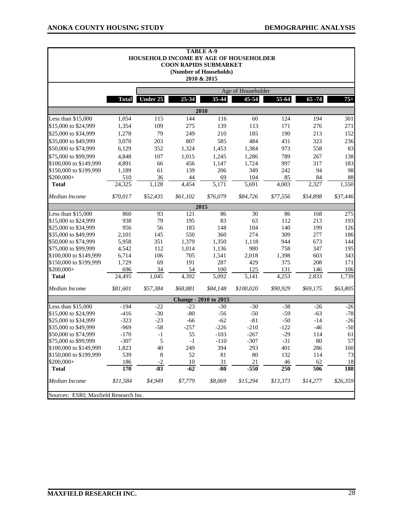$\blacksquare$ 

 $\blacksquare$ 

|                                       |              |          |          | <b>TABLE A-9</b><br>HOUSEHOLD INCOME BY AGE OF HOUSEHOLDER<br><b>COON RAPIDS SUBMARKET</b><br>(Number of Households)<br>2010 & 2015 |           |          |           |          |  |
|---------------------------------------|--------------|----------|----------|-------------------------------------------------------------------------------------------------------------------------------------|-----------|----------|-----------|----------|--|
| Age of Householder                    |              |          |          |                                                                                                                                     |           |          |           |          |  |
|                                       | <b>Total</b> | Under 25 | 25-34    | 35-44                                                                                                                               | 45-54     | 55-64    | $65 - 74$ | $75+$    |  |
|                                       |              |          |          | 2010                                                                                                                                |           |          |           |          |  |
| Less than \$15,000                    | 1,054        | 115      | 144      | 116                                                                                                                                 | 60        | 124      | 194       | 301      |  |
| \$15,000 to \$24,999                  | 1,354        | 109      | 275      | 139                                                                                                                                 | 113       | 171      | 276       | 271      |  |
| \$25,000 to \$34,999                  | 1,278        | 79       | 249      | 210                                                                                                                                 | 185       | 190      | 213       | 152      |  |
| \$35,000 to \$49,999                  | 3,070        | 203      | 807      | 585                                                                                                                                 | 484       | 431      | 323       | 236      |  |
| \$50,000 to \$74,999                  | 6,129        | 352      | 1,324    | 1,453                                                                                                                               | 1,384     | 973      | 558       | 83       |  |
| \$75,000 to \$99,999                  | 4,848        | 107      | 1,015    | 1,245                                                                                                                               | 1,286     | 789      | 267       | 138      |  |
| \$100,000 to \$149,999                | 4,891        | 66       | 456      | 1,147                                                                                                                               | 1,724     | 997      | 317       | 183      |  |
| \$150,000 to \$199,999                | 1,189        | 61       | 139      | 206                                                                                                                                 | 349       | 242      | 94        | 98       |  |
| \$200,000+                            | 510          | 36       | 44       | 69                                                                                                                                  | 104       | 85       | 84        | 88       |  |
| <b>Total</b>                          | 24,325       | 1,128    | 4,454    | 5,171                                                                                                                               | 5,691     | 4,003    | 2,327     | 1,550    |  |
| Median Income                         | \$70,017     | \$52,435 | \$61,102 | \$76,079                                                                                                                            | \$84,726  | \$77,556 | \$54,898  | \$37,446 |  |
|                                       |              |          |          | 2015                                                                                                                                |           |          |           |          |  |
| Less than \$15,000                    | 860          | 93       | 121      | 86                                                                                                                                  | 30        | 86       | 168       | 275      |  |
| \$15,000 to \$24,999                  | 938          | 79       | 195      | 83                                                                                                                                  | 63        | 112      | 213       | 193      |  |
| \$25,000 to \$34,999                  | 956          | 56       | 183      | 148                                                                                                                                 | 104       | 140      | 199       | 126      |  |
| \$35,000 to \$49,999                  | 2,101        | 145      | 550      | 360                                                                                                                                 | 274       | 309      | 277       | 186      |  |
| \$50,000 to \$74,999                  | 5,958        | 351      | 1,379    | 1,350                                                                                                                               | 1,118     | 944      | 673       | 144      |  |
| \$75,000 to \$99,999                  | 4,542        | 112      | 1,014    | 1,136                                                                                                                               | 980       | 758      | 347       | 195      |  |
| \$100,000 to \$149,999                | 6,714        | 106      | 705      | 1,541                                                                                                                               | 2,018     | 1,398    | 603       | 343      |  |
| \$150,000 to \$199,999                | 1,729        | 69       | 191      | 287                                                                                                                                 | 429       | 375      | 208       | 171      |  |
| \$200,000+                            | 696          | 34       | 54       | 100                                                                                                                                 | 125       | 131      | 146       | 106      |  |
| <b>Total</b>                          | 24,495       | 1,045    | 4,392    | 5,092                                                                                                                               | 5,141     | 4,253    | 2,833     | 1,739    |  |
| Median Income                         | \$81,601     | \$57,384 | \$68,881 | \$84,148                                                                                                                            | \$100,020 | \$90,929 | \$69,175  | \$63,805 |  |
|                                       |              |          |          | <b>Change - 2010 to 2015</b>                                                                                                        |           |          |           |          |  |
| Less than \$15,000                    | $-194$       | $-22$    | $-23$    | $-30$                                                                                                                               | $-30$     | $-38$    | $-26$     | $-26$    |  |
| \$15,000 to \$24,999                  | $-416$       | $-30$    | $-80$    | $-56$                                                                                                                               | $-50$     | $-59$    | $-63$     | $-78$    |  |
| \$25,000 to \$34,999                  | $-323$       | $-23$    | $-66$    | $-62$                                                                                                                               | $-81$     | $-50$    | $-14$     | $-26$    |  |
| \$35,000 to \$49,999                  | $-969$       | $-58$    | $-257$   | $-226$                                                                                                                              | $-210$    | $-122$   | $-46$     | $-50$    |  |
| \$50,000 to \$74,999                  | $-170$       | $-1$     | 55       | $-103$                                                                                                                              | $-267$    | $-29$    | 114       | 61       |  |
| \$75,000 to \$99,999                  | $-307$       | 5        | -1       | $-110$                                                                                                                              | $-307$    | $-31$    | $80\,$    | 57       |  |
| \$100,000 to \$149,999                | 1,823        | 40       | 249      | 394                                                                                                                                 | 293       | 401      | 286       | 160      |  |
| \$150,000 to \$199,999                | 539          | 8        | 52       | 81                                                                                                                                  | $80\,$    | 132      | 114       | 73       |  |
| \$200,000+                            | 186          | $-2$     | 10       | 31                                                                                                                                  | $21\,$    | 46       | 62        | 18       |  |
| <b>Total</b>                          | <b>170</b>   | $-83$    | $-62$    | $-80$                                                                                                                               | $-550$    | 250      | 506       | 188      |  |
| Median Income                         | \$11,584     | \$4,949  | \$7,779  | \$8,069                                                                                                                             | \$15,294  | \$13,373 | \$14,277  | \$26,359 |  |
| Sources: ESRI; Maxfield Research Inc. |              |          |          |                                                                                                                                     |           |          |           |          |  |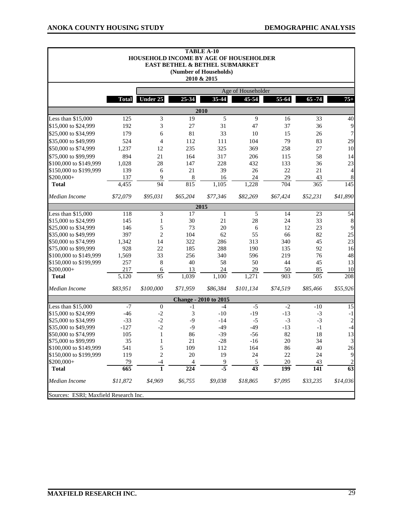|                                       |                  | HOUSEHOLD INCOME BY AGE OF HOUSEHOLDER |                  | <b>TABLE A-10</b><br>EAST BETHEL & BETHEL SUBMARKET<br>(Number of Households)<br>2010 & 2015 |                    |            |                  |                        |
|---------------------------------------|------------------|----------------------------------------|------------------|----------------------------------------------------------------------------------------------|--------------------|------------|------------------|------------------------|
|                                       |                  |                                        |                  |                                                                                              | Age of Householder |            |                  |                        |
|                                       | <b>Total</b>     | Under 25                               | 25-34            | 35-44                                                                                        | $45 - 54$          | 55-64      | $65 - 74$        | $75+$                  |
|                                       |                  |                                        |                  | 2010                                                                                         |                    |            |                  |                        |
| Less than \$15,000                    | 125              | 3                                      | 19               | 5                                                                                            | 9                  | 16         | 33               | 40                     |
| \$15,000 to \$24,999                  | 192              | 3                                      | 27               | 31                                                                                           | 47                 | 37         | 36               | $\overline{9}$         |
| \$25,000 to \$34,999                  | 179              | 6                                      | 81               | 33                                                                                           | 10                 | 15         | 26               | 7                      |
| \$35,000 to \$49,999                  | 524              | $\overline{4}$                         | 112              | 111                                                                                          | 104                | 79         | 83               | 29                     |
| \$50,000 to \$74,999                  | 1,237            | 12                                     | 235              | 325                                                                                          | 369                | 258        | 27               | 10                     |
| \$75,000 to \$99,999                  | 894              | 21                                     | 164              | 317                                                                                          | 206                | 115        | 58               | 14                     |
| \$100,000 to \$149,999                | 1,028            | 28                                     | 147              | 228                                                                                          | 432                | 133        | 36               | 23                     |
| \$150,000 to \$199,999                | 139              | 6                                      | 21               | 39                                                                                           | 26                 | 22         | 21               | 4                      |
| \$200,000+                            | 137              | $\overline{9}$                         | 8                | 16                                                                                           | 24                 | 29         | 43               | 8                      |
| <b>Total</b>                          | 4,455            | 94                                     | 815              | 1,105                                                                                        | 1,228              | 704        | 365              | $\overline{145}$       |
| Median Income                         | \$72,079         | \$95,031                               | \$65,204         | \$77,346                                                                                     | \$82,269           | \$67,424   | \$52,231         | \$41,890               |
|                                       |                  |                                        |                  | 2015                                                                                         |                    |            |                  |                        |
| Less than \$15,000                    | 118              | 3                                      | 17               | $\mathbf{1}$                                                                                 | 5                  | 14         | 23               | 54                     |
| \$15,000 to \$24,999                  | 145              | $\mathbf{1}$                           | 30               | 21                                                                                           | 28                 | 24         | 33               | 8                      |
| \$25,000 to \$34,999                  | 146              | 5                                      | 73               | 20                                                                                           | 6                  | 12         | 23               | 9                      |
| \$35,000 to \$49,999                  | 397              | $\overline{c}$                         | 104              | 62                                                                                           | 55                 | 66         | 82               | 25                     |
| \$50,000 to \$74,999                  | 1,342            | 14                                     | 322              | 286                                                                                          | 313                | 340        | 45               | 23                     |
| \$75,000 to \$99,999                  | 928              | 22                                     | 185              | 288                                                                                          | 190                | 135        | 92               | 16                     |
| \$100,000 to \$149,999                | 1,569            | 33                                     | 256              | 340                                                                                          | 596                | 219        | 76               | 48                     |
| \$150,000 to \$199,999                | 257<br>217       | 8                                      | 40<br>13         | 58                                                                                           | 50<br>29           | 44         | 45<br>85         | 13                     |
| \$200,000+<br><b>Total</b>            | 5,120            | 6<br>$\overline{95}$                   | 1,039            | 24<br>1,100                                                                                  | 1,271              | 50<br>903  | $\overline{505}$ | 10<br>$\overline{208}$ |
| Median Income                         | \$83,951         | \$100,000                              | \$71,959         | \$86,384                                                                                     | \$101,134          | \$74,519   | \$85,466         | \$55,926               |
|                                       |                  |                                        |                  | <b>Change - 2010 to 2015</b>                                                                 |                    |            |                  |                        |
| Less than \$15,000                    | $-7$             | $\mathbf{0}$                           | $-1$             | $-4$                                                                                         | $-5$               | $-2$       | $-10$            | 15                     |
| \$15,000 to \$24,999                  | $-46$            | $-2$                                   | 3                | $-10$                                                                                        | $-19$              | $-13$      | $-3$             | $-1$                   |
| \$25,000 to \$34,999                  | $-33$            | $-2$                                   | $-9$             | $-14$                                                                                        | $-5$               | $-3$       | $-3$             | $\sqrt{2}$             |
| \$35,000 to \$49,999                  | $-127$           | $-2$                                   | $-9$             | $-49$                                                                                        | $-49$              | $-13$      | $-1$             | $-4$                   |
| \$50,000 to \$74,999                  | 105              | 1                                      | 86               | $-39$                                                                                        | $-56$              | 82         | 18               | 13                     |
| \$75,000 to \$99,999                  | 35               | $\mathbf{1}$                           | 21               | $-28$                                                                                        | $-16$              | 20         | 34               | $\mathfrak{Z}$         |
| \$100,000 to \$149,999                | 541              | 5                                      | 109              | 112                                                                                          | 164                | 86         | 40               | 26                     |
| \$150,000 to \$199,999                | 119              | $\overline{c}$                         | 20               | 19                                                                                           | 24                 | 22         | 24               | $\overline{9}$         |
| \$200,000+                            | 79               | $-4$                                   | 4                | 9                                                                                            | 5                  | 20         | 43               | $\overline{c}$         |
| <b>Total</b>                          | $\overline{665}$ | $\overline{\mathbf{1}}$                | $\overline{224}$ | $-5$                                                                                         | $\overline{43}$    | <b>199</b> | 141              | $\overline{63}$        |
| Median Income                         | \$11,872         | \$4,969                                | \$6,755          | \$9,038                                                                                      | \$18,865           | \$7,095    | \$33,235         | \$14,036               |
| Sources: ESRI; Maxfield Research Inc. |                  |                                        |                  |                                                                                              |                    |            |                  |                        |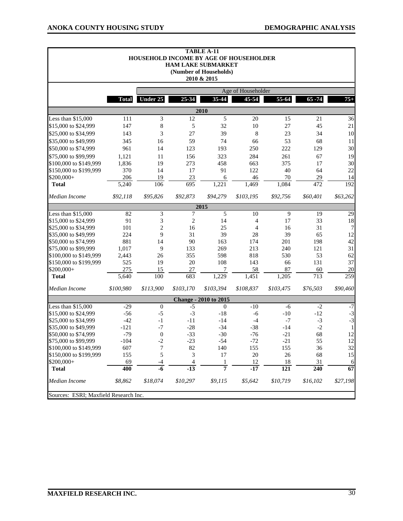٦

 $\blacksquare$ 

|                                       |                    |                  |                | <b>TABLE A-11</b><br>HOUSEHOLD INCOME BY AGE OF HOUSEHOLDER<br><b>HAM LAKE SUBMARKET</b><br>(Number of Households)<br>2010 & 2015 |           |                  |                  |                 |  |
|---------------------------------------|--------------------|------------------|----------------|-----------------------------------------------------------------------------------------------------------------------------------|-----------|------------------|------------------|-----------------|--|
|                                       | Age of Householder |                  |                |                                                                                                                                   |           |                  |                  |                 |  |
|                                       | <b>Total</b>       | Under 25         | 25-34          | 35-44                                                                                                                             | 45-54     | 55-64            | $65 - 74$        | $75+$           |  |
|                                       |                    |                  |                | 2010                                                                                                                              |           |                  |                  |                 |  |
| Less than \$15,000                    | 111                | 3                | 12             | 5                                                                                                                                 | $20\,$    | 15               | 21               | 36              |  |
| \$15,000 to \$24,999                  | 147                | 8                | 5              | 32                                                                                                                                | 10        | 27               | 45               | 21              |  |
| \$25,000 to \$34,999                  | 143                | 3                | 27             | 39                                                                                                                                | 8         | 23               | 34               | 10              |  |
| \$35,000 to \$49,999                  | 345                | 16               | 59             | 74                                                                                                                                | 66        | 53               | 68               | 11              |  |
| \$50,000 to \$74,999                  | 961                | 14               | 123            | 193                                                                                                                               | 250       | 222              | 129              | 30              |  |
| \$75,000 to \$99,999                  | 1,121              | 11               | 156            | 323                                                                                                                               | 284       | 261              | 67               | 19              |  |
| \$100,000 to \$149,999                | 1,836              | 19               | 273            | 458                                                                                                                               | 663       | 375              | 17               | 30              |  |
| \$150,000 to \$199,999                | 370                | 14               | 17             | 91                                                                                                                                | 122       | 40               | 64               | 22              |  |
| \$200,000+                            | 206                | 19               | 23             | 6                                                                                                                                 | 46        | 70               | 29               | 14              |  |
| <b>Total</b>                          | 5,240              | 106              | 695            | 1,221                                                                                                                             | 1,469     | 1,084            | 472              | 192             |  |
| Median Income                         | \$92,118           | \$95,826         | \$92,873       | \$94,279                                                                                                                          | \$103,195 | \$92,756         | \$60,401         | \$63,262        |  |
|                                       |                    |                  |                | 2015                                                                                                                              |           |                  |                  |                 |  |
| Less than \$15,000                    | 82                 | 3                | 7              | $\overline{5}$                                                                                                                    | 10        | 9                | 19               | $\overline{29}$ |  |
| \$15,000 to \$24,999                  | 91                 | 3                | 2              | 14                                                                                                                                | 4         | 17               | 33               | 18              |  |
| \$25,000 to \$34,999                  | 101                | $\overline{c}$   | 16             | 25                                                                                                                                | 4         | 16               | 31               | 7               |  |
| \$35,000 to \$49,999                  | 224                | 9                | 31             | 39                                                                                                                                | 28        | 39               | 65               | 12              |  |
| \$50,000 to \$74,999                  | 881                | 14               | 90             | 163                                                                                                                               | 174       | 201              | 198              | 42              |  |
| \$75,000 to \$99,999                  | 1,017              | 9                | 133            | 269                                                                                                                               | 213       | 240              | 121              | 31              |  |
| \$100,000 to \$149,999                | 2,443              | 26               | 355            | 598                                                                                                                               | 818       | 530              | 53               | 62              |  |
| \$150,000 to \$199,999                | 525                | 19               | 20             | 108                                                                                                                               | 143       | 66               | 131              | 37              |  |
| \$200,000+                            | 275                | 15               | 27             | 7                                                                                                                                 | 58        | 87               | 60               | 20              |  |
| <b>Total</b>                          | 5,640              | 100              | 683            | 1,229                                                                                                                             | 1,451     | 1,205            | 713              | 259             |  |
| Median Income                         | \$100,980          | \$113,900        | \$103,170      | \$103,394                                                                                                                         | \$108,837 | \$103,475        | \$76,503         | \$90,460        |  |
|                                       |                    |                  |                | <b>Change - 2010 to 2015</b>                                                                                                      |           |                  |                  |                 |  |
| Less than \$15,000                    | $-29$              | $\boldsymbol{0}$ | $-5$           | $\mathbf{0}$                                                                                                                      | $-10$     | $-6$             | $-2$             | $-7$            |  |
| \$15,000 to \$24,999                  | $-56$              | $-5$             | $-3$           | $-18$                                                                                                                             | $-6$      | $-10$            | $-12$            | $-3$            |  |
| \$25,000 to \$34,999                  | $-42$              | $-1$             | $-11$          | $-14$                                                                                                                             | $-4$      | $-7$             | $-3$             | $-3$            |  |
| \$35,000 to \$49,999                  | $-121$             | $-7$             | $-28$          | $-34$                                                                                                                             | $-38$     | $-14$            | $-2$             | $\mathbf{1}$    |  |
| \$50,000 to \$74,999                  | $-79$              | $\boldsymbol{0}$ | $-33$          | $-30$                                                                                                                             | $-76$     | $-21$            | 68               | 12              |  |
| \$75,000 to \$99,999                  | $-104$             | $\overline{c}$   | 23             | $-54$                                                                                                                             | $-72$     | $-21$            | 55               | 12              |  |
| \$100,000 to \$149,999                | 607                | 7                | 82             | 140                                                                                                                               | 155       | 155              | 36               | 32              |  |
| \$150,000 to \$199,999                | 155                | 5                | 3              | 17                                                                                                                                | $20\,$    | 26               | 68               | 15              |  |
| \$200,000+                            | 69                 | $-4$             | $\overline{4}$ | 1                                                                                                                                 | 12        | 18               | 31               | 6               |  |
| <b>Total</b>                          | 400                | $-6$             | $-13$          | 7                                                                                                                                 | $-17$     | $\overline{121}$ | $\overline{240}$ | 67              |  |
| Median Income                         | \$8,862            | \$18,074         | \$10,297       | \$9,115                                                                                                                           | \$5,642   | \$10,719         | \$16,102         | \$27,198        |  |
| Sources: ESRI; Maxfield Research Inc. |                    |                  |                |                                                                                                                                   |           |                  |                  |                 |  |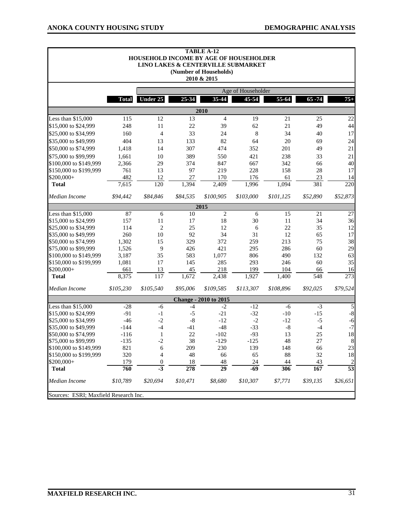|                                       |              | HOUSEHOLD INCOME BY AGE OF HOUSEHOLDER |              | <b>TABLE A-12</b><br>LINO LAKES & CENTERVILLE SUBMARKET<br>(Number of Households)<br>2010 & 2015 |                    |              |               |                        |
|---------------------------------------|--------------|----------------------------------------|--------------|--------------------------------------------------------------------------------------------------|--------------------|--------------|---------------|------------------------|
|                                       |              |                                        |              |                                                                                                  | Age of Householder |              |               |                        |
|                                       | <b>Total</b> | Under 25                               | 25-34        | 35-44                                                                                            | 45-54              | 55-64        | $65 - 74$     | $75+$                  |
|                                       |              |                                        |              | 2010                                                                                             |                    |              |               |                        |
| Less than \$15,000                    | 115          | 12                                     | 13           | $\overline{4}$                                                                                   | 19                 | 21           | 25            | 22                     |
| \$15,000 to \$24,999                  | 248          | 11                                     | 22           | 39                                                                                               | 62                 | 21           | 49            | 44                     |
| \$25,000 to \$34,999                  | 160          | $\overline{4}$                         | 33           | 24                                                                                               | 8                  | 34           | 40            | 17                     |
| \$35,000 to \$49,999                  | 404          | 13                                     | 133          | 82                                                                                               | 64                 | 20           | 69            | 24                     |
| \$50,000 to \$74,999                  | 1,418        | 14                                     | 307          | 474                                                                                              | 352                | 201          | 49            | 21                     |
| \$75,000 to \$99,999                  | 1,661        | 10                                     | 389          | 550                                                                                              | 421                | 238          | 33            | 21                     |
| \$100,000 to \$149,999                | 2,366        | 29                                     | 374          | 847                                                                                              | 667                | 342          | 66            | 40                     |
| \$150,000 to \$199,999                | 761          | 13                                     | 97           | 219                                                                                              | 228                | 158          | 28            | 17                     |
| \$200,000+                            | 482          | 12                                     | 27           | 170                                                                                              | 176                | 61           | 23            | 14                     |
| <b>Total</b>                          | 7,615        | 120                                    | 1,394        | 2,409                                                                                            | 1,996              | 1,094        | 381           | $\overline{220}$       |
| Median Income                         | \$94,442     | \$84,846                               | \$84,535     | \$100,905                                                                                        | \$103,000          | \$101,125    | \$52,890      | \$52,873               |
|                                       |              |                                        |              | 2015                                                                                             |                    |              |               |                        |
| Less than \$15,000                    | 87           | 6                                      | 10           | $\mathbf{2}$                                                                                     | 6                  | 15           | 21            | $27\,$                 |
| \$15,000 to \$24,999                  | 157          | 11                                     | 17           | 18                                                                                               | 30                 | 11           | 34            | 36                     |
| \$25,000 to \$34,999                  | 114          | $\overline{2}$                         | 25           | 12                                                                                               | 6                  | 22           | 35            | 12                     |
| \$35,000 to \$49,999                  | 260          | 10                                     | 92           | 34                                                                                               | 31                 | 12           | 65            | 17                     |
| \$50,000 to \$74,999                  | 1,302        | 15                                     | 329          | 372                                                                                              | 259                | 213          | 75            | 38                     |
| \$75,000 to \$99,999                  | 1,526        | 9                                      | 426          | 421                                                                                              | 295                | 286          | 60            | 29                     |
| \$100,000 to \$149,999                | 3,187        | 35                                     | 583          | 1,077                                                                                            | 806                | 490          | 132           | 63                     |
| \$150,000 to \$199,999                | 1,081        | 17                                     | 145          | 285                                                                                              | 293                | 246          | 60            | 35                     |
| \$200,000+<br><b>Total</b>            | 661<br>8,375 | 13<br>117                              | 45<br>1,672  | 218<br>2,438                                                                                     | 199<br>1,927       | 104<br>1,400 | 66<br>548     | 16<br>$\overline{273}$ |
| Median Income                         | \$105,230    | \$105,540                              | \$95,006     | \$109,585                                                                                        | \$113,307          | \$108,896    | \$92,025      | \$79,524               |
|                                       |              |                                        |              |                                                                                                  |                    |              |               |                        |
| Less than \$15,000                    | $-28$        |                                        |              | <b>Change - 2010 to 2015</b><br>$-2$                                                             | $-12$              |              |               |                        |
| \$15,000 to \$24,999                  | $-91$        | -6<br>$-1$                             | $-4$<br>$-5$ | $-21$                                                                                            | $-32$              | -6<br>$-10$  | $-3$<br>$-15$ | 5<br>$\mbox{-}8$       |
| \$25,000 to \$34,999                  | $-46$        | $-2$                                   | $-8$         | $-12$                                                                                            | $\textnormal{-}2$  | $-12$        | $-5$          | $-6$                   |
| \$35,000 to \$49,999                  | $-144$       | $-4$                                   | $-41$        | $-48$                                                                                            | $-33$              | $\mbox{-}8$  | $-4$          | $-7$                   |
| \$50,000 to \$74,999                  | $-116$       | $\mathbf{1}$                           | 22           | $-102$                                                                                           | $-93$              | 13           | 25            | 18                     |
| \$75,000 to \$99,999                  | $-135$       | $-2$                                   | 38           | $-129$                                                                                           | $-125$             | 48           | 27            | $\,8\,$                |
| \$100,000 to \$149,999                | 821          | 6                                      | 209          | 230                                                                                              | 139                | 148          | 66            | 23                     |
| \$150,000 to \$199,999                | 320          | 4                                      | 48           | 66                                                                                               | 65                 | 88           | 32            | 18                     |
| \$200,000+                            | 179          | $\boldsymbol{0}$                       | 18           | 48                                                                                               | 24                 | 44           | 43            | $\overline{c}$         |
| <b>Total</b>                          | 760          | $-3$                                   | 278          | $\overline{29}$                                                                                  | $-69$              | 306          | 167           | $\overline{53}$        |
| Median Income                         | \$10,789     | \$20,694                               | \$10,471     | \$8,680                                                                                          | \$10,307           | \$7,771      | \$39,135      | \$26,651               |
| Sources: ESRI; Maxfield Research Inc. |              |                                        |              |                                                                                                  |                    |              |               |                        |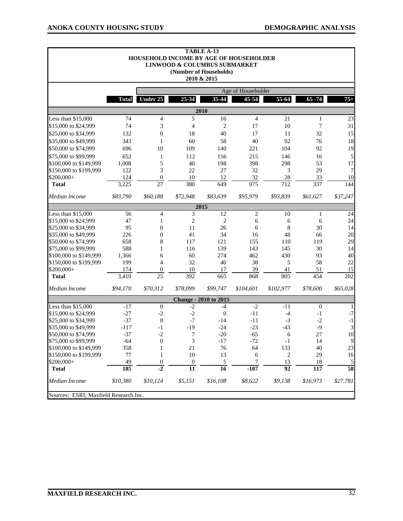|                                                        |              |                                     |                                     | <b>TABLE A-13</b><br>HOUSEHOLD INCOME BY AGE OF HOUSEHOLDER<br>LINWOOD & COLUMBUS SUBMARKET<br>(Number of Households)<br>2010 & 2015 |                    |                       |                  |                             |
|--------------------------------------------------------|--------------|-------------------------------------|-------------------------------------|--------------------------------------------------------------------------------------------------------------------------------------|--------------------|-----------------------|------------------|-----------------------------|
|                                                        |              |                                     |                                     |                                                                                                                                      | Age of Householder |                       |                  |                             |
|                                                        | <b>Total</b> | <b>Under 25</b>                     | 25-34                               | 35-44                                                                                                                                | $45 - 54$          | 55-64                 | $65 - 74$        | $75+$                       |
|                                                        |              |                                     |                                     | 2010                                                                                                                                 |                    |                       |                  |                             |
| Less than \$15,000                                     | 74           | $\overline{4}$                      | 5                                   | 16                                                                                                                                   | $\overline{4}$     | 21                    | $\mathbf{1}$     | 23                          |
| \$15,000 to \$24,999                                   | 74           | 3                                   | 4                                   | $\overline{c}$                                                                                                                       | 17                 | 10                    | 7                | 31                          |
| \$25,000 to \$34,999                                   | 132          | $\boldsymbol{0}$                    | 18                                  | 40                                                                                                                                   | 17                 | 11                    | 32               | 15                          |
| \$35,000 to \$49,999                                   | 343          | 1                                   | 60                                  | 58                                                                                                                                   | 40                 | 92                    | 76               | 18                          |
| \$50,000 to \$74,999                                   | 696          | 10                                  | 109                                 | 140                                                                                                                                  | 221                | 104                   | 92               | 19                          |
| \$75,000 to \$99,999                                   | 652          | 1                                   | 112                                 | 156                                                                                                                                  | 215                | 146                   | 16               | 5                           |
| \$100,000 to \$149,999                                 | 1,008        | 5                                   | 40                                  | 198                                                                                                                                  | 398                | 298                   | 53               | 17                          |
| \$150,000 to \$199,999                                 | 122          | 3                                   | 22                                  | 27                                                                                                                                   | 32                 | 3                     | 29               | 7                           |
| \$200,000+                                             | 124          | $\boldsymbol{0}$                    | 10                                  | 12                                                                                                                                   | 32                 | 28                    | 33               | 10                          |
| <b>Total</b>                                           | 3,225        | $\overline{27}$                     | 380                                 | 649                                                                                                                                  | $\frac{975}{ }$    | $\overline{712}$      | 337              | 144                         |
| Median Income                                          | \$83,790     | \$60,188                            | \$72,948                            | \$83,639                                                                                                                             | \$95,979           | \$93,839              | \$61,627         | \$37,247                    |
|                                                        |              |                                     |                                     | 2015                                                                                                                                 |                    |                       |                  |                             |
| Less than \$15,000                                     | 56           | 4                                   | 3                                   | 12                                                                                                                                   | 2                  | 10                    | 1                | 24                          |
| \$15,000 to \$24,999                                   | 47           | $\mathbf{1}$                        | $\overline{c}$                      | $\overline{2}$                                                                                                                       | 6                  | 6                     | 6                | 24                          |
| \$25,000 to \$34,999                                   | 95           | $\mathbf{0}$                        | 11                                  | 26                                                                                                                                   | 6                  | 8                     | 30               | 14                          |
| \$35,000 to \$49,999                                   | 226          | $\boldsymbol{0}$                    | 41                                  | 34                                                                                                                                   | 16                 | 48                    | 66               | 20                          |
| \$50,000 to \$74,999                                   | 658          | 8                                   | 117                                 | 121                                                                                                                                  | 155                | 110                   | 119              | 29                          |
| \$75,000 to \$99,999                                   | 588          | 1                                   | 116                                 | 139                                                                                                                                  | 143                | 145                   | 30               | 14                          |
| \$100,000 to \$149,999                                 | 1,366        | 6                                   | 60                                  | 274                                                                                                                                  | 462                | 430                   | 93               | 40                          |
| \$150,000 to \$199,999                                 | 199          | 4                                   | 32                                  | 40                                                                                                                                   | 38                 | 5                     | 58               | $22\,$                      |
| \$200,000+                                             | 174          | $\mathbf{0}$                        | 10                                  | 17                                                                                                                                   | 39                 | 41                    | 51               | 15                          |
| <b>Total</b>                                           | 3,410        | $\overline{25}$                     | 392                                 | 665                                                                                                                                  | 868                | 805                   | 454              | $\overline{202}$            |
| Median Income                                          | \$94,170     | \$70,312                            | \$78,099                            | \$99,747                                                                                                                             | \$104,601          | \$102,977             | \$78,600         | \$65,028                    |
|                                                        |              |                                     |                                     | <b>Change - 2010 to 2015</b>                                                                                                         |                    |                       |                  |                             |
| Less than \$15,000                                     | $-17$        | $\mathbf{0}$                        | $-2$                                | $-4$                                                                                                                                 | $-2$               | $-11$                 | $\boldsymbol{0}$ | -1                          |
| \$15,000 to \$24,999                                   | $-27$        | $-2$                                | $-2$                                | $\boldsymbol{0}$                                                                                                                     | $-11$              | $-4$                  | $-1$             | $-7$                        |
| \$25,000 to \$34,999                                   | $-37$        | $\boldsymbol{0}$                    | $-7$                                | $-14$                                                                                                                                | $-11$              | $-3$                  | $-2$             | $-1$                        |
| \$35,000 to \$49,999                                   | $-117$       | $-1$                                | $-19$                               | $-24$                                                                                                                                | $-23$              | $-43$                 | $-9$             | $\ensuremath{\mathfrak{Z}}$ |
| \$50,000 to \$74,999                                   | $-37$        | $-2$                                | 7                                   | $-20$                                                                                                                                | $-65$              | 6                     | 27               | 10                          |
| \$75,000 to \$99,999                                   | $-64$        | $\mathbf{0}$                        | 3                                   | $-17$                                                                                                                                | $-72$              | $-1$                  | 14               | 9                           |
| \$100,000 to \$149,999                                 | 358          | $\mathbf{1}$                        | 21                                  | 76                                                                                                                                   | 64                 | 133                   | 40               | 23                          |
| \$150,000 to \$199,999                                 | 77           | 1                                   | 10                                  | 13                                                                                                                                   | 6                  | $\overline{c}$        | 29               | 16                          |
| \$200,000+<br><b>Total</b>                             | 49<br>185    | $\boldsymbol{0}$<br>$\overline{.2}$ | $\boldsymbol{0}$<br>$\overline{11}$ | 5<br>$\overline{16}$                                                                                                                 | 7<br>$-107$        | 13<br>$\overline{92}$ | 18<br>117        | 5<br>$\overline{58}$        |
|                                                        |              | \$10,124                            |                                     | \$16,108                                                                                                                             |                    |                       |                  |                             |
| Median Income<br>Sources: ESRI; Maxfield Research Inc. | \$10,380     |                                     | \$5,151                             |                                                                                                                                      | \$8,622            | \$9,138               | \$16,973         | \$27,781                    |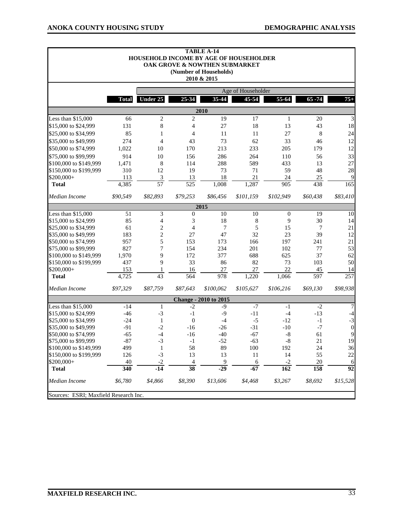|                                       |                  |                         |                  | <b>TABLE A-14</b><br>HOUSEHOLD INCOME BY AGE OF HOUSEHOLDER<br>OAK GROVE & NOWTHEN SUBMARKET<br>(Number of Households)<br>2010 & 2015 |                    |                  |           |                  |
|---------------------------------------|------------------|-------------------------|------------------|---------------------------------------------------------------------------------------------------------------------------------------|--------------------|------------------|-----------|------------------|
|                                       |                  |                         |                  |                                                                                                                                       | Age of Householder |                  |           |                  |
|                                       | <b>Total</b>     | <b>Under 25</b>         | 25-34            | 35-44                                                                                                                                 | 45-54              | 55-64            | $65 - 74$ | $75+$            |
|                                       |                  |                         |                  | 2010                                                                                                                                  |                    |                  |           |                  |
| Less than \$15,000                    | 66               | $\overline{c}$          | $\overline{2}$   | 19                                                                                                                                    | 17                 | $\mathbf{1}$     | 20        | 3                |
| \$15,000 to \$24,999                  | 131              | 8                       | 4                | 27                                                                                                                                    | 18                 | 13               | 43        | 18               |
| \$25,000 to \$34,999                  | 85               | 1                       | 4                | 11                                                                                                                                    | 11                 | 27               | 8         | 24               |
| \$35,000 to \$49,999                  | 274              | $\overline{4}$          | 43               | 73                                                                                                                                    | 62                 | 33               | 46        | 12               |
| \$50,000 to \$74,999                  | 1,022            | 10                      | 170              | 213                                                                                                                                   | 233                | 205              | 179       | 12               |
| \$75,000 to \$99,999                  | 914              | 10                      | 156              | 286                                                                                                                                   | 264                | 110              | 56        | 33               |
| \$100,000 to \$149,999                | 1,471            | 8                       | 114              | 288                                                                                                                                   | 589                | 433              | 13        | 27               |
| \$150,000 to \$199,999                | 310              | 12                      | 19               | 73                                                                                                                                    | 71                 | 59               | 48        | 28               |
| \$200,000+                            | 113              | $\overline{\mathbf{3}}$ | 13               | 18                                                                                                                                    | 21                 | 24               | 25        | 9                |
| <b>Total</b>                          | 4,385            | $\overline{57}$         | $\overline{525}$ | 1,008                                                                                                                                 | 1,287              | 905              | 438       | 165              |
| Median Income                         | \$90,549         | \$82,893                | \$79,253         | \$86,456                                                                                                                              | \$101,159          | \$102,949        | \$60,438  | \$83,410         |
|                                       |                  |                         |                  | 2015                                                                                                                                  |                    |                  |           |                  |
| Less than \$15,000                    | 51               | 3                       | $\theta$         | 10                                                                                                                                    | 10                 | $\mathbf{0}$     | 19        | 10               |
| \$15,000 to \$24,999                  | 85               | $\overline{4}$          | 3                | 18                                                                                                                                    | 8                  | 9                | 30        | 14               |
| \$25,000 to \$34,999                  | 61               | $\overline{\mathbf{c}}$ | 4                | 7                                                                                                                                     | 5                  | 15               | 7         | 21               |
| \$35,000 to \$49,999                  | 183              | $\overline{c}$          | 27               | 47                                                                                                                                    | 32                 | 23               | 39        | 12               |
| \$50,000 to \$74,999                  | 957              | 5                       | 153              | 173                                                                                                                                   | 166                | 197              | 241       | 21               |
| \$75,000 to \$99,999                  | 827              | 7                       | 154              | 234                                                                                                                                   | 201                | 102              | 77        | 53               |
| \$100,000 to \$149,999                | 1,970            | 9                       | 172              | 377                                                                                                                                   | 688                | 625              | 37        | 62               |
| \$150,000 to \$199,999                | 437              | 9                       | 33               | 86                                                                                                                                    | 82                 | 73               | 103       | 50               |
| \$200,000+<br><b>Total</b>            | 153<br>4,725     | 1<br>$\overline{43}$    | 16<br>564        | 27<br>978                                                                                                                             | 27<br>1,220        | 22<br>1,066      | 45<br>597 | 14<br>257        |
| Median Income                         | \$97,329         | \$87,759                | \$87,643         | \$100,062                                                                                                                             | \$105,627          | \$106,216        | \$69,130  | \$98,938         |
|                                       |                  |                         |                  | <b>Change - 2010 to 2015</b>                                                                                                          |                    |                  |           |                  |
| Less than \$15,000                    | $-14$            | 1                       | $-2$             | $-9$                                                                                                                                  | $-7$               | -1               | $-2$      | 7                |
| \$15,000 to \$24,999                  | $-46$            | $-3$                    | $-1$             | $-9$                                                                                                                                  | $-11$              | $-4$             | $-13$     | $-4$             |
| \$25,000 to \$34,999                  | $-24$            | 1                       | $\boldsymbol{0}$ | $-4$                                                                                                                                  | $-5$               | $-12$            | $-1$      | $-3$             |
| \$35,000 to \$49,999                  | $-91$            | $-2$                    | $-16$            | $-26$                                                                                                                                 | $-31$              | $-10$            | $-7$      | $\boldsymbol{0}$ |
| \$50,000 to \$74,999                  | $-65$            | $-4$                    | $-16$            | $-40$                                                                                                                                 | $-67$              | $\text{-}8$      | 61        | 9                |
| \$75,000 to \$99,999                  | $-87$            | $-3$                    | $-1$             | $-52$                                                                                                                                 | $-63$              | $-8$             | 21        | 19               |
| \$100,000 to \$149,999                | 499              | $\mathbf{1}$            | 58               | 89                                                                                                                                    | 100                | 192              | 24        | 36               |
| \$150,000 to \$199,999                | 126              | $-3$                    | 13               | 13                                                                                                                                    | 11                 | 14               | 55        | 22               |
| \$200,000+                            | 40               | $-2$                    | 4                | 9                                                                                                                                     | 6                  | $-2$             | 20        | 6                |
| <b>Total</b>                          | $\overline{340}$ | $-14$                   | $\overline{38}$  | $-29$                                                                                                                                 | $-67$              | $\overline{162}$ | 158       | $\overline{92}$  |
| Median Income                         | \$6,780          | \$4,866                 | \$8,390          | \$13,606                                                                                                                              | \$4,468            | \$3,267          | \$8,692   | \$15,528         |
| Sources: ESRI; Maxfield Research Inc. |                  |                         |                  |                                                                                                                                       |                    |                  |           |                  |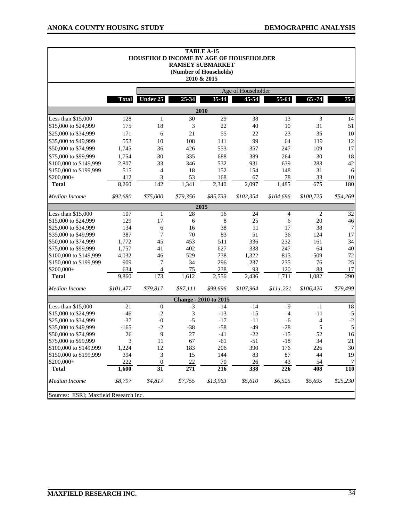|                                       |              |                                     |                        | <b>TABLE A-15</b><br>HOUSEHOLD INCOME BY AGE OF HOUSEHOLDER<br><b>RAMSEY SUBMARKET</b><br>(Number of Households)<br>2010 & 2015 |                    |                |                  |                       |
|---------------------------------------|--------------|-------------------------------------|------------------------|---------------------------------------------------------------------------------------------------------------------------------|--------------------|----------------|------------------|-----------------------|
|                                       |              |                                     |                        |                                                                                                                                 | Age of Householder |                |                  |                       |
|                                       | <b>Total</b> | <b>Under 25</b>                     | 25-34                  | 35-44                                                                                                                           | 45-54              | 55-64          | $65 - 74$        | $75+$                 |
|                                       |              |                                     |                        | 2010                                                                                                                            |                    |                |                  |                       |
| Less than $$15,000$                   | 128          | $\mathbf{1}$                        | 30                     | 29                                                                                                                              | 38                 | 13             | 3                | 14                    |
| \$15,000 to \$24,999                  | 175          | 18                                  | 3                      | 22                                                                                                                              | 40                 | 10             | 31               | 51                    |
| \$25,000 to \$34,999                  | 171          | 6                                   | 21                     | 55                                                                                                                              | 22                 | 23             | 35               | 10                    |
| \$35,000 to \$49,999                  | 553          | 10                                  | 108                    | 141                                                                                                                             | 99                 | 64             | 119              | 12                    |
| \$50,000 to \$74,999                  | 1,745        | 36                                  | 426                    | 553                                                                                                                             | 357                | 247            | 109              | 17                    |
| \$75,000 to \$99,999                  | 1,754        | 30                                  | 335                    | 688                                                                                                                             | 389                | 264            | 30               | 18                    |
| \$100,000 to \$149,999                | 2,807        | 33                                  | 346                    | 532                                                                                                                             | 931                | 639            | 283              | 42                    |
| \$150,000 to \$199,999                | 515          | 4                                   | 18                     | 152                                                                                                                             | 154                | 148            | 31               | 6                     |
| \$200,000+                            | 412          | 3                                   | 53                     | 168                                                                                                                             | 67                 | 78             | 33               | 10                    |
| <b>Total</b>                          | 8,260        | 142                                 | 1,341                  | 2,340                                                                                                                           | 2,097              | 1,485          | $\overline{675}$ | 180                   |
| Median Income                         | \$92,680     | \$75,000                            | \$79,356               | \$85,733                                                                                                                        | \$102,354          | \$104,696      | \$100,725        | \$54,269              |
|                                       |              |                                     |                        | 2015                                                                                                                            |                    |                |                  |                       |
| Less than \$15,000                    | 107          | 1                                   | 28                     | 16                                                                                                                              | 24                 | $\overline{4}$ | 2                | 32                    |
| \$15,000 to \$24,999                  | 129          | 17                                  | 6                      | 8                                                                                                                               | 25                 | 6              | $20\,$           | 46                    |
| \$25,000 to \$34,999                  | 134          | 6                                   | 16                     | 38                                                                                                                              | 11                 | 17             | 38               | 7                     |
| \$35,000 to \$49,999                  | 387          | 7                                   | 70                     | 83                                                                                                                              | 51                 | 36             | 124              | 17                    |
| \$50,000 to \$74,999                  | 1,772        | 45                                  | 453                    | 511                                                                                                                             | 336                | 232            | 161              | 34                    |
| \$75,000 to \$99,999                  | 1,757        | 41                                  | 402                    | 627                                                                                                                             | 338                | 247            | 64               | 40                    |
| \$100,000 to \$149,999                | 4,032        | 46                                  | 529                    | 738                                                                                                                             | 1,322              | 815            | 509              | 72                    |
| \$150,000 to \$199,999                | 909          | 7                                   | 34                     | 296                                                                                                                             | 237                | 235            | 76               | 25                    |
| \$200,000+                            | 634          | 4                                   | 75                     | 238                                                                                                                             | 93                 | 120            | 88               | 17                    |
| <b>Total</b>                          | 9,860        | 173                                 | 1,612                  | 2,556                                                                                                                           | 2,436              | 1,711          | 1,082            | $\overline{290}$      |
| Median Income                         | \$101,477    | \$79,817                            | \$87,111               | \$99,696                                                                                                                        | \$107,964          | \$111,221      | \$106,420        | \$79,499              |
|                                       |              |                                     |                        | <b>Change - 2010 to 2015</b>                                                                                                    |                    |                |                  |                       |
| Less than \$15,000                    | $-21$        | $\mathbf{0}$                        | $-3$                   | $-14$                                                                                                                           | $-14$              | $-9$           | $-1$             | 18                    |
| \$15,000 to \$24,999                  | $-46$        | $-2$                                | 3                      | $-13$                                                                                                                           | $-15$              | $-4$           | $-11$            | $-5$                  |
| \$25,000 to \$34,999                  | $-37$        | $-0$                                | $-5$                   | $-17$                                                                                                                           | $-11$              | -6             | 4                | $-2$                  |
| \$35,000 to \$49,999                  | $-165$       | $-2$                                | $-38$                  | $-58$                                                                                                                           | $-49$              | $-28$          | 5                | 5                     |
| \$50,000 to \$74,999                  | 26           | 9                                   | 27                     | $-41$                                                                                                                           | $-22$              | $-15$          | 52               | 16                    |
| \$75,000 to \$99,999                  | 3            | 11                                  | 67                     | $-61$                                                                                                                           | $-51$              | $-18$          | 34               | 21                    |
| \$100,000 to \$149,999                | 1,224        | 12                                  | 183                    | 206                                                                                                                             | 390                | 176            | 226              | 30                    |
| \$150,000 to \$199,999                | 394          | 3                                   | 15                     | 144                                                                                                                             | 83                 | 87             | 44               | 19                    |
| \$200,000+<br><b>Total</b>            | 222<br>1,600 | $\boldsymbol{0}$<br>$\overline{31}$ | 22<br>$\overline{271}$ | $70\,$<br>$\overline{216}$                                                                                                      | 26<br>338          | 43<br>226      | 54<br>408        | 7<br>$\overline{110}$ |
|                                       |              |                                     |                        |                                                                                                                                 |                    |                |                  |                       |
| Median Income                         | \$8,797      | \$4,817                             | \$7,755                | \$13,963                                                                                                                        | \$5,610            | \$6,525        | \$5,695          | \$25,230              |
| Sources: ESRI; Maxfield Research Inc. |              |                                     |                        |                                                                                                                                 |                    |                |                  |                       |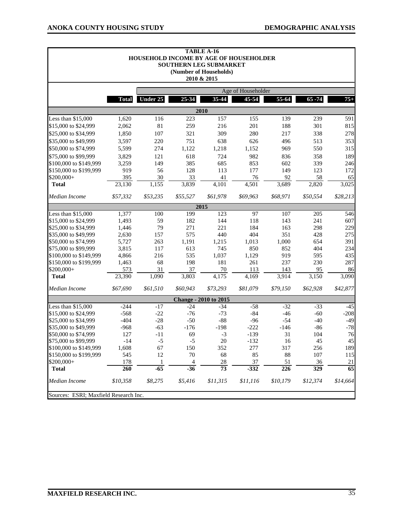$\blacksquare$ 

|                                       |              |              |                | <b>TABLE A-16</b><br>HOUSEHOLD INCOME BY AGE OF HOUSEHOLDER<br>SOUTHERN LEG SUBMARKET<br>(Number of Households)<br>2010 & 2015 |                    |                  |                  |          |
|---------------------------------------|--------------|--------------|----------------|--------------------------------------------------------------------------------------------------------------------------------|--------------------|------------------|------------------|----------|
|                                       |              |              |                |                                                                                                                                | Age of Householder |                  |                  |          |
|                                       | <b>Total</b> | Under 25     | 25-34          | 35-44                                                                                                                          | 45-54              | 55-64            | $65 - 74$        | $75+$    |
|                                       |              |              |                | 2010                                                                                                                           |                    |                  |                  |          |
| Less than \$15,000                    | 1,620        | 116          | 223            | 157                                                                                                                            | 155                | 139              | 239              | 591      |
| \$15,000 to \$24,999                  | 2,062        | 81           | 259            | 216                                                                                                                            | 201                | 188              | 301              | 815      |
| \$25,000 to \$34,999                  | 1,850        | 107          | 321            | 309                                                                                                                            | 280                | 217              | 338              | 278      |
| \$35,000 to \$49,999                  | 3,597        | 220          | 751            | 638                                                                                                                            | 626                | 496              | 513              | 353      |
| \$50,000 to \$74,999                  | 5,599        | 274          | 1,122          | 1,218                                                                                                                          | 1,152              | 969              | 550              | 315      |
| \$75,000 to \$99,999                  | 3,829        | 121          | 618            | 724                                                                                                                            | 982                | 836              | 358              | 189      |
| \$100,000 to \$149,999                | 3,259        | 149          | 385            | 685                                                                                                                            | 853                | 602              | 339              | 246      |
| \$150,000 to \$199,999                | 919          | 56           | 128            | 113                                                                                                                            | 177                | 149              | 123              | 172      |
| \$200,000+                            | 395          | 30           | 33             | 41                                                                                                                             | 76                 | 92               | 58               | 65       |
| <b>Total</b>                          | 23,130       | 1,155        | 3,839          | 4,101                                                                                                                          | 4,501              | 3,689            | 2,820            | 3,025    |
| Median Income                         | \$57,332     | \$53,235     | \$55,527       | \$61,978                                                                                                                       | \$69.963           | \$68,971         | \$50,554         | \$28,213 |
|                                       |              |              |                | 2015                                                                                                                           |                    |                  |                  |          |
| Less than \$15,000                    | 1,377        | 100          | 199            | 123                                                                                                                            | 97                 | 107              | 205              | 546      |
| \$15,000 to \$24,999                  | 1,493        | 59           | 182            | 144                                                                                                                            | 118                | 143              | 241              | 607      |
| \$25,000 to \$34,999                  | 1,446        | 79           | 271            | 221                                                                                                                            | 184                | 163              | 298              | 229      |
| \$35,000 to \$49,999                  | 2,630        | 157          | 575            | 440                                                                                                                            | 404                | 351              | 428              | 275      |
| \$50,000 to \$74,999                  | 5,727        | 263          | 1,191          | 1,215                                                                                                                          | 1,013              | 1,000            | 654              | 391      |
| \$75,000 to \$99,999                  | 3,815        | 117          | 613            | 745                                                                                                                            | 850                | 852              | 404              | 234      |
| \$100,000 to \$149,999                | 4,866        | 216          | 535            | 1,037                                                                                                                          | 1,129              | 919              | 595              | 435      |
| \$150,000 to \$199,999                | 1,463        | 68           | 198            | 181                                                                                                                            | 261                | 237              | 230              | 287      |
| \$200,000+                            | 573          | 31           | 37             | $70\,$                                                                                                                         | 113                | 143              | 95               | 86       |
| <b>Total</b>                          | 23,390       | 1,090        | 3,803          | 4,175                                                                                                                          | 4,169              | 3,914            | 3,150            | 3,090    |
| Median Income                         | \$67,690     | \$61,510     | \$60,943       | \$73,293                                                                                                                       | \$81,079           | \$79,150         | \$62,928         | \$42,877 |
|                                       |              |              |                | <b>Change - 2010 to 2015</b>                                                                                                   |                    |                  |                  |          |
| Less than \$15,000                    | $-244$       | $-17$        | $-24$          | $-34$                                                                                                                          | $-58$              | $-32$            | $-33$            | $-45$    |
| \$15,000 to \$24,999                  | $-568$       | $-22$        | $-76$          | $-73$                                                                                                                          | $-84$              | $-46$            | $-60$            | $-208$   |
| \$25,000 to \$34,999                  | $-404$       | $-28$        | $-50$          | $-88$                                                                                                                          | $-96$              | $-54$            | $-40$            | $-49$    |
| \$35,000 to \$49,999                  | $-968$       | $-63$        | $-176$         | $-198$                                                                                                                         | $-222$             | $-146$           | $-86$            | $-78$    |
| \$50,000 to \$74,999                  | 127          | $-11$        | 69             | $-3$                                                                                                                           | $-139$             | 31               | 104              | 76       |
| \$75,000 to \$99,999                  | $-14$        | $-5$         | $-5$           | $20\,$                                                                                                                         | $-132$             | 16               | $45\,$           | 45       |
| \$100,000 to \$149,999                | 1,608        | 67           | 150            | 352                                                                                                                            | 277                | 317              | 256              | 189      |
| \$150,000 to \$199,999                | 545          | 12           | 70             | 68                                                                                                                             | 85                 | 88               | 107              | 115      |
| \$200,000+                            | 178          | $\mathbf{1}$ | $\overline{4}$ | $28\,$                                                                                                                         | 37                 | 51               | 36               | 21       |
| <b>Total</b>                          | 260          | $-65$        | $-36$          | $\overline{73}$                                                                                                                | $-332$             | $\overline{226}$ | $\overline{329}$ | 65       |
| Median Income                         | \$10,358     | \$8,275      | \$5,416        | \$11,315                                                                                                                       | \$11,116           | \$10,179         | \$12,374         | \$14,664 |
| Sources: ESRI; Maxfield Research Inc. |              |              |                |                                                                                                                                |                    |                  |                  |          |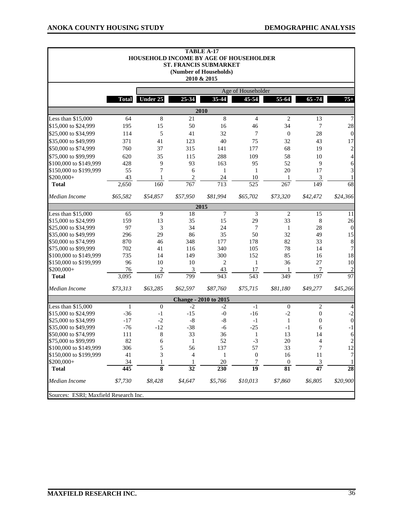$\blacksquare$ 

|                                       |              |                    |                             | <b>TABLE A-17</b><br>HOUSEHOLD INCOME BY AGE OF HOUSEHOLDER<br><b>ST. FRANCIS SUBMARKET</b><br>(Number of Households)<br>2010 & 2015 |                    |                          |                          |                  |
|---------------------------------------|--------------|--------------------|-----------------------------|--------------------------------------------------------------------------------------------------------------------------------------|--------------------|--------------------------|--------------------------|------------------|
|                                       |              |                    |                             |                                                                                                                                      | Age of Householder |                          |                          |                  |
|                                       | <b>Total</b> | Under 25           | 25-34                       | 35-44                                                                                                                                | 45-54              | 55-64                    | $65 - 74$                | $75+$            |
|                                       |              |                    |                             | 2010                                                                                                                                 |                    |                          |                          |                  |
| Less than \$15,000                    | 64           | $\,8\,$            | 21                          | 8                                                                                                                                    | $\overline{4}$     | $\mathfrak{2}$           | 13                       | 7                |
| \$15,000 to \$24,999                  | 195          | 15                 | 50                          | 16                                                                                                                                   | 46                 | 34                       | 7                        | 28               |
| \$25,000 to \$34,999                  | 114          | 5                  | 41                          | 32                                                                                                                                   | 7                  | $\boldsymbol{0}$         | 28                       | $\theta$         |
| \$35,000 to \$49,999                  | 371          | 41                 | 123                         | 40                                                                                                                                   | 75                 | 32                       | 43                       | 17               |
| \$50,000 to \$74,999                  | 760          | 37                 | 315                         | 141                                                                                                                                  | 177                | 68                       | 19                       | $\overline{2}$   |
| \$75,000 to \$99,999                  | 620          | 35                 | 115                         | 288                                                                                                                                  | 109                | 58                       | 10                       | $\overline{4}$   |
| \$100,000 to \$149,999                | 428          | 9                  | 93                          | 163                                                                                                                                  | 95                 | 52                       | 9                        | 6                |
| \$150,000 to \$199,999                | 55           | 7                  | 6                           | $\mathbf{1}$                                                                                                                         | $\mathbf{1}$       | 20                       | 17                       | 3                |
| \$200,000+                            | 43           | 1                  | $\overline{c}$              | 24                                                                                                                                   | 10                 | 1                        | 3                        |                  |
| <b>Total</b>                          | 2,650        | 160                | $\overline{767}$            | $\overline{713}$                                                                                                                     | $\overline{525}$   | 267                      | 149                      | $\overline{68}$  |
| Median Income                         | \$65,582     | \$54,857           | \$57,950                    | \$81,994                                                                                                                             | \$65,702           | \$73,320                 | \$42,472                 | \$24,366         |
|                                       |              |                    |                             | 2015                                                                                                                                 |                    |                          |                          |                  |
| Less than \$15,000                    | 65           | 9                  | 18                          | 7                                                                                                                                    | 3                  | $\overline{2}$           | 15                       | 11               |
| \$15,000 to \$24,999                  | 159          | 13                 | 35                          | 15                                                                                                                                   | 29                 | 33                       | 8                        | 26               |
| \$25,000 to \$34,999                  | 97           | 3                  | 34                          | 24                                                                                                                                   | 7                  | $\mathbf{1}$             | 28                       | $\boldsymbol{0}$ |
| \$35,000 to \$49,999                  | 296          | 29                 | 86                          | 35                                                                                                                                   | 50                 | 32                       | 49                       | 15               |
| \$50,000 to \$74,999                  | 870          | 46                 | 348                         | 177                                                                                                                                  | 178                | 82                       | 33                       | $\,8\,$          |
| \$75,000 to \$99,999                  | 702          | 41                 | 116                         | 340                                                                                                                                  | 105                | 78                       | 14                       | 7                |
| \$100,000 to \$149,999                | 735          | 14                 | 149                         | 300                                                                                                                                  | 152                | 85                       | 16                       | 18               |
| \$150,000 to \$199,999                | 96           | 10                 | 10                          | $\mathbf{2}$                                                                                                                         | 1                  | 36                       | 27                       | 10               |
| \$200,000+                            | 76           | $\sqrt{2}$         | $\ensuremath{\mathfrak{Z}}$ | 43                                                                                                                                   | 17                 | 1                        | 7                        | 2                |
| <b>Total</b>                          | 3,095        | 167                | 799                         | 943                                                                                                                                  | $\overline{543}$   | 349                      | 197                      | 97               |
| Median Income                         | \$73,313     | \$63,285           | \$62,597                    | \$87,760                                                                                                                             | \$75,715           | \$81,180                 | \$49,277                 | \$45,266         |
|                                       |              |                    |                             | <b>Change - 2010 to 2015</b>                                                                                                         |                    |                          |                          |                  |
| Less than \$15,000                    | $\mathbf{1}$ | $\boldsymbol{0}$   | $-2$                        | $-2$                                                                                                                                 | $-1$               | $\boldsymbol{0}$         | 2                        | 4                |
| \$15,000 to \$24,999                  | $-36$        | $-1$               | $-15$                       | $-0$                                                                                                                                 | $-16$              | $-2$                     | $\boldsymbol{0}$         | $-2$             |
| \$25,000 to \$34,999                  | $-17$        | $-2$               | $-8$                        | $-8$                                                                                                                                 | $-1$               | $\mathbf{1}$             | $\boldsymbol{0}$         | $\boldsymbol{0}$ |
| \$35,000 to \$49,999                  | $-76$        | $-12$              | $-38$                       | $-6$                                                                                                                                 | $-25$              | $-1$                     | 6                        | $^{\rm -1}$      |
| \$50,000 to \$74,999                  | 111          | 8                  | 33                          | 36                                                                                                                                   | $\mathbf{1}$       | 13                       | 14                       | $\boldsymbol{6}$ |
| \$75,000 to \$99,999                  | 82           | 6                  | $\mathbf{1}$                | 52                                                                                                                                   | $-3$               | $20\,$                   | $\overline{\mathcal{L}}$ | $\overline{c}$   |
| \$100,000 to \$149,999                | 306          | 5                  | 56                          | 137                                                                                                                                  | 57                 | 33                       | 7                        | 12               |
| \$150,000 to \$199,999                | 41           | 3                  | 4                           | 1                                                                                                                                    | $\mathbf{0}$       | 16                       | 11                       | 7                |
| \$200,000+                            | 34           | 1                  | $\mathbf{1}$                | 20                                                                                                                                   | 7                  | $\boldsymbol{0}$         | 3                        | 1                |
| <b>Total</b>                          | 445          | $\overline{\bf 8}$ | $\overline{32}$             | 230                                                                                                                                  | $\overline{19}$    | $\overline{\textbf{81}}$ | $\overline{47}$          | $\overline{28}$  |
| Median Income                         | \$7,730      | \$8,428            | \$4,647                     | \$5,766                                                                                                                              | \$10,013           | \$7,860                  | \$6,805                  | \$20,900         |
| Sources: ESRI; Maxfield Research Inc. |              |                    |                             |                                                                                                                                      |                    |                          |                          |                  |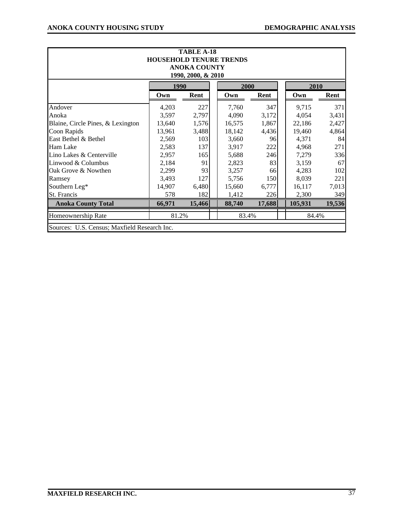| <b>TABLE A-18</b><br><b>HOUSEHOLD TENURE TRENDS</b><br><b>ANOKA COUNTY</b><br>1990, 2000, & 2010 |        |              |  |        |        |         |            |  |  |  |  |  |
|--------------------------------------------------------------------------------------------------|--------|--------------|--|--------|--------|---------|------------|--|--|--|--|--|
|                                                                                                  |        | 1990<br>2000 |  |        |        |         |            |  |  |  |  |  |
|                                                                                                  | Own    | Rent         |  | Own    | Rent   | Own     | Rent       |  |  |  |  |  |
| Andover                                                                                          | 4,203  | 227          |  | 7,760  | 347    | 9,715   | 371        |  |  |  |  |  |
| Anoka                                                                                            | 3,597  | 2,797        |  | 4,090  | 3,172  | 4,054   | 3,431      |  |  |  |  |  |
| Blaine, Circle Pines, & Lexington                                                                | 13,640 | 1,576        |  | 16,575 | 1,867  | 22,186  | 2,427      |  |  |  |  |  |
| Coon Rapids                                                                                      | 13,961 | 3,488        |  | 18,142 | 4,436  | 19,460  | 4,864      |  |  |  |  |  |
| East Bethel & Bethel                                                                             | 2,569  | 103          |  | 3,660  | 96     | 4,371   | 84         |  |  |  |  |  |
| Ham Lake                                                                                         | 2,583  | 137          |  | 3,917  | 222    | 4,968   | 271        |  |  |  |  |  |
| Lino Lakes & Centerville                                                                         | 2,957  | 165          |  | 5,688  | 246    | 7,279   | 336        |  |  |  |  |  |
| Linwood & Columbus                                                                               | 2,184  | 91           |  | 2,823  | 83     | 3,159   | 67         |  |  |  |  |  |
| Oak Grove & Nowthen                                                                              | 2,299  | 93           |  | 3,257  | 66     | 4,283   | 102        |  |  |  |  |  |
| Ramsey                                                                                           | 3,493  | 127          |  | 5,756  | 150    | 8,039   | <b>221</b> |  |  |  |  |  |
| Southern Leg*                                                                                    | 14,907 | 6,480        |  | 15,660 | 6,777  | 16,117  | 7,013      |  |  |  |  |  |
| St. Francis                                                                                      | 578    | 182          |  | 1,412  | 226    | 2,300   | 349        |  |  |  |  |  |
| <b>Anoka County Total</b>                                                                        | 66,971 | 15,466       |  | 88,740 | 17,688 | 105,931 | 19,536     |  |  |  |  |  |
| Homeownership Rate                                                                               | 81.2%  |              |  | 83.4%  |        | 84.4%   |            |  |  |  |  |  |
| Sources: U.S. Census; Maxfield Research Inc.                                                     |        |              |  |        |        |         |            |  |  |  |  |  |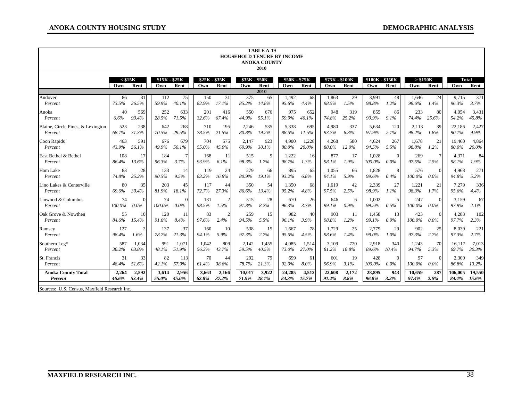|                                              | <b>TABLE A-19</b><br><b>HOUSEHOLD TENURE BY INCOME</b><br><b>ANOKA COUNTY</b><br>2010 |         |                      |          |                      |                |                      |              |                      |       |                       |       |                        |          |                 |          |                     |         |
|----------------------------------------------|---------------------------------------------------------------------------------------|---------|----------------------|----------|----------------------|----------------|----------------------|--------------|----------------------|-------|-----------------------|-------|------------------------|----------|-----------------|----------|---------------------|---------|
|                                              | $<$ \$15 $K$<br>Own                                                                   | Rent    | $$15K - $25K$<br>Own | Rent     | \$25K - \$35K<br>Own | Rent           | \$35K - \$50K<br>Own | Rent<br>2010 | \$50K - \$75K<br>Own | Rent  | \$75K - \$100K<br>Own | Rent  | \$100K - \$150K<br>Own | Rent     | > \$150K<br>Own | Rent     | <b>Total</b><br>Own | Rent    |
| Andover                                      | 86                                                                                    | 31      | 112                  | 75       | 150                  | 31             | 375                  | 65           | 1.492                | 68    | 1,863                 | 29    | 3,991                  | 48       | 1.646           | 24       | 9,715               | 371     |
| Percent                                      | 73.5%                                                                                 | 26.5%   | 59.9%                | 40.1%    | 82.9%                | 17.1%          | 85.2%                | 14.8%        | 95.6%                | 4.4%  | 98.5%                 | 1.5%  | 98.8%                  | 1.2%     | 98.6%           | 1.4%     | 96.3%               | 3.7%    |
| Anoka                                        | 40                                                                                    | 569     | 252                  | 633      | 201                  | 416            | 550                  | 676          | 975                  | 652   | 948                   | 319   | 855                    | 86       | 233             | 80       | 4,054               | 3,431   |
| Percent                                      | 6.6%                                                                                  | 93.4%   | 28.5%                | 71.5%    | 32.6%                | 67.4%          | 44.9%                | 55.1%        | 59.9%                | 40.1% | 74.8%                 | 25.2% | 90.9%                  | 9.1%     | 74.4%           | 25.6%    | 54.2%               | 45.8%   |
| Blaine, Circle Pines, & Lexington            | 523                                                                                   | 238     | 642                  | 268      | 710                  | 195            | 2,246                | 535          | 5,338                | 695   | 4,980                 | 337   | 5,634                  | 120      | 2,113           | 39       | 22,186              | 2,427   |
| Percent                                      | 68.7%                                                                                 | 31.3%   | 70.5%                | 29.5%    | 78.5%                | 21.5%          | 80.8%                | 19.2%        | 88.5%                | 11.5% | 93.7%                 | 6.3%  | 97.9%                  | 2.1%     | 98.2%           | 1.8%     | 90.1%               | 9.9%    |
| Coon Rapids                                  | 463                                                                                   | 591     | 676                  | 679      | 704                  | 575            | 2.147                | 923          | 4,900                | 1,228 | 4,268                 | 580   | 4,624                  | 267      | 1,678           | 21       | 19,460              | 4,864   |
| Percent                                      | 43.9%                                                                                 | 56.1%   | 49.9%                | 50.1%    | 55.0%                | 45.0%          | 69.9%                | 30.1%        | 80.0%                | 20.0% | 88.0%                 | 12.0% | 94.5%                  | 5.5%     | 98.8%           | 1.2%     | 80.0%               | 20.0%   |
| East Bethel & Bethel                         | 108                                                                                   | 17      | 184                  | 7        | 168                  | -11            | 515                  | 9            | 1,222                | 16    | 877                   | 17    | 1,028                  | $\Omega$ | 269             | 7        | 4,371               | 84      |
| Percent                                      | 86.4%                                                                                 | 13.6%   | 96.3%                | 3.7%     | 93.9%                | 6.1%           | 98.3%                | 1.7%         | 98.7%                | 1.3%  | 98.1%                 | 1.9%  | 100.0%                 | $0.0\%$  | 97.5%           | 2.5%     | 98.1%               | $1.9\%$ |
| Ham Lake                                     | 83                                                                                    | 28      | 133                  | 14       | 119                  | 24             | 279                  | 66           | 895                  | 65    | 1,055                 | 66    | 1,828                  | -8       | 576             | $\Omega$ | 4,968               | 271     |
| Percent                                      | 74.8%                                                                                 | 25.2%   | 90.5%                | 9.5%     | 83.2%                | 16.8%          | 80.9%                | 19.1%        | 93.2%                | 6.8%  | 94.1%                 | 5.9%  | 99.6%                  | 0.4%     | 100.0%          | $0.0\%$  | 94.8%               | 5.2%    |
| Lino Lakes & Centerville                     | 80                                                                                    | 35      | 203                  | 45       | 117                  | 44             | 350                  | 54           | 1,350                | 68    | 1.619                 | 42    | 2,339                  | 27       | 1,221           | 21       | 7,279               | 336     |
| Percent                                      | 69.6%                                                                                 | 30.4%   | 81.9%                | 18.1%    | 72.7%                | 27.3%          | 86.6%                | 13.4%        | 95.2%                | 4.8%  | 97.5%                 | 2.5%  | 98.9%                  | 1.1%     | 98.3%           | 1.7%     | 95.6%               | 4.4%    |
| Linwood & Columbus                           | 74                                                                                    | $0.0\%$ | 74                   | $\Omega$ | 131                  | $\overline{c}$ | 315                  | 28           | 670                  | 26    | 646                   | -6    | 1,002                  | 5        | 247             | $\Omega$ | 3,159               | 67      |
| Percent                                      | 100.0%                                                                                |         | 100.0%               | $0.0\%$  | 98.5%                | 1.5%           | 91.8%                | 8.2%         | 96.3%                | 3.7%  | 99.1%                 | 0.9%  | 99.5%                  | 0.5%     | 100.0%          | $0.0\%$  | 97.9%               | 2.1%    |
| Oak Grove & Nowthen                          | 55                                                                                    | 10      | 120                  | -11      | 83                   | $\overline{2}$ | 259                  | 15           | 982                  | 40    | 903                   | 11    | 1,458                  | 13       | 423             | $\Omega$ | 4,283               | 102     |
| Percent                                      | 84.6%                                                                                 | 15.4%   | 91.6%                | 8.4%     | 97.6%                | 2.4%           | 94.5%                | 5.5%         | 96.1%                | 3.9%  | 98.8%                 | 1.2%  | 99.1%                  | 0.9%     | 100.0%          | $0.0\%$  | 97.7%               | 2.3%    |
| Ramsey                                       | 127                                                                                   | 1.6%    | 137                  | 37       | 160                  | 10             | 538                  | 15           | 1,667                | 78    | 1.729                 | 25    | 2.779                  | 29       | 902             | 25       | 8.039               | 221     |
| Percent                                      | 98.4%                                                                                 |         | 78.7%                | 21.3%    | 94.1%                | 5.9%           | 97.3%                | 2.7%         | 95.5%                | 4.5%  | 98.6%                 | 1.4%  | 99.0%                  | 1.0%     | 97.3%           | 2.7%     | 97.3%               | 2.7%    |
| Southern Leg*                                | 587                                                                                   | 1.034   | 991                  | 1,071    | 1.042                | 809            | 2.142                | 1,455        | 4.085                | 1,514 | 3.109                 | 720   | 2,918                  | 340      | 1,243           | 70       | 16.117              | 7,013   |
| Percent                                      | 36.2%                                                                                 | 63.8%   | 48.1%                | 51.9%    | 56.3%                | 43.7%          | 59.5%                | 40.5%        | 73.0%                | 27.0% | 81.2%                 | 18.8% | 89.6%                  | 10.4%    | 94.7%           | 5.3%     | 69.7%               | 30.3%   |
| St. Francis                                  | 31                                                                                    | 33      | 82                   | 113      | 70                   | 44             | 292                  | 79           | 699                  | -61   | 601                   | 19    | 428                    | $\Omega$ | 97              | $\Omega$ | 2,300               | 349     |
| Percent                                      | 48.4%                                                                                 | 51.6%   | 42.1%                | 57.9%    | 61.4%                | 38.6%          | 78.7%                | 21.3%        | 92.0%                | 8.0%  | 96.9%                 | 3.1%  | 100.0%                 | $0.0\%$  | 100.0%          | $0.0\%$  | 86.8%               | 13.2%   |
| <b>Anoka County Total</b>                    | 2,264                                                                                 | 2,592   | 3,614                | 2,956    | 3,663                | 2,166          | 10,017               | 3,922        | 24,285               | 4,512 | 22,608                | 2,172 | 28,895                 | 943      | 10.659          | 287      | 106,005             | 19,550  |
| Percent                                      | 46.6%                                                                                 | 53.4%   | 55.0%                | 45.0%    | 62.8%                | 37.2%          | 71.9%                | 28.1%        | 84.3%                | 15.7% | 91.2%                 | 8.8%  | 96.8%                  | 3.2%     | 97.4%           | 2.6%     | 84.4%               | 15.6%   |
| Sources: U.S. Census, Maxfield Research Inc. |                                                                                       |         |                      |          |                      |                |                      |              |                      |       |                       |       |                        |          |                 |          |                     |         |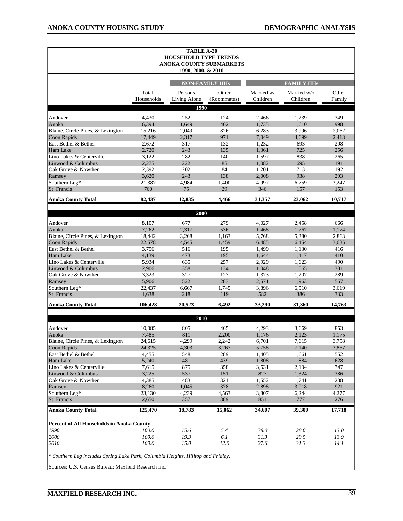|                                                                                  |                 | <b>TABLE A-20</b><br><b>HOUSEHOLD TYPE TRENDS</b> |                         |                        |                         |                |
|----------------------------------------------------------------------------------|-----------------|---------------------------------------------------|-------------------------|------------------------|-------------------------|----------------|
|                                                                                  |                 | 1990, 2000, & 2010                                | ANOKA COUNTY SUBMARKETS |                        |                         |                |
|                                                                                  |                 |                                                   | <b>NON-FAMILY HHs</b>   |                        | <b>FAMILY HHS</b>       |                |
|                                                                                  | Total           | Persons                                           | Other                   | Married w/<br>Children | Married w/o<br>Children | Other          |
|                                                                                  | Households      | Living Alone<br>1990                              | (Roommates)             |                        |                         | Family         |
|                                                                                  |                 |                                                   |                         |                        |                         |                |
| Andover                                                                          | 4,430           | 252                                               | 124                     | 2,466                  | 1,239                   | 349            |
| Anoka                                                                            | 6,394           | 1,649                                             | 402                     | 1,735                  | 1,610                   | 998            |
| Blaine, Circle Pines, & Lexington                                                | 15,216          | 2,049                                             | 826                     | 6,283                  | 3,996                   | 2,062          |
| <b>Coon Rapids</b><br>East Bethel & Bethel                                       | 17,449          | 2,317                                             | 971                     | 7,049                  | 4,699                   | 2,413          |
|                                                                                  | 2,672           | 317<br>243                                        | 132<br>135              | 1,232                  | 693<br>725              | 298<br>256     |
| Ham Lake                                                                         | 2,720           | 282                                               |                         | 1,361                  |                         |                |
| Lino Lakes & Centerville<br>Linwood & Columbus                                   | 3,122<br>2,275  | 222                                               | 140<br>85               | 1,597<br>1,082         | 838<br>695              | 265<br>191     |
| Oak Grove & Nowthen                                                              | 2,392           | 202                                               | 84                      | 1,201                  | 713                     | 192            |
| Ramsey                                                                           | 3,620           | 243                                               | 138                     | 2,008                  | 938                     | 293            |
| Southern Leg*                                                                    | 21,387          | 4,984                                             | 1,400                   | 4,997                  | 6,759                   | 3,247          |
| St. Francis                                                                      | 760             | 75                                                | 29                      | 346                    | 157                     | 153            |
| <b>Anoka County Total</b>                                                        | 82,437          | 12,835                                            | 4,466                   | 31,357                 | 23,062                  | 10,717         |
|                                                                                  |                 |                                                   |                         |                        |                         |                |
|                                                                                  |                 | 2000                                              |                         |                        |                         |                |
| Andover                                                                          | 8,107           | 677                                               | 279                     | 4,027                  | 2,458                   | 666            |
| Anoka                                                                            | 7,262           | 2,317                                             | 536                     | 1,468                  | 1,767                   | 1,174          |
| Blaine, Circle Pines, & Lexington                                                | 18,442          | 3,268                                             | 1,163                   | 5,768                  | 5,380                   | 2,863          |
| <b>Coon Rapids</b>                                                               | 22,578          | 4,545                                             | 1,459                   | 6,485                  | 6,454                   | 3,635          |
| East Bethel & Bethel                                                             | 3,756           | 516                                               | 195                     | 1,499                  | 1,130                   | 416            |
| Ham Lake                                                                         | 4,139           | 473                                               | 195                     | 1,644                  | 1,417                   | 410            |
| Lino Lakes & Centerville                                                         | 5,934           | 635                                               | 257                     | 2,929                  | 1,623                   | 490            |
| Linwood & Columbus                                                               | 2,906           | 358                                               | 134                     | 1,048                  | 1,065                   | 301            |
| Oak Grove & Nowthen                                                              | 3,323           | 327                                               | 127                     | 1,373                  | 1,207                   | 289            |
| Ramsey                                                                           | 5,906           | 522                                               | 283                     | 2,571                  | 1,963                   | 567            |
| Southern Leg*                                                                    | 22,437          | 6,667                                             | 1,745                   | 3,896                  | 6,510                   | 3,619          |
| St. Francis                                                                      | 1,638           | 218                                               | 119                     | 582                    | 386                     | 333            |
| <b>Anoka County Total</b>                                                        | 106,428         | 20,523                                            | 6,492                   | 33,290                 | 31,360                  | 14,763         |
|                                                                                  |                 | 2010                                              |                         |                        |                         |                |
|                                                                                  |                 |                                                   |                         |                        |                         |                |
| Andover                                                                          | 10,085          | 805                                               | 465                     | 4,293                  | 3,669                   | 853            |
| Anoka<br>Blaine, Circle Pines, & Lexington                                       | 7,485<br>24,615 | 811<br>4,299                                      | 2,200<br>2,242          | 1,176<br>6,701         | 2,123<br>7,615          | 1,175<br>3,758 |
| Coon Rapids                                                                      | 24,325          | 4,303                                             | 3,267                   | 5,758                  | 7,140                   | 3,857          |
| East Bethel & Bethel                                                             | 4,455           | 548                                               | 289                     | 1,405                  | 1,661                   | 552            |
| Ham Lake                                                                         | 5,240           | 481                                               | 439                     | 1,808                  | 1,884                   | 628            |
| Lino Lakes & Centerville                                                         | 7,615           | 875                                               | 358                     | 3,531                  | 2,104                   | 747            |
| Linwood & Columbus                                                               | 3,225           | 537                                               | 151                     | 827                    | 1,324                   | 386            |
| Oak Grove & Nowthen                                                              | 4,385           | 483                                               | 321                     | 1,552                  | 1,741                   | 288            |
| Ramsey                                                                           | 8,260           | 1,045                                             | 378                     | 2,898                  | 3,018                   | 921            |
| Southern Leg*                                                                    | 23,130          | 4,239                                             | 4,563                   | 3,807                  | 6,244                   | 4,277          |
| St. Francis                                                                      | 2,650           | 357                                               | 389                     | 851                    | 777                     | 276            |
| <b>Anoka County Total</b>                                                        | 125,470         | 18,783                                            | 15,062                  | 34,607                 | 39,300                  | 17,718         |
|                                                                                  |                 |                                                   |                         |                        |                         |                |
| Percent of All Households in Anoka County                                        |                 |                                                   |                         |                        |                         |                |
| 1990                                                                             | 100.0           | 15.6                                              | 5.4                     | 38.0                   | 28.0                    | 13.0           |
| 2000<br>2010                                                                     | 100.0<br>100.0  | 19.3<br>15.0                                      | 6.1<br>12.0             | 31.3<br>27.6           | 29.5<br>31.3            | 13.9<br>14.1   |
|                                                                                  |                 |                                                   |                         |                        |                         |                |
| * Southern Leg includes Spring Lake Park, Columbia Heights, Hilltop and Fridley. |                 |                                                   |                         |                        |                         |                |
| Sources: U.S. Census Bureau; Maxfield Research Inc.                              |                 |                                                   |                         |                        |                         |                |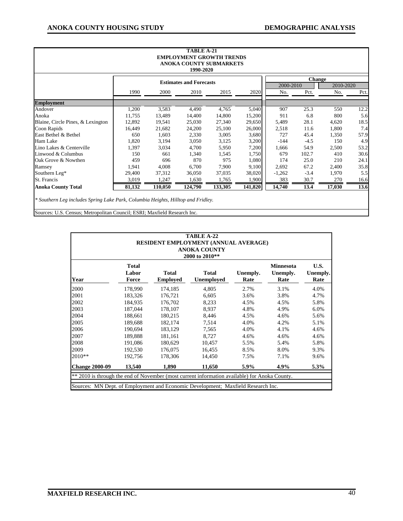|                                   |        |         | <b>TABLE A-21</b><br><b>EMPLOYMENT GROWTH TRENDS</b><br>ANOKA COUNTY SUBMARKETS<br>1990-2020 |         |         |                  |               |                  |      |
|-----------------------------------|--------|---------|----------------------------------------------------------------------------------------------|---------|---------|------------------|---------------|------------------|------|
|                                   |        |         | <b>Estimates and Forecasts</b>                                                               |         |         |                  | <b>Change</b> |                  |      |
|                                   | 1990   | 2000    | 2010                                                                                         | 2015    | 2020    | 2000-2010<br>No. | Pct.          | 2010-2020<br>No. | Pct. |
| <b>Employment</b>                 |        |         |                                                                                              |         |         |                  |               |                  |      |
| Andover                           | 1,200  | 3,583   | 4,490                                                                                        | 4,765   | 5,040   | 907              | 25.3          | 550              | 12.2 |
| Anoka                             | 11,755 | 13,489  | 14,400                                                                                       | 14,800  | 15,200  | 911              | 6.8           | 800              | 5.6  |
| Blaine, Circle Pines, & Lexington | 12,892 | 19,541  | 25,030                                                                                       | 27,340  | 29,650  | 5,489            | 28.1          | 4,620            | 18.5 |
| Coon Rapids                       | 16,449 | 21,682  | 24,200                                                                                       | 25,100  | 26,000  | 2,518            | 11.6          | 1,800            | 7.4  |
| East Bethel & Bethel              | 650    | 1,603   | 2,330                                                                                        | 3,005   | 3,680   | 727              | 45.4          | 1,350            | 57.9 |
| Ham Lake                          | 1,820  | 3,194   | 3,050                                                                                        | 3,125   | 3,200   | $-144$           | $-4.5$        | 150              | 4.9  |
| Lino Lakes & Centerville          | 1,397  | 3,034   | 4,700                                                                                        | 5,950   | 7,200   | 1,666            | 54.9          | 2,500            | 53.2 |
| Linwood & Columbus                | 150    | 661     | 1,340                                                                                        | 1,545   | 1,750   | 679              | 102.7         | 410              | 30.6 |
| Oak Grove & Nowthen               | 459    | 696     | 870                                                                                          | 975     | 1,080   | 174              | 25.0          | 210              | 24.1 |
| Ramsey                            | 1,941  | 4,008   | 6,700                                                                                        | 7,900   | 9,100   | 2,692            | 67.2          | 2,400            | 35.8 |
| Southern Leg*                     | 29,400 | 37,312  | 36,050                                                                                       | 37,035  | 38,020  | $-1,262$         | $-3.4$        | 1,970            | 5.5  |
| St. Francis                       | 3,019  | 1,247   | 1,630                                                                                        | 1,765   | 1,900   | 383              | 30.7          | 270              | 16.6 |
| <b>Anoka County Total</b>         | 81,132 | 110,050 | 124,790                                                                                      | 133,305 | 141,820 | 14,740           | 13.4          | 17,030           | 13.6 |

Sources: U.S. Census; Metropolitan Council; ESRI; Maxfield Research Inc.

| TABLE A-22<br>RESIDENT EMPLOYMENT (ANNUAL AVERAGE)<br><b>ANOKA COUNTY</b><br>2000 to 2010**                                                                                       |                                |                                 |                                   |                  |                                      |                          |  |  |  |  |  |  |
|-----------------------------------------------------------------------------------------------------------------------------------------------------------------------------------|--------------------------------|---------------------------------|-----------------------------------|------------------|--------------------------------------|--------------------------|--|--|--|--|--|--|
| Year                                                                                                                                                                              | <b>Total</b><br>Labor<br>Force | <b>Total</b><br><b>Employed</b> | <b>Total</b><br><b>Unemployed</b> | Unemply.<br>Rate | <b>Minnesota</b><br>Unemply.<br>Rate | U.S.<br>Unemply.<br>Rate |  |  |  |  |  |  |
| 2000                                                                                                                                                                              | 178,990                        | 174,185                         | 4,805                             | 2.7%             | 3.1%                                 | 4.0%                     |  |  |  |  |  |  |
| 2001                                                                                                                                                                              | 183,326                        | 176,721                         | 6,605                             | 3.6%             | 3.8%                                 | 4.7%                     |  |  |  |  |  |  |
| 2002                                                                                                                                                                              | 184.935                        | 176.702                         | 8,233                             | 4.5%             | 4.5%                                 | 5.8%                     |  |  |  |  |  |  |
| 2003                                                                                                                                                                              | 187,044                        | 178,107                         | 8.937                             | 4.8%             | 4.9%                                 | 6.0%                     |  |  |  |  |  |  |
| 2004                                                                                                                                                                              | 188,661                        | 180,215                         | 8,446                             | 4.5%             | 4.6%                                 | 5.6%                     |  |  |  |  |  |  |
| 2005                                                                                                                                                                              | 189,688                        | 182,174                         | 7,514                             | 4.0%             | 4.2%                                 | 5.1%                     |  |  |  |  |  |  |
| 2006                                                                                                                                                                              | 190,694                        | 183,129                         | 7,565                             | 4.0%             | 4.1%                                 | 4.6%                     |  |  |  |  |  |  |
| 2007                                                                                                                                                                              | 189,888                        | 181,161                         | 8,727                             | 4.6%             | 4.6%                                 | 4.6%                     |  |  |  |  |  |  |
| 2008                                                                                                                                                                              | 191,086                        | 180,629                         | 10,457                            | 5.5%             | 5.4%                                 | 5.8%                     |  |  |  |  |  |  |
| 2009                                                                                                                                                                              | 192,530                        | 176,075                         | 16,455                            | 8.5%             | 8.0%                                 | 9.3%                     |  |  |  |  |  |  |
| 2010**                                                                                                                                                                            | 192,756                        | 178,306                         | 14,450                            | 7.5%             | 7.1%                                 | 9.6%                     |  |  |  |  |  |  |
| <b>Change 2000-09</b>                                                                                                                                                             | 13,540                         | 1,890                           | 11,650                            | 5.9%             | 4.9%                                 | 5.3%                     |  |  |  |  |  |  |
| ** 2010 is through the end of November (most current information available) for Anoka County.<br>Sources: MN Dept. of Employment and Economic Development; Maxfield Research Inc. |                                |                                 |                                   |                  |                                      |                          |  |  |  |  |  |  |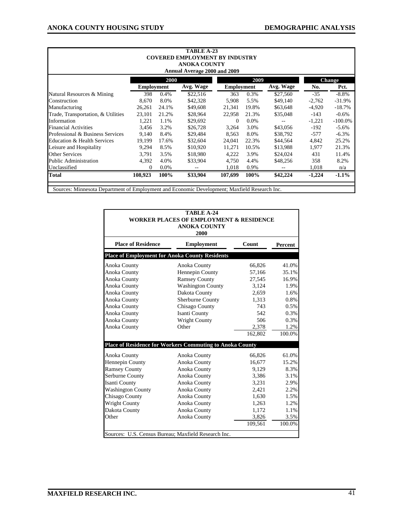|                                                                                              | TABLE A-23        |         |                                       |                   |         |           |          |            |  |  |  |  |
|----------------------------------------------------------------------------------------------|-------------------|---------|---------------------------------------|-------------------|---------|-----------|----------|------------|--|--|--|--|
|                                                                                              |                   |         | <b>COVERED EMPLOYMENT BY INDUSTRY</b> |                   |         |           |          |            |  |  |  |  |
|                                                                                              |                   |         | <b>ANOKA COUNTY</b>                   |                   |         |           |          |            |  |  |  |  |
| Annual Average 2000 and 2009                                                                 |                   |         |                                       |                   |         |           |          |            |  |  |  |  |
| 2000<br>2009<br><b>Change</b>                                                                |                   |         |                                       |                   |         |           |          |            |  |  |  |  |
|                                                                                              | <b>Employment</b> |         | Avg. Wage                             | <b>Employment</b> |         | Avg. Wage | No.      | Pct.       |  |  |  |  |
| Natural Resources & Mining                                                                   | 398               | 0.4%    | \$22,516                              | 363               | 0.3%    | \$27,560  | $-35$    | $-8.8\%$   |  |  |  |  |
| Construction                                                                                 | 8.670             | 8.0%    | \$42,328                              | 5,908             | 5.5%    | \$49,140  | $-2,762$ | $-31.9%$   |  |  |  |  |
| Manufacturing                                                                                | 26,261            | 24.1%   | \$49,608                              | 21,341            | 19.8%   | \$63,648  | $-4,920$ | $-18.7%$   |  |  |  |  |
| Trade, Transportation, & Utilities                                                           | 23,101            | 21.2%   | \$28,964                              | 22,958            | 21.3%   | \$35,048  | -143     | $-0.6\%$   |  |  |  |  |
| Information                                                                                  | 1,221             | 1.1%    | \$29,692                              | 0                 | $0.0\%$ |           | $-1,221$ | $-100.0\%$ |  |  |  |  |
| <b>Financial Activities</b>                                                                  | 3,456             | 3.2%    | \$26,728                              | 3,264             | 3.0%    | \$43,056  | $-192$   | $-5.6\%$   |  |  |  |  |
| Professional & Business Services                                                             | 9.140             | 8.4%    | \$29,484                              | 8,563             | 8.0%    | \$38,792  | $-577$   | $-6.3\%$   |  |  |  |  |
| Education & Health Services                                                                  | 19,199            | 17.6%   | \$32,604                              | 24,041            | 22.3%   | \$44,564  | 4,842    | 25.2%      |  |  |  |  |
| Leisure and Hospitality                                                                      | 9,294             | 8.5%    | \$10,920                              | 11,271            | 10.5%   | \$13,988  | 1,977    | 21.3%      |  |  |  |  |
| <b>Other Services</b>                                                                        | 3,791             | 3.5%    | \$18,980                              | 4,222             | 3.9%    | \$24,024  | 431      | 11.4%      |  |  |  |  |
| <b>Public Administration</b>                                                                 | 4,392             | 4.0%    | \$33,904                              | 4,750             | 4.4%    | \$48,256  | 358      | 8.2%       |  |  |  |  |
| Unclassified                                                                                 | $\theta$          | $0.0\%$ | $- -$                                 | 1,018             | 0.9%    |           | 1,018    | n/a        |  |  |  |  |
| <b>Total</b>                                                                                 | 108,923           | 100%    | \$33,904                              | 107,699           | 100%    | \$42,224  | $-1,224$ | $-1.1\%$   |  |  |  |  |
| Sources: Minnesota Department of Employment and Economic Development; Maxfield Research Inc. |                   |         |                                       |                   |         |           |          |            |  |  |  |  |

|                                                       | TABLE A-24<br><b>WORKER PLACES OF EMPLOYMENT &amp; RESIDENCE</b><br><b>ANOKA COUNTY</b><br>2000 |         |         |
|-------------------------------------------------------|-------------------------------------------------------------------------------------------------|---------|---------|
| <b>Place of Residence</b>                             | <b>Employment</b>                                                                               | Count   | Percent |
| <b>Place of Employment for Anoka County Residents</b> |                                                                                                 |         |         |
| Anoka County                                          | Anoka County                                                                                    | 66,826  | 41.0%   |
| <b>Anoka County</b>                                   | Hennepin County                                                                                 | 57,166  | 35.1%   |
| <b>Anoka County</b>                                   | <b>Ramsey County</b>                                                                            | 27,545  | 16.9%   |
| Anoka County                                          | <b>Washington County</b>                                                                        | 3,124   | 1.9%    |
| <b>Anoka County</b>                                   | Dakota County                                                                                   | 2,659   | 1.6%    |
| <b>Anoka County</b>                                   | Sherburne County                                                                                | 1,313   | 0.8%    |
| Anoka County                                          | Chisago County                                                                                  | 743     | 0.5%    |
| <b>Anoka County</b>                                   | Isanti County                                                                                   | 542     | 0.3%    |
| Anoka County                                          | <b>Wright County</b>                                                                            | 506     | 0.3%    |
| Anoka County                                          | Other                                                                                           | 2,378   | 1.2%    |
|                                                       |                                                                                                 | 162,802 | 100.0%  |
|                                                       | Place of Residence for Workers Commuting to Anoka County                                        |         |         |
| Anoka County                                          | Anoka County                                                                                    | 66,826  | 61.0%   |
| Hennepin County                                       | Anoka County                                                                                    | 16,677  | 15.2%   |
| <b>Ramsey County</b>                                  | Anoka County                                                                                    | 9.129   | 8.3%    |
| Serburne County                                       | Anoka County                                                                                    | 3,386   | 3.1%    |
| Isanti County                                         | Anoka County                                                                                    | 3,231   | 2.9%    |
| <b>Washington County</b>                              | Anoka County                                                                                    | 2,421   | 2.2%    |
| Chisago County                                        | Anoka County                                                                                    | 1,630   | 1.5%    |
| <b>Wright County</b>                                  | Anoka County                                                                                    | 1,263   | 1.2%    |
| Dakota County                                         | Anoka County                                                                                    | 1,172   | 1.1%    |
| Other                                                 | Anoka County                                                                                    | 3,826   | 3.5%    |
|                                                       |                                                                                                 | 109,561 | 100.0%  |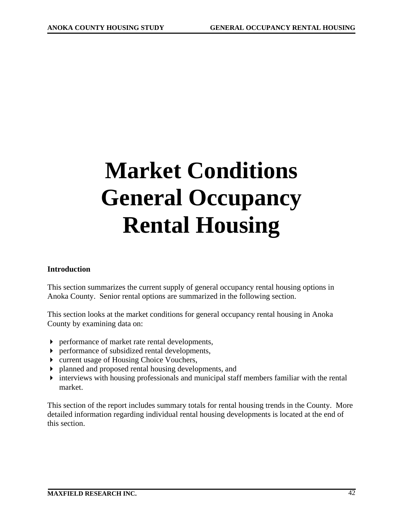# **Market Conditions General Occupancy Rental Housing**

### **Introduction**

This section summarizes the current supply of general occupancy rental housing options in Anoka County. Senior rental options are summarized in the following section.

This section looks at the market conditions for general occupancy rental housing in Anoka County by examining data on:

- performance of market rate rental developments,
- performance of subsidized rental developments,
- ▶ current usage of Housing Choice Vouchers,
- planned and proposed rental housing developments, and
- interviews with housing professionals and municipal staff members familiar with the rental market.

This section of the report includes summary totals for rental housing trends in the County. More detailed information regarding individual rental housing developments is located at the end of this section.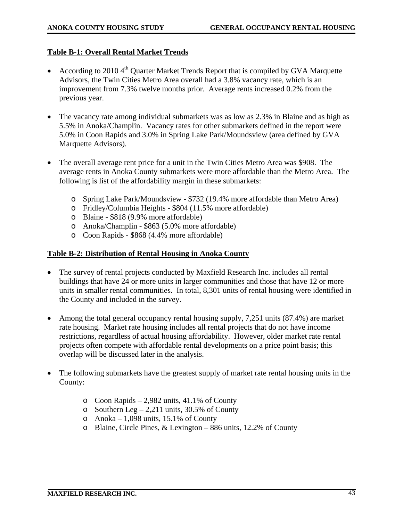### **Table B-1: Overall Rental Market Trends**

- According to 2010  $4<sup>th</sup>$  Quarter Market Trends Report that is compiled by GVA Marquette Advisors, the Twin Cities Metro Area overall had a 3.8% vacancy rate, which is an improvement from 7.3% twelve months prior. Average rents increased 0.2% from the previous year.
- The vacancy rate among individual submarkets was as low as 2.3% in Blaine and as high as 5.5% in Anoka/Champlin. Vacancy rates for other submarkets defined in the report were 5.0% in Coon Rapids and 3.0% in Spring Lake Park/Moundsview (area defined by GVA Marquette Advisors).
- The overall average rent price for a unit in the Twin Cities Metro Area was \$908. The average rents in Anoka County submarkets were more affordable than the Metro Area. The following is list of the affordability margin in these submarkets:
	- o Spring Lake Park/Moundsview \$732 (19.4% more affordable than Metro Area)
	- o Fridley/Columbia Heights \$804 (11.5% more affordable)
	- o Blaine \$818 (9.9% more affordable)
	- o Anoka/Champlin \$863 (5.0% more affordable)
	- o Coon Rapids \$868 (4.4% more affordable)

### **Table B-2: Distribution of Rental Housing in Anoka County**

- The survey of rental projects conducted by Maxfield Research Inc. includes all rental buildings that have 24 or more units in larger communities and those that have 12 or more units in smaller rental communities. In total, 8,301 units of rental housing were identified in the County and included in the survey.
- Among the total general occupancy rental housing supply, 7,251 units (87.4%) are market rate housing. Market rate housing includes all rental projects that do not have income restrictions, regardless of actual housing affordability. However, older market rate rental projects often compete with affordable rental developments on a price point basis; this overlap will be discussed later in the analysis.
- The following submarkets have the greatest supply of market rate rental housing units in the County:
	- o Coon Rapids 2,982 units, 41.1% of County
	- o Southern Leg  $-2,211$  units, 30.5% of County
	- o Anoka 1,098 units, 15.1% of County
	- o Blaine, Circle Pines, & Lexington 886 units, 12.2% of County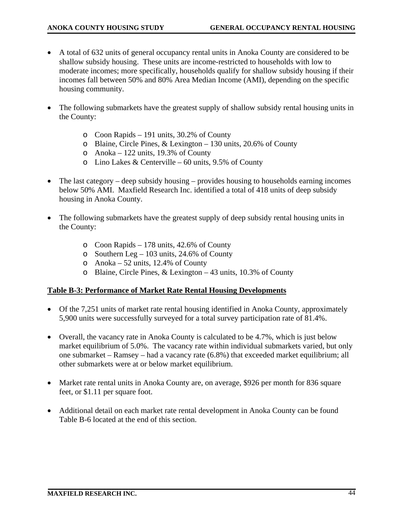- A total of 632 units of general occupancy rental units in Anoka County are considered to be shallow subsidy housing. These units are income-restricted to households with low to moderate incomes; more specifically, households qualify for shallow subsidy housing if their incomes fall between 50% and 80% Area Median Income (AMI), depending on the specific housing community.
- The following submarkets have the greatest supply of shallow subsidy rental housing units in the County:
	- o Coon Rapids 191 units, 30.2% of County
	- o Blaine, Circle Pines, & Lexington 130 units, 20.6% of County
	- o Anoka 122 units, 19.3% of County
	- $\circ$  Lino Lakes & Centerville 60 units, 9.5% of County
- The last category deep subsidy housing provides housing to households earning incomes below 50% AMI. Maxfield Research Inc. identified a total of 418 units of deep subsidy housing in Anoka County.
- The following submarkets have the greatest supply of deep subsidy rental housing units in the County:
	- o Coon Rapids 178 units, 42.6% of County
	- o Southern Leg 103 units, 24.6% of County
	- o Anoka 52 units, 12.4% of County
	- o Blaine, Circle Pines, & Lexington 43 units, 10.3% of County

### **Table B-3: Performance of Market Rate Rental Housing Developments**

- Of the 7,251 units of market rate rental housing identified in Anoka County, approximately 5,900 units were successfully surveyed for a total survey participation rate of 81.4%.
- Overall, the vacancy rate in Anoka County is calculated to be 4.7%, which is just below market equilibrium of 5.0%. The vacancy rate within individual submarkets varied, but only one submarket – Ramsey – had a vacancy rate (6.8%) that exceeded market equilibrium; all other submarkets were at or below market equilibrium.
- Market rate rental units in Anoka County are, on average, \$926 per month for 836 square feet, or \$1.11 per square foot.
- Additional detail on each market rate rental development in Anoka County can be found Table B-6 located at the end of this section.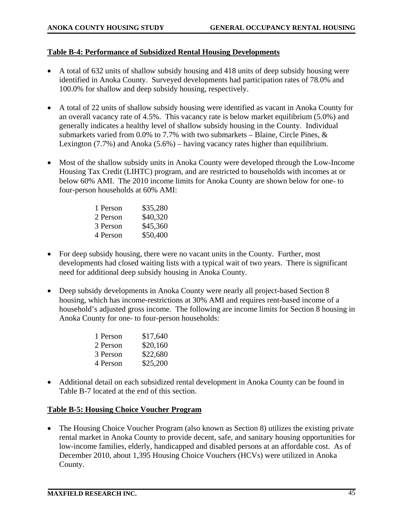### **Table B-4: Performance of Subsidized Rental Housing Developments**

- A total of 632 units of shallow subsidy housing and 418 units of deep subsidy housing were identified in Anoka County. Surveyed developments had participation rates of 78.0% and 100.0% for shallow and deep subsidy housing, respectively.
- A total of 22 units of shallow subsidy housing were identified as vacant in Anoka County for an overall vacancy rate of 4.5%. This vacancy rate is below market equilibrium (5.0%) and generally indicates a healthy level of shallow subsidy housing in the County. Individual submarkets varied from 0.0% to 7.7% with two submarkets – Blaine, Circle Pines,  $\&$ Lexington (7.7%) and Anoka (5.6%) – having vacancy rates higher than equilibrium.
- Most of the shallow subsidy units in Anoka County were developed through the Low-Income Housing Tax Credit (LIHTC) program, and are restricted to households with incomes at or below 60% AMI. The 2010 income limits for Anoka County are shown below for one- to four-person households at 60% AMI:

| 1 Person | \$35,280 |
|----------|----------|
| 2 Person | \$40,320 |
| 3 Person | \$45,360 |
| 4 Person | \$50,400 |
|          |          |

- For deep subsidy housing, there were no vacant units in the County. Further, most developments had closed waiting lists with a typical wait of two years. There is significant need for additional deep subsidy housing in Anoka County.
- Deep subsidy developments in Anoka County were nearly all project-based Section 8 housing, which has income-restrictions at 30% AMI and requires rent-based income of a household's adjusted gross income. The following are income limits for Section 8 housing in Anoka County for one- to four-person households:

| \$17,640 |
|----------|
| \$20,160 |
| \$22,680 |
| \$25,200 |
|          |

• Additional detail on each subsidized rental development in Anoka County can be found in Table B-7 located at the end of this section.

### **Table B-5: Housing Choice Voucher Program**

• The Housing Choice Voucher Program (also known as Section 8) utilizes the existing private rental market in Anoka County to provide decent, safe, and sanitary housing opportunities for low-income families, elderly, handicapped and disabled persons at an affordable cost. As of December 2010, about 1,395 Housing Choice Vouchers (HCVs) were utilized in Anoka County.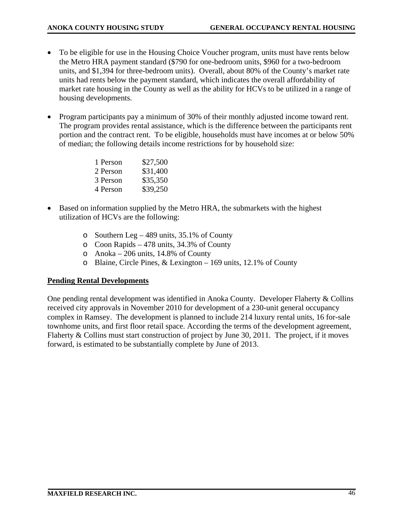- To be eligible for use in the Housing Choice Voucher program, units must have rents below the Metro HRA payment standard (\$790 for one-bedroom units, \$960 for a two-bedroom units, and \$1,394 for three-bedroom units). Overall, about 80% of the County's market rate units had rents below the payment standard, which indicates the overall affordability of market rate housing in the County as well as the ability for HCVs to be utilized in a range of housing developments.
- Program participants pay a minimum of 30% of their monthly adjusted income toward rent. The program provides rental assistance, which is the difference between the participants rent portion and the contract rent. To be eligible, households must have incomes at or below 50% of median; the following details income restrictions for by household size:

| 1 Person | \$27,500 |
|----------|----------|
| 2 Person | \$31,400 |
| 3 Person | \$35,350 |
| 4 Person | \$39,250 |

- Based on information supplied by the Metro HRA, the submarkets with the highest utilization of HCVs are the following:
	- o Southern Leg 489 units, 35.1% of County
	- o Coon Rapids 478 units, 34.3% of County
	- o Anoka 206 units, 14.8% of County
	- o Blaine, Circle Pines, & Lexington 169 units, 12.1% of County

# **Pending Rental Developments**

One pending rental development was identified in Anoka County. Developer Flaherty & Collins received city approvals in November 2010 for development of a 230-unit general occupancy complex in Ramsey. The development is planned to include 214 luxury rental units, 16 for-sale townhome units, and first floor retail space. According the terms of the development agreement, Flaherty & Collins must start construction of project by June 30, 2011. The project, if it moves forward, is estimated to be substantially complete by June of 2013.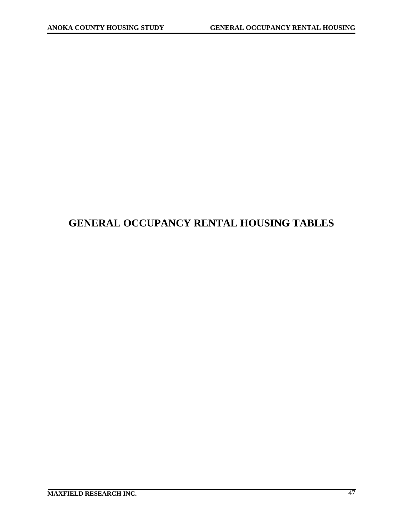# **GENERAL OCCUPANCY RENTAL HOUSING TABLES**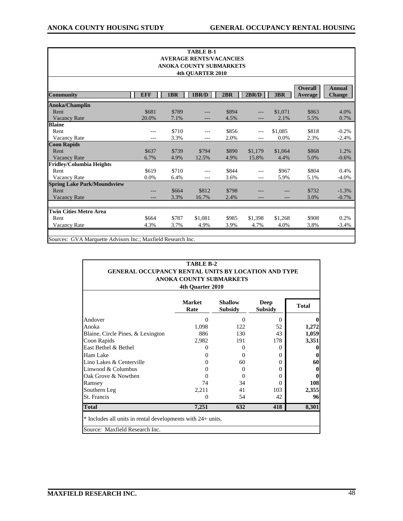| <b>Overall</b><br><b>EFF</b><br>1BR<br>1BR/D<br>2BR<br>2BR/D<br>3BR<br>Average<br>\$863<br>\$681<br>\$789<br>\$894<br>\$1,071<br>Rent<br>---<br>Vacancy Rate<br>20.0%<br>7.1%<br>5.5%<br>4.5%<br>2.1%<br>---<br>\$710<br>\$818<br>\$856<br>\$1,085<br>Rent<br>---<br>$---$<br>Vacancy Rate<br>3.3%<br>2.0%<br>0.0%<br>2.3%<br>---<br>---<br>---<br>\$739<br>\$890<br>\$868<br>\$637<br>\$794<br>\$1,179<br>\$1,064<br>Rent<br><b>Vacancy Rate</b><br>5.0%<br>6.7%<br>4.9%<br>12.5%<br>4.9%<br>15.8%<br>4.4%<br>\$619<br>\$710<br>\$804<br>\$844<br>\$967<br>Rent<br>Vacancy Rate<br>0.0%<br>6.4%<br>5.1%<br>3.6%<br>5.9%<br>$---$<br>---<br>\$812<br>\$732<br>\$664<br>\$798<br>Rent<br>3.3%<br>2.4%<br>3.0%<br><b>Vacancy Rate</b><br>16.7%<br>\$787<br>\$908<br>\$664<br>\$1,081<br>\$985<br>\$1,398<br>\$1,268<br>Rent | <b>TABLE B-1</b><br><b>AVERAGE RENTS/VACANCIES</b><br>ANOKA COUNTY SUBMARKETS<br>4th QUARTER 2010 |      |      |      |      |      |      |      |         |  |  |  |  |  |  |
|---------------------------------------------------------------------------------------------------------------------------------------------------------------------------------------------------------------------------------------------------------------------------------------------------------------------------------------------------------------------------------------------------------------------------------------------------------------------------------------------------------------------------------------------------------------------------------------------------------------------------------------------------------------------------------------------------------------------------------------------------------------------------------------------------------------------------|---------------------------------------------------------------------------------------------------|------|------|------|------|------|------|------|---------|--|--|--|--|--|--|
| <b>Community</b><br><b>Coon Rapids</b><br><b>Spring Lake Park/Moundsview</b><br><b>Twin Cities Metro Area</b>                                                                                                                                                                                                                                                                                                                                                                                                                                                                                                                                                                                                                                                                                                             |                                                                                                   |      |      |      |      |      |      |      |         |  |  |  |  |  |  |
| Anoka/Champlin<br><b>Fridley/Columbia Heights</b>                                                                                                                                                                                                                                                                                                                                                                                                                                                                                                                                                                                                                                                                                                                                                                         | <b>Annual</b><br><b>Change</b>                                                                    |      |      |      |      |      |      |      |         |  |  |  |  |  |  |
| <b>Blaine</b>                                                                                                                                                                                                                                                                                                                                                                                                                                                                                                                                                                                                                                                                                                                                                                                                             |                                                                                                   |      |      |      |      |      |      |      |         |  |  |  |  |  |  |
|                                                                                                                                                                                                                                                                                                                                                                                                                                                                                                                                                                                                                                                                                                                                                                                                                           |                                                                                                   |      |      |      |      |      |      |      | 4.0%    |  |  |  |  |  |  |
|                                                                                                                                                                                                                                                                                                                                                                                                                                                                                                                                                                                                                                                                                                                                                                                                                           |                                                                                                   |      |      |      |      |      |      |      | 0.7%    |  |  |  |  |  |  |
|                                                                                                                                                                                                                                                                                                                                                                                                                                                                                                                                                                                                                                                                                                                                                                                                                           |                                                                                                   |      |      |      |      |      |      |      |         |  |  |  |  |  |  |
|                                                                                                                                                                                                                                                                                                                                                                                                                                                                                                                                                                                                                                                                                                                                                                                                                           |                                                                                                   |      |      |      |      |      |      |      | $-0.2%$ |  |  |  |  |  |  |
|                                                                                                                                                                                                                                                                                                                                                                                                                                                                                                                                                                                                                                                                                                                                                                                                                           |                                                                                                   |      |      |      |      |      |      |      | $-2.4%$ |  |  |  |  |  |  |
|                                                                                                                                                                                                                                                                                                                                                                                                                                                                                                                                                                                                                                                                                                                                                                                                                           |                                                                                                   |      |      |      |      |      |      |      |         |  |  |  |  |  |  |
|                                                                                                                                                                                                                                                                                                                                                                                                                                                                                                                                                                                                                                                                                                                                                                                                                           |                                                                                                   |      |      |      |      |      |      |      | 1.2%    |  |  |  |  |  |  |
|                                                                                                                                                                                                                                                                                                                                                                                                                                                                                                                                                                                                                                                                                                                                                                                                                           |                                                                                                   |      |      |      |      |      |      |      | $-0.6%$ |  |  |  |  |  |  |
|                                                                                                                                                                                                                                                                                                                                                                                                                                                                                                                                                                                                                                                                                                                                                                                                                           |                                                                                                   |      |      |      |      |      |      |      |         |  |  |  |  |  |  |
|                                                                                                                                                                                                                                                                                                                                                                                                                                                                                                                                                                                                                                                                                                                                                                                                                           |                                                                                                   |      |      |      |      |      |      |      | 0.4%    |  |  |  |  |  |  |
|                                                                                                                                                                                                                                                                                                                                                                                                                                                                                                                                                                                                                                                                                                                                                                                                                           |                                                                                                   |      |      |      |      |      |      |      | $-4.0%$ |  |  |  |  |  |  |
|                                                                                                                                                                                                                                                                                                                                                                                                                                                                                                                                                                                                                                                                                                                                                                                                                           |                                                                                                   |      |      |      |      |      |      |      |         |  |  |  |  |  |  |
|                                                                                                                                                                                                                                                                                                                                                                                                                                                                                                                                                                                                                                                                                                                                                                                                                           |                                                                                                   |      |      |      |      |      |      |      | $-1.3%$ |  |  |  |  |  |  |
|                                                                                                                                                                                                                                                                                                                                                                                                                                                                                                                                                                                                                                                                                                                                                                                                                           |                                                                                                   |      |      |      |      |      |      |      | $-0.7%$ |  |  |  |  |  |  |
|                                                                                                                                                                                                                                                                                                                                                                                                                                                                                                                                                                                                                                                                                                                                                                                                                           |                                                                                                   |      |      |      |      |      |      |      |         |  |  |  |  |  |  |
|                                                                                                                                                                                                                                                                                                                                                                                                                                                                                                                                                                                                                                                                                                                                                                                                                           |                                                                                                   |      |      |      |      |      |      |      | 0.2%    |  |  |  |  |  |  |
|                                                                                                                                                                                                                                                                                                                                                                                                                                                                                                                                                                                                                                                                                                                                                                                                                           | Vacancy Rate                                                                                      | 4.3% | 3.7% | 4.9% | 3.9% | 4.7% | 4.0% | 3.8% | $-3.4%$ |  |  |  |  |  |  |

| TABLE B-2<br><b>GENERAL OCCUPANCY RENTAL UNITS BY LOCATION AND TYPE</b><br><b>ANOKA COUNTY SUBMARKETS</b><br>4th Quarter 2010 |                       |                                  |                        |              |  |  |  |  |  |  |  |
|-------------------------------------------------------------------------------------------------------------------------------|-----------------------|----------------------------------|------------------------|--------------|--|--|--|--|--|--|--|
|                                                                                                                               | <b>Market</b><br>Rate | <b>Shallow</b><br><b>Subsidy</b> | Deep<br><b>Subsidy</b> | <b>Total</b> |  |  |  |  |  |  |  |
| Andover                                                                                                                       | 0                     | $\Omega$                         | $\Omega$               |              |  |  |  |  |  |  |  |
| Anoka                                                                                                                         | 1,098                 | 122.                             | 52                     | 1,272        |  |  |  |  |  |  |  |
| Blaine, Circle Pines, & Lexington                                                                                             | 886                   | 130                              | 43                     | 1,059        |  |  |  |  |  |  |  |
| Coon Rapids                                                                                                                   | 2,982                 | 191                              | 178                    | 3,351        |  |  |  |  |  |  |  |
| East Bethel & Bethel                                                                                                          | 0                     | $\Omega$                         | 0                      |              |  |  |  |  |  |  |  |
| Ham Lake                                                                                                                      | 0                     | 0                                | $\Omega$               |              |  |  |  |  |  |  |  |
| Lino Lakes & Centerville                                                                                                      | 0                     | 60                               | $\Omega$               | 60           |  |  |  |  |  |  |  |
| Linwood & Columbus                                                                                                            | 0                     | $\Omega$                         | $\Omega$               |              |  |  |  |  |  |  |  |
| Oak Grove & Nowthen                                                                                                           | $\mathbf{\Omega}$     | 0                                | $\Omega$               |              |  |  |  |  |  |  |  |
| Ramsey                                                                                                                        | 74                    | 34                               | $\Omega$               | 108          |  |  |  |  |  |  |  |
| Southern Leg                                                                                                                  | 2,211                 | 41                               | 103                    | 2,355        |  |  |  |  |  |  |  |
| St. Francis                                                                                                                   | 0                     | 54                               | 42                     | 96           |  |  |  |  |  |  |  |
| <b>Total</b>                                                                                                                  | 7,251                 | 632                              | 418                    | 8,301        |  |  |  |  |  |  |  |
| * Includes all units in rental developments with 24+ units.<br>Source: Maxfield Research Inc.                                 |                       |                                  |                        |              |  |  |  |  |  |  |  |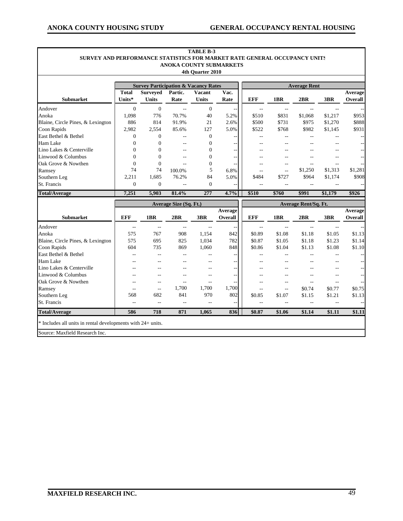٦

|                                   |                        |                          |                        | 4th Quarter 2010              |                          |                          |                          |                             |                          |                           |
|-----------------------------------|------------------------|--------------------------|------------------------|-------------------------------|--------------------------|--------------------------|--------------------------|-----------------------------|--------------------------|---------------------------|
|                                   | <b>Average Rent</b>    |                          |                        |                               |                          |                          |                          |                             |                          |                           |
| Submarket                         | <b>Total</b><br>Units* | <b>Surveyed</b><br>Units | Partic.<br>Rate        | <b>Vacant</b><br><b>Units</b> | Vac.<br>Rate             | <b>EFF</b>               | 1BR                      | 2BR                         | 3BR                      | Average<br>Overall        |
| Andover                           | $\overline{0}$         | $\overline{0}$           | $\overline{a}$         | $\mathbf{0}$                  | $\overline{a}$           | $\overline{\phantom{a}}$ | $\overline{\phantom{a}}$ | $\overline{a}$              | $\overline{\phantom{a}}$ |                           |
| Anoka                             | 1,098                  | 776                      | 70.7%                  | 40                            | 5.2%                     | \$510                    | \$831                    | \$1,068                     | \$1,217                  | \$953                     |
| Blaine, Circle Pines, & Lexington | 886                    | 814                      | 91.9%                  | 21                            | 2.6%                     | \$500                    | \$731                    | \$975                       | \$1,270                  | \$888                     |
| Coon Rapids                       | 2,982                  | 2,554                    | 85.6%                  | 127                           | 5.0%                     | \$522                    | \$768                    | \$982                       | \$1,145                  | \$931                     |
| East Bethel & Bethel              | $\overline{0}$         | $\overline{0}$           | $\sim$                 | $\theta$                      | $-$                      | $\overline{a}$           |                          |                             |                          |                           |
| Ham Lake                          | $\overline{0}$         | $\overline{0}$           | $-$                    | $\mathbf{0}$                  | --                       | $-$                      | $\sim$                   |                             |                          |                           |
| Lino Lakes & Centerville          | $\theta$               | $\overline{0}$           | $-$                    | $\overline{0}$                | --                       | $\overline{a}$           |                          |                             |                          |                           |
| Linwood & Columbus                | $\theta$               | $\Omega$                 | $-$                    | $\theta$                      | $-$                      |                          |                          |                             |                          |                           |
| Oak Grove & Nowthen               | $\mathbf{0}$           | $\overline{0}$           | $\sim$                 | $\overline{0}$                | $\overline{a}$           | $-$                      |                          | $\sim$                      | $\overline{a}$           |                           |
| Ramsey                            | 74                     | 74                       | 100.0%                 | 5                             | 6.8%                     |                          |                          | \$1,250                     | \$1,313                  | \$1,281                   |
| Southern Leg                      | 2,211                  | 1,685                    | 76.2%                  | 84                            | 5.0%                     | \$484                    | \$727                    | \$964                       | \$1,174                  | \$908                     |
| St. Francis                       | $\overline{0}$         | $\overline{0}$           | ÷,                     | $\overline{0}$                |                          |                          | $-$                      | Ξ.                          | $\overline{\phantom{a}}$ |                           |
| <b>Total/Average</b>              | 7,251                  | 5,903                    | 81.4%                  | 277                           | 4.7%                     | \$510                    | \$760                    | \$991                       | \$1,179                  | \$926                     |
|                                   |                        |                          | Average Size (Sq. Ft.) |                               |                          |                          |                          | Average Rent/Sq. Ft.        |                          |                           |
| <b>Submarket</b>                  | <b>EFF</b>             | 1BR                      | 2BR                    | 3BR                           | Average<br>Overall       | <b>EFF</b>               | 1BR                      | 2BR                         | 3BR                      | Average<br><b>Overall</b> |
| Andover                           | $\mathbf{u}$           | $\sim$                   | $\mathbf{u}$           | $\sim$ $\sim$                 | $\overline{\phantom{a}}$ | $\overline{\phantom{a}}$ | $\overline{a}$           | $\mathcal{L}^{\mathcal{L}}$ | $\overline{\phantom{a}}$ |                           |
| Anoka                             | 575                    | 767                      | 908                    | 1,154                         | 842                      | \$0.89                   | \$1.08                   | \$1.18                      | \$1.05                   | \$1.13                    |
| Blaine, Circle Pines, & Lexington | 575                    | 695                      | 825                    | 1,034                         | 782                      | \$0.87                   | \$1.05                   | \$1.18                      | \$1.23                   | \$1.14                    |
| Coon Rapids                       | 604                    | 735                      | 869                    | 1,060                         | 848                      | \$0.86                   | \$1.04                   | \$1.13                      | \$1.08                   | \$1.10                    |
| East Bethel & Bethel              | $-$                    | $-$                      | $-$                    | $-$                           | --                       | $\overline{a}$           |                          | --                          | $-$                      |                           |
| Ham Lake                          | $-$                    | $-$                      | $\overline{a}$         | $\overline{a}$                | $\overline{a}$           | $-$                      |                          |                             |                          |                           |
| Lino Lakes & Centerville          |                        | $\overline{a}$           |                        | $-$                           | $\overline{\phantom{m}}$ | $-$                      |                          |                             |                          | $-$                       |
| Linwood & Columbus                |                        | $\overline{a}$           |                        | $-$                           | $- -$                    | $\overline{a}$           |                          |                             |                          |                           |
| Oak Grove & Nowthen               |                        | $-$                      | Ξ.                     | Ξ.                            | $\overline{a}$           | $-$                      | $\overline{a}$           | --                          | $-$                      |                           |
| Ramsey                            | $\overline{a}$         | $\overline{a}$           | 1,700                  | 1,700                         | 1,700                    | Ξ.                       | $-$                      | \$0.74                      | \$0.77                   | \$0.75                    |
| Southern Leg                      | 568                    | 682                      | 841                    | 970                           | 802                      | \$0.85                   | \$1.07                   | \$1.15                      | \$1.21                   | \$1.13                    |
| St. Francis                       | $\sim$                 | $-$                      | $\sim$                 | $-$                           | $-$                      | $\sim$                   | $\sim$                   | $-$                         | $\sim$                   |                           |
|                                   |                        |                          |                        |                               |                          |                          |                          |                             |                          |                           |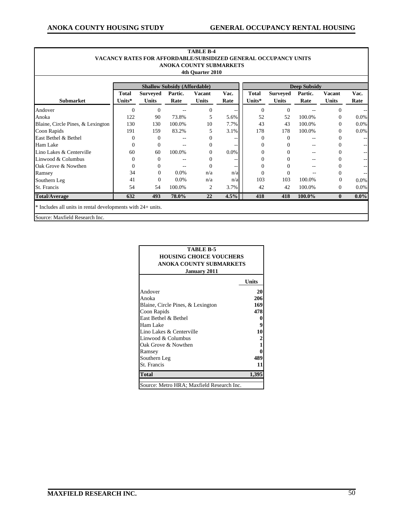г

٦

|                                   |                  |                                 |                                                        | ANOKA COUNTY SUBMARKETS<br>4th Quarter 2010 |              |                        |                                 |                 |                        |              |
|-----------------------------------|------------------|---------------------------------|--------------------------------------------------------|---------------------------------------------|--------------|------------------------|---------------------------------|-----------------|------------------------|--------------|
|                                   |                  | <b>Deep Subsidy</b>             |                                                        |                                             |              |                        |                                 |                 |                        |              |
| Submarket                         | Total<br>Units*  | <b>Surveyed</b><br><b>Units</b> | <b>Shallow Subsidy (Affordable)</b><br>Partic.<br>Rate | <b>Vacant</b><br><b>Units</b>               | Vac.<br>Rate | <b>Total</b><br>Units* | <b>Surveyed</b><br><b>Units</b> | Partic.<br>Rate | Vacant<br><b>Units</b> | Vac.<br>Rate |
| Andover                           | $\Omega$         | $\Omega$                        |                                                        | $\Omega$                                    | ٠.           | $\Omega$               | $\Omega$                        |                 | $\Omega$               |              |
| Anoka                             | 122              | 90                              | 73.8%                                                  | 5                                           | 5.6%         | 52                     | 52                              | 100.0%          | $\Omega$               | 0.0%         |
| Blaine, Circle Pines, & Lexington | 130              | 130                             | 100.0%                                                 | 10                                          | 7.7%         | 43                     | 43                              | 100.0%          | $\Omega$               | 0.0%         |
| Coon Rapids                       | 191              | 159                             | 83.2%                                                  | 5                                           | 3.1%         | 178                    | 178                             | 100.0%          | $\Omega$               | 0.0%         |
| East Bethel & Bethel              | $\overline{0}$   | $\Omega$                        |                                                        | $\Omega$                                    |              | $\theta$               | $\Omega$                        | $-$             | $\Omega$               |              |
| Ham Lake                          | $\boldsymbol{0}$ | $\overline{0}$                  |                                                        | $\Omega$                                    |              | 0                      | 0                               | $-$             | $\Omega$               |              |
| Lino Lakes & Centerville          | 60               | 60                              | 100.0%                                                 | $\Omega$                                    | 0.0%         | 0                      |                                 |                 | $\Omega$               |              |
| Linwood & Columbus                | $\mathbf{0}$     | $\Omega$                        |                                                        | $\Omega$                                    | ۰.           | 0                      |                                 | --              | $\Omega$               |              |
| Oak Grove & Nowthen               | $\overline{0}$   | $\Omega$                        | --                                                     | $\Omega$                                    |              |                        |                                 |                 | 0                      |              |
| Ramsey                            | 34               | $\Omega$                        | $0.0\%$                                                | n/a                                         | n/a          | $\Omega$               | $\Omega$                        | --              | $\Omega$               |              |
| Southern Leg                      | 41               | $\Omega$                        | 0.0%                                                   | n/a                                         | n/a          | 103                    | 103                             | 100.0%          | $\mathbf{0}$           | 0.0%         |
| St. Francis                       | 54               | 54                              | 100.0%                                                 | 2                                           | 3.7%         | 42                     | 42                              | 100.0%          | $\mathbf{0}$           | 0.0%         |
| <b>Total/Average</b>              | 632              | 493                             | 78.0%                                                  | 22                                          | 4.5%         | 418                    | 418                             | 100.0%          | $\mathbf{0}$           | $0.0\%$      |

| TABLE B-5                                 |              |  |  |  |  |  |  |  |  |
|-------------------------------------------|--------------|--|--|--|--|--|--|--|--|
| <b>HOUSING CHOICE VOUCHERS</b>            |              |  |  |  |  |  |  |  |  |
| <b>ANOKA COUNTY SUBMARKETS</b>            |              |  |  |  |  |  |  |  |  |
| <b>January 2011</b>                       |              |  |  |  |  |  |  |  |  |
|                                           | Units        |  |  |  |  |  |  |  |  |
| Andover                                   | 20           |  |  |  |  |  |  |  |  |
| Anoka                                     | 206          |  |  |  |  |  |  |  |  |
| Blaine, Circle Pines, & Lexington         | 169          |  |  |  |  |  |  |  |  |
| Coon Rapids                               | 478          |  |  |  |  |  |  |  |  |
| East Bethel & Bethel                      | 0            |  |  |  |  |  |  |  |  |
| Ham Lake                                  | 9            |  |  |  |  |  |  |  |  |
| Lino Lakes & Centerville                  | 10           |  |  |  |  |  |  |  |  |
| Linwood & Columbus                        | 2            |  |  |  |  |  |  |  |  |
| Oak Grove & Nowthen                       | $\mathbf{1}$ |  |  |  |  |  |  |  |  |
| Ramsey                                    | 0            |  |  |  |  |  |  |  |  |
| Southern Leg                              | 489          |  |  |  |  |  |  |  |  |
| St. Francis                               | 11           |  |  |  |  |  |  |  |  |
| <b>Total</b>                              | 1,395        |  |  |  |  |  |  |  |  |
| Source: Metro HRA; Maxfield Research Inc. |              |  |  |  |  |  |  |  |  |

# **TABLE B-4**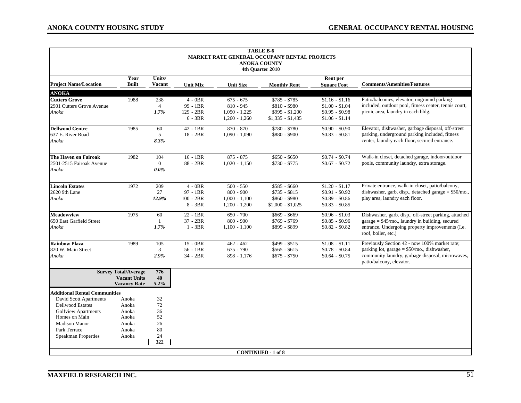| <b>TABLE B-6</b><br><b>MARKET RATE GENERAL OCCUPANY RENTAL PROJECTS</b><br><b>ANOKA COUNTY</b><br>4th Quarter 2010                                              |                                                                           |                                               |                                                   |                                                                  |                                                                        |                                                                          |                                                                                                                                                                                      |  |  |  |
|-----------------------------------------------------------------------------------------------------------------------------------------------------------------|---------------------------------------------------------------------------|-----------------------------------------------|---------------------------------------------------|------------------------------------------------------------------|------------------------------------------------------------------------|--------------------------------------------------------------------------|--------------------------------------------------------------------------------------------------------------------------------------------------------------------------------------|--|--|--|
| <b>Project Name/Location</b>                                                                                                                                    | Year<br><b>Built</b>                                                      | Units/<br><b>Vacant</b>                       | <b>Unit Mix</b>                                   | <b>Unit Size</b>                                                 | <b>Monthly Rent</b>                                                    | Rent per<br><b>Square Foot</b>                                           | <b>Comments/Amenities/Features</b>                                                                                                                                                   |  |  |  |
| <b>ANOKA</b>                                                                                                                                                    |                                                                           |                                               |                                                   |                                                                  |                                                                        |                                                                          |                                                                                                                                                                                      |  |  |  |
| <b>Cutters Grove</b><br>2901 Cutters Grove Avenue<br>Anoka                                                                                                      | 1988                                                                      | 238<br>$\overline{4}$<br>1.7%                 | $4 - 0BR$<br>99 - 1BR<br>129 - 2BR<br>$6 - 3BR$   | $675 - 675$<br>$810 - 945$<br>$1,050 - 1,225$<br>$1,260 - 1,260$ | $$785 - $785$<br>\$810 - \$980<br>$$995 - $1,200$<br>$$1,335 - $1,435$ | $$1.16 - $1.16$<br>$$1.00 - $1.04$<br>$$0.95 - $0.98$<br>$$1.06 - $1.14$ | Patio/balconies, elevator, unground parking<br>included, outdoor pool, fitness center, tennis court,<br>picnic area, laundry in each bldg.                                           |  |  |  |
| <b>Dellwood Centre</b><br>637 E. River Road<br>Anoka                                                                                                            | 1985                                                                      | 60<br>5<br>8.3%                               | 42 - 1BR<br>$18 - 2BR$                            | $870 - 870$<br>$1,090 - 1,090$                                   | \$780 - \$780<br>\$880 - \$900                                         | $$0.90 - $0.90$<br>$$0.83 - $0.81$                                       | Elevator, dishwasher, garbage disposal, off-street<br>parking, underground parking included, fitness<br>center, laundry each floor, secured entrance.                                |  |  |  |
| The Haven on Fairoak<br>2501-2515 Fairoak Avenue<br>Anoka                                                                                                       | 1982                                                                      | 104<br>$\overline{0}$<br>$0.0\%$              | $16 - 1BR$<br>88 - 2BR                            | $875 - 875$<br>$1,020 - 1,150$                                   | $$650 - $650$<br>$$730 - $775$                                         | $$0.74 - $0.74$<br>$$0.67 - $0.72$                                       | Walk-in closet, detached garage, indoor/outdoor<br>pools, community laundry, extra storage.                                                                                          |  |  |  |
| <b>Lincoln Estates</b><br>2620 9th Lane<br>Anoka                                                                                                                | 1972                                                                      | 209<br>27<br>12.9%                            | $4 - 0BR$<br>97 - 1BR<br>$100 - 2BR$<br>$8 - 3BR$ | $500 - 550$<br>$800 - 900$<br>$1,000 - 1,100$<br>$1,200 - 1,200$ | $$585 - $60$<br>$$735 - $815$<br>\$860 - \$980<br>$$1,000 - $1,025$    | $$1.20 - $1.17$<br>$$0.91 - $0.92$<br>$$0.89 - $0.86$<br>$$0.83 - $0.85$ | Private entrance, walk-in closet, patio/balcony,<br>dishwasher, garb. disp., detached garage = \$50/mo.,<br>play area, laundry each floor.                                           |  |  |  |
| <b>Meadowview</b><br>650 East Garfield Street<br>Anoka                                                                                                          | 1975                                                                      | 60<br>-1<br>1.7%                              | 22 - 1BR<br>37 - 2BR<br>$1 - 3BR$                 | $650 - 700$<br>$800 - 900$<br>$1,100 - 1,100$                    | $$669 - $669$<br>$$769 - $769$<br>\$899 - \$899                        | $$0.96 - $1.03$<br>$$0.85 - $0.96$<br>$$0.82 - $0.82$                    | Dishwasher, garb. disp., off-street parking, attached<br>$garage = $45/mo$ , laundry in building, secured<br>entrance. Undergoing property improvements (I.e.<br>roof, boiler, etc.) |  |  |  |
| <b>Rainbow Plaza</b><br>820 W. Main Street<br>Anoka                                                                                                             | 1989                                                                      | 105<br>3<br>2.9%                              | 15 - 0BR<br>$56 - 1BR$<br>34 - 2BR                | $462 - 462$<br>$675 - 790$<br>$898 - 1,176$                      | \$499 - \$515<br>$$565 - $615$<br>$$675 - $750$                        | $$1.08 - $1.11$<br>$$0.78 - $0.84$<br>$$0.64 - $0.75$                    | Previously Section 42 - now 100% market rate;<br>parking lot, garage = $$50/mo$ , dishwasher,<br>community laundry, garbage disposal, microwaves,<br>patio/balcony, elevator.        |  |  |  |
|                                                                                                                                                                 | <b>Survey Total/Average</b><br><b>Vacant Units</b><br><b>Vacancy Rate</b> | 776<br>40<br>5.2%                             |                                                   |                                                                  |                                                                        |                                                                          |                                                                                                                                                                                      |  |  |  |
| <b>Additional Rental Communities</b>                                                                                                                            |                                                                           |                                               |                                                   |                                                                  |                                                                        |                                                                          |                                                                                                                                                                                      |  |  |  |
| David Scott Apartments<br><b>Dellwood Estates</b><br>Golfview Apartments<br>Homes on Main<br><b>Madison Manor</b><br>Park Terrace<br><b>Speakman Properties</b> | Anoka<br>Anoka<br>Anoka<br>Anoka<br>Anoka<br>Anoka<br>Anoka               | 32<br>72<br>36<br>52<br>26<br>80<br>24<br>322 |                                                   |                                                                  |                                                                        |                                                                          |                                                                                                                                                                                      |  |  |  |
|                                                                                                                                                                 |                                                                           |                                               |                                                   |                                                                  | <b>CONTINUED - 1 of 8</b>                                              |                                                                          |                                                                                                                                                                                      |  |  |  |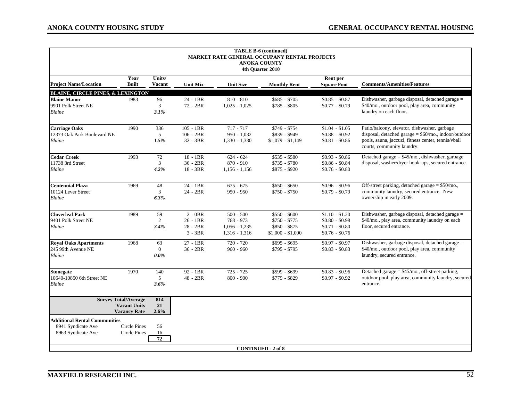| <b>TABLE B-6 (continued)</b><br><b>MARKET RATE GENERAL OCCUPANY RENTAL PROJECTS</b><br><b>ANOKA COUNTY</b><br>4th Quarter 2010 |                                                                           |                                 |                                                    |                                                                  |                                                                      |                                                                          |                                                                                                                                                                                            |  |  |  |  |
|--------------------------------------------------------------------------------------------------------------------------------|---------------------------------------------------------------------------|---------------------------------|----------------------------------------------------|------------------------------------------------------------------|----------------------------------------------------------------------|--------------------------------------------------------------------------|--------------------------------------------------------------------------------------------------------------------------------------------------------------------------------------------|--|--|--|--|
|                                                                                                                                | Year                                                                      | Units/                          |                                                    |                                                                  |                                                                      | Rent per                                                                 |                                                                                                                                                                                            |  |  |  |  |
| <b>Project Name/Location</b>                                                                                                   | <b>Built</b>                                                              | <b>Vacant</b>                   | <b>Unit Mix</b>                                    | <b>Unit Size</b>                                                 | <b>Monthly Rent</b>                                                  | <b>Square Foot</b>                                                       | <b>Comments/Amenities/Features</b>                                                                                                                                                         |  |  |  |  |
| <b>BLAINE, CIRCLE PINES, &amp; LEXINGTON</b><br><b>Blaine Manor</b><br>9901 Polk Street NE<br><b>Blaine</b>                    | 1983                                                                      | 96<br>3<br>3.1%                 | 24 - 1BR<br>72 - 2BR                               | $810 - 810$<br>$1,025 - 1,025$                                   | $$685 - $705$<br>$$785 - $805$                                       | $$0.85 - $0.87$<br>$$0.77 - $0.79$                                       | Dishwasher, garbage disposal, detached garage =<br>\$40/mo., outdoor pool, play area, community<br>laundry on each floor.                                                                  |  |  |  |  |
| <b>Carriage Oaks</b><br>12373 Oak Park Boulevard NE<br>Blaine                                                                  | 1990                                                                      | 336<br>5<br>1.5%                | $105 - 1BR$<br>$106 - 2BR$<br>32 - 3BR             | $717 - 717$<br>$950 - 1,032$<br>$1,330 - 1,330$                  | \$749 - \$754<br>\$839 - \$949<br>$$1,079 - $1,149$                  | $$1.04 - $1.05$<br>$$0.88 - $0.92$<br>$$0.81 - $0.86$                    | Patio/balcony, elevator, dishwasher, garbage<br>disposal, detached garage = $$60/mo$ , indoor/outdoor<br>pools, sauna, jaccuzi, fitness center, tennis/vball<br>courts, community laundry. |  |  |  |  |
| <b>Cedar Creek</b><br>11738 3rd Street<br><b>Blaine</b>                                                                        | 1993                                                                      | 72<br>3<br>4.2%                 | 18 - 1BR<br>$36 - 2BR$<br>$18 - 3BR$               | $624 - 624$<br>$870 - 910$<br>$1,156 - 1,156$                    | $$535 - $580$<br>$$735 - $780$<br>$$875 - $920$                      | $$0.93 - $0.86$<br>$$0.86 - $0.84$<br>$$0.76 - $0.80$                    | Detached garage = \$45/mo., dishwasher, garbage<br>disposal, washer/dryer hook-ups, secured entrance.                                                                                      |  |  |  |  |
| <b>Centennial Plaza</b><br>10124 Lever Street<br><b>Blaine</b>                                                                 | 1969                                                                      | 48<br>3<br>6.3%                 | $24 - 1BR$<br>$24 - 2BR$                           | $675 - 675$<br>$950 - 950$                                       | $$650 - $650$<br>$$750 - $750$                                       | $$0.96 - $0.96$<br>$$0.79 - $0.79$                                       | Off-street parking, detached garage = \$50/mo.,<br>community laundry, secured entrance. New<br>ownership in early 2009.                                                                    |  |  |  |  |
| <b>Cloverleaf Park</b><br>9401 Polk Street NE<br><b>Blaine</b>                                                                 | 1989                                                                      | 59<br>$\overline{2}$<br>3.4%    | $2 - 0BR$<br>$26 - 1BR$<br>$28 - 2BR$<br>$3 - 3BR$ | $500 - 500$<br>$768 - 973$<br>$1,056 - 1,235$<br>$1,316 - 1,316$ | $$550 - $600$<br>$$750 - $775$<br>$$850 - $875$<br>$$1,000 - $1,000$ | $$1.10 - $1.20$<br>$$0.80 - $0.98$<br>$$0.71 - $0.80$<br>$$0.76 - $0.76$ | Dishwasher, garbage disposal, detached garage =<br>\$40/mo., play area, community laundry on each<br>floor, secured entrance.                                                              |  |  |  |  |
| <b>Royal Oaks Apartments</b><br>245 99th Avenue NE<br><b>Blaine</b>                                                            | 1968                                                                      | 63<br>$\overline{0}$<br>$0.0\%$ | $27 - 1BR$<br>$36 - 2BR$                           | $720 - 720$<br>$960 - 960$                                       | $$695 - $695$<br>$$795 - $795$                                       | $$0.97 - $0.97$<br>$$0.83 - $0.83$                                       | Dishwasher, garbage disposal, detached garage =<br>\$40/mo., outdoor pool, play area, community<br>laundry, secured entrance.                                                              |  |  |  |  |
| <b>Stonegate</b><br>10640-10850 6th Street NE<br>Blaine                                                                        | 1970                                                                      | 140<br>5<br>3.6%                | 92 - 1BR<br>48 - 2BR                               | $725 - 725$<br>$800 - 900$                                       | \$599 - \$699<br>\$779 - \$829                                       | $$0.83 - $0.96$<br>$$0.97 - $0.92$$                                      | Detached garage = $$45/mo$ ., off-street parking,<br>outdoor pool, play area, community laundry, secured<br>entrance.                                                                      |  |  |  |  |
|                                                                                                                                | <b>Survey Total/Average</b><br><b>Vacant Units</b><br><b>Vacancy Rate</b> | 814<br>21<br>2.6%               |                                                    |                                                                  |                                                                      |                                                                          |                                                                                                                                                                                            |  |  |  |  |
| <b>Additional Rental Communities</b><br>8941 Syndicate Ave<br>8963 Syndicate Ave                                               | <b>Circle Pines</b><br>Circle Pines                                       | 56<br>16<br>72                  |                                                    |                                                                  |                                                                      |                                                                          |                                                                                                                                                                                            |  |  |  |  |
|                                                                                                                                |                                                                           |                                 |                                                    |                                                                  | <b>CONTINUED - 2 of 8</b>                                            |                                                                          |                                                                                                                                                                                            |  |  |  |  |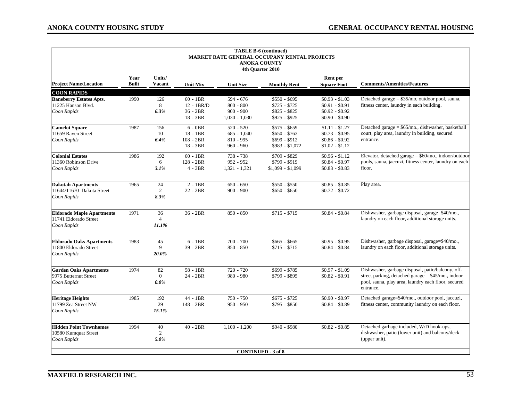| <b>TABLE B-6 (continued)</b><br><b>MARKET RATE GENERAL OCCUPANY RENTAL PROJECTS</b><br><b>ANOKA COUNTY</b><br>4th Quarter 2010 |                      |                                 |                                                    |                                                            |                                                                    |                                                                           |                                                                                                                                                                               |  |  |  |
|--------------------------------------------------------------------------------------------------------------------------------|----------------------|---------------------------------|----------------------------------------------------|------------------------------------------------------------|--------------------------------------------------------------------|---------------------------------------------------------------------------|-------------------------------------------------------------------------------------------------------------------------------------------------------------------------------|--|--|--|
| <b>Project Name/Location</b>                                                                                                   | Year<br><b>Built</b> | Units/<br>Vacant                | <b>Unit Mix</b>                                    | <b>Unit Size</b>                                           | <b>Monthly Rent</b>                                                | Rent per<br><b>Square Foot</b>                                            | <b>Comments/Amenities/Features</b>                                                                                                                                            |  |  |  |
| <b>COON RAPIDS</b>                                                                                                             |                      |                                 |                                                    |                                                            |                                                                    |                                                                           |                                                                                                                                                                               |  |  |  |
| <b>Baneberry Estates Apts.</b><br>11225 Hanson Blvd.<br>Coon Rapids                                                            | 1990                 | 126<br>8<br>6.3%                | $60 - 1BR$<br>$12 - 1BR/D$<br>36 - 2BR<br>18 - 3BR | 594 - 676<br>$800 - 800$<br>$900 - 900$<br>$1,030 - 1,030$ | $$550 - $695$<br>$$725 - $725$<br>$$825 - $825$<br>\$925 - \$925   | $$0.93 - $1.03$<br>$$0.91 - $0.91$<br>$$0.92 - $0.92$<br>$$0.90 - $0.90$  | Detached garage = \$35/mo, outdoor pool, sauna,<br>fitness center, laundry in each building.                                                                                  |  |  |  |
| <b>Camelot Square</b><br>11659 Raven Street<br>Coon Rapids                                                                     | 1987                 | 156<br>10<br>6.4%               | $6 - 0BR$<br>$18 - 1BR$<br>$108 - 2BR$<br>18 - 3BR | $520 - 520$<br>$685 - 1,040$<br>$810 - 995$<br>$960 - 960$ | $$575 - $659$<br>$$650 - $763$<br>\$699 - \$912<br>$$983 - $1,072$ | $$1.11 - $1.27$<br>$$0.73 - $0.95$<br>$$0.86 - $0.92$$<br>$$1.02 - $1.12$ | Detached garage = \$65/mo., dishwasher, basketball<br>court, play area, laundry in building, secured<br>entrance.                                                             |  |  |  |
| <b>Colonial Estates</b><br>11360 Robinson Drive<br>Coon Rapids                                                                 | 1986                 | 192<br>6<br>3.1%                | $60 - 1BR$<br>128 - 2BR<br>$4 - 3BR$               | 738 - 738<br>$952 - 952$<br>$1,321 - 1,321$                | \$709 - \$829<br>\$799 - \$919<br>$$1,099 - $1,099$                | $$0.96 - $1.12$<br>$$0.84 - $0.97$<br>$$0.83 - $0.83$                     | Elevator, detached garage = $$60/mo$ ., indoor/outdoor<br>pools, sauna, jaccuzi, fitness center, laundry on each<br>floor.                                                    |  |  |  |
| <b>Dakotah Apartments</b><br>11644/11670 Dakota Street<br>Coon Rapids                                                          | 1965                 | 24<br>2<br>8.3%                 | $2 - 1BR$<br>$22 - 2BR$                            | $650 - 650$<br>$900 - 900$                                 | $$550 - $550$<br>$$650 - $650$                                     | $$0.85 - $0.85$<br>$$0.72 - $0.72$                                        | Play area.                                                                                                                                                                    |  |  |  |
| <b>Eldorado Maple Apartments</b><br>11741 Eldorado Street<br>Coon Rapids                                                       | 1971                 | 36<br>$\overline{4}$<br>11.1%   | 36 - 2BR                                           | $850 - 850$                                                | $$715 - $715$                                                      | $$0.84 - $0.84$                                                           | Dishwasher, garbage disposal, garage=\$40/mo.,<br>laundry on each floor, additional storage units.                                                                            |  |  |  |
| <b>Eldorado Oaks Apartments</b><br>11800 Eldorado Street<br>Coon Rapids                                                        | 1983                 | 45<br>9<br>20.0%                | $6 - 1BR$<br>$39 - 2BR$                            | $700 - 700$<br>$850 - 850$                                 | $$665 - $665$<br>$$715 - $715$                                     | $$0.95 - $0.95$<br>$$0.84 - $0.84$                                        | Dishwasher, garbage disposal, garage=\$40/mo.,<br>laundry on each floor, additional storage units.                                                                            |  |  |  |
| <b>Garden Oaks Apartments</b><br>9975 Butternut Street<br>Coon Rapids                                                          | 1974                 | 82<br>$\overline{0}$<br>$0.0\%$ | $58 - 1BR$<br>24 - 2BR                             | $720 - 720$<br>980 - 980                                   | \$699 - \$785<br>\$799 - \$895                                     | $$0.97 - $1.09$<br>$$0.82 - $0.91$                                        | Dishwasher, garbage disposal, patio/balcony, off-<br>street parking, detached garage = $$45/$ mo., indoor<br>pool, sauna, play area, laundry each floor, secured<br>entrance. |  |  |  |
| <b>Heritage Heights</b><br>11799 Zea Street NW<br>Coon Rapids                                                                  | 1985                 | 192<br>29<br>15.1%              | 44 - 1BR<br>148 - 2BR                              | $750 - 750$<br>$950 - 950$                                 | $$675 - $725$<br>$$795 - $850$                                     | $$0.90 - $0.97$<br>$$0.84 - $0.89$                                        | Detached garage=\$40/mo., outdoor pool, jaccuzi,<br>fitness center, community laundry on each floor.                                                                          |  |  |  |
| <b>Hidden Point Townhomes</b><br>10580 Kumquat Street<br>Coon Rapids                                                           | 1994                 | 40<br>2<br>5.0%                 | $40 - 2BR$                                         | $1,100 - 1,200$                                            | $$940 - $980$                                                      | $$0.82 - $0.85$                                                           | Detached garbage included, W/D hook-ups,<br>dishwasher, patio (lower unit) and balcony/deck<br>(upper unit).                                                                  |  |  |  |
|                                                                                                                                |                      |                                 |                                                    |                                                            | <b>CONTINUED - 3 of 8</b>                                          |                                                                           |                                                                                                                                                                               |  |  |  |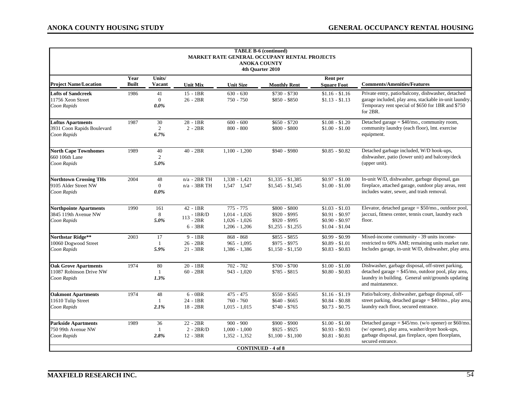| <b>TABLE B-6 (continued)</b><br><b>MARKET RATE GENERAL OCCUPANY RENTAL PROJECTS</b><br><b>ANOKA COUNTY</b><br>4th Quarter 2010 |                      |                                 |                                                      |                                                                      |                                                                      |                                                                          |                                                                                                                                                                                    |  |  |  |
|--------------------------------------------------------------------------------------------------------------------------------|----------------------|---------------------------------|------------------------------------------------------|----------------------------------------------------------------------|----------------------------------------------------------------------|--------------------------------------------------------------------------|------------------------------------------------------------------------------------------------------------------------------------------------------------------------------------|--|--|--|
| <b>Project Name/Location</b>                                                                                                   | Year<br><b>Built</b> | Units/<br><b>Vacant</b>         | <b>Unit Mix</b>                                      | <b>Unit Size</b>                                                     | <b>Monthly Rent</b>                                                  | Rent per<br><b>Square Foot</b>                                           | <b>Comments/Amenities/Features</b>                                                                                                                                                 |  |  |  |
| <b>Lofts of Sandcreek</b><br>11756 Xeon Street<br>Coon Rapids                                                                  | 1986                 | 41<br>$\mathbf{0}$<br>$0.0\%$   | $15 - 1BR$<br>$26 - 2BR$                             | $630 - 630$<br>$750 - 750$                                           | $$730 - $730$<br>$$850 - $850$                                       | $$1.16 - $1.16$<br>$$1.13 - $1.13$                                       | Private entry, patio/balcony, dishwasher, detached<br>garage included, play area, stackable in-unit laundry.<br>Temporary rent special of \$650 for 1BR and \$750<br>for 2BR.      |  |  |  |
| <b>Loftus Apartments</b><br>3931 Coon Rapids Boulevard<br>Coon Rapids                                                          | 1987                 | 30<br>$\overline{2}$<br>6.7%    | $28 - 1BR$<br>$2 - 2BR$                              | $600 - 600$<br>$800 - 800$                                           | $$650 - $720$<br>\$800 - \$800                                       | $$1.08 - $1.20$<br>$$1.00 - $1.00$                                       | Detached garage = $$40/mo$ , community room,<br>community laundry (each floor), lmt. exercise<br>equipment.                                                                        |  |  |  |
| <b>North Cape Townhomes</b><br>660 106th Lane<br>Coon Rapids                                                                   | 1989                 | 40<br>2<br>5.0%                 | $40 - 2BR$                                           | $1,100 - 1,200$                                                      | \$940 - \$980                                                        | $$0.85 - $0.82$                                                          | Detached garbage included, W/D hook-ups,<br>dishwasher, patio (lower unit) and balcony/deck<br>(upper unit).                                                                       |  |  |  |
| <b>Northtown Crossing THs</b><br>9105 Alder Street NW<br>Coon Rapids                                                           | 2004                 | 48<br>$\overline{0}$<br>$0.0\%$ | $n/a - 2BR$ TH<br>$n/a - 3BR$ TH                     | $1,338 - 1,421$<br>1,547 1,547                                       | $$1,335 - $1,385$<br>$$1,545 - $1,545$                               | $$0.97 - $1.00$<br>$$1.00 - $1.00$                                       | In-unit W/D, dishwasher, garbage disposal, gas<br>fireplace, attached garage, outdoor play areas, rent<br>includes water, sewer, and trash removal.                                |  |  |  |
| <b>Northpointe Apartments</b><br>3845 119th Avenue NW<br>Coon Rapids                                                           | 1990                 | 161<br>8<br>5.0%                | $42 - 1BR$<br>$-1BR/D$<br>113<br>$-2BR$<br>$6 - 3BR$ | $775 - 775$<br>$1,014 - 1,026$<br>$1,026 - 1,026$<br>$1,206 - 1,206$ | $$800 - $800$<br>\$920 - \$995<br>\$920 - \$995<br>$$1,255 - $1,255$ | $$1.03 - $1.03$<br>$$0.91 - $0.97$<br>$$0.90 - $0.97$<br>$$1.04 - $1.04$ | Elevator, detached garage $= $50/$ mo., outdoor pool,<br>jaccuzi, fitness center, tennis court, laundry each<br>floor.                                                             |  |  |  |
| Northstar Ridge**<br>10060 Dogwood Street<br>Coon Rapids                                                                       | 2003                 | 17<br>$\mathbf{1}$<br>5.9%      | $9 - 1BR$<br>26 - 2BR<br>21 - 3BR                    | $868 - 868$<br>$965 - 1,095$<br>$1,386 - 1,386$                      | $$855 - $855$<br>\$975 - \$975<br>$$1,150 - $1,150$                  | $$0.99 - $0.99$<br>$$0.89 - $1.01$<br>$$0.83 - $0.83$                    | Mixed-income community - 39 units income-<br>restricted to 60% AMI; remaining units market rate.<br>Includes garage, in-unit W/D, dishwasher, play area.                           |  |  |  |
| <b>Oak Grove Apartments</b><br>11087 Robinson Drive NW<br>Coon Rapids                                                          | 1974                 | 80<br>-1<br>1.3%                | $20 - 1BR$<br>$60 - 2BR$                             | $702 - 702$<br>$943 - 1,020$                                         | $$700 - $700$<br>$$785 - $815$                                       | $$1.00 - $1.00$<br>$$0.80 - $0.83$                                       | Dishwasher, garbage disposal, off-street parking,<br>detached garage = \$45/mo, outdoor pool, play area,<br>laundry in building. General unit/grounds updating<br>and maintanence. |  |  |  |
| <b>Oakmont Apartments</b><br>11610 Tulip Street<br>Coon Rapids                                                                 | 1974                 | 48<br>$\mathbf{1}$<br>2.1%      | $6 - 0BR$<br>24 - 1BR<br>18 - 2BR                    | $475 - 475$<br>$760 - 760$<br>$1,015 - 1,015$                        | $$550 - $565$<br>$$640 - $665$<br>$$740 - $765$                      | $$1.16 - $1.19$<br>$$0.84 - $0.88$<br>$$0.73 - $0.75$                    | Patio/balcony, dishwasher, garbage disposal, off-<br>street parking, detached garage = \$40/mo., play area,<br>laundry each floor, secured entrance.                               |  |  |  |
| <b>Parkside Apartments</b><br>750 99th Avenue NW<br>Coon Rapids                                                                | 1989                 | 36<br>$\mathbf{1}$<br>2.8%      | $22 - 2BR$<br>$2 - 2BR/D$<br>12 - 3BR                | $900 - 900$<br>$1,000 - 1,000$<br>$1,352 - 1,352$                    | $$900 - $900$<br>$$925 - $925$<br>$$1,100 - $1,100$                  | $$1.00 - $1.00$<br>$$0.93 - $0.93$<br>$$0.81 - $0.81$                    | Detached garage = $$45/mo.$ (w/o opener) or $$60/mo.$<br>(w/ opener), play area, washer/dryer hook-ups,<br>garbage disposal, gas fireplace, open floorplans,<br>secured entrance.  |  |  |  |
|                                                                                                                                |                      |                                 |                                                      |                                                                      | <b>CONTINUED - 4 of 8</b>                                            |                                                                          |                                                                                                                                                                                    |  |  |  |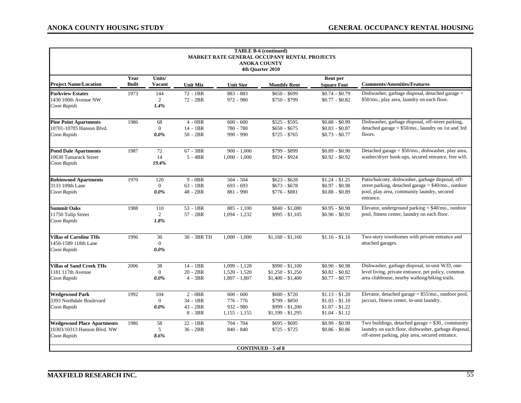| <b>TABLE B-6 (continued)</b><br><b>MARKET RATE GENERAL OCCUPANY RENTAL PROJECTS</b><br><b>ANOKA COUNTY</b><br>4th Quarter 2010 |                      |                                  |                                                  |                                                            |                                                                        |                                                                          |                                                                                                                                                                      |  |  |  |
|--------------------------------------------------------------------------------------------------------------------------------|----------------------|----------------------------------|--------------------------------------------------|------------------------------------------------------------|------------------------------------------------------------------------|--------------------------------------------------------------------------|----------------------------------------------------------------------------------------------------------------------------------------------------------------------|--|--|--|
| <b>Project Name/Location</b>                                                                                                   | Year<br><b>Built</b> | Units/<br><b>Vacant</b>          | <b>Unit Mix</b>                                  | <b>Unit Size</b>                                           | <b>Monthly Rent</b>                                                    | Rent per<br><b>Square Foot</b>                                           | <b>Comments/Amenities/Features</b>                                                                                                                                   |  |  |  |
| <b>Parkview Estates</b><br>1430 100th Avenue NW<br>Coon Rapids                                                                 | 1973                 | 144<br>2<br>1.4%                 | $72 - 1BR$<br>$72 - 2BR$                         | 883 - 883<br>$972 - 980$                                   | $$650 - $699$<br>\$750 - \$799                                         | $$0.74 - $0.79$<br>$$0.77 - $0.82$$                                      | Dishwasher, garbage disposal, detached garage =<br>\$50/mo., play area, laundry on each floor.                                                                       |  |  |  |
| <b>Pine Point Apartments</b><br>10701-10705 Hanson Blvd.<br>Coon Rapids                                                        | 1986                 | 68<br>$\Omega$<br>0.0%           | $4 - 0BR$<br>14 - 1BR<br>$50 - 2BR$              | $600 - 600$<br>780 - 780<br>990 - 990                      | $$525 - $595$<br>$$650 - $675$<br>$$725 - $765$                        | $$0.88 - $0.99$<br>$$0.83 - $0.87$<br>$$0.73 - $0.77$                    | Dishwasher, garbage disposal, off-street parking,<br>detached garage = $$50/mo$ , laundry on 1st and 3rd<br>floors.                                                  |  |  |  |
| <b>Pond Dale Apartments</b><br>10630 Tamarack Street<br>Coon Rapids                                                            | 1987                 | 72<br>14<br>19.4%                | $67 - 3BR$<br>$5 - 4BR$                          | $900 - 1,000$<br>$1,000 - 1,000$                           | \$799 - \$899<br>\$924 - \$924                                         | $$0.89 - $0.90$<br>$$0.92 - $0.92$                                       | Detached garage = \$50/mo., dishwasher, play area,<br>washer/dryer hook-ups, secured entrance, free wifi.                                                            |  |  |  |
| <b>Robinwood Apartments</b><br>3133 109th Lane<br>Coon Rapids                                                                  | 1970                 | 120<br>$\theta$<br>$0.0\%$       | $9 - 0BR$<br>$63 - 1BR$<br>48 - 2BR              | $504 - 504$<br>$693 - 693$<br>881 - 990                    | $$623 - $628$<br>$$673 - $678$<br>$$776 - $881$                        | $$1.24 - $1.25$<br>$$0.97 - $0.98$<br>$$0.88 - $0.89$                    | Patio/balcony, dishwasher, garbage disposal, off-<br>street parking, detached garage = \$40/mo., outdoor<br>pool, play area, community laundry, secured<br>entrance. |  |  |  |
| <b>Summit Oaks</b><br>11750 Tulip Street<br>Coon Rapids                                                                        | 1988                 | 110<br>2<br>1.8%                 | $53 - 1BR$<br>$57 - 2BR$                         | $885 - 1.100$<br>$1,094 - 1,232$                           | \$840 - \$1,080<br>$$995 - $1,105$                                     | $$0.95 - $0.98$<br>$$0.90 - $0.91$                                       | Elevator, underground parking $= $40$ /mo., outdoor<br>pool, fitness center, laundry on each floor.                                                                  |  |  |  |
| <b>Villas of Caroline THs</b><br>1450-1589 118th Lane<br>Coon Rapids                                                           | 1996                 | 30<br>$\Omega$<br>0.0%           | 30 - 3BR TH                                      | $1.000 - 1.000$                                            | $$1,160 - $1,160$                                                      | $$1.16 - $1.16$                                                          | Two-story townhomes with private entrance and<br>attached garages.                                                                                                   |  |  |  |
| Villas of Sand Creek THs<br>1181 117th Avenue<br>Coon Rapids                                                                   | 2006                 | 38<br>$\theta$<br>$0.0\%$        | 14 - 1BR<br>$20 - 2BR$<br>$4 - 3BR$              | $1,099 - 1,128$<br>$1,520 - 1,520$<br>$1,807 - 1,807$      | $$990 - $1,100$<br>$$1,250 - $1,250$<br>$$1,400 - $1,400$              | $$0.90 - $0.98$<br>$$0.82 - $0.82$<br>$$0.77 - $0.77$                    | Dishwasher, garbage disposal, in-unit W/D, one-<br>level living, private entrance, pet policy, common<br>area clubhouse, nearby walking/biking trails.               |  |  |  |
| <b>Wedgewood Park</b><br>3393 Northdale Boulevard<br>Coon Rapids                                                               | 1992                 | 104<br>$\overline{0}$<br>$0.0\%$ | $2 - 0BR$<br>34 - 1BR<br>$43 - 2BR$<br>$8 - 3BR$ | $600 - 600$<br>776 - 776<br>$932 - 980$<br>$1,155 - 1,155$ | $$680 - $720$<br>$$799 - $850$<br>\$999 - \$1,200<br>$$1,199 - $1,295$ | $$1.13 - $1.20$<br>$$1.03 - $1.10$<br>$$1.07 - $1.22$<br>$$1.04 - $1.12$ | Elevator, detached garage = \$55/mo., outdoor pool,<br>jaccuzi, fitness center, in-unit laundry.                                                                     |  |  |  |
| <b>Wedgewood Place Apartments</b><br>10303/10313 Hanson Blvd. NW<br>Coon Rapids                                                | 1986                 | 58<br>5<br>8.6%                  | 22 - 1BR<br>$36 - 2BR$                           | 704 - 704<br>$840 - 840$                                   | $$695 - $695$<br>$$725 - $725$                                         | $$0.99 - $0.99$<br>$$0.86 - $0.86$                                       | Two buildings, detached garage $= $30$ ., community<br>laundry on each floor, dishwasher, garbage disposal,<br>off-street parking, play area, secured entrance.      |  |  |  |
|                                                                                                                                |                      |                                  |                                                  |                                                            | <b>CONTINUED - 5 of 8</b>                                              |                                                                          |                                                                                                                                                                      |  |  |  |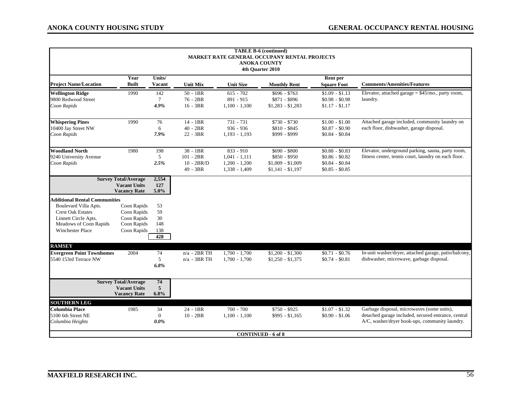| <b>TABLE B-6 (continued)</b><br><b>MARKET RATE GENERAL OCCUPANY RENTAL PROJECTS</b><br><b>ANOKA COUNTY</b><br>4th Quarter 2010                                         |                                                                           |                                     |                                                     |                                                                      |                                                                          |                                                                          |                                                                                                                                                     |  |  |  |
|------------------------------------------------------------------------------------------------------------------------------------------------------------------------|---------------------------------------------------------------------------|-------------------------------------|-----------------------------------------------------|----------------------------------------------------------------------|--------------------------------------------------------------------------|--------------------------------------------------------------------------|-----------------------------------------------------------------------------------------------------------------------------------------------------|--|--|--|
| <b>Project Name/Location</b>                                                                                                                                           | Year<br><b>Built</b>                                                      | Units/<br><b>Vacant</b>             | <b>Unit Mix</b>                                     | <b>Unit Size</b>                                                     | <b>Monthly Rent</b>                                                      | Rent per<br><b>Square Foot</b>                                           | <b>Comments/Amenities/Features</b>                                                                                                                  |  |  |  |
| <b>Wellington Ridge</b><br>9800 Redwood Street<br>Coon Rapids                                                                                                          | 1990                                                                      | 142<br>$7\phantom{.0}$<br>4.9%      | $50 - 1BR$<br>76 - 2BR<br>$16 - 3BR$                | $615 - 702$<br>$891 - 915$<br>$1,100 - 1,100$                        | $$696 - $763$<br>\$871 - \$896<br>$$1,283 - $1,283$                      | $$1.09 - $1.13$<br>$$0.98 - $0.98$<br>$$1.17 - $1.17$                    | Elevator, attached garage = $$45/mo$ ., party room,<br>laundry.                                                                                     |  |  |  |
| <b>Whispering Pines</b><br>10400 Jay Street NW<br>Coon Rapids                                                                                                          | 1990                                                                      | 76<br>6<br>7.9%                     | 14 - 1BR<br>$40 - 2BR$<br>22 - 3BR                  | 731 - 731<br>$936 - 936$<br>$1,193 - 1,193$                          | $$730 - $730$<br>\$810 - \$845<br>\$999 - \$999                          | $$1.00 - $1.00$<br>$$0.87 - $0.90$<br>$$0.84 - $0.84$                    | Attached garage included, community laundry on<br>each floor, dishwasher, garage disposal.                                                          |  |  |  |
| <b>Woodland North</b><br>9240 University Avenue<br>Coon Rapids                                                                                                         | 1980                                                                      | 198<br>5<br>2.5%                    | 38 - 1BR<br>$101 - 2BR$<br>$10 - 2BR/D$<br>49 - 3BR | $833 - 910$<br>$1,041 - 1,111$<br>$1,200 - 1,200$<br>$1,338 - 1,409$ | $$690 - $800$<br>$$850 - $950$<br>$$1,009 - $1,009$<br>$$1,141 - $1,197$ | $$0.88 - $0.83$<br>$$0.86 - $0.82$<br>$$0.84 - $0.84$<br>$$0.85 - $0.85$ | Elevator, underground parking, sauna, party room,<br>fitness center, tennis court, laundry on each floor.                                           |  |  |  |
|                                                                                                                                                                        | <b>Survey Total/Average</b><br><b>Vacant Units</b><br><b>Vacancy Rate</b> | 2,554<br>127<br>$5.0\%$             |                                                     |                                                                      |                                                                          |                                                                          |                                                                                                                                                     |  |  |  |
| <b>Additional Rental Communities</b><br>Boulevard Villa Apts.<br><b>Crest Oak Estates</b><br>Linnett Circle Apts.<br>Meadows of Coon Rapids<br><b>Winchester Place</b> | Coon Rapids<br>Coon Rapids<br>Coon Rapids<br>Coon Rapids<br>Coon Rapids   | 53<br>59<br>30<br>148<br>138<br>428 |                                                     |                                                                      |                                                                          |                                                                          |                                                                                                                                                     |  |  |  |
| <b>RAMSEY</b><br><b>Evergreen Point Townhomes</b><br>5540 153rd Terrace NW                                                                                             | 2004                                                                      | 74<br>5<br>6.8%                     | $n/a - 2BRTH$<br>$n/a - 3BR$ TH                     | $1.700 - 1.700$<br>$1,700 - 1,700$                                   | $$1,200 - $1,300$<br>$$1,250 - $1,375$                                   | $$0.71 - $0.76$<br>$$0.74 - $0.81$                                       | In-unit washer/dryer, attached garage, patio/balcony,<br>dishwasher, microwave, garbage disposal.                                                   |  |  |  |
|                                                                                                                                                                        | <b>Survey Total/Average</b><br><b>Vacant Units</b><br><b>Vacancy Rate</b> | 74<br>5<br>6.8%                     |                                                     |                                                                      |                                                                          |                                                                          |                                                                                                                                                     |  |  |  |
| <b>SOUTHERN LEG</b><br><b>Columbia Place</b><br>5100 6th Street NE<br>Columbia Heights                                                                                 | 1985                                                                      | 34<br>$\mathbf{0}$<br>0.0%          | $24 - 1BR$<br>$10 - 2BR$                            | $700 - 700$<br>$1,100 - 1,100$                                       | $$750 - $925$<br>$$995 - $1,165$<br><b>CONTINUED - 6 of 8</b>            | $\overline{$1.07 - $1.32}$<br>$$0.90 - $1.06$                            | Garbage disposal, microwaves (some units),<br>detached garage included, secured entrance, central<br>A/C, washer/dryer hook-ups, community laundry. |  |  |  |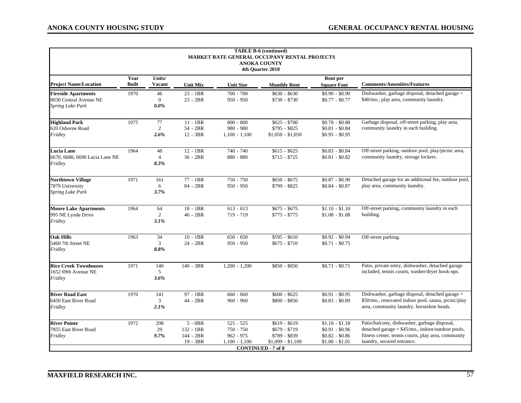| <b>TABLE B-6 (continued)</b><br><b>MARKET RATE GENERAL OCCUPANY RENTAL PROJECTS</b><br><b>ANOKA COUNTY</b><br>4th Quarter 2010 |                      |                               |                        |                  |                                                |                                    |                                                                                            |  |  |  |
|--------------------------------------------------------------------------------------------------------------------------------|----------------------|-------------------------------|------------------------|------------------|------------------------------------------------|------------------------------------|--------------------------------------------------------------------------------------------|--|--|--|
| <b>Project Name/Location</b>                                                                                                   | Year<br><b>Built</b> | Units/<br><b>Vacant</b>       | <b>Unit Mix</b>        | <b>Unit Size</b> | <b>Monthly Rent</b>                            | Rent per<br><b>Square Foot</b>     | <b>Comments/Amenities/Features</b>                                                         |  |  |  |
|                                                                                                                                |                      |                               |                        | $700 - 700$      |                                                |                                    |                                                                                            |  |  |  |
| <b>Fireside Apartments</b><br>8030 Central Avenue NE<br><b>Spring Lake Park</b>                                                | 1970                 | 46<br>$\mathbf{0}$<br>$0.0\%$ | $23 - 1BR$<br>23 - 2BR | $950 - 950$      | $$630 - $630$<br>\$730 - \$730                 | $$0.90 - $0.90$<br>$$0.77 - $0.77$ | Dishwasher, garbage disposal, detached garage =<br>\$40/mo., play area, community laundry. |  |  |  |
| <b>Highland Park</b>                                                                                                           | 1975                 | 77                            | $\overline{11}$ - 1BR  | $800 - 800$      | $$625 - $700$                                  | $$0.78 - $0.88$                    | Garbage disposal, off-street parking, play area,                                           |  |  |  |
| 620 Osborne Road                                                                                                               |                      | 2                             | 54 - 2BR               | $980 - 980$      | $$795 - $825$                                  | $$0.81 - $0.84$                    | community laundry in each building.                                                        |  |  |  |
| Fridley                                                                                                                        |                      | 2.6%                          | 12 - 3BR               | $1,100 - 1,100$  | $$1,050 - $1,050$                              | $$0.95 - $0.95$                    |                                                                                            |  |  |  |
| Lucia Lane                                                                                                                     | 1964                 | 48                            | $12 - 1BR$             | $740 - 740$      | $$615 - $625$                                  | $$0.83 - $0.84$                    | Off-street parking, outdoor pool, play/picnic area,                                        |  |  |  |
| 6670, 6680, 6690 Lucia Lane NE                                                                                                 |                      | $\overline{4}$                | 36 - 2BR               | $880 - 880$      | $$715 - $725$                                  | $$0.81 - $0.82$                    | community laundry, storage lockers.                                                        |  |  |  |
| Fridley                                                                                                                        |                      | 8.3%                          |                        |                  |                                                |                                    |                                                                                            |  |  |  |
| <b>Northtown Village</b>                                                                                                       | 1971                 | 161                           | 77 - 1BR               | 750 - 750        | $$650 - $675$                                  | $$0.87 - $0.90$                    | Detached garage for an additional fee, outdoor pool,                                       |  |  |  |
| 7879 University                                                                                                                |                      | 6                             | 84 - 2BR               | $950 - 950$      | $$799 - $825$                                  | $$0.84 - $0.87$                    | play area, community laundry.                                                              |  |  |  |
| Spring Lake Park                                                                                                               |                      | 3.7%                          |                        |                  |                                                |                                    |                                                                                            |  |  |  |
| <b>Moore Lake Apartments</b>                                                                                                   | 1964                 | 64                            | 18 - 1BR               | $613 - 613$      | $$675 - $675$                                  | $$1.10 - $1.10$                    | Off-street parking, community laundry in each                                              |  |  |  |
| 995 NE Lynde Drive                                                                                                             |                      | 2                             | $46 - 2BR$             | 719 - 719        | $$775 - $775$                                  | $$1.08 - $1.08$                    | building.                                                                                  |  |  |  |
| Fridley                                                                                                                        |                      | 3.1%                          |                        |                  |                                                |                                    |                                                                                            |  |  |  |
| <b>Oak Hills</b>                                                                                                               | 1963                 | 34                            | $10 - 1BR$             | $650 - 650$      | $$595 - $610$                                  | $$0.92 - $0.94$                    | Off-street parking.                                                                        |  |  |  |
| 5460 7th Street NE                                                                                                             |                      | 3                             | 24 - 2BR               | $950 - 950$      | $$675 - $710$                                  | $$0.71 - $0.75$                    |                                                                                            |  |  |  |
| Fridley                                                                                                                        |                      | 8.8%                          |                        |                  |                                                |                                    |                                                                                            |  |  |  |
| <b>Rice Creek Townhouses</b>                                                                                                   | 1971                 | 140                           | 140 - 3BR              | $1,200 - 1,200$  | \$850 - \$850                                  | $$0.71 - $0.71$                    | Patio, private entry, dishwasher, detached garage                                          |  |  |  |
| 1652 69th Avenue NE                                                                                                            |                      | 5                             |                        |                  |                                                |                                    | included, tennis courts, washer/dryer hook-ups.                                            |  |  |  |
| Fridley                                                                                                                        |                      | 3.6%                          |                        |                  |                                                |                                    |                                                                                            |  |  |  |
| <b>River Road East</b>                                                                                                         | 1970                 | 141                           | 97 - 1BR               | $660 - 660$      | $$600 - $625$                                  | $$0.91 - $0.95$                    | Dishwasher, garbage disposal, detached garage =                                            |  |  |  |
| 6450 East River Road                                                                                                           |                      | 3                             | 44 - 2BR               | $960 - 960$      | $$800 - $850$                                  | $$0.83 - $0.89$                    | \$50/mo., renovated indoor pool, sauna, picnic/play                                        |  |  |  |
| Fridley                                                                                                                        |                      | 2.1%                          |                        |                  |                                                |                                    | area, community laundry, horseshoe heads.                                                  |  |  |  |
| <b>River Pointe</b>                                                                                                            | 1972                 | 298                           | $5 - 0BR$              | $525 - 525$      | $$619 - $619$                                  | $$1.18 - $1.18$                    | Patio/balcony, dishwasher, garbage disposal,                                               |  |  |  |
| 7855 East River Road                                                                                                           |                      | 29                            | $132 - 1BR$            | $750 - 750$      | $$679 - $719$                                  | $$0.91 - $0.96$                    | detached garage = $$45/mo$ ., indoor/outdoor pools,                                        |  |  |  |
| Fridley                                                                                                                        |                      | 9.7%                          | 144 - 2BR              | $962 - 975$      | \$789 - \$839                                  | $$0.82 - $0.86$                    | fitness center, tennis courts, play area, community                                        |  |  |  |
|                                                                                                                                |                      |                               | 19 - 3BR               | $1,100 - 1,100$  | $$1,099 - $1,109$<br><b>CONTINUED - 7 of 8</b> | $$1.00 - $1.01$                    | laundry, secured entrance.                                                                 |  |  |  |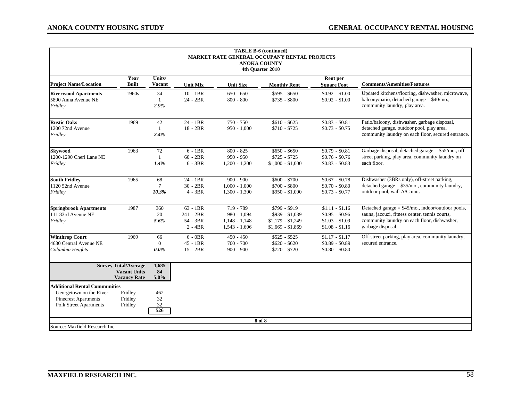| <b>TABLE B-6 (continued)</b><br>MARKET RATE GENERAL OCCUPANY RENTAL PROJECTS<br><b>ANOKA COUNTY</b><br>4th Quarter 2010         |                                                                           |                               |                                                  |                                                                  |                                                                            |                                                                          |                                                                                                                                                                          |  |  |  |  |
|---------------------------------------------------------------------------------------------------------------------------------|---------------------------------------------------------------------------|-------------------------------|--------------------------------------------------|------------------------------------------------------------------|----------------------------------------------------------------------------|--------------------------------------------------------------------------|--------------------------------------------------------------------------------------------------------------------------------------------------------------------------|--|--|--|--|
|                                                                                                                                 | Units/<br>Rent per<br>Year                                                |                               |                                                  |                                                                  |                                                                            |                                                                          |                                                                                                                                                                          |  |  |  |  |
| <b>Project Name/Location</b>                                                                                                    | <b>Built</b>                                                              | <b>Vacant</b>                 | <b>Unit Mix</b>                                  | <b>Unit Size</b>                                                 | <b>Monthly Rent</b>                                                        | <b>Square Foot</b>                                                       | <b>Comments/Amenities/Features</b>                                                                                                                                       |  |  |  |  |
| <b>Riverwood Apartments</b><br>5890 Anna Avenue NE<br>Fridley                                                                   | 1960s                                                                     | 34<br>$\mathbf{1}$<br>2.9%    | $10 - 1BR$<br>24 - 2BR                           | $650 - 650$<br>$800 - 800$                                       | $$595 - $650$<br>\$735 - \$800                                             | $$0.92 - $1.00$<br>$$0.92 - $1.00$                                       | Updated kitchens/flooring, dishwasher, microwave,<br>balcony/patio, detached garage = \$40/mo.,<br>community laundry, play area.                                         |  |  |  |  |
| <b>Rustic Oaks</b><br>1200 72nd Avenue<br>Fridley                                                                               | 1969                                                                      | 42<br>$\mathbf{1}$<br>2.4%    | 24 - 1BR<br>$18 - 2BR$                           | 750 - 750<br>$950 - 1,000$                                       | $$610 - $625$<br>$$710 - $725$                                             | $$0.83 - $0.81$<br>$$0.73 - $0.75$                                       | Patio/balcony, dishwasher, garbage disposal,<br>detached garage, outdoor pool, play area,<br>community laundry on each floor, secured entrance.                          |  |  |  |  |
| <b>Skvwood</b><br>1200-1290 Cheri Lane NE<br>Fridley                                                                            | 1963                                                                      | 72<br>$\mathbf{1}$<br>1.4%    | $6 - 1BR$<br>$60 - 2BR$<br>$6 - 3BR$             | $800 - 825$<br>$950 - 950$<br>$1,200 - 1,200$                    | $$650 - $650$<br>$$725 - $725$<br>$$1,000 - $1,000$                        | $$0.79 - $0.81$<br>$$0.76 - $0.76$<br>$$0.83 - $0.83$                    | Garbage disposal, detached garage = \$55/mo., off-<br>street parking, play area, community laundry on<br>each floor.                                                     |  |  |  |  |
| <b>South Fridley</b><br>1120 52nd Avenue<br>Fridley                                                                             | 1965                                                                      | 68<br>$\tau$<br>10.3%         | 24 - 1BR<br>$30 - 2BR$<br>$4 - 3BR$              | $900 - 900$<br>$1,000 - 1,000$<br>$1,300 - 1,300$                | $$600 - $700$<br>$$700 - $800$<br>$$950 - $1,000$                          | $$0.67 - $0.78$<br>$$0.70 - $0.80$<br>$$0.73 - $0.77$                    | Dishwasher (3BRs only), off-street parking,<br>detached garage = $$35/mo$ , community laundry,<br>outdoor pool, wall A/C unit.                                           |  |  |  |  |
| <b>Springbrook Apartments</b><br>111 83rd Avenue NE<br>Fridley                                                                  | 1987                                                                      | 360<br>20<br>5.6%             | $63 - 1BR$<br>241 - 2BR<br>54 - 3BR<br>$2 - 4BR$ | 719 - 789<br>$980 - 1,094$<br>$1,148 - 1,148$<br>$1,543 - 1,606$ | \$799 - \$919<br>$$939 - $1,039$<br>$$1,179 - $1,249$<br>$$1,669 - $1,869$ | $$1.11 - $1.16$<br>$$0.95 - $0.96$<br>$$1.03 - $1.09$<br>$$1.08 - $1.16$ | Detached garage = \$45/mo., indoor/outdoor pools,<br>sauna, jaccuzi, fitness center, tennis courts,<br>community laundry on each floor, dishwasher,<br>garbage disposal. |  |  |  |  |
| <b>Winthrop Court</b><br>4630 Central Avenue NE<br>Columbia Heights                                                             | 1969                                                                      | 66<br>$\mathbf{0}$<br>$0.0\%$ | $6 - 0BR$<br>$45 - 1BR$<br>$15 - 2BR$            | $450 - 450$<br>$700 - 700$<br>$900 - 900$                        | $$525 - $525$<br>$$620 - $620$<br>\$720 - \$720                            | $$1.17 - $1.17$<br>$$0.89 - $0.89$<br>$$0.80 - $0.80$                    | Off-street parking, play area, community laundry,<br>secured entrance.                                                                                                   |  |  |  |  |
|                                                                                                                                 | <b>Survey Total/Average</b><br><b>Vacant Units</b><br><b>Vacancy Rate</b> | 1,685<br>84<br>5.0%           |                                                  |                                                                  |                                                                            |                                                                          |                                                                                                                                                                          |  |  |  |  |
| <b>Additional Rental Communities</b><br>Georgetown on the River<br><b>Pinecrest Apartments</b><br><b>Polk Street Apartments</b> | Fridley<br>Fridley<br>Fridley                                             | 462<br>32<br>32<br>526        |                                                  |                                                                  |                                                                            |                                                                          |                                                                                                                                                                          |  |  |  |  |
| Source: Maxfield Research Inc.                                                                                                  |                                                                           |                               |                                                  |                                                                  | 8 of 8                                                                     |                                                                          |                                                                                                                                                                          |  |  |  |  |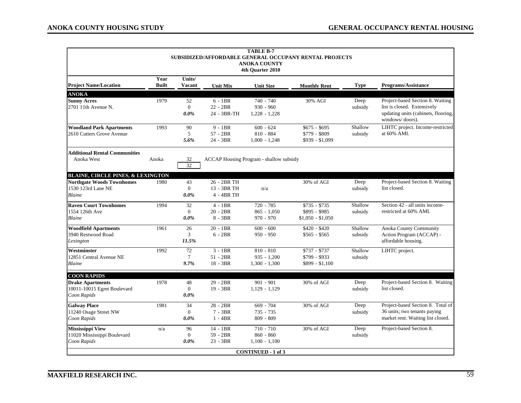| <b>TABLE B-7</b>                                                                 |                                                        |                         |                         |                                                |                                    |             |                                                          |  |  |  |  |
|----------------------------------------------------------------------------------|--------------------------------------------------------|-------------------------|-------------------------|------------------------------------------------|------------------------------------|-------------|----------------------------------------------------------|--|--|--|--|
|                                                                                  | SUBSIDIZED/AFFORDABLE GENERAL OCCUPANY RENTAL PROJECTS |                         |                         |                                                |                                    |             |                                                          |  |  |  |  |
|                                                                                  |                                                        |                         |                         | <b>ANOKA COUNTY</b><br>4th Quarter 2010        |                                    |             |                                                          |  |  |  |  |
|                                                                                  |                                                        |                         |                         |                                                |                                    |             |                                                          |  |  |  |  |
| <b>Project Name/Location</b>                                                     | Year<br><b>Built</b>                                   | Units/<br><b>Vacant</b> | <b>Unit Mix</b>         | <b>Unit Size</b>                               | <b>Monthly Rent</b>                | <b>Type</b> | <b>Programs/Assistance</b>                               |  |  |  |  |
| <b>ANOKA</b>                                                                     |                                                        |                         |                         |                                                |                                    |             |                                                          |  |  |  |  |
| <b>Sunny Acres</b>                                                               | 1979                                                   | 52                      | $6 - 1BR$               | $740 - 740$                                    | 30% AGI                            | Deep        | Project-based Section 8. Waiting                         |  |  |  |  |
| 2701 11th Avenue N.                                                              |                                                        | $\mathbf{0}$            | $22 - 2BR$              | $930 - 960$                                    |                                    | subsidy     | list is closed. Extensively                              |  |  |  |  |
|                                                                                  |                                                        | $0.0\%$                 | 24 - 3BR-TH             | $1,228 - 1,228$                                |                                    |             | updating units (cabinets, flooring,<br>windows/doors).   |  |  |  |  |
| <b>Woodland Park Apartments</b>                                                  | 1993                                                   | 90                      | $9 - 1BR$               | $600 - 624$                                    | $$675 - $695$                      | Shallow     | LIHTC project. Income-restricted                         |  |  |  |  |
| 2610 Cutters Grove Avenue                                                        |                                                        | 5                       | $57 - 2BR$              | $810 - 884$                                    | \$779 - \$809                      | subsidy     | at 60% AMI.                                              |  |  |  |  |
|                                                                                  |                                                        | 5.6%                    | 24 - 3BR                | $1,000 - 1,248$                                | \$939 - \$1,099                    |             |                                                          |  |  |  |  |
| <b>Additional Rental Communities</b>                                             |                                                        |                         |                         |                                                |                                    |             |                                                          |  |  |  |  |
| Anoka West                                                                       | Anoka                                                  | 32<br>32                |                         | <b>ACCAP</b> Housing Program - shallow subsidy |                                    |             |                                                          |  |  |  |  |
|                                                                                  |                                                        |                         |                         |                                                |                                    |             |                                                          |  |  |  |  |
| <b>BLAINE, CIRCLE PINES, &amp; LEXINGTON</b><br><b>Northgate Woods Townhomes</b> | 1980                                                   | 43                      | 26 - 2BR TH             |                                                | 30% of AGI                         | Deep        | Project-based Section 8. Waiting                         |  |  |  |  |
| 1530 123rd Lane NE                                                               |                                                        | $\mathbf{0}$            | 13 - 3BR TH             | n/a                                            |                                    | subsidy     | list closed.                                             |  |  |  |  |
| Blaine                                                                           |                                                        | $0.0\%$                 | 4 - 4BR TH              |                                                |                                    |             |                                                          |  |  |  |  |
|                                                                                  |                                                        |                         |                         |                                                |                                    |             |                                                          |  |  |  |  |
| <b>Raven Court Townhomes</b>                                                     | 1994                                                   | 32<br>$\Omega$          | $4 - 1BR$<br>$20 - 2BR$ | $720 - 785$                                    | $$735 - $735$                      | Shallow     | Section 42 - all units income-<br>restricted at 60% AMI. |  |  |  |  |
| 1554 126th Ave<br>Blaine                                                         |                                                        | $0.0\%$                 | $8 - 3BR$               | $865 - 1.050$<br>$970 - 970$                   | \$895 - \$985<br>$$1,050 - $1,050$ | subsidy     |                                                          |  |  |  |  |
|                                                                                  |                                                        |                         |                         |                                                |                                    |             |                                                          |  |  |  |  |
| <b>Woodfield Apartments</b>                                                      | 1961                                                   | 26                      | $20 - 1BR$              | $600 - 600$                                    | $$420 - $420$                      | Shallow     | Anoka County Community                                   |  |  |  |  |
| 3940 Restwood Road                                                               |                                                        | 3                       | $6 - 2BR$               | $950 - 950$                                    | $$565 - $565$                      | subsidy     | Action Program (ACCAP) -                                 |  |  |  |  |
| Lexington                                                                        |                                                        | 11.5%                   |                         |                                                |                                    |             | affordable housing.                                      |  |  |  |  |
| Westminster                                                                      | 1992                                                   | 72                      | $3 - 1BR$               | $810 - 810$                                    | $$737 - $737$                      | Shallow     | LIHTC project.                                           |  |  |  |  |
| 12851 Central Avenue NE                                                          |                                                        | $\tau$                  | $51 - 2BR$              | $935 - 1,200$                                  | \$799 - \$933                      | subsidy     |                                                          |  |  |  |  |
| Blaine                                                                           |                                                        | 9.7%                    | 18 - 3BR                | $1,300 - 1,300$                                | $$899 - $1,100$                    |             |                                                          |  |  |  |  |
| <b>COON RAPIDS</b>                                                               |                                                        |                         |                         |                                                |                                    |             |                                                          |  |  |  |  |
| <b>Drake Apartments</b>                                                          | 1978                                                   | 48                      | 29 - 2BR                | $901 - 901$                                    | 30% of AGI                         | Deep        | Project-based Section 8. Waiting                         |  |  |  |  |
| 10011-10015 Egret Boulevard                                                      |                                                        | $\Omega$                | $19 - 3BR$              | $1,129 - 1,129$                                |                                    | subsidy     | list closed.                                             |  |  |  |  |
| Coon Rapids                                                                      |                                                        | $0.0\%$                 |                         |                                                |                                    |             |                                                          |  |  |  |  |
| <b>Galway Place</b>                                                              | 1981                                                   | 34                      | $28 - 2BR$              | $669 - 704$                                    | 30% of AGI                         | Deep        | Project-based Section 8. Total of                        |  |  |  |  |
| 11240 Osage Street NW                                                            |                                                        | $\Omega$                | $7 - 3BR$               | 735 - 735                                      |                                    | subsidy     | 36 units; two tenants paying                             |  |  |  |  |
| Coon Rapids                                                                      |                                                        | $0.0\%$                 | $1 - 4BR$               | $809 - 809$                                    |                                    |             | market rent. Waiting list closed.                        |  |  |  |  |
| <b>Mississippi View</b>                                                          | n/a                                                    | 96                      | 14 - 1BR                | $710 - 710$                                    | 30% of AGI                         | Deep        | Project-based Section 8.                                 |  |  |  |  |
| 11020 Mississippi Boulevard                                                      |                                                        | $\Omega$                | 59 - 2BR                | $860 - 860$                                    |                                    | subsidy     |                                                          |  |  |  |  |
| Coon Rapids                                                                      |                                                        | $0.0\%$                 | 23 - 3BR                | $1,100 - 1,100$                                |                                    |             |                                                          |  |  |  |  |
|                                                                                  |                                                        |                         |                         | <b>CONTINUED - 1 of 3</b>                      |                                    |             |                                                          |  |  |  |  |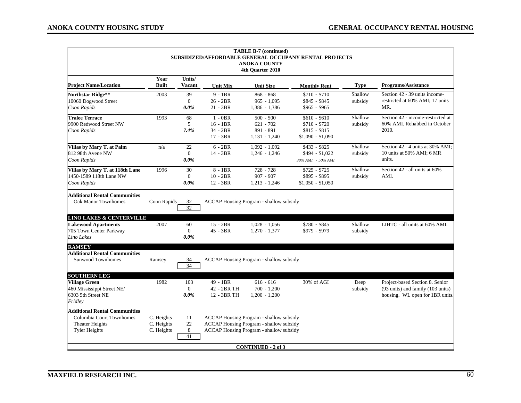|                                                        |              |                  |                 | <b>TABLE B-7 (continued)</b>                   |                     |             |                                   |  |  |  |
|--------------------------------------------------------|--------------|------------------|-----------------|------------------------------------------------|---------------------|-------------|-----------------------------------|--|--|--|
| SUBSIDIZED/AFFORDABLE GENERAL OCCUPANY RENTAL PROJECTS |              |                  |                 |                                                |                     |             |                                   |  |  |  |
|                                                        |              |                  |                 | <b>ANOKA COUNTY</b>                            |                     |             |                                   |  |  |  |
| 4th Ouarter 2010                                       |              |                  |                 |                                                |                     |             |                                   |  |  |  |
|                                                        | Year         | Units/           |                 |                                                |                     |             |                                   |  |  |  |
| <b>Project Name/Location</b>                           | <b>Built</b> | Vacant           | <b>Unit Mix</b> | <b>Unit Size</b>                               | <b>Monthly Rent</b> | <b>Type</b> | <b>Programs/Assistance</b>        |  |  |  |
| <b>Northstar Ridge**</b>                               | 2003         | 39               | $9 - 1BR$       | $868 - 868$                                    | $$710 - $710$       | Shallow     | Section 42 - 39 units income-     |  |  |  |
| 10060 Dogwood Street                                   |              | $\mathbf{0}$     | $26 - 2BR$      | $965 - 1.095$                                  | $$845 - $845$       | subsidy     | restricted at 60% AMI; 17 units   |  |  |  |
| Coon Rapids                                            |              | $0.0\%$          | 21 - 3BR        | $1,386 - 1,386$                                | $$965 - $965$       |             | MR.                               |  |  |  |
| <b>Tralee Terrace</b>                                  | 1993         | 68               | $1 - 0BR$       | $500 - 500$                                    | $$610 - $610$       | Shallow     | Section 42 - income-restricted at |  |  |  |
| 9900 Redwood Street NW                                 |              | 5                | $16 - 1BR$      | $621 - 702$                                    | $$710 - $720$       | subsidy     | 60% AMI. Rehabbed in October      |  |  |  |
| Coon Rapids                                            |              | 7.4%             | 34 - 2BR        | 891 - 891                                      | $$815 - $815$       |             | 2010.                             |  |  |  |
|                                                        |              |                  | 17 - 3BR        | $1,131 - 1,240$                                | $$1,090 - $1,090$   |             |                                   |  |  |  |
| Villas by Mary T. at Palm                              | n/a          | 22               | $6 - 2BR$       | $1,092 - 1,092$                                | $$433 - $825$       | Shallow     | Section 42 - 4 units at 30% AMI;  |  |  |  |
| 812 98th Avene NW                                      |              | $\boldsymbol{0}$ | 14 - 3BR        | $1,246 - 1,246$                                | $$494 - $1,022$     | subsidy     | 10 units at 50% AMI; 6 MR         |  |  |  |
| Coon Rapids                                            |              | $0.0\%$          |                 |                                                | 30% AMI - 50% AMI   |             | units.                            |  |  |  |
| Villas by Mary T. at 118th Lane                        | 1996         | 30               | $8 - 1BR$       | $728 - 728$                                    | $$725 - $725$       | Shallow     | Section 42 - all units at 60%     |  |  |  |
| 1450-1589 118th Lane NW                                |              | $\mathbf{0}$     | $10 - 2BR$      | $907 - 907$                                    | \$895 - \$895       | subsidy     | AMI.                              |  |  |  |
| Coon Rapids                                            |              | $0.0\%$          | $12 - 3BR$      | $1,213 - 1,246$                                | $$1,050 - $1,050$   |             |                                   |  |  |  |
| <b>Additional Rental Communities</b>                   |              |                  |                 |                                                |                     |             |                                   |  |  |  |
| <b>Oak Manor Townhomes</b>                             | Coon Rapids  | 32               |                 | <b>ACCAP Housing Program - shallow subsidy</b> |                     |             |                                   |  |  |  |
|                                                        |              | 32               |                 |                                                |                     |             |                                   |  |  |  |
| <b>LINO LAKES &amp; CENTERVILLE</b>                    |              |                  |                 |                                                |                     |             |                                   |  |  |  |
| <b>Lakewood Apartments</b>                             | 2007         | 60               | $15 - 2BR$      | $1,028 - 1,056$                                | $$780 - $845$       | Shallow     | LIHTC - all units at 60% AMI.     |  |  |  |
| 705 Town Center Parkway                                |              | $\mathbf{0}$     | 45 - 3BR        | $1,270 - 1,377$                                | $$979 - $979$       | subsidy     |                                   |  |  |  |
| Lino Lakes                                             |              | $0.0\%$          |                 |                                                |                     |             |                                   |  |  |  |
| <b>RAMSEY</b>                                          |              |                  |                 |                                                |                     |             |                                   |  |  |  |
| <b>Additional Rental Communities</b>                   |              |                  |                 |                                                |                     |             |                                   |  |  |  |
| Sunwood Townhomes                                      | Ramsey       | 34               |                 | <b>ACCAP Housing Program - shallow subsidy</b> |                     |             |                                   |  |  |  |
|                                                        |              | 34               |                 |                                                |                     |             |                                   |  |  |  |
| <b>SOUTHERN LEG</b>                                    |              |                  |                 |                                                |                     |             |                                   |  |  |  |
| <b>Village Green</b>                                   | 1982         | 103              | 49 - 1BR        | $616 - 616$                                    | 30% of AGI          | Deep        | Project-based Section 8. Senior   |  |  |  |
| 460 Mississippi Street NE/                             |              | $\theta$         | 42 - 2BR TH     | $700 - 1,200$                                  |                     | subsidy     | (93 units) and family (103 units) |  |  |  |
| 6303 5th Street NE                                     |              | $0.0\%$          | 12 - 3BR TH     | $1,200 - 1,200$                                |                     |             | housing. WL open for 1BR units.   |  |  |  |
| Fridley                                                |              |                  |                 |                                                |                     |             |                                   |  |  |  |
| <b>Additional Rental Communities</b>                   |              |                  |                 |                                                |                     |             |                                   |  |  |  |
| Columbia Court Townhomes                               | C. Heights   | 11               |                 | <b>ACCAP Housing Program - shallow subsidy</b> |                     |             |                                   |  |  |  |
| Theater Heights                                        | C. Heights   | $22\,$           |                 | <b>ACCAP Housing Program - shallow subsidy</b> |                     |             |                                   |  |  |  |
| <b>Tyler Heights</b>                                   | C. Heights   | $\,8\,$          |                 | <b>ACCAP Housing Program - shallow subsidy</b> |                     |             |                                   |  |  |  |
|                                                        |              | 41               |                 |                                                |                     |             |                                   |  |  |  |
|                                                        |              |                  |                 | <b>CONTINUED - 2 of 3</b>                      |                     |             |                                   |  |  |  |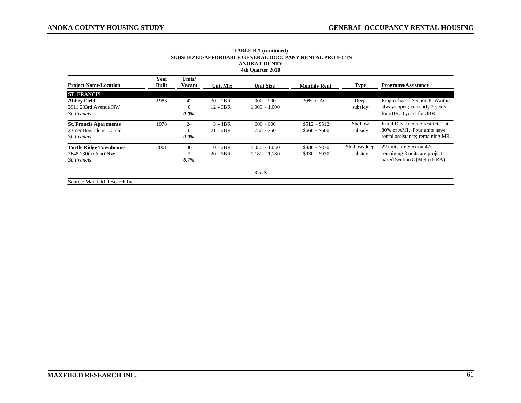| <b>TABLE B-7 (continued)</b><br><b>SUBSIDIZED/AFFORDABLE GENERAL OCCUPANY RENTAL PROJECTS</b><br><b>ANOKA COUNTY</b><br>4th Ouarter 2010 |                      |                           |                          |                                    |                                |                         |                                                                                                    |  |  |
|------------------------------------------------------------------------------------------------------------------------------------------|----------------------|---------------------------|--------------------------|------------------------------------|--------------------------------|-------------------------|----------------------------------------------------------------------------------------------------|--|--|
| <b>Project Name/Location</b>                                                                                                             | Year<br><b>Built</b> | Units/<br>Vacant          | <b>Unit Mix</b>          | <b>Unit Size</b>                   | <b>Monthly Rent</b>            | <b>Type</b>             | <b>Programs/Assistance</b>                                                                         |  |  |
| <b>ST. FRANCIS</b>                                                                                                                       |                      |                           |                          |                                    |                                |                         |                                                                                                    |  |  |
| <b>Abbey Field</b><br>3911 233rd Avenue NW<br>St. Francis                                                                                | 1983                 | 42<br>$\Omega$<br>$0.0\%$ | $30 - 2BR$<br>$12 - 3BR$ | $900 - 900$<br>$1,000 - 1,000$     | 30% of AGI                     | Deep<br>subsidy         | Project-based Section 8. Waitlist<br>always open; currently 2 years<br>for 2BR, 3 years for 3BR.   |  |  |
| <b>St. Francis Apartments</b><br>23559 Degardener Circle<br>St. Francis                                                                  | 1978                 | 24<br>$\Omega$<br>$0.0\%$ | $3 - 1BR$<br>$21 - 2BR$  | $600 - 600$<br>750 - 750           | $$512 - $512$<br>$$660 - $660$ | Shallow<br>subsidy      | Rural Dev. Income-restricted at<br>80% of AMI. Four units have<br>rental assistance; remaining MR. |  |  |
| <b>Turtle Ridge Townhomes</b><br>2648 230th Court NW<br>St. Francis                                                                      | 2001                 | 30<br>2<br>$6.7\%$        | $10 - 2BR$<br>$20 - 3BR$ | $1,050 - 1,050$<br>$1,180 - 1,180$ | $$830 - $830$<br>$$930 - $930$ | Shallow/deep<br>subsidy | 22 units are Section 42;<br>remaining 8 units are project-<br>based Section 8 (Metro HRA).         |  |  |
| 3 of 3                                                                                                                                   |                      |                           |                          |                                    |                                |                         |                                                                                                    |  |  |
| Source: Maxfield Research Inc.                                                                                                           |                      |                           |                          |                                    |                                |                         |                                                                                                    |  |  |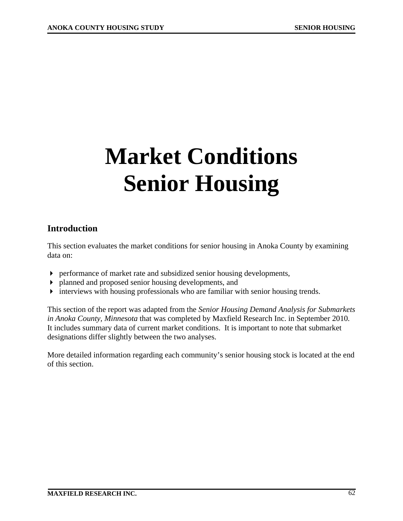# **Market Conditions Senior Housing**

# **Introduction**

This section evaluates the market conditions for senior housing in Anoka County by examining data on:

- performance of market rate and subsidized senior housing developments,
- planned and proposed senior housing developments, and
- interviews with housing professionals who are familiar with senior housing trends.

This section of the report was adapted from the *Senior Housing Demand Analysis for Submarkets in Anoka County, Minnesota* that was completed by Maxfield Research Inc. in September 2010*.* It includes summary data of current market conditions. It is important to note that submarket designations differ slightly between the two analyses.

More detailed information regarding each community's senior housing stock is located at the end of this section.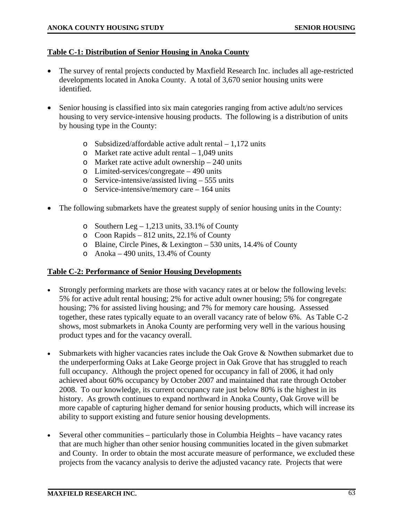### **Table C-1: Distribution of Senior Housing in Anoka County**

- The survey of rental projects conducted by Maxfield Research Inc. includes all age-restricted developments located in Anoka County. A total of 3,670 senior housing units were identified.
- Senior housing is classified into six main categories ranging from active adult/no services housing to very service-intensive housing products. The following is a distribution of units by housing type in the County:
	- o Subsidized/affordable active adult rental 1,172 units
	- o Market rate active adult rental  $-1.049$  units
	- o Market rate active adult ownership 240 units
	- o Limited-services/congregate 490 units
	- o Service-intensive/assisted living 555 units
	- o Service-intensive/memory care 164 units
- The following submarkets have the greatest supply of senior housing units in the County:
	- o Southern Leg 1,213 units, 33.1% of County
	- o Coon Rapids 812 units, 22.1% of County
	- o Blaine, Circle Pines, & Lexington 530 units, 14.4% of County
	- o Anoka 490 units, 13.4% of County

### **Table C-2: Performance of Senior Housing Developments**

- Strongly performing markets are those with vacancy rates at or below the following levels: 5% for active adult rental housing; 2% for active adult owner housing; 5% for congregate housing; 7% for assisted living housing; and 7% for memory care housing. Assessed together, these rates typically equate to an overall vacancy rate of below 6%. As Table C-2 shows, most submarkets in Anoka County are performing very well in the various housing product types and for the vacancy overall.
- Submarkets with higher vacancies rates include the Oak Grove & Nowthen submarket due to the underperforming Oaks at Lake George project in Oak Grove that has struggled to reach full occupancy. Although the project opened for occupancy in fall of 2006, it had only achieved about 60% occupancy by October 2007 and maintained that rate through October 2008. To our knowledge, its current occupancy rate just below 80% is the highest in its history. As growth continues to expand northward in Anoka County, Oak Grove will be more capable of capturing higher demand for senior housing products, which will increase its ability to support existing and future senior housing developments.
- Several other communities particularly those in Columbia Heights have vacancy rates that are much higher than other senior housing communities located in the given submarket and County. In order to obtain the most accurate measure of performance, we excluded these projects from the vacancy analysis to derive the adjusted vacancy rate. Projects that were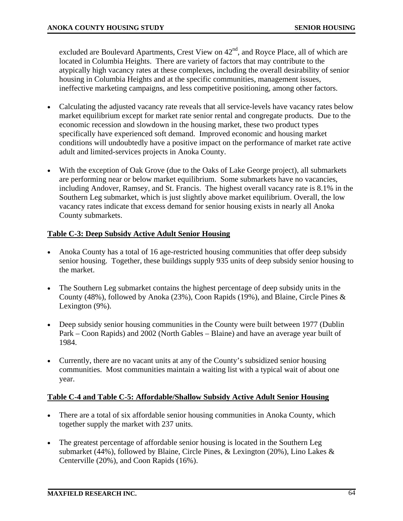excluded are Boulevard Apartments, Crest View on  $42<sup>nd</sup>$ , and Royce Place, all of which are located in Columbia Heights. There are variety of factors that may contribute to the atypically high vacancy rates at these complexes, including the overall desirability of senior housing in Columbia Heights and at the specific communities, management issues, ineffective marketing campaigns, and less competitive positioning, among other factors.

- Calculating the adjusted vacancy rate reveals that all service-levels have vacancy rates below market equilibrium except for market rate senior rental and congregate products. Due to the economic recession and slowdown in the housing market, these two product types specifically have experienced soft demand. Improved economic and housing market conditions will undoubtedly have a positive impact on the performance of market rate active adult and limited-services projects in Anoka County.
- With the exception of Oak Grove (due to the Oaks of Lake George project), all submarkets are performing near or below market equilibrium. Some submarkets have no vacancies, including Andover, Ramsey, and St. Francis. The highest overall vacancy rate is 8.1% in the Southern Leg submarket, which is just slightly above market equilibrium. Overall, the low vacancy rates indicate that excess demand for senior housing exists in nearly all Anoka County submarkets.

### **Table C-3: Deep Subsidy Active Adult Senior Housing**

- Anoka County has a total of 16 age-restricted housing communities that offer deep subsidy senior housing. Together, these buildings supply 935 units of deep subsidy senior housing to the market.
- The Southern Leg submarket contains the highest percentage of deep subsidy units in the County (48%), followed by Anoka (23%), Coon Rapids (19%), and Blaine, Circle Pines & Lexington (9%).
- Deep subsidy senior housing communities in the County were built between 1977 (Dublin Park – Coon Rapids) and 2002 (North Gables – Blaine) and have an average year built of 1984.
- Currently, there are no vacant units at any of the County's subsidized senior housing communities. Most communities maintain a waiting list with a typical wait of about one year.

### **Table C-4 and Table C-5: Affordable/Shallow Subsidy Active Adult Senior Housing**

- There are a total of six affordable senior housing communities in Anoka County, which together supply the market with 237 units.
- The greatest percentage of affordable senior housing is located in the Southern Leg submarket (44%), followed by Blaine, Circle Pines, & Lexington (20%), Lino Lakes & Centerville (20%), and Coon Rapids (16%).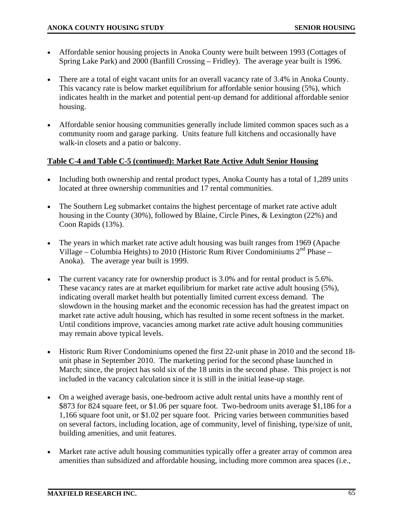- Affordable senior housing projects in Anoka County were built between 1993 (Cottages of Spring Lake Park) and 2000 (Banfill Crossing – Fridley). The average year built is 1996.
- There are a total of eight vacant units for an overall vacancy rate of 3.4% in Anoka County. This vacancy rate is below market equilibrium for affordable senior housing (5%), which indicates health in the market and potential pent-up demand for additional affordable senior housing.
- Affordable senior housing communities generally include limited common spaces such as a community room and garage parking. Units feature full kitchens and occasionally have walk-in closets and a patio or balcony.

### **Table C-4 and Table C-5 (continued): Market Rate Active Adult Senior Housing**

- Including both ownership and rental product types, Anoka County has a total of 1,289 units located at three ownership communities and 17 rental communities.
- The Southern Leg submarket contains the highest percentage of market rate active adult housing in the County (30%), followed by Blaine, Circle Pines, & Lexington (22%) and Coon Rapids (13%).
- The years in which market rate active adult housing was built ranges from 1969 (Apache Village – Columbia Heights) to 2010 (Historic Rum River Condominiums  $2<sup>nd</sup>$  Phase – Anoka). The average year built is 1999.
- The current vacancy rate for ownership product is 3.0% and for rental product is 5.6%. These vacancy rates are at market equilibrium for market rate active adult housing (5%), indicating overall market health but potentially limited current excess demand. The slowdown in the housing market and the economic recession has had the greatest impact on market rate active adult housing, which has resulted in some recent softness in the market. Until conditions improve, vacancies among market rate active adult housing communities may remain above typical levels.
- Historic Rum River Condominiums opened the first 22-unit phase in 2010 and the second 18 unit phase in September 2010. The marketing period for the second phase launched in March; since, the project has sold six of the 18 units in the second phase. This project is not included in the vacancy calculation since it is still in the initial lease-up stage.
- On a weighed average basis, one-bedroom active adult rental units have a monthly rent of \$873 for 824 square feet, or \$1.06 per square foot. Two-bedroom units average \$1,186 for a 1,166 square foot unit, or \$1.02 per square foot. Pricing varies between communities based on several factors, including location, age of community, level of finishing, type/size of unit, building amenities, and unit features.
- Market rate active adult housing communities typically offer a greater array of common area amenities than subsidized and affordable housing, including more common area spaces (i.e.,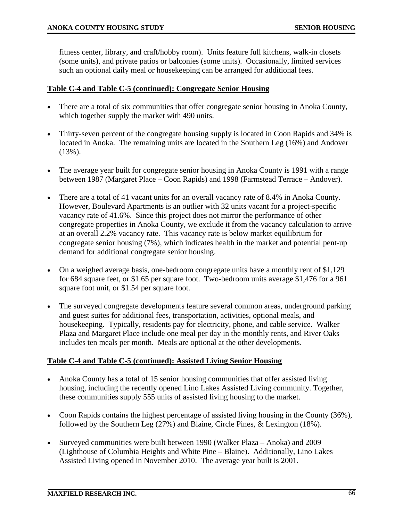fitness center, library, and craft/hobby room). Units feature full kitchens, walk-in closets (some units), and private patios or balconies (some units). Occasionally, limited services such an optional daily meal or housekeeping can be arranged for additional fees.

### **Table C-4 and Table C-5 (continued): Congregate Senior Housing**

- There are a total of six communities that offer congregate senior housing in Anoka County, which together supply the market with 490 units.
- Thirty-seven percent of the congregate housing supply is located in Coon Rapids and 34% is located in Anoka. The remaining units are located in the Southern Leg (16%) and Andover (13%).
- The average year built for congregate senior housing in Anoka County is 1991 with a range between 1987 (Margaret Place – Coon Rapids) and 1998 (Farmstead Terrace – Andover).
- There are a total of 41 vacant units for an overall vacancy rate of 8.4% in Anoka County. However, Boulevard Apartments is an outlier with 32 units vacant for a project-specific vacancy rate of 41.6%. Since this project does not mirror the performance of other congregate properties in Anoka County, we exclude it from the vacancy calculation to arrive at an overall 2.2% vacancy rate. This vacancy rate is below market equilibrium for congregate senior housing (7%), which indicates health in the market and potential pent-up demand for additional congregate senior housing.
- On a weighed average basis, one-bedroom congregate units have a monthly rent of \$1,129 for 684 square feet, or \$1.65 per square foot. Two-bedroom units average \$1,476 for a 961 square foot unit, or \$1.54 per square foot.
- The surveyed congregate developments feature several common areas, underground parking and guest suites for additional fees, transportation, activities, optional meals, and housekeeping. Typically, residents pay for electricity, phone, and cable service. Walker Plaza and Margaret Place include one meal per day in the monthly rents, and River Oaks includes ten meals per month. Meals are optional at the other developments.

### **Table C-4 and Table C-5 (continued): Assisted Living Senior Housing**

- Anoka County has a total of 15 senior housing communities that offer assisted living housing, including the recently opened Lino Lakes Assisted Living community. Together, these communities supply 555 units of assisted living housing to the market.
- Coon Rapids contains the highest percentage of assisted living housing in the County (36%), followed by the Southern Leg (27%) and Blaine, Circle Pines, & Lexington (18%).
- Surveyed communities were built between 1990 (Walker Plaza Anoka) and 2009 (Lighthouse of Columbia Heights and White Pine – Blaine). Additionally, Lino Lakes Assisted Living opened in November 2010. The average year built is 2001.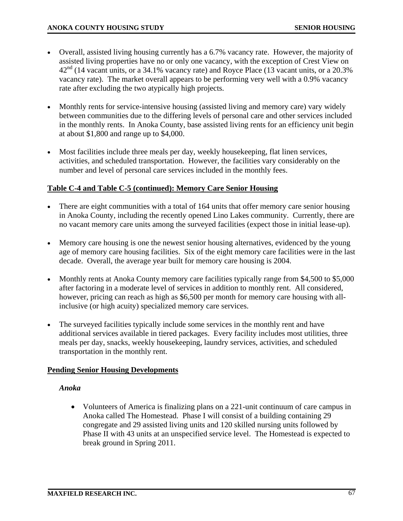- Overall, assisted living housing currently has a 6.7% vacancy rate. However, the majority of assisted living properties have no or only one vacancy, with the exception of Crest View on  $42<sup>nd</sup>$  (14 vacant units, or a 34.1% vacancy rate) and Royce Place (13 vacant units, or a 20.3% vacancy rate). The market overall appears to be performing very well with a 0.9% vacancy rate after excluding the two atypically high projects.
- Monthly rents for service-intensive housing (assisted living and memory care) vary widely between communities due to the differing levels of personal care and other services included in the monthly rents. In Anoka County, base assisted living rents for an efficiency unit begin at about \$1,800 and range up to \$4,000.
- Most facilities include three meals per day, weekly housekeeping, flat linen services, activities, and scheduled transportation. However, the facilities vary considerably on the number and level of personal care services included in the monthly fees.

## **Table C-4 and Table C-5 (continued): Memory Care Senior Housing**

- There are eight communities with a total of 164 units that offer memory care senior housing in Anoka County, including the recently opened Lino Lakes community. Currently, there are no vacant memory care units among the surveyed facilities (expect those in initial lease-up).
- Memory care housing is one the newest senior housing alternatives, evidenced by the young age of memory care housing facilities. Six of the eight memory care facilities were in the last decade. Overall, the average year built for memory care housing is 2004.
- Monthly rents at Anoka County memory care facilities typically range from \$4,500 to \$5,000 after factoring in a moderate level of services in addition to monthly rent. All considered, however, pricing can reach as high as \$6,500 per month for memory care housing with allinclusive (or high acuity) specialized memory care services.
- The surveyed facilities typically include some services in the monthly rent and have additional services available in tiered packages. Every facility includes most utilities, three meals per day, snacks, weekly housekeeping, laundry services, activities, and scheduled transportation in the monthly rent.

### **Pending Senior Housing Developments**

### *Anoka*

• Volunteers of America is finalizing plans on a 221-unit continuum of care campus in Anoka called The Homestead. Phase I will consist of a building containing 29 congregate and 29 assisted living units and 120 skilled nursing units followed by Phase II with 43 units at an unspecified service level. The Homestead is expected to break ground in Spring 2011.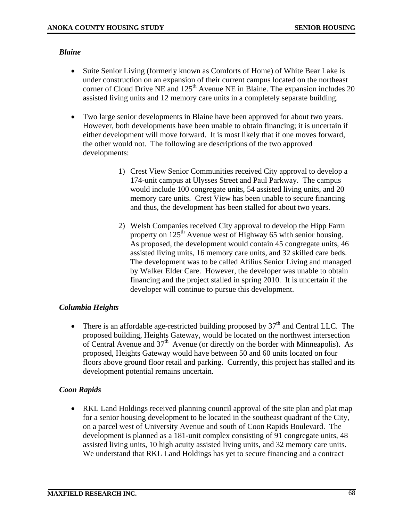### *Blaine*

- Suite Senior Living (formerly known as Comforts of Home) of White Bear Lake is under construction on an expansion of their current campus located on the northeast corner of Cloud Drive NE and  $125<sup>th</sup>$  Avenue NE in Blaine. The expansion includes 20 assisted living units and 12 memory care units in a completely separate building.
- Two large senior developments in Blaine have been approved for about two years. However, both developments have been unable to obtain financing; it is uncertain if either development will move forward. It is most likely that if one moves forward, the other would not. The following are descriptions of the two approved developments:
	- 1) Crest View Senior Communities received City approval to develop a 174-unit campus at Ulysses Street and Paul Parkway. The campus would include 100 congregate units, 54 assisted living units, and 20 memory care units. Crest View has been unable to secure financing and thus, the development has been stalled for about two years.
	- 2) Welsh Companies received City approval to develop the Hipp Farm property on 125<sup>th</sup> Avenue west of Highway 65 with senior housing. As proposed, the development would contain 45 congregate units, 46 assisted living units, 16 memory care units, and 32 skilled care beds. The development was to be called Afilius Senior Living and managed by Walker Elder Care. However, the developer was unable to obtain financing and the project stalled in spring 2010. It is uncertain if the developer will continue to pursue this development.

## *Columbia Heights*

• There is an affordable age-restricted building proposed by  $37<sup>th</sup>$  and Central LLC. The proposed building, Heights Gateway, would be located on the northwest intersection of Central Avenue and  $37<sup>th</sup>$  Avenue (or directly on the border with Minneapolis). As proposed, Heights Gateway would have between 50 and 60 units located on four floors above ground floor retail and parking. Currently, this project has stalled and its development potential remains uncertain.

## *Coon Rapids*

• RKL Land Holdings received planning council approval of the site plan and plat map for a senior housing development to be located in the southeast quadrant of the City, on a parcel west of University Avenue and south of Coon Rapids Boulevard. The development is planned as a 181-unit complex consisting of 91 congregate units, 48 assisted living units, 10 high acuity assisted living units, and 32 memory care units. We understand that RKL Land Holdings has yet to secure financing and a contract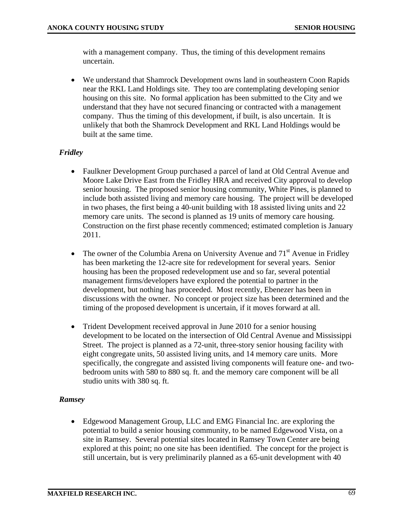with a management company. Thus, the timing of this development remains uncertain.

• We understand that Shamrock Development owns land in southeastern Coon Rapids near the RKL Land Holdings site. They too are contemplating developing senior housing on this site. No formal application has been submitted to the City and we understand that they have not secured financing or contracted with a management company. Thus the timing of this development, if built, is also uncertain. It is unlikely that both the Shamrock Development and RKL Land Holdings would be built at the same time.

# *Fridley*

- Faulkner Development Group purchased a parcel of land at Old Central Avenue and Moore Lake Drive East from the Fridley HRA and received City approval to develop senior housing. The proposed senior housing community, White Pines, is planned to include both assisted living and memory care housing. The project will be developed in two phases, the first being a 40-unit building with 18 assisted living units and 22 memory care units. The second is planned as 19 units of memory care housing. Construction on the first phase recently commenced; estimated completion is January 2011.
- The owner of the Columbia Arena on University Avenue and  $71<sup>st</sup>$  Avenue in Fridley has been marketing the 12-acre site for redevelopment for several years. Senior housing has been the proposed redevelopment use and so far, several potential management firms/developers have explored the potential to partner in the development, but nothing has proceeded. Most recently, Ebenezer has been in discussions with the owner. No concept or project size has been determined and the timing of the proposed development is uncertain, if it moves forward at all.
- Trident Development received approval in June 2010 for a senior housing development to be located on the intersection of Old Central Avenue and Mississippi Street. The project is planned as a 72-unit, three-story senior housing facility with eight congregate units, 50 assisted living units, and 14 memory care units. More specifically, the congregate and assisted living components will feature one- and twobedroom units with 580 to 880 sq. ft. and the memory care component will be all studio units with 380 sq. ft.

## *Ramsey*

• Edgewood Management Group, LLC and EMG Financial Inc. are exploring the potential to build a senior housing community, to be named Edgewood Vista, on a site in Ramsey. Several potential sites located in Ramsey Town Center are being explored at this point; no one site has been identified. The concept for the project is still uncertain, but is very preliminarily planned as a 65-unit development with 40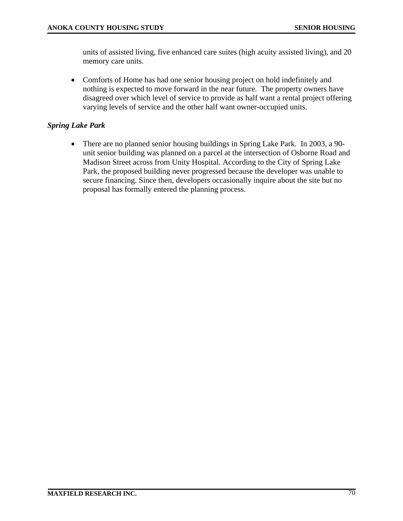units of assisted living, five enhanced care suites (high acuity assisted living), and 20 memory care units.

• Comforts of Home has had one senior housing project on hold indefinitely and nothing is expected to move forward in the near future. The property owners have disagreed over which level of service to provide as half want a rental project offering varying levels of service and the other half want owner-occupied units.

## *Spring Lake Park*

• There are no planned senior housing buildings in Spring Lake Park. In 2003, a 90 unit senior building was planned on a parcel at the intersection of Osborne Road and Madison Street across from Unity Hospital. According to the City of Spring Lake Park, the proposed building never progressed because the developer was unable to secure financing. Since then, developers occasionally inquire about the site but no proposal has formally entered the planning process.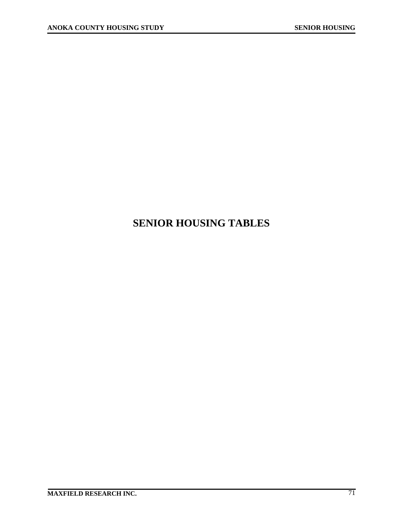# **SENIOR HOUSING TABLES**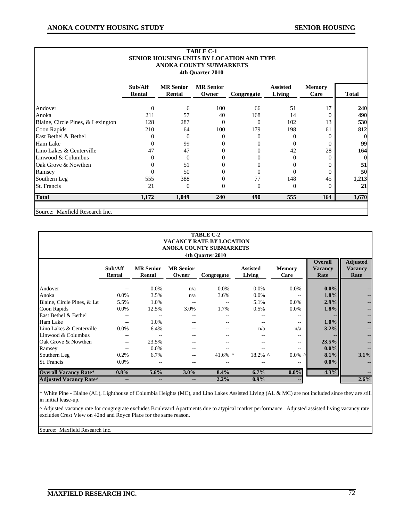| <b>TABLE C-1</b><br><b>SENIOR HOUSING UNITS BY LOCATION AND TYPE</b><br><b>ANOKA COUNTY SUBMARKETS</b><br>4th Quarter 2010 |                   |                            |                           |                |                           |                       |                  |  |  |  |  |  |  |
|----------------------------------------------------------------------------------------------------------------------------|-------------------|----------------------------|---------------------------|----------------|---------------------------|-----------------------|------------------|--|--|--|--|--|--|
|                                                                                                                            | Sub/Aff<br>Rental | <b>MR</b> Senior<br>Rental | <b>MR</b> Senior<br>Owner | Congregate     | <b>Assisted</b><br>Living | <b>Memory</b><br>Care | <b>Total</b>     |  |  |  |  |  |  |
| Andover                                                                                                                    | $\overline{0}$    | 6                          | 100                       | 66             | 51                        | 17                    | 240              |  |  |  |  |  |  |
| Anoka                                                                                                                      | 211               | 57                         | 40                        | 168            | 14                        | $\Omega$              | 490              |  |  |  |  |  |  |
| Blaine, Circle Pines, & Lexington                                                                                          | 128               | 287                        | $\Omega$                  | $\Omega$       | 102                       | 13                    | 530              |  |  |  |  |  |  |
| Coon Rapids                                                                                                                | 210               | 64                         | 100                       | 179            | 198                       | 61                    | 812              |  |  |  |  |  |  |
| East Bethel & Bethel                                                                                                       | $\Omega$          | $\theta$                   | $\overline{0}$            | $\overline{0}$ | $\mathbf{0}$              | 0                     | $\bf{0}$         |  |  |  |  |  |  |
| Ham Lake                                                                                                                   | $\Omega$          | 99                         | $\mathbf{0}$              | $\Omega$       | $\Omega$                  | 0                     | 99               |  |  |  |  |  |  |
| Lino Lakes & Centerville                                                                                                   | 47                | 47                         | $\theta$                  | $\mathbf{0}$   | 42                        | 28                    | 164              |  |  |  |  |  |  |
| Linwood & Columbus                                                                                                         | $\Omega$          | $\Omega$                   | $\Omega$                  | $\theta$       | $\Omega$                  | 0                     | $\boldsymbol{0}$ |  |  |  |  |  |  |
| Oak Grove & Nowthen                                                                                                        | 0                 | 51                         | $\mathbf{0}$              | $\theta$       | $\theta$                  | 0                     | 51               |  |  |  |  |  |  |
| Ramsey                                                                                                                     | $\theta$          | 50                         | $\Omega$                  | $\theta$       | $\theta$                  | 0                     | 50               |  |  |  |  |  |  |
| Southern Leg                                                                                                               | 555               | 388                        | $\theta$                  | 77             | 148                       | 45                    | 1,213            |  |  |  |  |  |  |
| St. Francis                                                                                                                | 21                | $\theta$                   | $\theta$                  | $\overline{0}$ | $\theta$                  | $\theta$              | 21               |  |  |  |  |  |  |
| <b>Total</b>                                                                                                               | 1,172             | 1,049                      | <b>240</b>                | 490            | 555                       | 164                   | 3,670            |  |  |  |  |  |  |

Source: Maxfield Research Inc.

| <b>TABLE C-2</b><br><b>VACANCY RATE BY LOCATION</b><br>ANOKA COUNTY SUBMARKETS<br>4th Ouarter 2010 |                   |                              |                              |               |                           |                |                                          |                                           |  |  |  |  |
|----------------------------------------------------------------------------------------------------|-------------------|------------------------------|------------------------------|---------------|---------------------------|----------------|------------------------------------------|-------------------------------------------|--|--|--|--|
|                                                                                                    | Sub/Aff<br>Rental | <b>MR</b> Senior<br>Rental   | <b>MR</b> Senior<br>Owner    | Congregate    | <b>Assisted</b><br>Living | Memory<br>Care | <b>Overall</b><br><b>Vacancy</b><br>Rate | <b>Adjusted</b><br><b>Vacancy</b><br>Rate |  |  |  |  |
| Andover                                                                                            |                   | $0.0\%$                      | n/a                          | 0.0%          | 0.0%                      | 0.0%           | $0.0\%$                                  |                                           |  |  |  |  |
| Anoka                                                                                              | $0.0\%$           | 3.5%                         | n/a                          | 3.6%          | 0.0%                      |                | 1.8%                                     |                                           |  |  |  |  |
| Blaine, Circle Pines, & Le                                                                         | 5.5%              | 1.0%                         | --                           | --            | 5.1%                      | 0.0%           | 2.9%                                     | --                                        |  |  |  |  |
| Coon Rapids                                                                                        | 0.0%              | 12.5%                        | 3.0%                         | 1.7%          | 0.5%                      | 0.0%           | 1.8%                                     |                                           |  |  |  |  |
| East Bethel & Bethel                                                                               |                   |                              |                              | --            | $- -$                     | $- -$          |                                          |                                           |  |  |  |  |
| Ham Lake                                                                                           |                   | 1.0%                         | --                           | --            | $- -$                     | $-$            | $1.0\%$                                  | --                                        |  |  |  |  |
| Lino Lakes & Centerville                                                                           | 0.0%              | 6.4%                         |                              | --            | n/a                       | n/a            | 3.2%                                     |                                           |  |  |  |  |
| Linwood & Columbus                                                                                 |                   |                              |                              |               |                           | --             |                                          |                                           |  |  |  |  |
| Oak Grove & Nowthen                                                                                |                   | 23.5%                        |                              |               |                           | --             | 23.5%                                    |                                           |  |  |  |  |
| Ramsey                                                                                             |                   | 0.0%                         |                              |               |                           | --             | $0.0\%$                                  |                                           |  |  |  |  |
| Southern Leg                                                                                       | 0.2%              | 6.7%                         | $- -$                        | 41.6% $\land$ | $18.2\%$ ^                | $0.0\%$ ^      | 8.1%                                     | 3.1%                                      |  |  |  |  |
| St. Francis                                                                                        | $0.0\%$           | --                           | --                           |               |                           | --             | $0.0\%$                                  |                                           |  |  |  |  |
| <b>Overall Vacancy Rate*</b>                                                                       | $0.8\%$           | $5.6\%$                      | $3.0\%$                      | 8.4%          | 6.7%                      | $0.0\%$        | 4.3%                                     |                                           |  |  |  |  |
| <b>Adjusted Vacancy Rate^</b>                                                                      | --                | $\qquad \qquad \blacksquare$ | $\qquad \qquad \blacksquare$ | 2.2%          | $0.9\%$                   | --             |                                          | 2.6%                                      |  |  |  |  |

\* White Pine - Blaine (AL), Lighthouse of Columbia Heights (MC), and Lino Lakes Assisted Living (AL & MC) are not included since they are still which the - Bia<br>in initial lease-up.

^ Adjusted vacancy rate for congregrate excludes Boulevard Apartments due to atypical market performance. Adjusted assisted living vacancy rate excludes Crest View on 42nd and Royce Place for the same reason.

Source: Maxfield Research Inc.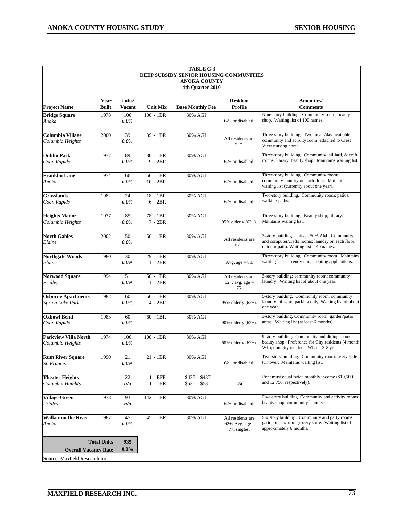|                                                 |                    |                  |                          | <b>TABLE C-3</b>                                               |                                                      |                                                                                                                                                 |
|-------------------------------------------------|--------------------|------------------|--------------------------|----------------------------------------------------------------|------------------------------------------------------|-------------------------------------------------------------------------------------------------------------------------------------------------|
|                                                 |                    |                  |                          | DEEP SUBSIDY SENIOR HOUSING COMMUNITIES<br><b>ANOKA COUNTY</b> |                                                      |                                                                                                                                                 |
|                                                 |                    |                  |                          | 4th Ouarter 2010                                               |                                                      |                                                                                                                                                 |
| <b>Project Name</b>                             | Year<br>Built      | Units/<br>Vacant | <b>Unit Mix</b>          | <b>Base Monthly Fee</b>                                        | <b>Resident</b><br>Profile                           | Amenities/<br><b>Comments</b>                                                                                                                   |
| <b>Bridge Square</b><br>Anoka                   | 1978               | 100<br>$0.0\%$   | $100 - 1BR$              | 30% AGI                                                        | 62+ or disabled.                                     | Nine-story building. Community room; beauty<br>shop. Waiting list of 100 names.                                                                 |
| Columbia Village<br>Columbia Heights            | 2000               | 39<br>$0.0\%$    | 39 - 1BR                 | 30% AGI                                                        | All residents are<br>$62+$                           | Three-story building. Two meals/day available;<br>community and activity room; attached to Crest<br>View nursing home.                          |
| <b>Dublin Park</b><br>Coon Rapids               | 1977               | 89<br>$0.0\%$    | $80 - 1BR$<br>$9 - 2BR$  | 30% AGI                                                        | 62+ or disabled.                                     | Three-story building. Community, billiard, & craft<br>rooms; library; beauty shop. Maintains waiting list.                                      |
| <b>Franklin Lane</b><br>Anoka                   | 1974               | 66<br>$0.0\%$    | $56 - 1BR$<br>$10 - 2BR$ | 30% AGI                                                        | 62+ or disabled.                                     | Three-story building. Community room;<br>community laundry on each floor. Maintains<br>waiting list (currently about one year).                 |
| Grasslands<br>Coon Rapids                       | 1982               | 24<br>$0.0\%$    | $18 - 1BR$<br>$6 - 2BR$  | 30% AGI                                                        | 62+ or disabled.                                     | Two-story building. Community room; patios;<br>walking paths.                                                                                   |
| <b>Heights Manor</b><br>Columbia Heights        | 1977               | 85<br>$0.0\%$    | 78 - 1BR<br>$7 - 2BR$    | 30% AGI                                                        | 95% elderly $(62+)$ .                                | Three-story building. Beauty shop; library.<br>Maintains waiting list.                                                                          |
| <b>North Gables</b><br>Blaine                   | 2002               | 50<br>$0.0\%$    | $50 - 1BR$               | 30% AGI                                                        | All residents are<br>$62+$ .                         | 3-story building. Units at 50% AMI. Community<br>and computer/crafts rooms; laundry on each floor;<br>outdoor patio. Waiting list $=$ 40 names. |
| <b>Northgate Woods</b><br>Blaine                | 1980               | 30<br>$0.0\%$    | 29 - 1BR<br>$1 - 2BR$    | 30% AGI                                                        | Avg. age $= 80$ .                                    | Three-story building. Community room. Maintains<br>waiting list; currently not accepting applications.                                          |
| <b>Norwood Square</b><br>Fridley                | 1994               | 51<br>$0.0\%$    | $50 - 1BR$<br>$1 - 2BR$  | 30% AGI                                                        | All residents are<br>62+; avg. age =<br>75.          | 3-story building; community room; community<br>laundry. Waiting list of about one year.                                                         |
| <b>Osborne Apartments</b><br>Spring Lake Park   | 1982               | 60<br>$0.0\%$    | 56 - 1BR<br>$4 - 2BR$    | 30% AGI                                                        | 95% elderly $(62+)$ .                                | 5-story building. Community room; community<br>laundry; off-stret parking only. Waiting list of about<br>one year.                              |
| <b>Oxbowl Bend</b><br>Coon Rapids               | 1983               | 60<br>$0.0\%$    | $60 - 1BR$               | 30% AGI                                                        | 90% elderly $(62+)$ .                                | 3-story building. Community room; garden/patio<br>areas. Waiting list (at least 6 months).                                                      |
| <b>Parkview Villa North</b><br>Columbia Heights | 1974               | 100<br>0.0%      | $100 - 1BR$              | 30% AGI                                                        | 60% elderly $(62+)$ .                                | 9-story building. Community and dining rooms;<br>beauty shop. Preference for City residents (4 month<br>WL); non-city residents WL of 3-8 yrs.  |
| <b>Rum River Square</b><br>St. Francis          | 1990               | 21<br>$0.0\%$    | $21 - 1BR$               | 30% AGI                                                        | 62+ or disabled.                                     | Two-story building. Community room. Very little<br>turnover. Maintains waiting list.                                                            |
| <b>Theater Heights</b><br>Columbia Heights      | $\overline{a}$     | 22<br>n/a        | $11 - EFF$<br>$11 - 1BR$ | $$437 - $437$<br>$$531 - $531$                                 | n/a                                                  | Rent must equal twice monthly income (\$10,500)<br>and 12,750, respectively).                                                                   |
| <b>Village Green</b><br>Fridley                 | 1978               | 93<br>n/a        | 142 - 1BR                | 30% AGI                                                        | 62+ or disabled.                                     | Five-story building. Community and activity rooms;<br>beauty shop; community laundry.                                                           |
| <b>Walker on the River</b><br>Anoka             | 1987               | 45<br>$0.0\%$    | 45 - 1BR                 | 30% AGI                                                        | All residents are<br>62+; Avg. age =<br>77; singles. | Six story building. Community and party rooms;<br>patio; bus to/from grocery store. Waiting list of<br>approximately 6 months.                  |
| <b>Overall Vacancy Rate</b>                     | <b>Total Units</b> | 935<br>$0.0\%$   |                          |                                                                |                                                      |                                                                                                                                                 |
| Source: Maxfield Research Inc.                  |                    |                  |                          |                                                                |                                                      |                                                                                                                                                 |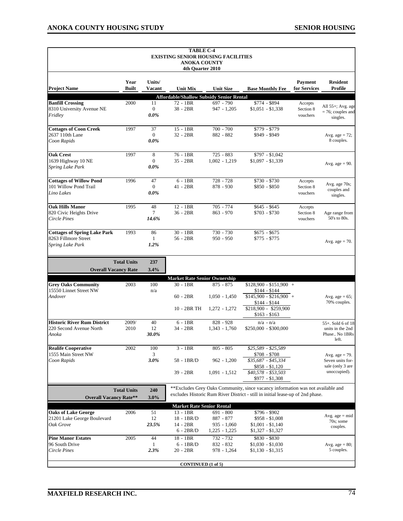|                                                                                        |                      |                                 | <b>TABLE C-4</b><br><b>EXISTING SENIOR HOUSING FACILITIES</b><br><b>ANOKA COUNTY</b><br>4th Ouarter 2010 |                                                   |                                                                                                                                                                                      |                                  |                                                                           |
|----------------------------------------------------------------------------------------|----------------------|---------------------------------|----------------------------------------------------------------------------------------------------------|---------------------------------------------------|--------------------------------------------------------------------------------------------------------------------------------------------------------------------------------------|----------------------------------|---------------------------------------------------------------------------|
| <b>Project Name</b>                                                                    | Year<br><b>Built</b> | Units/<br>Vacant                | <b>Unit Mix</b>                                                                                          | <b>Unit Size</b>                                  | <b>Base Monthly Fee</b>                                                                                                                                                              | Payment<br>for Services          | <b>Resident</b><br>Profile                                                |
|                                                                                        |                      |                                 | <b>Affordable/Shallow Subsidy Senior Rental</b>                                                          |                                                   |                                                                                                                                                                                      |                                  |                                                                           |
| <b>Banfill Crossing</b><br>8310 University Avenue NE<br>Fridley                        | 2000                 | 11<br>$\mathbf{0}$<br>$0.0\%$   | 72 - 1BR<br>$38 - 2BR$                                                                                   | $697 - 790$<br>$947 - 1,205$                      | \$774 - \$894<br>$$1,051 - $1,338$                                                                                                                                                   | Accepts<br>Section 8<br>vouchers | All 55+; Avg. age<br>$= 76$ ; couples and<br>singles.                     |
| <b>Cottages of Coon Creek</b><br>2637 110th Lane<br>Coon Rapids                        | 1997                 | 37<br>$\overline{0}$<br>$0.0\%$ | $15 - 1BR$<br>$32 - 2BR$                                                                                 | $700 - 700$<br>882 - 882                          | \$779 - \$779<br>\$949 - \$949                                                                                                                                                       |                                  | Avg. age = $72$ ;<br>8 couples.                                           |
| <b>Oak Crest</b><br>1639 Highway 10 NE<br>Spring Lake Park                             | 1997                 | 8<br>$\mathbf{0}$<br>$0.0\%$    | 76 - 1BR<br>35 - 2BR                                                                                     | $725 - 883$<br>$1,002 - 1,219$                    | $$797 - $1,042$<br>$$1,097 - $1,339$                                                                                                                                                 |                                  | Avg. age $= 90$ .                                                         |
| <b>Cottages of Willow Pond</b><br>101 Willow Pond Trail<br>Lino Lakes                  | 1996                 | 47<br>$\mathbf{0}$<br>$0.0\%$   | $6 - 1BR$<br>$41 - 2BR$                                                                                  | 728 - 728<br>878 - 930                            | \$730 - \$730<br>\$850 - \$850                                                                                                                                                       | Accepts<br>Section 8<br>vouchers | Avg. age 70s;<br>couples and<br>singles.                                  |
| <b>Oak Hills Manor</b><br>820 Civic Heights Drive<br><b>Circle Pines</b>               | 1995                 | 48<br>$\overline{7}$<br>14.6%   | $12 - 1BR$<br>$36 - 2BR$                                                                                 | $705 - 774$<br>$863 - 970$                        | $$645 - $645$<br>$$703 - $730$                                                                                                                                                       | Accepts<br>Section 8<br>vouchers | Age range from<br>50's to 80s.                                            |
| <b>Cottages of Spring Lake Park</b><br>8263 Fillmore Street<br><b>Spring Lake Park</b> | 1993                 | 86<br>$\mathbf{1}$<br>1.2%      | $30 - 1BR$<br>$56 - 2BR$                                                                                 | 730 - 730<br>$950 - 950$                          | $$675 - $675$<br>$$775 - $775$                                                                                                                                                       |                                  | Avg. age $= 70$ .                                                         |
| <b>Overall Vacancy Rate</b>                                                            | <b>Total Units</b>   | 237<br>3.4%                     |                                                                                                          |                                                   |                                                                                                                                                                                      |                                  |                                                                           |
|                                                                                        |                      |                                 | <b>Market Rate Senior Ownership</b>                                                                      |                                                   |                                                                                                                                                                                      |                                  |                                                                           |
| <b>Grey Oaks Community</b><br>15550 Linnet Street NW<br>Andover                        | 2003                 | 100<br>n/a                      | $30 - 1BR$<br>$60 - 2BR$<br>10 - 2BR TH                                                                  | $875 - 875$<br>$1,050 - 1,450$<br>$1,272 - 1,272$ | $$128,900 - $151,900 +$<br>$$144 - $144$<br>$$145,900 - $216,900 +$<br>$$144 - $144$<br>\$218,900 - \$259,900<br>$$163 - $163$                                                       |                                  | Avg. age = $65$ ;<br>70% couples.                                         |
| <b>Historic River Rum District</b><br>220 Second Avenue North<br>Anoka                 | 2009/<br>2010        | 40<br>12<br>30.0%               | $6 - 1BR$<br>34 - 2BR                                                                                    | 828 - 928<br>$1,343 - 1,760$                      | $n/a - n/a$<br>$$250,000 - $300,000$                                                                                                                                                 |                                  | 55+. Sold 6 of 18<br>units in the 2nd<br>Phase No 1BRs<br>left.           |
| <b>Realife Cooperative</b><br>1555 Main Street NW<br>Coon Rapids                       | 2002                 | 100<br>3<br>$3.0\%$             | $3 - 1BR$<br>58 - 1BR/D<br>39 - 2BR                                                                      | $805 - 805$<br>$962 - 1,200$<br>$1,091 - 1,512$   | \$25,589 - \$25,589<br>\$708 - \$708<br>\$35,687 - \$45,334<br>$$858 - $1,120$<br>\$40,578 - \$53,503                                                                                |                                  | Avg. age $= 79$ .<br>Seven units for-<br>sale (only 3 are<br>unoccupied). |
| <b>Overall Vacancy Rate**</b>                                                          | <b>Total Units</b>   | 240<br>3.0%                     |                                                                                                          |                                                   | $$977 - $1,308$<br>**Excludes Grey Oaks Community, since vacancy information was not available and<br>excludes Historic Rum River District - still in initial lease-up of 2nd phase. |                                  |                                                                           |
| <b>Oaks of Lake George</b>                                                             | 2006                 | 51                              | <b>Market Rate Senior Rental</b><br>$13 - 1BR$                                                           | 691 - 800                                         | \$796 - \$902                                                                                                                                                                        |                                  |                                                                           |
| 21201 Lake George Boulevard<br>Oak Grove                                               |                      | 12<br>23.5%                     | 18 - 1BR/D<br>14 - 2BR<br>$6 - 2BR/D$                                                                    | 887 - 877<br>$935 - 1,060$<br>$1,225 - 1,225$     | $$958 - $1,008$<br>$$1,001 - $1,140$<br>$$1,327 - $1,327$                                                                                                                            |                                  | Avg. age $= mid$<br>70s; some<br>couples.                                 |
| <b>Pine Manor Estates</b><br>96 South Drive<br>Circle Pines                            | 2005                 | 44<br>1<br>2.3%                 | 18 - 1BR<br>$6 - 1BR/D$<br>20 - 2BR                                                                      | 732 - 732<br>832 - 832<br>978 - 1,264             | \$830 - \$830<br>$$1,030 - $1,030$<br>$$1,130 - $1,315$                                                                                                                              |                                  | Avg. age $= 80$ ;<br>5 couples.                                           |
|                                                                                        |                      |                                 | <b>CONTINUED</b> (1 of 5)                                                                                |                                                   |                                                                                                                                                                                      |                                  |                                                                           |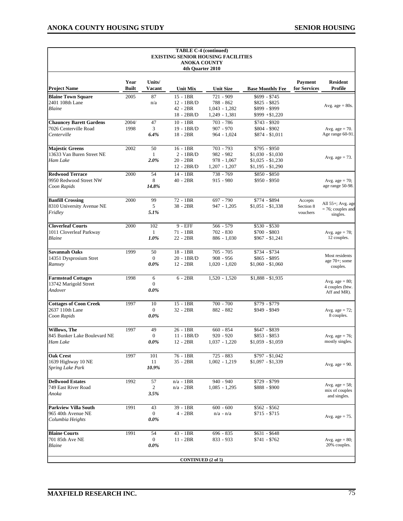|                                                                        |                      |                                   | <b>TABLE C-4 (continued)</b><br><b>ANOKA COUNTY</b><br>4th Quarter 2010 | <b>EXISTING SENIOR HOUSING FACILITIES</b>                    |                                                                              |                                  |                                                       |
|------------------------------------------------------------------------|----------------------|-----------------------------------|-------------------------------------------------------------------------|--------------------------------------------------------------|------------------------------------------------------------------------------|----------------------------------|-------------------------------------------------------|
| <b>Project Name</b>                                                    | Year<br><b>Built</b> | Units/<br>Vacant                  | <b>Unit Mix</b>                                                         | <b>Unit Size</b>                                             | <b>Base Monthly Fee</b>                                                      | Payment<br>for Services          | <b>Resident</b><br>Profile                            |
| <b>Blaine Town Square</b><br>2401 108th Lane<br>Blaine                 | 2005                 | 87<br>n/a                         | $15 - 1BR$<br>$12 - 1BR/D$<br>42 - 2BR<br>18 - 2BR/D                    | 721 - 909<br>788 - 862<br>$1,043 - 1,282$<br>$1,249 - 1,381$ | \$699 - \$745<br>$$825 - $825$<br>\$899 - \$999<br>$$999 + $1,220$           |                                  | Avg. age $= 80s$ .                                    |
| <b>Chauncey Barett Gardens</b><br>7026 Centerville Road<br>Centerville | 2004/<br>1998        | 47<br>3<br>6.4%                   | $10 - 1BR$<br>19 - 1BR/D<br>$18 - 2BR$                                  | $703 - 786$<br>$907 - 970$<br>$964 - 1,024$                  | $$743 - $920$<br>\$804 - \$902<br>\$874 - \$1,011                            |                                  | Avg. age $= 70$ .<br>Age range 60-91.                 |
| <b>Majestic Greens</b><br>13633 Van Buren Street NE<br>Ham Lake        | 2002                 | 50<br>$\mathbf{1}$<br>$2.0\%$     | $16 - 1BR$<br>$2 - 1BR/D$<br>$20 - 2BR$<br>12 - 2BR/D                   | 703 - 793<br>982 - 982<br>$978 - 1,067$<br>$1,207 - 1,207$   | $$795 - $950$<br>$$1,030 - $1,030$<br>$$1,025 - $1,230$<br>$$1,195 - $1,290$ |                                  | Avg. age $= 73$ .                                     |
| <b>Redwood Terrace</b><br>9950 Redwood Street NW<br>Coon Rapids        | 2000                 | 54<br>8<br>14.8%                  | 14 - 1BR<br>$40 - 2BR$                                                  | 738 - 769<br>$915 - 980$                                     | \$850 - \$850<br>\$950 - \$950                                               |                                  | Avg. age = $70$ ;<br>age range 50-98.                 |
| <b>Banfill Crossing</b><br>8310 University Avenue NE<br>Fridley        | 2000                 | 99<br>5<br>5.1%                   | 72 - 1BR<br>38 - 2BR                                                    | 697 - 790<br>947 - 1,205                                     | \$774 - \$894<br>$$1,051 - $1,338$                                           | Accepts<br>Section 8<br>vouchers | All 55+; Avg. age<br>$= 76$ ; couples and<br>singles. |
| <b>Cloverleaf Courts</b><br>1011 Cloverleaf Parkway<br>Blaine          | 2000                 | 102<br>$\mathbf{1}$<br>1.0%       | 9 - EFF<br>71 - 1BR<br>22 - 2BR                                         | 566 - 579<br>702 - 830<br>$886 - 1,030$                      | $$530 - $530$<br>$$700 - $803$<br>$$967 - $1,241$                            |                                  | Avg. age = $78$ ;<br>12 couples.                      |
| <b>Savannah Oaks</b><br>14351 Dysprosium Stret<br>Ramsey               | 1999                 | 50<br>$\boldsymbol{0}$<br>$0.0\%$ | 18 - 1BR<br>20 - 1BR/D<br>$12 - 2BR$                                    | $705 - 705$<br>$908 - 956$<br>$1,020 - 1,020$                | $$734 - $734$<br>\$865 - \$895<br>$$1,060 - $1,060$                          |                                  | Most residents<br>age $70+$ ; some<br>couples.        |
| <b>Farmstead Cottages</b><br>13742 Marigold Street<br>Andover          | 1998                 | 6<br>$\overline{0}$<br>$0.0\%$    | $6 - 2BR$                                                               | $1,520 - 1,520$                                              | $$1,888 - $1,935$                                                            |                                  | Avg. age $= 80$ ;<br>4 couples (btw.<br>Aff and MR).  |
| <b>Cottages of Coon Creek</b><br>2637 110th Lane<br>Coon Rapids        | 1997                 | 10<br>$\mathbf{0}$<br>$0.0\%$     | $15 - 1BR$<br>32 - 2BR                                                  | $700 - 700$<br>882 - 882                                     | \$779 - \$779<br>\$949 - \$949                                               |                                  | Avg. age = $72$ ;<br>8 couples.                       |
| Willows, The<br>845 Bunker Lake Boulevard NE<br>Ham Lake               | 1997                 | 49<br>$\mathbf{0}$<br>$0.0\%$     | $26 - 1BR$<br>$11 - 1BR/D$<br>$12 - 2BR$                                | $660 - 854$<br>$920 - 920$<br>$1.037 - 1.220$                | \$647 - \$839<br>$$853 - $853$<br>$$1,059 - $1,059$                          |                                  | Avg. age = $76$ ;<br>mostly singles.                  |
| <b>Oak Crest</b><br>1639 Highway 10 NE<br>Spring Lake Park             | 1997                 | 101<br>11<br>10.9%                | 76 - 1BR<br>35 - 2BR                                                    | $725 - 883$<br>$1,002 - 1,219$                               | $$797 - $1,042$<br>$$1,097 - $1,339$                                         |                                  | Avg. age $= 90$ .                                     |
| <b>Dellwood Estates</b><br>749 East River Road<br>Anoka                | 1992                 | 57<br>2<br>3.5%                   | $n/a - 1BR$<br>$n/a - 2BR$                                              | $940 - 940$<br>$1,085 - 1,295$                               | \$729 - \$799<br>\$888 - \$900                                               |                                  | Avg. age $= 58$ ;<br>mix of couples<br>and singles.   |
| <b>Parkview Villa South</b><br>965 40th Avenue NE<br>Columbia Heights  | 1991                 | 43<br>$\overline{0}$<br>$0.0\%$   | 39 - 1BR<br>$4 - 2BR$                                                   | $600 - 600$<br>$n/a - n/a$                                   | $$562 - $562$<br>$$715 - $715$                                               |                                  | Avg. age $= 75$ .                                     |
| <b>Blaine Courts</b><br>701 85th Ave NE<br>Blaine                      | 1991                 | 54<br>$\boldsymbol{0}$<br>$0.0\%$ | 43 - 1BR<br>$11 - 2BR$                                                  | 696 - 835<br>833 - 933                                       | $$631 - $648$<br>$$741 - $762$                                               |                                  | Avg. age $= 80$ ;<br>20% couples.                     |
|                                                                        |                      |                                   | <b>CONTINUED</b> (2 of 5)                                               |                                                              |                                                                              |                                  |                                                       |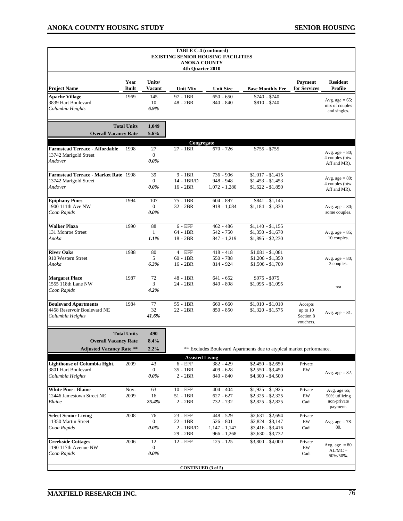|                                                                  |                      |                         | <b>TABLE C-4 (continued)</b><br><b>ANOKA COUNTY</b><br>4th Quarter 2010 | <b>EXISTING SENIOR HOUSING FACILITIES</b> |                                                                      |                                |                                                     |
|------------------------------------------------------------------|----------------------|-------------------------|-------------------------------------------------------------------------|-------------------------------------------|----------------------------------------------------------------------|--------------------------------|-----------------------------------------------------|
| <b>Project Name</b>                                              | Year<br><b>Built</b> | Units/<br><b>Vacant</b> | <b>Unit Mix</b>                                                         | <b>Unit Size</b>                          | <b>Base Monthly Fee</b>                                              | <b>Payment</b><br>for Services | <b>Resident</b><br><b>Profile</b>                   |
| <b>Apache Village</b><br>3839 Hart Boulevard<br>Columbia Heights | 1969                 | 145<br>10<br>6.9%       | 97 - 1BR<br>48 - 2BR                                                    | $650 - 650$<br>840 - 840                  | $$740 - $740$<br>$$810 - $740$                                       |                                | Avg. age = $65$ ;<br>mix of couples<br>and singles. |
| <b>Overall Vacancy Rate</b>                                      | <b>Total Units</b>   | 1,049<br>5.6%           |                                                                         |                                           |                                                                      |                                |                                                     |
| <b>Farmstead Terrace - Affordable</b><br>13742 Marigold Street   | 1998                 | 27<br>$\mathbf{0}$      | Congregate<br>$27 - 1BR$                                                | $670 - 726$                               | $$755 - $755$                                                        |                                | Avg. age $= 80$ ;                                   |
| Andover                                                          |                      | $0.0\%$                 |                                                                         |                                           |                                                                      |                                | 4 couples (btw.<br>Aff and MR).                     |
| Farmstead Terrace - Market Rate 1998                             |                      | 39                      | $9 - 1BR$                                                               | 736 - 906                                 | $$1,017 - $1,415$                                                    |                                | Avg. age $= 80$ ;                                   |
| 13742 Marigold Street                                            |                      | $\boldsymbol{0}$        | 14 - 1BR/D                                                              | 948 - 948                                 | $$1,453 - $1,453$                                                    |                                | 4 couples (btw.                                     |
| Andover                                                          |                      | $0.0\%$                 | $16 - 2BR$                                                              | $1,072 - 1,280$                           | $$1,622 - $1,850$                                                    |                                | Aff and MR).                                        |
| <b>Epiphany Pines</b>                                            | 1994                 | 107                     | 75 - 1BR                                                                | $604 - 897$                               | $$841 - $1,145$                                                      |                                |                                                     |
| 1900 111th Ave NW                                                |                      | $\overline{0}$          | $32 - 2BR$                                                              | $918 - 1,084$                             | $$1,184 - $1,330$                                                    |                                | Avg. age $= 80$ ;                                   |
| Coon Rapids                                                      |                      | $0.0\%$                 |                                                                         |                                           |                                                                      |                                | some couples.                                       |
| <b>Walker Plaza</b>                                              | 1990                 | 88                      | $6$ - $EFF$                                                             | $462 - 486$                               | $$1,140 - $1,155$                                                    |                                |                                                     |
| 131 Monroe Street                                                |                      | -1                      | 64 - 1BR                                                                | 542 - 750                                 | $$1,350 - $1,670$                                                    |                                | Avg. age = $85$ ;                                   |
| Anoka                                                            |                      | 1.1%                    | $18 - 2BR$                                                              | $847 - 1,219$                             | $$1,895 - $2,230$                                                    |                                | 10 couples.                                         |
| <b>River Oaks</b>                                                | 1988                 | 80                      | <b>EFF</b><br>4                                                         | $418 - 418$                               | $$1,081 - $1,081$                                                    |                                |                                                     |
| 910 Western Street                                               |                      | 5                       | $60 - 1BR$                                                              | 550 - 788                                 | $$1,206 - $1,350$                                                    |                                | Avg. age = $80$ ;                                   |
| Anoka                                                            |                      | 6.3%                    | $16 - 2BR$                                                              | 814 - 924                                 | $$1,506 - $1,709$                                                    |                                | 3 couples.                                          |
| <b>Margaret Place</b>                                            | 1987                 | 72                      | $48 - 1BR$                                                              | $641 - 652$                               | $$975 - $975$                                                        |                                |                                                     |
| 1555 118th Lane NW                                               |                      | 3                       | 24 - 2BR                                                                | 849 - 898                                 | $$1,095 - $1,095$                                                    |                                | n/a                                                 |
| Coon Rapids                                                      |                      | $4.2\%$                 |                                                                         |                                           |                                                                      |                                |                                                     |
| <b>Boulevard Apartments</b>                                      | 1984                 | 77                      | $55 - 1BR$                                                              | $660 - 660$                               | $$1,010 - $1,010$                                                    | Accepts                        |                                                     |
| 4458 Reservoir Boulevard NE                                      |                      | 32                      | $22 - 2BR$                                                              | $850 - 850$                               | $$1,320 - $1,575$                                                    | up to 10                       | Avg. age = $81$ .                                   |
| Columbia Heights                                                 |                      | 41.6%                   |                                                                         |                                           |                                                                      | Section 8<br>vouchers.         |                                                     |
|                                                                  | <b>Total Units</b>   | 490                     |                                                                         |                                           |                                                                      |                                |                                                     |
| <b>Overall Vacancy Rate</b>                                      |                      | 8.4%                    |                                                                         |                                           |                                                                      |                                |                                                     |
| <b>Adjusted Vacancy Rate **</b>                                  |                      | 2.2%                    |                                                                         |                                           | ** Excludes Boulevard Apartments due to atypical market performance. |                                |                                                     |
|                                                                  |                      |                         | <b>Assisted Living</b>                                                  |                                           |                                                                      |                                |                                                     |
| <b>Lighthouse of Columbia Hght.</b><br>3801 Hart Boulevard       | 2009                 | 43<br>$\boldsymbol{0}$  | $6$ - $EFF$<br>35 - 1BR                                                 | 382 - 429<br>$409 - 628$                  | $$2,450 - $2,650$                                                    | Private<br>EW                  |                                                     |
| Columbia Heights                                                 |                      | $0.0\%$                 | $2 - 2BR$                                                               | 840 - 840                                 | $$2,550 - $3,450$<br>$$4,300 - $4,500$                               |                                | Avg. age $= 82$ .                                   |
|                                                                  |                      |                         |                                                                         |                                           |                                                                      |                                |                                                     |
| <b>White Pine - Blaine</b>                                       | Nov.                 | 63                      | $10 - EFF$                                                              | $404 - 404$                               | $$1,925 - $1,925$                                                    | Private                        | Avg. age 65;                                        |
| 12446 Jamestown Street NE                                        | 2009                 | 16                      | $51 - 1BR$                                                              | 627 - 627                                 | $$2,325 - $2,325$                                                    | EW                             | 50% utilizing                                       |
| Blaine                                                           |                      | 25.4%                   | $2 - 2BR$                                                               | 732 - 732                                 | $$2,825 - $2,825$                                                    | Cadi                           | non-private<br>payment.                             |
| <b>Select Senior Living</b>                                      | 2008                 | 76                      | 23 - EFF                                                                | $448 - 529$                               | $$2,631 - $2,694$                                                    | Private                        |                                                     |
| 11350 Martin Street                                              |                      | $\bf{0}$                | 22 - 1BR                                                                | 526 - 801                                 | $$2,824 - $3,147$                                                    | EW                             | Avg. age $= 78$ -                                   |
| Coon Rapids                                                      |                      | $0.0\%$                 | $2 - 1BR/D$<br>29 - 2BR                                                 | $1,147 - 1,147$<br>$966 - 1,268$          | \$3,416 - \$3,416<br>$$3,630 - $3,732$                               | Cadi                           | 80.                                                 |
| <b>Creekside Cottages</b>                                        | 2006                 | 12                      | 12 - EFF                                                                | $125 - 125$                               | $$3,800 - $4,000$                                                    | Private                        |                                                     |
| 1190 117th Avenue NW                                             |                      | $\mathbf{0}$            |                                                                         |                                           |                                                                      | EW                             | Avg. age $= 80$ .                                   |
| Coon Rapids                                                      |                      | $0.0\%$                 |                                                                         |                                           |                                                                      | Cadi                           | $AL/MC =$<br>50%/50%.                               |
|                                                                  |                      |                         |                                                                         |                                           |                                                                      |                                |                                                     |
|                                                                  |                      |                         | <b>CONTINUED</b> (3 of 5)                                               |                                           |                                                                      |                                |                                                     |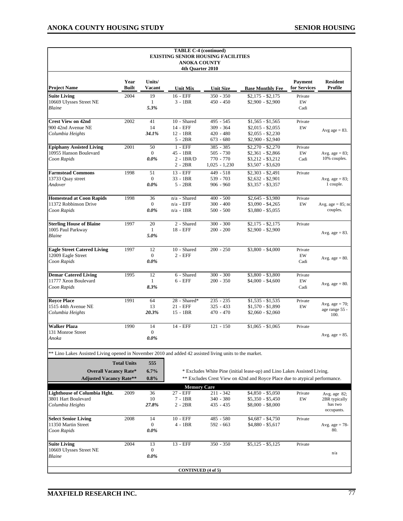|                                                                                                         |                      |                    | <b>TABLE C-4 (continued)</b>    |                                           |                                                                             |                         |                                  |
|---------------------------------------------------------------------------------------------------------|----------------------|--------------------|---------------------------------|-------------------------------------------|-----------------------------------------------------------------------------|-------------------------|----------------------------------|
|                                                                                                         |                      |                    | <b>ANOKA COUNTY</b>             | <b>EXISTING SENIOR HOUSING FACILITIES</b> |                                                                             |                         |                                  |
|                                                                                                         |                      |                    | 4th Quarter 2010                |                                           |                                                                             |                         |                                  |
|                                                                                                         |                      |                    |                                 |                                           |                                                                             |                         |                                  |
| <b>Project Name</b>                                                                                     | Year<br><b>Built</b> | Units/<br>Vacant   | <b>Unit Mix</b>                 | <b>Unit Size</b>                          |                                                                             | Payment<br>for Services | <b>Resident</b><br>Profile       |
| <b>Suite Living</b>                                                                                     | 2004                 | 19                 | 16 - EFF                        | $350 - 350$                               | <b>Base Monthly Fee</b><br>$$2,175 - $2,175$                                |                         |                                  |
| 10669 Ulysses Street NE                                                                                 |                      | 1                  | $3 - 1BR$                       | $450 - 450$                               | \$2,900 - \$2,900                                                           | Private<br>${\rm EW}$   |                                  |
| Blaine                                                                                                  |                      | 5.3%               |                                 |                                           |                                                                             | Cadi                    |                                  |
|                                                                                                         |                      |                    |                                 |                                           |                                                                             |                         |                                  |
| <b>Crest View on 42nd</b>                                                                               | 2002                 | 41                 | 10 - Shared                     | 495 - 545                                 | $$1,565 - $1,565$                                                           | Private                 |                                  |
| 900 42nd Avenue NE                                                                                      |                      | 14                 | 14 - EFF                        | $309 - 364$                               | $$2,015 - $2,055$                                                           | EW                      |                                  |
| Columbia Heights                                                                                        |                      | 34.1%              | $12 - 1BR$                      | $420 - 480$                               | $$2,055 - $2,230$                                                           |                         | Avg age $= 83$ .                 |
|                                                                                                         |                      |                    | $5 - 2BR$                       | $673 - 680$                               | $$2,900 - $2,940$                                                           |                         |                                  |
| <b>Epiphany Assisted Living</b>                                                                         | 2001                 | 50                 | $1 - EFF$                       | $385 - 385$                               | $$2,270 - $2,270$                                                           | Private                 |                                  |
| 10955 Hanson Boulevard                                                                                  |                      | $\mathbf{0}$       | 45 - 1BR                        | $505 - 730$                               | $$2,361 - $2,866$                                                           | EW                      | Avg. age = $83$ ;                |
| Coon Rapids                                                                                             |                      | $0.0\%$            | $2 - 1BR/D$                     | 770 - 770                                 | \$3,212 - \$3,212                                                           | Cadi                    | 10% couples.                     |
|                                                                                                         |                      |                    | $2 - 2BR$                       | $1,025 - 1,230$                           | \$3,507 - \$3,620                                                           |                         |                                  |
| <b>Farmstead Commons</b>                                                                                | 1998                 | 51                 | 13 - EFF                        | $449 - 518$                               | $$2,303 - $2,491$                                                           | Private                 |                                  |
| 13733 Quay street                                                                                       |                      | $\mathbf{0}$       | $33 - 1BR$                      | 539 - 703                                 | $$2,632 - $2,901$                                                           |                         | Avg. age = $83$ ;                |
| Andover                                                                                                 |                      | $0.0\%$            | $5 - 2BR$                       | $906 - 960$                               | \$3,357 - \$3,357                                                           |                         | 1 couple.                        |
|                                                                                                         |                      |                    |                                 |                                           |                                                                             |                         |                                  |
| <b>Homestead at Coon Rapids</b><br>11372 Robbinson Drive                                                | 1998                 | 36<br>$\mathbf{0}$ | $n/a$ - Shared<br>$n/a$ - $EFF$ | $400 - 500$<br>$300 - 400$                | $$2,645 - $3,980$<br>$$3,090 - $4,265$                                      | Private<br>EW           |                                  |
| Coon Rapids                                                                                             |                      | $0.0\%$            | $n/a - 1BR$                     | $500 - 500$                               | $$3,880 - $5,055$                                                           |                         | Avg. age = $85$ ; no<br>couples. |
|                                                                                                         |                      |                    |                                 |                                           |                                                                             |                         |                                  |
| <b>Sterling House of Blaine</b>                                                                         | 1997                 | 20                 | 2 - Shared                      | $300 - 300$                               | $$2,175 - $2,175$                                                           | Private                 |                                  |
| 1005 Paul Parkway                                                                                       |                      | $\mathbf{1}$       | $18 - EFF$                      | $200 - 200$                               | $$2,900 - $2,900$                                                           |                         |                                  |
| Blaine                                                                                                  |                      | 5.0%               |                                 |                                           |                                                                             |                         | Avg. age $= 83$ .                |
|                                                                                                         |                      |                    |                                 |                                           |                                                                             |                         |                                  |
| <b>Eagle Street Catered Living</b>                                                                      | 1997                 | 12                 | 10 - Shared                     | $200 - 250$                               | $$3,800 - $4,000$                                                           | Private                 |                                  |
| 12009 Eagle Street                                                                                      |                      | $\overline{0}$     | $2$ - EFF                       |                                           |                                                                             | EW                      |                                  |
| Coon Rapids                                                                                             |                      | $0.0\%$            |                                 |                                           |                                                                             | Cadi                    | Avg. $age = 80$ .                |
|                                                                                                         |                      |                    |                                 |                                           |                                                                             |                         |                                  |
| <b>Demar Catered Living</b>                                                                             | 1995                 | 12                 | 6 - Shared                      | $300 - 300$                               | \$3,800 - \$3,800                                                           | Private                 |                                  |
| 11777 Xeon Boulevard                                                                                    |                      | 1                  | $6$ - $EFF$                     | $200 - 350$                               | $$4,000 - $4,600$                                                           | EW                      | Avg. age $= 80$ .                |
| Coon Rapids                                                                                             |                      | 8.3%               |                                 |                                           |                                                                             | Cadi                    |                                  |
|                                                                                                         |                      |                    |                                 |                                           |                                                                             |                         |                                  |
| <b>Rovce Place</b>                                                                                      | 1991                 | 64                 | 28 - Shared*                    | $235 - 235$                               | $$1,535 - $1,535$                                                           | Private                 | Avg. age $= 70$ ;                |
| 1515 44th Avenue NE                                                                                     |                      | 13                 | 21 - EFF                        | $325 - 433$                               | $$1,570 - $1,890$                                                           | EW                      | age range 55 -                   |
| Columbia Heights                                                                                        |                      | 20.3%              | $15 - 1BR$                      | $470 - 470$                               | $$2,060 - $2,060$                                                           |                         | 100.                             |
| <b>Walker Plaza</b>                                                                                     | 1990                 | 14                 | 14 - EFF                        | $121 - 150$                               | $$1,065 - $1,065$                                                           | Private                 |                                  |
| 131 Monroe Street                                                                                       |                      | $\boldsymbol{0}$   |                                 |                                           |                                                                             |                         |                                  |
| Anoka                                                                                                   |                      | $0.0\%$            |                                 |                                           |                                                                             |                         | Avg. age $= 85$ .                |
|                                                                                                         |                      |                    |                                 |                                           |                                                                             |                         |                                  |
| ** Lino Lakes Assisted Living opened in November 2010 and added 42 assisted living units to the market. |                      |                    |                                 |                                           |                                                                             |                         |                                  |
|                                                                                                         |                      |                    |                                 |                                           |                                                                             |                         |                                  |
|                                                                                                         | <b>Total Units</b>   | 555                |                                 |                                           |                                                                             |                         |                                  |
| <b>Overall Vacancy Rate*</b>                                                                            |                      | 6.7%               |                                 |                                           | * Excludes White Pine (initial lease-up) and Lino Lakes Assisted Living.    |                         |                                  |
| <b>Adjusted Vacancy Rate**</b>                                                                          |                      | $0.8\%$            |                                 |                                           | ** Excludes Crest View on 42nd and Royce Place due to atypical performance. |                         |                                  |
|                                                                                                         |                      |                    | <b>Memory Care</b>              |                                           |                                                                             |                         |                                  |
| <b>Lighthouse of Columbia Hght.</b>                                                                     | 2009                 | 36                 | 27 - EFF                        | $211 - 342$                               | $$4,850 - $5,050$                                                           | Private                 | Avg. age 82;                     |
| 3801 Hart Boulevard                                                                                     |                      | 10                 | $7 - 1BR$                       | $340 - 380$                               | \$5,350 - \$5,450                                                           | EW                      | 2BR typically                    |
| Columbia Heights                                                                                        |                      | 27.8%              | $2 - 2BR$                       | $435 - 435$                               | $$8,000 - $8,000$                                                           |                         | has two                          |
|                                                                                                         |                      |                    |                                 |                                           |                                                                             |                         | occupants.                       |
| <b>Select Senior Living</b>                                                                             | 2008                 | 14                 | $10 - EFF$                      | 485 - 580                                 | $$4,687 - $4,750$                                                           | Private                 |                                  |
| 11350 Martin Street                                                                                     |                      | $\overline{0}$     | $4 - 1BR$                       | $592 - 663$                               | $$4,880 - $5,617$                                                           |                         | Avg. age $= 78$ -                |
| Coon Rapids                                                                                             |                      | $0.0\%$            |                                 |                                           |                                                                             |                         | 80.                              |
|                                                                                                         |                      |                    |                                 |                                           |                                                                             |                         |                                  |
| <b>Suite Living</b>                                                                                     | 2004                 | 13                 | 13 - EFF                        | 350 - 350                                 | $$5,125 - $5,125$                                                           | Private                 |                                  |
| 10669 Ulysses Street NE                                                                                 |                      | $\boldsymbol{0}$   |                                 |                                           |                                                                             |                         | n/a                              |
| Blaine                                                                                                  |                      | $0.0\%$            |                                 |                                           |                                                                             |                         |                                  |
|                                                                                                         |                      |                    |                                 |                                           |                                                                             |                         |                                  |
|                                                                                                         |                      |                    | <b>CONTINUED</b> (4 of 5)       |                                           |                                                                             |                         |                                  |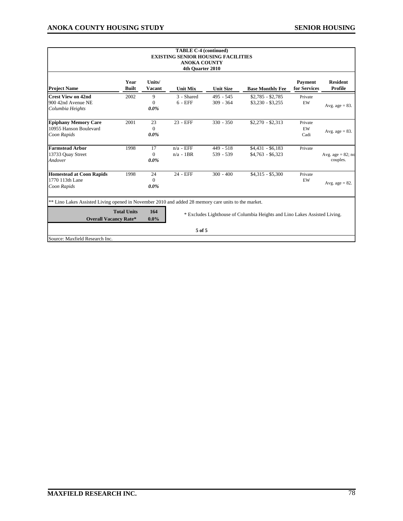| <b>TABLE C-4 (continued)</b><br><b>EXISTING SENIOR HOUSING FACILITIES</b><br><b>ANOKA COUNTY</b><br>4th Ouarter 2010                |                      |                           |                            |                            |                                                                           |                         |                                  |  |  |  |  |
|-------------------------------------------------------------------------------------------------------------------------------------|----------------------|---------------------------|----------------------------|----------------------------|---------------------------------------------------------------------------|-------------------------|----------------------------------|--|--|--|--|
| <b>Project Name</b>                                                                                                                 | Year<br><b>Built</b> | Units/<br>Vacant          | <b>Unit Mix</b>            | <b>Unit Size</b>           | <b>Base Monthly Fee</b>                                                   | Payment<br>for Services | <b>Resident</b><br>Profile       |  |  |  |  |
| <b>Crest View on 42nd</b><br>900 42nd Avenue NE<br>Columbia Heights                                                                 | 2002                 | 9<br>$\Omega$<br>$0.0\%$  | 3 - Shared<br>$6 - EFF$    | $495 - 545$<br>$309 - 364$ | $$2,785 - $2,785$<br>$$3,230 - $3,255$                                    | Private<br>EW           | Avg. age $= 83$ .                |  |  |  |  |
| <b>Epiphany Memory Care</b><br>10955 Hanson Boulevard<br>Coon Rapids                                                                | 2001                 | 23<br>$\Omega$<br>$0.0\%$ | 23 - EFF                   | $330 - 350$                | $$2,270 - $2,313$                                                         | Private<br>EW<br>Cadi   | Avg. age $= 83$ .                |  |  |  |  |
| <b>Farmstead Arbor</b><br>13733 Ouay Street<br>Andover                                                                              | 1998                 | 17<br>$\Omega$<br>$0.0\%$ | $n/a$ - EFF<br>$n/a - 1BR$ | $449 - 518$<br>539 - 539   | $$4,431 - $6,183$<br>$$4,763 - $6,323$                                    | Private                 | Avg. age = $82$ ; no<br>couples. |  |  |  |  |
| <b>Homestead at Coon Rapids</b><br>1770 113th Lane<br>Coon Rapids                                                                   | 1998                 | 24<br>$\Omega$<br>$0.0\%$ | 24 - EFF                   | $300 - 400$                | $$4,315 - $5,300$                                                         | Private<br>EW           | Avg. age $= 82$ .                |  |  |  |  |
| ** Lino Lakes Assisted Living opened in November 2010 and added 28 memory care units to the market.<br><b>Overall Vacancy Rate*</b> | <b>Total Units</b>   | 164<br>$0.0\%$            |                            |                            | * Excludes Lighthouse of Columbia Heights and Lino Lakes Assisted Living. |                         |                                  |  |  |  |  |
|                                                                                                                                     |                      |                           | 5 of 5                     |                            |                                                                           |                         |                                  |  |  |  |  |
| Source: Maxfield Research Inc.                                                                                                      |                      |                           |                            |                            |                                                                           |                         |                                  |  |  |  |  |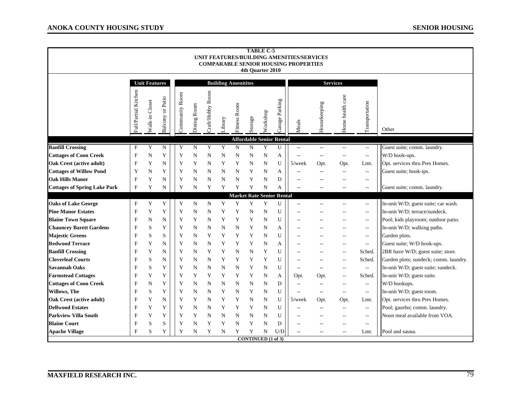|                                     |                           |                      |                  |                |             |                  |                            |              | 4th Quarter 2010               | <b>TABLE C-5</b> |                                      | UNIT FEATURES/BUILDING AMENITIES/SERVICES<br><b>COMPARABLE SENIOR HOUSING PROPERTIES</b> |                                               |                          |                             |                                       |
|-------------------------------------|---------------------------|----------------------|------------------|----------------|-------------|------------------|----------------------------|--------------|--------------------------------|------------------|--------------------------------------|------------------------------------------------------------------------------------------|-----------------------------------------------|--------------------------|-----------------------------|---------------------------------------|
|                                     |                           | <b>Unit Features</b> |                  |                |             |                  | <b>Building Amenitites</b> |              |                                |                  |                                      |                                                                                          |                                               | <b>Services</b>          |                             |                                       |
|                                     | Full/Partial Kitchen      | Walk-in Closet       | Balcony or Patio | Community Room | Dining Room | Craft/Hobby Room | Library                    | Fitness Room | Storage                        | Workshop         | Garage Parking                       | Meals                                                                                    | Housekeeping                                  | Home health care         | Transportation              | Other                                 |
| <b>Banfill Crossing</b>             | $\mathbf{F}$              | Y                    | ${\bf N}$        | Y              | $\mathbf N$ | Y                | Y                          | $\mathbf N$  | N                              | Y                | <b>Affordable Senior Rental</b><br>U | $\overline{\phantom{a}}$                                                                 | $\mathord{\hspace{1pt}\text{--}\hspace{1pt}}$ | $\mathcal{L} =$          | $\mathbb{L}^{\mathbb{L}}$   | Guest suite; comm. laundry.           |
| <b>Cottages of Coon Creek</b>       | $\boldsymbol{\mathrm{F}}$ | N                    | Y                | Y              | N           | N                | N                          | N            | N                              | N                | А                                    | $\sim$                                                                                   | $\sim$ $-$                                    | $\overline{a}$           | $\overline{\phantom{a}}$    | W/D hook-ups.                         |
| <b>Oak Crest (active adult)</b>     | $\mathbf{F}$              | Y                    | N                | Y              | Y           | N                | Y                          | Y            | N                              | $\mathbf N$      | U                                    | $5$ /week                                                                                | Opt.                                          | Opt.                     | Lmt.                        | Opt. services thru Pres Homes.        |
| <b>Cottages of Willow Pond</b>      | Y                         | N                    | Y                | Y              | N           | N                | N                          | N            | Y                              | N                | A                                    |                                                                                          | $\overline{\phantom{m}}$                      | $-$                      | $\overline{\phantom{a}}$    | Guest suite; hook-ips.                |
| <b>Oak Hills Manor</b>              | $\overline{F}$            | Y                    | N                | Y              | N           | N                | N                          | N            | Y                              | $\mathbf N$      | D                                    |                                                                                          |                                               | $\sim$                   | $\sim$ $\sim$               |                                       |
| <b>Cottages of Spring Lake Park</b> | $\mathbf{F}$              | Y                    | N                | Y              | N           | Y                | Y                          | Y            | Y                              | $\mathbf N$      | А                                    |                                                                                          | $-$                                           | $\sim$ $-$               | $\overline{\phantom{a}}$    | Guest suite; comm. laundry.           |
|                                     |                           |                      |                  |                |             |                  |                            |              |                                |                  | <b>Market Rate Senior Rental</b>     |                                                                                          |                                               |                          |                             |                                       |
| <b>Oaks of Lake George</b>          | $\mathbf F$               | Y                    | Y                | Y              | ${\bf N}$   | N                | Y                          | Y            | Y                              | Y                | U                                    |                                                                                          |                                               |                          | $\mathcal{L} = \mathcal{L}$ | In-unit W/D; guest suite; car wash.   |
| <b>Pine Manor Estates</b>           | $\mathbf{F}$              | Y                    | Y                | Y              | N           | N                | Y                          | Y            | N                              | $\mathbf N$      | U                                    |                                                                                          |                                               | $\sim$                   | $\overline{\phantom{a}}$    | In-unit W/D: terrace/sundeck.         |
| <b>Blaine Town Square</b>           | $\mathbf F$               | N                    | N                | Y              | Y           | N                | Y                          | Y            | Y                              | N                | U                                    | $\sim$                                                                                   |                                               | $\sim$                   | $\overline{\phantom{a}}$    | Pool; kids playroom; outdoor patio.   |
| <b>Chauncey Barett Gardens</b>      | $\mathbf F$               | S                    | Y                | Y              | N           | N                | N                          | N            | Y                              | N                | А                                    | $\overline{a}$                                                                           | $-$                                           | $\sim$                   | $\overline{\phantom{a}}$    | In-unit W/D; walking paths.           |
| <b>Majestic Greens</b>              | $\overline{F}$            | S                    | S                | Y              | N           | Y                | Y                          | Y            | Y                              | $\mathbf N$      | U                                    | $\sim$                                                                                   | $\sim$ $\sim$                                 | $\sim$                   | $\mathcal{L}_{\mathcal{A}}$ | Garden plots.                         |
| <b>Redwood Terrace</b>              | $\overline{F}$            | Y                    | N                | Y              | N           | N                | Y                          | Y            | Y                              | N                | А                                    | $\sim$                                                                                   | $-$                                           | $-$                      | $\mathcal{L} =$             | Guest suite; W/D hook-ups.            |
| <b>Banfill Crossing</b>             | $\overline{F}$            | Y                    | N                | Y              | N           | Y                | Y                          | N            | N                              | Y                | U                                    | $\sim$                                                                                   | $-$                                           | $-$                      | Sched.                      | 2BR have W/D; guest suite; store.     |
| <b>Cloverleaf Courts</b>            | $\mathbf F$               | S                    | N                | Y              | N           | N                | Y                          | Y            | Y                              | Y                | U                                    | $\overline{a}$                                                                           | $\sim$                                        | $\sim$                   | Sched.                      | Garden plots; sundeck; comm. laundry. |
| <b>Savannah Oaks</b>                | $\overline{F}$            | S                    | Y                | Y              | N           | N                | N                          | N            | Y                              | N                | U                                    | $\overline{a}$                                                                           | $-$                                           | $\sim$                   | $\overline{\phantom{a}}$    | In-unit W/D; guest suite; sundeck.    |
| <b>Farmstead Cottages</b>           | $\overline{F}$            | Y                    | Y                | Y              | Y           | Y                | Y                          | Y            | Y                              | N                | A                                    | Opt.                                                                                     | Opt.                                          | $\overline{\phantom{a}}$ | Sched.                      | In-unit W/D; guest suite.             |
| <b>Cottages of Coon Creek</b>       | $\mathbf F$               | N                    | Y                | Y              | $\mathbf N$ | N                | N                          | N            | N                              | N                | D                                    | ÷.                                                                                       | $\overline{\phantom{m}}$                      | $\overline{a}$           | $\overline{\phantom{a}}$    | W/D hookups.                          |
| Willows, The                        | $\mathbf F$               | S                    | Y                | Y              | $\mathbf N$ | N                | Y                          | N            | Y                              | N                | U                                    | ÷.                                                                                       | $\sim$ $\sim$                                 | $\overline{\phantom{a}}$ | $\overline{\phantom{a}}$    | In-unit W/D; guest room.              |
| <b>Oak Crest (active adult)</b>     | $\mathbf F$               | Y                    | N                | Y              | Y           | N                | Y                          | Y            | N                              | N                | U                                    | $5$ /week                                                                                | Opt.                                          | Opt.                     | Lmt.                        | Opt. services thru Pres Homes.        |
| <b>Dellwood Estates</b>             | $\overline{F}$            | Y                    | Y                | Y              | N           | N                | Y                          | Y            | Y                              | $\mathbf N$      | U                                    | $\sim$                                                                                   | $\overline{\phantom{m}}$                      | $\overline{\phantom{a}}$ | $\overline{\phantom{a}}$    | Pool; gazebo; comm. laundry.          |
| <b>Parkview Villa South</b>         | $\overline{F}$            | Y                    | Y                | Y              | Y           | N                | N                          | N            | N                              | N                | U                                    | н,                                                                                       | $\overline{a}$                                | $\overline{a}$           | $\overline{\phantom{a}}$    | Noon meal available from VOA.         |
| <b>Blaine Court</b>                 | $\mathbf F$               | S                    | S                | Y              | N           | Y                | Y                          | N            | Y                              | N                | D                                    | $\overline{a}$                                                                           | $-$                                           | $\sim$ $-$               | $\overline{\phantom{a}}$    |                                       |
| <b>Apache Village</b>               | F                         | S                    | Y                | Y              | N           | Y                | N                          | Y            | Y<br><b>CONTINUED</b> (1 of 3) | N                | U/D                                  | $\overline{\phantom{m}}$                                                                 | $\sim$ $-$                                    | $\overline{\phantom{a}}$ | Lmt.                        | Pool and sauna.                       |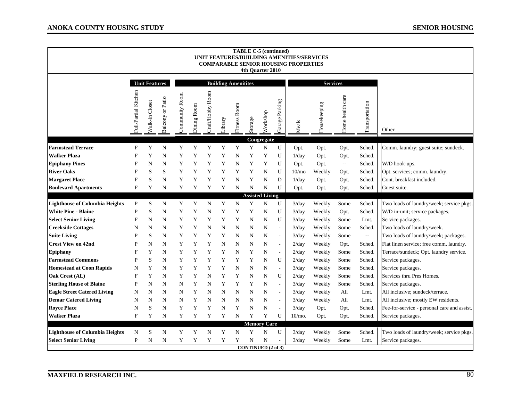|                                             |                               |                      |                         |                |             |                 |                            |              | <b>TABLE C-5 (continued)</b><br>4th Quarter 2010 |             |                          | UNIT FEATURES/BUILDING AMENITIES/SERVICES<br><b>COMPARABLE SENIOR HOUSING PROPERTIES</b> |                  |                  |                  |                                             |
|---------------------------------------------|-------------------------------|----------------------|-------------------------|----------------|-------------|-----------------|----------------------------|--------------|--------------------------------------------------|-------------|--------------------------|------------------------------------------------------------------------------------------|------------------|------------------|------------------|---------------------------------------------|
|                                             |                               | <b>Unit Features</b> |                         |                |             |                 | <b>Building Amenitites</b> |              |                                                  |             |                          |                                                                                          | <b>Services</b>  |                  |                  |                                             |
|                                             | Full/Partial Kitchen          | Walk-in Closet       | <b>Balcony or Patio</b> | Community Room | Dining Room | raft/Hobby Room | Library                    | Fitness Room | Storage                                          | Workshop    | Garage Parking           | Meals                                                                                    | Housekeeping     | Home health care | Transportation   | Other                                       |
|                                             |                               |                      |                         |                |             |                 |                            |              |                                                  | Congregate  |                          |                                                                                          |                  |                  |                  |                                             |
| <b>Farmstead Terrace</b>                    | $_{\rm F}$                    | Y                    | $\mathbf N$             | Y              | Y           | Y               | Y                          | Y            | Y                                                | $\mathbf N$ | U                        | Opt.                                                                                     | Opt.             | Opt.             | Sched.           | Comm. laundry; guest suite; sundeck.        |
| <b>Walker Plaza</b>                         | $\mathbf F$                   | Y                    | N                       | Y              | Y           | Y               | Y                          | N            | Y                                                | Y           | U                        | 1/day                                                                                    | Opt.             | Opt.             | Sched.           |                                             |
| <b>Epiphany Pines</b>                       | F                             | N                    | N                       | Y              | Y           | Y               | Y                          | N            | Y                                                | Y           | U                        | Opt.                                                                                     | Opt.             | $\mathbb{L}^2$   | Sched.           | W/D hook-ups.                               |
| <b>River Oaks</b>                           | $\mathbf F$                   | S                    | S                       | Y              | Y           | Y               | Y                          | Y            | Y                                                | N           | U                        | 10/m <sub>o</sub>                                                                        | Weekly           | Opt.             | Sched.           | Opt. services; comm. laundry.               |
| <b>Margaret Place</b>                       | $\mathbf F$                   | S                    | N                       | Y              | Y           | Y               | Y                          | N            | Y                                                | N           | D                        | 1/day                                                                                    | Opt.             | Opt.             | Sched.           | Cont. breakfast included.                   |
| <b>Boulevard Apartments</b>                 | F                             | Y                    | N                       | Y              | Y           | Y               | Y                          | N            | $\mathbf N$                                      | ${\bf N}$   | U                        | Opt.                                                                                     | Opt.             | Opt.             | Sched.           | Guest suite.                                |
|                                             |                               |                      |                         |                |             |                 |                            |              | <b>Assisted Living</b>                           |             |                          |                                                                                          |                  |                  |                  |                                             |
| <b>Lighthouse of Columbia Heights</b>       | $\mathbf P$                   | S                    | N                       | Y              | Y           | N               | Y                          | $\mathbf N$  | Y                                                | N           | U                        | 3/day                                                                                    | Weekly           | Some             | Sched.           | Two loads of laundry/week; service pkgs.    |
| <b>White Pine - Blaine</b>                  | $\mathbf P$                   | S                    | N                       | Y              | Y           | N               | Y                          | Y            | Y                                                | N           | U                        | 3/day                                                                                    | Weekly           | Opt.             | Sched.           | W/D in-unit; service packages.              |
| <b>Select Senior Living</b>                 | $\mathbf F$                   | N                    | N                       | Y              | Y           | Y               | Y                          | Y            | $\mathbf N$                                      | N           | U                        | 3/day                                                                                    | Weekly           | Some             | Lmt.             | Service packages.                           |
| <b>Creekside Cottages</b>                   | N                             | N                    | N                       | Y              | Y           | N               | N                          | N            | N                                                | N           | $\overline{\phantom{a}}$ | 3/day                                                                                    | Weekly           | Some             | Sched.           | Two loads of laundry/week.                  |
| <b>Suite Living</b>                         | $\mathbf{P}$                  | S                    | N                       | Y              | Y           | Y               | Y                          | N            | N                                                | N           | $\blacksquare$           | 3/day                                                                                    | Weekly           | Some             | $\sim$           | Two loads of laundry/week; packages.        |
| <b>Crest View on 42nd</b>                   | $\mathbf P$<br>$\overline{F}$ | N                    | N                       | Y              | Y           | Y               | N                          | N            | $\mathbf N$                                      | N           | $\sim$                   | $2$ /day                                                                                 | Weekly           | Opt.             | Sched.           | Flat linen service; free comm. laundry.     |
| <b>Epiphany</b><br><b>Farmstead Commons</b> | $\mathbf{P}$                  | Y                    | N                       | Y              | $\mathbf Y$ | Y               | Y                          | N            | Y<br>Y                                           | N<br>N      | $\overline{\phantom{a}}$ | 2/day                                                                                    | Weekly           | Some             | Sched.<br>Sched. | Terrace/sundeck; Opt. laundry service.      |
| <b>Homestead at Coon Rapids</b>             | N                             | S<br>Y               | N<br>N                  | Y<br>Y         | Y<br>Y      | Y<br>Y          | Y<br>Y                     | Y<br>N       | N                                                | N           | U<br>$\blacksquare$      | $2$ /day<br>3/day                                                                        | Weekly<br>Weekly | Some<br>Some     | Sched.           | Service packages.<br>Service packages.      |
| Oak Crest (AL)                              | $\overline{F}$                | Y                    | N                       | Y              | Y           | N               | Y                          | Y            | N                                                | N           | U                        | $2$ /day                                                                                 | Weekly           | Some             | Sched.           | Services thru Pres Homes.                   |
| <b>Sterling House of Blaine</b>             | $\mathbf P$                   | N                    | N                       | N              | Y           | N               | Y                          | Y            | Y                                                | N           | $\blacksquare$           | 3/day                                                                                    | Weekly           | Some             | Sched.           | Service packages.                           |
| <b>Eagle Street Catered Living</b>          | N                             | N                    | N                       | N              | Y           | N               | N                          | N            | N                                                | N           | $\overline{\phantom{a}}$ | $3$ /day                                                                                 | Weekly           | All              | Lmt.             | All inclusive; sundeck/terrace.             |
| <b>Demar Catered Living</b>                 | N                             | N                    | N                       | N              | Y           | N               | N                          | N            | N                                                | N           | $\overline{\phantom{a}}$ | 3/day                                                                                    | Weekly           | All              | Lmt.             | All inclusive; mostly EW residents.         |
| <b>Royce Place</b>                          | N                             | S                    | N                       | Y              | Y           | Y               | N                          | Y            | N                                                | N           |                          | 3/day                                                                                    | Opt.             | Opt.             | Sched.           | Fee-for-service - personal care and assist. |
| <b>Walker Plaza</b>                         | F                             | Y                    | N                       | Y              | Y           | Y               | Y                          | $\mathbf N$  | Y                                                | Y           | U                        | $10/m$ o.                                                                                | Opt.             | Opt.             | Sched.           | Service packages.                           |
|                                             |                               |                      |                         |                |             |                 |                            |              | <b>Memory Care</b>                               |             |                          |                                                                                          |                  |                  |                  |                                             |
| <b>Lighthouse of Columbia Heights</b>       | N                             | S                    | N                       | Y              | Y           | N               | Y                          | $\mathbf N$  | Y                                                | $\mathbf N$ | U                        | $3$ /day                                                                                 | Weekly           | Some             | Sched.           | Two loads of laundry/week; service pkgs.    |
| <b>Select Senior Living</b>                 | $\mathbf P$                   | $\mathbf N$          | N                       | Y              | Y           | Y               | Y                          | Y            | N                                                | $\mathbf N$ |                          | 3/day                                                                                    | Weekly           | Some             | Lmt.             | Service packages.                           |
|                                             |                               |                      |                         |                |             |                 |                            |              | <b>CONTINUED (2 of 3)</b>                        |             |                          |                                                                                          |                  |                  |                  |                                             |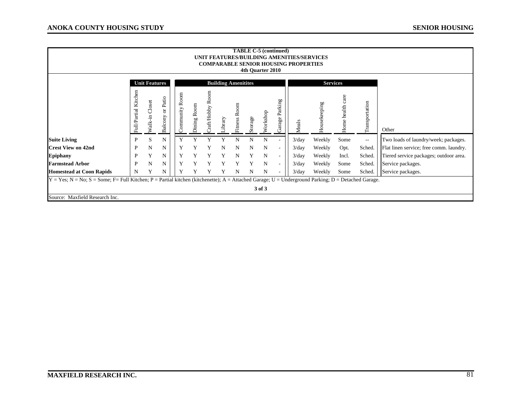|                                                                                                                                                                                        | <b>TABLE C-5 (continued)</b><br>UNIT FEATURES/BUILDING AMENITIES/SERVICES<br><b>COMPARABLE SENIOR HOUSING PROPERTIES</b><br>4th Quarter 2010 |                      |                     |  |                  |                             |                 |        |                            |         |             |                          |       |                 |                     |                          |                                         |
|----------------------------------------------------------------------------------------------------------------------------------------------------------------------------------------|----------------------------------------------------------------------------------------------------------------------------------------------|----------------------|---------------------|--|------------------|-----------------------------|-----------------|--------|----------------------------|---------|-------------|--------------------------|-------|-----------------|---------------------|--------------------------|-----------------------------------------|
|                                                                                                                                                                                        |                                                                                                                                              | <b>Unit Features</b> |                     |  |                  |                             |                 |        | <b>Building Amenitites</b> |         |             |                          |       | <b>Services</b> |                     |                          |                                         |
|                                                                                                                                                                                        | Kitchen<br>Full/Partial                                                                                                                      | Closet<br>Walk-in    | or Patio<br>Balcony |  | Room<br>ommunity | $\mbox{\bf Room}$<br>Dining | ≃<br>raft/Hobby | ibrary | Fitness R                  | Storage | Workshop    | Parking<br>Garage        | Meals | Housekeeping    | care<br>Home health | Transportation           | Other                                   |
| <b>Suite Living</b>                                                                                                                                                                    | $\mathbf{P}$                                                                                                                                 | S                    | N                   |  |                  |                             |                 |        | N                          | N       | N           |                          | 3/day | Weekly          | Some                | $\overline{\phantom{m}}$ | Two loads of laundry/week; packages.    |
| <b>Crest View on 42nd</b>                                                                                                                                                              | P                                                                                                                                            | N                    | N                   |  | Y                | Y                           |                 | N      | N                          | N       | N           | $\overline{\phantom{a}}$ | 3/day | Weekly          | Opt.                | Sched.                   | Flat linen service; free comm. laundry. |
| <b>Epiphany</b>                                                                                                                                                                        | P                                                                                                                                            | Y                    | N                   |  | Y                |                             |                 | Y      | N                          | Y       | $\mathbf N$ | $\overline{\phantom{a}}$ | 3/day | Weekly          | Incl.               | Sched.                   | Tiered service packages; outdoor area.  |
| <b>Farmstead Arbor</b>                                                                                                                                                                 | P                                                                                                                                            | N                    | N                   |  | Y                |                             |                 |        |                            |         | N           | $\overline{\phantom{a}}$ | 3/day | Weekly          | Some                | Sched.                   | Service packages.                       |
| <b>Homestead at Coon Rapids</b>                                                                                                                                                        | N                                                                                                                                            |                      | N                   |  | Y                |                             |                 |        | N                          | N       | N           |                          | 3/day | Weekly          | Some                | Sched.                   | Service packages.                       |
| $Y = Yes$ ; N = No; S = Some; F= Full Kitchen; P = Partial kitchen (kitchenette); A = Attached Garage; U = Underground Parking; D = Detached Garage.<br>Source: Maxfield Research Inc. |                                                                                                                                              |                      |                     |  |                  |                             |                 |        |                            |         | 3 of 3      |                          |       |                 |                     |                          |                                         |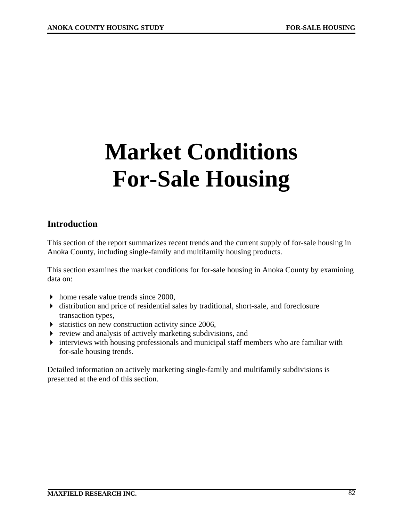# **Market Conditions For-Sale Housing**

# **Introduction**

This section of the report summarizes recent trends and the current supply of for-sale housing in Anoka County, including single-family and multifamily housing products.

This section examines the market conditions for for-sale housing in Anoka County by examining data on:

- $\blacktriangleright$  home resale value trends since 2000,
- distribution and price of residential sales by traditional, short-sale, and foreclosure transaction types,
- statistics on new construction activity since 2006,
- $\triangleright$  review and analysis of actively marketing subdivisions, and
- interviews with housing professionals and municipal staff members who are familiar with for-sale housing trends.

Detailed information on actively marketing single-family and multifamily subdivisions is presented at the end of this section.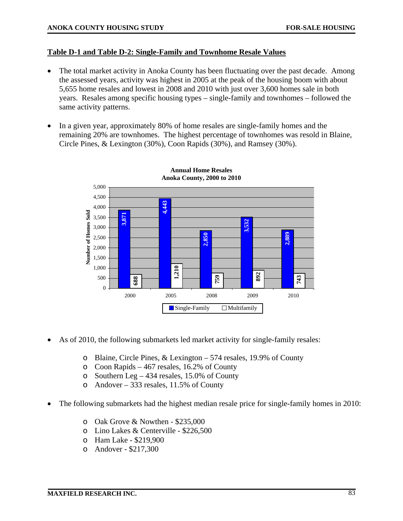### **Table D-1 and Table D-2: Single-Family and Townhome Resale Values**

- The total market activity in Anoka County has been fluctuating over the past decade. Among the assessed years, activity was highest in 2005 at the peak of the housing boom with about 5,655 home resales and lowest in 2008 and 2010 with just over 3,600 homes sale in both years. Resales among specific housing types – single-family and townhomes – followed the same activity patterns.
- In a given year, approximately 80% of home resales are single-family homes and the remaining 20% are townhomes. The highest percentage of townhomes was resold in Blaine, Circle Pines, & Lexington (30%), Coon Rapids (30%), and Ramsey (30%).



- As of 2010, the following submarkets led market activity for single-family resales:
	- o Blaine, Circle Pines, & Lexington 574 resales, 19.9% of County
	- o Coon Rapids 467 resales, 16.2% of County
	- o Southern Leg 434 resales, 15.0% of County
	- o Andover 333 resales, 11.5% of County
- The following submarkets had the highest median resale price for single-family homes in 2010:
	- o Oak Grove & Nowthen \$235,000
	- o Lino Lakes & Centerville \$226,500
	- o Ham Lake \$219,900
	- o Andover \$217,300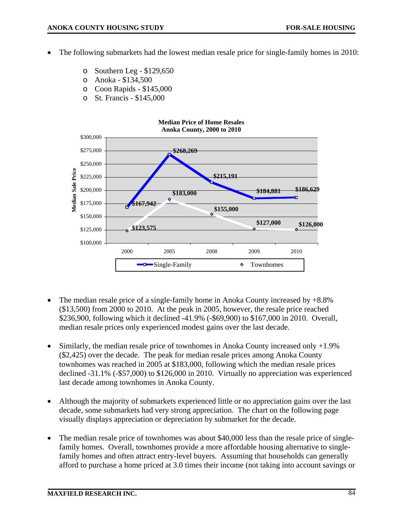- The following submarkets had the lowest median resale price for single-family homes in 2010:
	- o Southern Leg \$129,650
	- o Anoka \$134,500
	- o Coon Rapids \$145,000
	- o St. Francis \$145,000



- The median resale price of a single-family home in Anoka County increased by +8.8% (\$13,500) from 2000 to 2010. At the peak in 2005, however, the resale price reached \$236,900, following which it declined -41.9% (-\$69,900) to \$167,000 in 2010. Overall, median resale prices only experienced modest gains over the last decade.
- Similarly, the median resale price of townhomes in Anoka County increased only +1.9% (\$2,425) over the decade. The peak for median resale prices among Anoka County townhomes was reached in 2005 at \$183,000, following which the median resale prices declined -31.1% (-\$57,000) to \$126,000 in 2010. Virtually no appreciation was experienced last decade among townhomes in Anoka County.
- Although the majority of submarkets experienced little or no appreciation gains over the last decade, some submarkets had very strong appreciation. The chart on the following page visually displays appreciation or depreciation by submarket for the decade.
- The median resale price of townhomes was about \$40,000 less than the resale price of singlefamily homes. Overall, townhomes provide a more affordable housing alternative to singlefamily homes and often attract entry-level buyers. Assuming that households can generally afford to purchase a home priced at 3.0 times their income (not taking into account savings or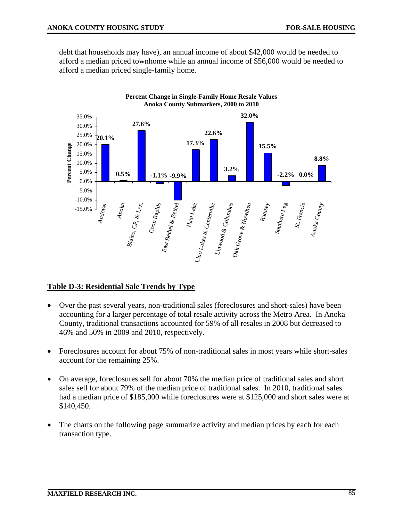debt that households may have), an annual income of about \$42,000 would be needed to afford a median priced townhome while an annual income of \$56,000 would be needed to afford a median priced single-family home.



## **Table D-3: Residential Sale Trends by Type**

- Over the past several years, non-traditional sales (foreclosures and short-sales) have been accounting for a larger percentage of total resale activity across the Metro Area. In Anoka County, traditional transactions accounted for 59% of all resales in 2008 but decreased to 46% and 50% in 2009 and 2010, respectively.
- Foreclosures account for about 75% of non-traditional sales in most years while short-sales account for the remaining 25%.
- On average, foreclosures sell for about 70% the median price of traditional sales and short sales sell for about 79% of the median price of traditional sales. In 2010, traditional sales had a median price of \$185,000 while foreclosures were at \$125,000 and short sales were at \$140,450.
- The charts on the following page summarize activity and median prices by each for each transaction type.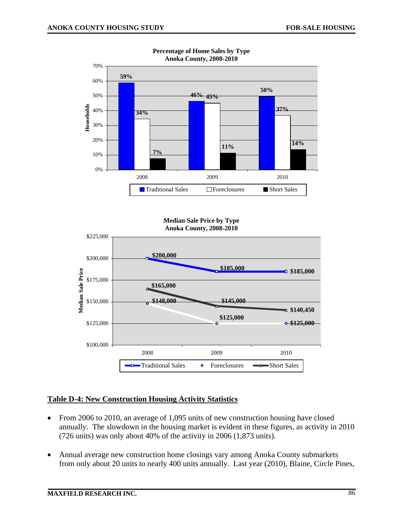

**Percentage of Home Sales by Type Anoka County, 2008-2010** 





## **Table D-4: New Construction Housing Activity Statistics**

- From 2006 to 2010, an average of 1,095 units of new construction housing have closed annually. The slowdown in the housing market is evident in these figures, as activity in 2010 (726 units) was only about 40% of the activity in 2006 (1,873 units).
- Annual average new construction home closings vary among Anoka County submarkets from only about 20 units to nearly 400 units annually. Last year (2010), Blaine, Circle Pines,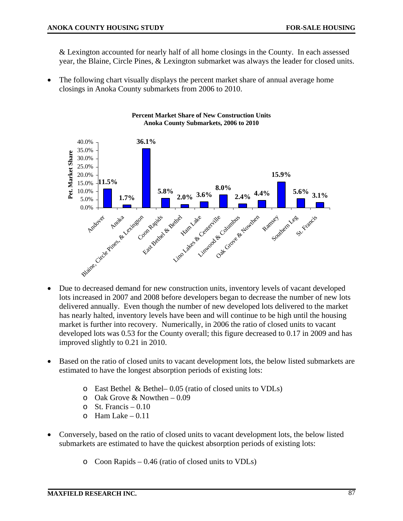& Lexington accounted for nearly half of all home closings in the County. In each assessed year, the Blaine, Circle Pines, & Lexington submarket was always the leader for closed units.

The following chart visually displays the percent market share of annual average home closings in Anoka County submarkets from 2006 to 2010.



#### **Percent Market Share of New Construction Units Anoka County Submarkets, 2006 to 2010**

- Due to decreased demand for new construction units, inventory levels of vacant developed lots increased in 2007 and 2008 before developers began to decrease the number of new lots delivered annually. Even though the number of new developed lots delivered to the market has nearly halted, inventory levels have been and will continue to be high until the housing market is further into recovery. Numerically, in 2006 the ratio of closed units to vacant developed lots was 0.53 for the County overall; this figure decreased to 0.17 in 2009 and has improved slightly to 0.21 in 2010.
- Based on the ratio of closed units to vacant development lots, the below listed submarkets are estimated to have the longest absorption periods of existing lots:
	- o East Bethel & Bethel– 0.05 (ratio of closed units to VDLs)
	- $\circ$  Oak Grove & Nowthen 0.09
	- $\circ$  St. Francis 0.10
	- $\circ$  Ham Lake 0.11
- Conversely, based on the ratio of closed units to vacant development lots, the below listed submarkets are estimated to have the quickest absorption periods of existing lots:
	- o Coon Rapids 0.46 (ratio of closed units to VDLs)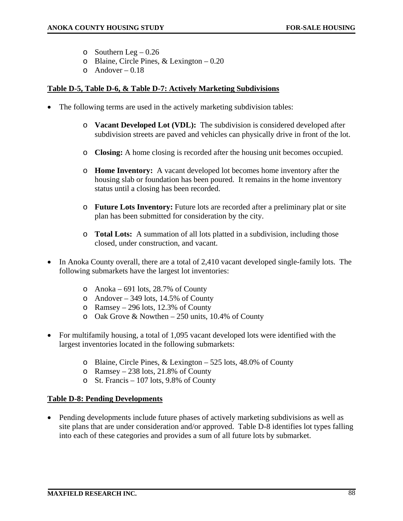- $\circ$  Southern Leg 0.26
- o Blaine, Circle Pines, & Lexington 0.20
- $o$  Andover 0.18

### **Table D-5, Table D-6, & Table D-7: Actively Marketing Subdivisions**

- The following terms are used in the actively marketing subdivision tables:
	- o **Vacant Developed Lot (VDL):** The subdivision is considered developed after subdivision streets are paved and vehicles can physically drive in front of the lot.
	- o **Closing:** A home closing is recorded after the housing unit becomes occupied.
	- o **Home Inventory:** A vacant developed lot becomes home inventory after the housing slab or foundation has been poured. It remains in the home inventory status until a closing has been recorded.
	- o **Future Lots Inventory:** Future lots are recorded after a preliminary plat or site plan has been submitted for consideration by the city.
	- o **Total Lots:** A summation of all lots platted in a subdivision, including those closed, under construction, and vacant.
- In Anoka County overall, there are a total of 2,410 vacant developed single-family lots. The following submarkets have the largest lot inventories:
	- o Anoka 691 lots, 28.7% of County
	- o Andover 349 lots, 14.5% of County
	- o Ramsey 296 lots, 12.3% of County
	- $\circ$  Oak Grove & Nowthen 250 units, 10.4% of County
- For multifamily housing, a total of 1,095 vacant developed lots were identified with the largest inventories located in the following submarkets:
	- o Blaine, Circle Pines, & Lexington 525 lots, 48.0% of County
	- o Ramsey 238 lots, 21.8% of County
	- o St. Francis 107 lots, 9.8% of County

### **Table D-8: Pending Developments**

• Pending developments include future phases of actively marketing subdivisions as well as site plans that are under consideration and/or approved. Table D-8 identifies lot types falling into each of these categories and provides a sum of all future lots by submarket.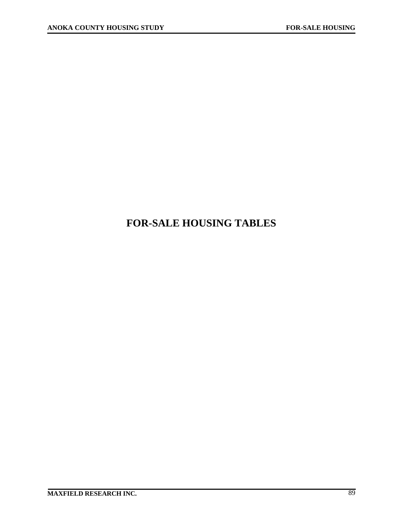# **FOR-SALE HOUSING TABLES**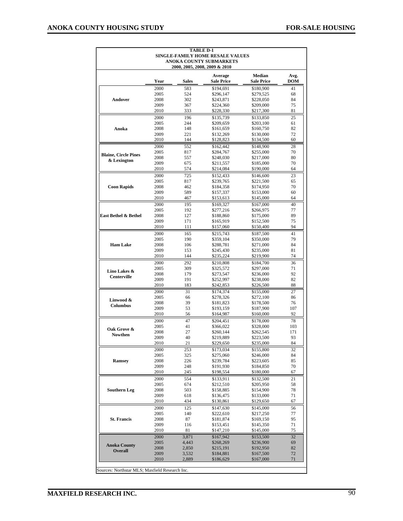| Andover<br>Anoka<br><b>Blaine, Circle Pines</b><br>& Lexington | Year<br>2000<br>2005<br>2008<br>2009<br>2010<br>2000<br>2005<br>2008<br>2009<br>2010<br>2000<br>2005<br>2008<br>2009<br>2010<br>2000<br>2005 | <b>Sales</b><br>583<br>524<br>302<br>367<br>333<br>196<br>244<br>148<br>221<br>144<br>552<br>817<br>557<br>675<br>574 | Average<br><b>Sale Price</b><br>\$194,691<br>\$296,147<br>\$243,871<br>\$224,360<br>\$228,330<br>\$135,739<br>\$209,659<br>\$161,659<br>\$132,269<br>\$128,823<br>\$162,442<br>\$284,767 | <b>Median</b><br><b>Sale Price</b><br>\$180,900<br>\$279,525<br>\$228,050<br>\$209,000<br>\$217,300<br>\$133,850<br>\$203,100<br>\$160,750<br>\$130,000<br>\$134,500<br>\$148,900 | Avg.<br><b>DOM</b><br>41<br>68<br>84<br>75<br>81<br>25<br>61<br>82<br>72<br>60 |
|----------------------------------------------------------------|----------------------------------------------------------------------------------------------------------------------------------------------|-----------------------------------------------------------------------------------------------------------------------|------------------------------------------------------------------------------------------------------------------------------------------------------------------------------------------|-----------------------------------------------------------------------------------------------------------------------------------------------------------------------------------|--------------------------------------------------------------------------------|
|                                                                |                                                                                                                                              |                                                                                                                       |                                                                                                                                                                                          |                                                                                                                                                                                   |                                                                                |
|                                                                |                                                                                                                                              |                                                                                                                       |                                                                                                                                                                                          |                                                                                                                                                                                   |                                                                                |
|                                                                |                                                                                                                                              |                                                                                                                       |                                                                                                                                                                                          |                                                                                                                                                                                   |                                                                                |
|                                                                |                                                                                                                                              |                                                                                                                       |                                                                                                                                                                                          |                                                                                                                                                                                   |                                                                                |
|                                                                |                                                                                                                                              |                                                                                                                       |                                                                                                                                                                                          |                                                                                                                                                                                   |                                                                                |
|                                                                |                                                                                                                                              |                                                                                                                       |                                                                                                                                                                                          |                                                                                                                                                                                   |                                                                                |
|                                                                |                                                                                                                                              |                                                                                                                       |                                                                                                                                                                                          |                                                                                                                                                                                   |                                                                                |
|                                                                |                                                                                                                                              |                                                                                                                       |                                                                                                                                                                                          |                                                                                                                                                                                   |                                                                                |
|                                                                |                                                                                                                                              |                                                                                                                       |                                                                                                                                                                                          |                                                                                                                                                                                   |                                                                                |
|                                                                |                                                                                                                                              |                                                                                                                       |                                                                                                                                                                                          |                                                                                                                                                                                   | 28                                                                             |
|                                                                |                                                                                                                                              |                                                                                                                       |                                                                                                                                                                                          | \$255,000                                                                                                                                                                         | 70                                                                             |
|                                                                |                                                                                                                                              |                                                                                                                       | \$248,030<br>\$211,557                                                                                                                                                                   | \$217,000                                                                                                                                                                         | 80<br>70                                                                       |
|                                                                |                                                                                                                                              |                                                                                                                       | \$214,084                                                                                                                                                                                | \$185,000<br>\$190,000                                                                                                                                                            | 64                                                                             |
|                                                                |                                                                                                                                              | 725                                                                                                                   | \$152,433                                                                                                                                                                                | \$146,600                                                                                                                                                                         | 23                                                                             |
|                                                                |                                                                                                                                              | 817                                                                                                                   | \$239,765                                                                                                                                                                                | \$221,500                                                                                                                                                                         | 65                                                                             |
| <b>Coon Rapids</b>                                             | 2008                                                                                                                                         | 462                                                                                                                   | \$184,358                                                                                                                                                                                | \$174,950                                                                                                                                                                         | 70                                                                             |
|                                                                | 2009<br>2010                                                                                                                                 | 589<br>467                                                                                                            | \$157,337<br>\$153,613                                                                                                                                                                   | \$153,000<br>\$145,000                                                                                                                                                            | 60<br>64                                                                       |
|                                                                | 2000                                                                                                                                         | 195                                                                                                                   | \$169,327                                                                                                                                                                                | \$167,000                                                                                                                                                                         | 40                                                                             |
|                                                                | 2005                                                                                                                                         | 192                                                                                                                   | \$277,216                                                                                                                                                                                | \$266,975                                                                                                                                                                         | 77                                                                             |
| East Bethel & Bethel                                           | 2008                                                                                                                                         | 127                                                                                                                   | \$188,860                                                                                                                                                                                | \$175,000                                                                                                                                                                         | 89                                                                             |
|                                                                | 2009                                                                                                                                         | 171                                                                                                                   | \$165,919                                                                                                                                                                                | \$152,500                                                                                                                                                                         | 75                                                                             |
|                                                                | 2010                                                                                                                                         | 111                                                                                                                   | \$157,060                                                                                                                                                                                | \$150,400                                                                                                                                                                         | 94                                                                             |
|                                                                | 2000<br>2005                                                                                                                                 | 165<br>190                                                                                                            | \$215,743<br>\$359,104                                                                                                                                                                   | \$187,500<br>\$350,000                                                                                                                                                            | 41<br>79                                                                       |
| <b>Ham Lake</b>                                                | 2008                                                                                                                                         | 106                                                                                                                   | \$288,781                                                                                                                                                                                | \$271,000                                                                                                                                                                         | 84                                                                             |
|                                                                | 2009                                                                                                                                         | 153                                                                                                                   | \$245,430                                                                                                                                                                                | \$235,000                                                                                                                                                                         | 81                                                                             |
|                                                                | 2010                                                                                                                                         | 144                                                                                                                   | \$235,224                                                                                                                                                                                | \$219,900                                                                                                                                                                         | 74                                                                             |
|                                                                | 2000                                                                                                                                         | 292                                                                                                                   | \$210,808                                                                                                                                                                                | \$184,700                                                                                                                                                                         | 36                                                                             |
| Lino Lakes &                                                   | 2005<br>2008                                                                                                                                 | 309<br>179                                                                                                            | \$325,572<br>\$273,547                                                                                                                                                                   | \$297,000<br>\$236,000                                                                                                                                                            | 71<br>92                                                                       |
| <b>Centerville</b>                                             | 2009                                                                                                                                         | 191                                                                                                                   | \$252,997                                                                                                                                                                                | \$238,000                                                                                                                                                                         | 82                                                                             |
|                                                                | 2010                                                                                                                                         | 183                                                                                                                   | \$242,853                                                                                                                                                                                | \$226,500                                                                                                                                                                         | 88                                                                             |
|                                                                | 2000                                                                                                                                         | 31                                                                                                                    | \$174,374                                                                                                                                                                                | \$155,000                                                                                                                                                                         | 27                                                                             |
| Linwood &                                                      | 2005                                                                                                                                         | 66                                                                                                                    | \$278,326                                                                                                                                                                                | \$272,100                                                                                                                                                                         | 86                                                                             |
| <b>Columbus</b>                                                | 2008<br>2009                                                                                                                                 | 39<br>53                                                                                                              | \$181,823<br>\$193,159                                                                                                                                                                   | \$178,500<br>\$187,900                                                                                                                                                            | 76<br>107                                                                      |
|                                                                | 2010                                                                                                                                         | 56                                                                                                                    | \$164,987                                                                                                                                                                                | \$160,000                                                                                                                                                                         | 92                                                                             |
|                                                                | 2000                                                                                                                                         | 47                                                                                                                    | \$204.451                                                                                                                                                                                | \$178,000                                                                                                                                                                         | 78                                                                             |
| Oak Grove &                                                    | 2005                                                                                                                                         | 41                                                                                                                    | \$366,022                                                                                                                                                                                | \$328,000                                                                                                                                                                         | 103                                                                            |
| <b>Nowthen</b>                                                 | 2008                                                                                                                                         | 27                                                                                                                    | \$260,144                                                                                                                                                                                | \$262,545                                                                                                                                                                         | 171                                                                            |
|                                                                | 2009<br>2010                                                                                                                                 | 40<br>21                                                                                                              | \$219,889<br>\$229,650                                                                                                                                                                   | \$223,500<br>\$235,000                                                                                                                                                            | 93<br>84                                                                       |
|                                                                | 2000                                                                                                                                         | 253                                                                                                                   | \$173,034                                                                                                                                                                                | \$155,800                                                                                                                                                                         | 32                                                                             |
|                                                                | 2005                                                                                                                                         | 325                                                                                                                   | \$275,060                                                                                                                                                                                | \$246,000                                                                                                                                                                         | 84                                                                             |
| <b>Ramsey</b>                                                  | 2008                                                                                                                                         | 226                                                                                                                   | \$239,784                                                                                                                                                                                | \$223,605                                                                                                                                                                         | 85                                                                             |
|                                                                | 2009                                                                                                                                         | 248                                                                                                                   | \$191,930                                                                                                                                                                                | \$184,850                                                                                                                                                                         | 70                                                                             |
|                                                                | 2010                                                                                                                                         | 245                                                                                                                   | \$198,554                                                                                                                                                                                | \$180,000                                                                                                                                                                         | 67                                                                             |
|                                                                | 2000<br>2005                                                                                                                                 | 554<br>674                                                                                                            | \$133,911<br>\$212,510                                                                                                                                                                   | \$132,500<br>\$205,950                                                                                                                                                            | 21<br>58                                                                       |
| <b>Southern Leg</b>                                            | 2008                                                                                                                                         | 503                                                                                                                   | \$158,885                                                                                                                                                                                | \$154,900                                                                                                                                                                         | 78                                                                             |
|                                                                | 2009                                                                                                                                         | 618                                                                                                                   | \$136,475                                                                                                                                                                                | \$133,000                                                                                                                                                                         | 71                                                                             |
|                                                                | 2010                                                                                                                                         | 434                                                                                                                   | \$130,861                                                                                                                                                                                | \$129,650                                                                                                                                                                         | 67                                                                             |
|                                                                | 2000                                                                                                                                         | 125                                                                                                                   | \$147,630                                                                                                                                                                                | \$145,000                                                                                                                                                                         | 56                                                                             |
| <b>St. Francis</b>                                             | 2005<br>2008                                                                                                                                 | 140<br>87                                                                                                             | \$222,610<br>\$181,874                                                                                                                                                                   | \$217,250<br>\$169,150                                                                                                                                                            | 77<br>95                                                                       |
|                                                                | 2009                                                                                                                                         | 116                                                                                                                   | \$153,451                                                                                                                                                                                | \$145,350                                                                                                                                                                         | 71                                                                             |
|                                                                | 2010                                                                                                                                         | 81                                                                                                                    | \$147,210                                                                                                                                                                                | \$145,000                                                                                                                                                                         | 75                                                                             |
|                                                                | 2000                                                                                                                                         | 3,871                                                                                                                 | \$167,942                                                                                                                                                                                | \$153,500                                                                                                                                                                         | 32                                                                             |
| <b>Anoka County</b>                                            | 2005                                                                                                                                         | 4,443                                                                                                                 | \$268,269                                                                                                                                                                                | \$236,900                                                                                                                                                                         | 69                                                                             |
| <b>Overall</b>                                                 | 2008<br>2009                                                                                                                                 | 2,850<br>3,532                                                                                                        | \$215,191<br>\$184,881                                                                                                                                                                   | \$192,950<br>\$167,500                                                                                                                                                            | 82<br>72                                                                       |
|                                                                | 2010                                                                                                                                         | 2,889                                                                                                                 | \$186,629                                                                                                                                                                                | \$167,000                                                                                                                                                                         | 71                                                                             |
| Sources: Northstar MLS; Maxfield Research Inc.                 |                                                                                                                                              |                                                                                                                       |                                                                                                                                                                                          |                                                                                                                                                                                   |                                                                                |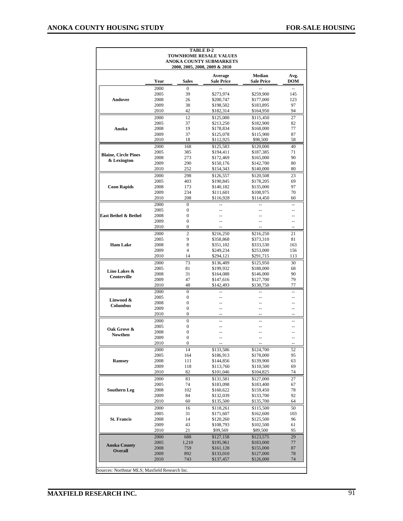| <b>TABLE D-2</b><br><b>TOWNHOME RESALE VALUES</b> |              |                                          |                                                          |                                    |                      |  |  |  |  |  |  |  |
|---------------------------------------------------|--------------|------------------------------------------|----------------------------------------------------------|------------------------------------|----------------------|--|--|--|--|--|--|--|
|                                                   |              |                                          | ANOKA COUNTY SUBMARKETS<br>2000, 2005, 2008, 2009 & 2010 |                                    |                      |  |  |  |  |  |  |  |
|                                                   | Year         | Sales                                    | Average<br><b>Sale Price</b>                             | <b>Median</b><br><b>Sale Price</b> | Avg.<br>DOM          |  |  |  |  |  |  |  |
|                                                   | 2000         | $\theta$                                 |                                                          |                                    |                      |  |  |  |  |  |  |  |
|                                                   | 2005         | 39                                       | \$273,974                                                | \$259,900                          | 145                  |  |  |  |  |  |  |  |
| Andover                                           | 2008         | 26                                       | \$200,747                                                | \$177,000                          | 123                  |  |  |  |  |  |  |  |
|                                                   | 2009<br>2010 | 38<br>42                                 | \$198,502<br>\$182,314                                   | \$183,895<br>\$164,950             | 97<br>94             |  |  |  |  |  |  |  |
|                                                   | 2000         | 12                                       | \$125,000                                                | \$115.450                          | 27                   |  |  |  |  |  |  |  |
|                                                   | 2005         | 37                                       | \$213,250                                                | \$182,900                          | 82                   |  |  |  |  |  |  |  |
| Anoka                                             | 2008<br>2009 | 19<br>37                                 | \$178,834                                                | \$168,000<br>\$115,900             | 77<br>87             |  |  |  |  |  |  |  |
|                                                   | 2010         | 18                                       | \$125,078<br>\$112,925                                   | \$98,500                           | 58                   |  |  |  |  |  |  |  |
|                                                   | 2000         | 168                                      | \$125,583                                                | \$120,000                          | 40                   |  |  |  |  |  |  |  |
| <b>Blaine, Circle Pines</b>                       | 2005         | 385                                      | \$194,411                                                | \$187,385                          | 71                   |  |  |  |  |  |  |  |
| & Lexington                                       | 2008<br>2009 | 273<br>290                               | \$172,469<br>\$150,176                                   | \$165,000<br>\$142,700             | 90<br>80             |  |  |  |  |  |  |  |
|                                                   | 2010         | 252                                      | \$154,343                                                | \$140,000                          | 80                   |  |  |  |  |  |  |  |
| 2000<br>298<br>\$126,557<br>\$120,508<br>23       |              |                                          |                                                          |                                    |                      |  |  |  |  |  |  |  |
|                                                   | 2005         | 403                                      | \$190,845                                                | \$178,205                          | 69                   |  |  |  |  |  |  |  |
| <b>Coon Rapids</b>                                | 2008         | 173                                      | \$140,182                                                | \$135,000                          | 97                   |  |  |  |  |  |  |  |
|                                                   | 2009<br>2010 | 234<br>208                               | \$111,601<br>\$116,928                                   | \$108,975<br>\$114,450             | 70<br>60             |  |  |  |  |  |  |  |
|                                                   | 2000         | $\mathbf{0}$                             |                                                          |                                    | $-$                  |  |  |  |  |  |  |  |
|                                                   | 2005         | $\boldsymbol{0}$                         |                                                          |                                    | --                   |  |  |  |  |  |  |  |
| East Bethel & Bethel                              | 2008         | $\mathbf{0}$                             | ٠.                                                       |                                    | --                   |  |  |  |  |  |  |  |
|                                                   | 2009<br>2010 | $\mathbf{0}$<br>$\boldsymbol{0}$         |                                                          | --                                 | --<br>$-$            |  |  |  |  |  |  |  |
|                                                   | 2000         | 2                                        | \$216,250                                                | \$216,250                          | 21                   |  |  |  |  |  |  |  |
|                                                   | 2005         | 9                                        | \$358,868                                                | \$373,310                          | 81                   |  |  |  |  |  |  |  |
| <b>Ham Lake</b>                                   | 2008         | 8                                        | \$351,102                                                | \$333,530                          | 163                  |  |  |  |  |  |  |  |
|                                                   | 2009         | $\overline{4}$                           | \$249,234                                                | \$253,000                          | 156                  |  |  |  |  |  |  |  |
|                                                   | 2010<br>2000 | 14<br>73                                 | \$294,121<br>\$136,409                                   | \$291,715<br>\$125,950             | 113<br>30            |  |  |  |  |  |  |  |
|                                                   | 2005         | 81                                       | \$199,932                                                | \$188,000                          | 68                   |  |  |  |  |  |  |  |
| Lino Lakes &<br><b>Centerville</b>                | 2008         | 31                                       | \$164,088                                                | \$146,000                          | 90                   |  |  |  |  |  |  |  |
|                                                   | 2009         | 47                                       | \$147,616                                                | \$127,700                          | 79                   |  |  |  |  |  |  |  |
|                                                   | 2010         | 48                                       | \$142,493                                                | \$130,750                          | 77                   |  |  |  |  |  |  |  |
|                                                   | 2000<br>2005 | $\mathbf{0}$<br>$\mathbf{0}$             | --                                                       |                                    | $\overline{a}$<br>-- |  |  |  |  |  |  |  |
| Linwood &                                         | 2008         | $\boldsymbol{0}$                         | --                                                       | --                                 | --                   |  |  |  |  |  |  |  |
| Columbus                                          | 2009         | $\mathbf{0}$                             | --                                                       | $\overline{a}$                     | $-$                  |  |  |  |  |  |  |  |
|                                                   | 2010         | $\mathbf{0}$                             |                                                          |                                    |                      |  |  |  |  |  |  |  |
|                                                   | 2000<br>2005 | $\mathbf{0}$<br>$\boldsymbol{0}$         | --                                                       |                                    | --                   |  |  |  |  |  |  |  |
| Oak Grove &                                       | 2008         | $\mathbf{0}$                             |                                                          |                                    | --                   |  |  |  |  |  |  |  |
| Nowthen                                           | 2009         | $\mathbf{0}$                             |                                                          |                                    | --                   |  |  |  |  |  |  |  |
|                                                   | 2010         | $\boldsymbol{0}$                         |                                                          |                                    |                      |  |  |  |  |  |  |  |
|                                                   | 2000         | 14                                       | \$133,586                                                | \$124,700                          | 52                   |  |  |  |  |  |  |  |
| Ramsey                                            | 2005<br>2008 | 164<br>111                               | \$186,913<br>\$144,856                                   | \$178,000<br>\$139,900             | 95<br>63             |  |  |  |  |  |  |  |
|                                                   | 2009         | 118                                      | \$113,760                                                | \$110,500                          | 69                   |  |  |  |  |  |  |  |
|                                                   | 2010         | 82                                       | \$101,046                                                | \$104,825                          | 74                   |  |  |  |  |  |  |  |
|                                                   | 2000         | 83                                       | \$131,581                                                | \$127,000                          | 27                   |  |  |  |  |  |  |  |
| <b>Southern Leg</b>                               | 2005<br>2008 | 74<br>102                                | \$183,098<br>\$160,622                                   | \$183,400<br>\$159,450             | 67<br>78             |  |  |  |  |  |  |  |
|                                                   | 2009         | 84                                       | \$132,039                                                | \$133,700                          | 92                   |  |  |  |  |  |  |  |
|                                                   | 2010         | 60                                       | \$135,500                                                | \$135,700                          | 64                   |  |  |  |  |  |  |  |
|                                                   | 2000         | 16                                       | \$118,261                                                | \$115,500                          | 50                   |  |  |  |  |  |  |  |
|                                                   | 2005         | 31                                       | \$171,607                                                | \$162,600                          | 103                  |  |  |  |  |  |  |  |
| <b>St. Francis</b>                                | 2008         | 14<br>43                                 | \$120,260<br>\$108,793                                   | \$125,500<br>\$102,500             | 96<br>61             |  |  |  |  |  |  |  |
|                                                   |              | 2010<br>21<br>\$99,569<br>\$89,500<br>95 |                                                          |                                    |                      |  |  |  |  |  |  |  |
|                                                   | 2009         |                                          |                                                          |                                    |                      |  |  |  |  |  |  |  |
|                                                   | 2000         | 688                                      | \$127,158                                                | \$123,575                          | 29                   |  |  |  |  |  |  |  |
| <b>Anoka County</b>                               | 2005         | 1,210                                    | \$195,961                                                | \$183,000                          | 77                   |  |  |  |  |  |  |  |
| <b>Overall</b>                                    | 2008         | 759                                      | \$161,128                                                | \$155,000                          | 87                   |  |  |  |  |  |  |  |
|                                                   | 2009<br>2010 | 892<br>743                               | \$133,010<br>\$137,457                                   | \$127,000<br>\$126,000             | 78<br>74             |  |  |  |  |  |  |  |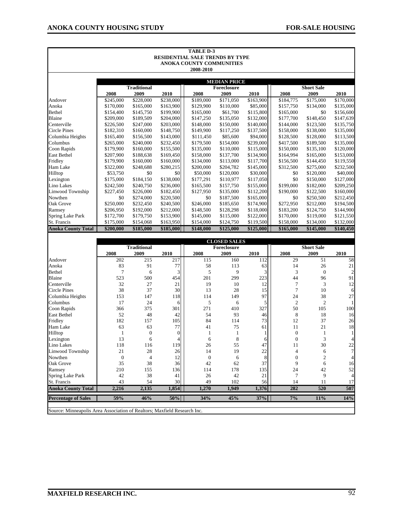| <b>TABLE D-3</b>          |           |                    |           |                                        |                     |           |           |                   |           |  |
|---------------------------|-----------|--------------------|-----------|----------------------------------------|---------------------|-----------|-----------|-------------------|-----------|--|
|                           |           |                    |           | <b>RESIDENTIAL SALE TRENDS BY TYPE</b> |                     |           |           |                   |           |  |
|                           |           |                    |           | ANOKA COUNTY COMMUNITIES               |                     |           |           |                   |           |  |
|                           |           |                    |           | 2008-2010                              |                     |           |           |                   |           |  |
|                           |           |                    |           |                                        | <b>MEDIAN PRICE</b> |           |           |                   |           |  |
|                           |           | <b>Traditional</b> |           |                                        | Foreclosure         |           |           | <b>Short Sale</b> |           |  |
|                           | 2008      | 2009               | 2010      | 2008                                   | 2009                | 2010      | 2008      | 2009              | 2010      |  |
| Andover                   | \$245,000 | \$228,000          | \$238,000 | \$189,000                              | \$171,050           | \$163,900 | \$184,775 | \$175,000         | \$170,000 |  |
| Anoka                     | \$170,000 | \$165,000          | \$163,900 | \$129,900                              | \$110,000           | \$85,000  | \$157,750 | \$134,000         | \$135,000 |  |
| Bethel                    | \$154,400 | \$145,750          | \$199,900 | \$165,000                              | \$61,700            | \$115,800 | \$165,000 | \$0               | \$156,600 |  |
| <b>Blaine</b>             | \$209,000 | \$189,509          | \$204,000 | \$147,250                              | \$135,050           | \$132,000 | \$177,700 | \$148,450         | \$147,639 |  |
| Centerville               | \$226,500 | \$247,000          | \$203,000 | \$148,000                              | \$150,000           | \$140,000 | \$144,000 | \$123,500         | \$135,750 |  |
| <b>Circle Pines</b>       | \$182,310 | \$160,000          | \$148,750 | \$149,900                              | \$117,250           | \$137,500 | \$158,000 | \$138,000         | \$135,000 |  |
| Columbia Heights          | \$165,400 | \$156,500          | \$143,000 | \$111,450                              | \$85,600            | \$94,000  | \$128,500 | \$128,000         | \$113,500 |  |
| Columbus                  | \$265,000 | \$240,000          | \$232,450 | \$179,500                              | \$154,000           | \$239,000 | \$417,500 | \$189,500         | \$135,000 |  |
| Coon Rapids               | \$179,900 | \$160,000          | \$155,500 | \$135,000                              | \$110,000           | \$115,000 | \$150,000 | \$135,100         | \$120,000 |  |
| <b>East Bethel</b>        | \$207,900 | \$188,638          | \$169,450 | \$158,000                              | \$137,700           | \$134,900 | \$164,994 | \$165,000         | \$153,000 |  |
| Fridley                   | \$179,900 | \$160,000          | \$160,000 | \$134,000                              | \$113,000           | \$117,700 | \$156,500 | \$144,450         | \$119,550 |  |
| Ham Lake                  | \$322,000 | \$248,688          | \$280,215 | \$200,000                              | \$204,782           | \$145,000 | \$312,500 | \$275,000         | \$232,500 |  |
| Hilltop                   | \$53,750  | \$0                | \$0       | \$50,000                               | \$120,000           | \$30,000  | \$0       | \$120,000         | \$40,000  |  |
| Lexington                 | \$175,000 | \$184,150          | \$138,000 | \$177,291                              | \$110,977           | \$117,050 | \$0       | \$150,000         | \$127,000 |  |
| Lino Lakes                | \$242,500 | \$240,750          | \$236,000 | \$165,500                              | \$157,750           | \$155,000 | \$199,000 | \$182,000         | \$209,250 |  |
| Linwood Township          | \$227,450 | \$226,000          | \$182,450 | \$127,950                              | \$135,000           | \$112,200 | \$190,000 | \$122,500         | \$160,000 |  |
| Nowthen                   | \$0       | \$274,000          | \$220,500 | \$0                                    | \$187,500           | \$165,000 | \$0       | \$250,500         | \$212,450 |  |
| Oak Grove                 | \$250,000 | \$232,450          | \$240,500 | \$246,000                              | \$185,650           | \$174,900 | \$272,950 | \$212,000         | \$194,500 |  |
| Ramsey                    | \$206,950 | \$192,000          | \$212,000 | \$148,500                              | \$128,298           | \$118,000 | \$183,200 | \$124,750         | \$144,900 |  |
| <b>Spring Lake Park</b>   | \$172,700 | \$179,750          | \$153,900 | \$145,000                              | \$115,000           | \$122,000 | \$170,000 | \$119,000         | \$121,550 |  |
| St. Francis               | \$175,000 | \$154,068          | \$163,950 | \$154,000                              | \$124,750           | \$119,500 | \$158,000 | \$134,000         | \$132,000 |  |
| <b>Anoka County Total</b> | \$200,000 | \$185,000          | \$185,000 | \$148,000                              | \$125,000           | \$125,000 | \$165,000 | \$145,000         | \$140,450 |  |
|                           |           |                    |           |                                        |                     |           |           |                   |           |  |

|                                                                          |                |                    |                 |          | <b>CLOSED SALES</b> |       |                |                   |                |
|--------------------------------------------------------------------------|----------------|--------------------|-----------------|----------|---------------------|-------|----------------|-------------------|----------------|
|                                                                          |                | <b>Traditional</b> |                 |          | Foreclosure         |       |                | <b>Short Sale</b> |                |
|                                                                          | 2008           | 2009               | 2010            | 2008     | 2009                | 2010  | 2008           | 2009              | 2010           |
| Andover                                                                  | 202            | 215                | 217             | 115      | 160                 | 112   | 29             | 51                | 58             |
| Anoka                                                                    | 83             | 91                 | 77              | 58       | 113                 | 63    | 14             | 26                | 21             |
| Bethel                                                                   | $\overline{7}$ | 6                  | 3               | 5        | 9                   | 3     | 3              | $\overline{0}$    | $\overline{c}$ |
| Blaine                                                                   | 523            | 500                | 454             | 201      | 299                 | 223   | 44             | 96                | 91             |
| Centerville                                                              | 32             | 27                 | 21              | 19       | 10                  | 12    | 7              | 3                 | 12             |
| <b>Circle Pines</b>                                                      | 38             | 37                 | 30              | 13       | 28                  | 15    | 7              | 10                | 6              |
| Columbia Heights                                                         | 153            | 147                | 118             | 114      | 149                 | 97    | 24             | 38                | 27             |
| Columbus                                                                 | 17             | 24                 | 6               | 5        | 6                   | 5     | $\overline{2}$ | $\overline{2}$    | $\mathbf{1}$   |
| Coon Rapids                                                              | 366            | 375                | 301             | 271      | 410                 | 327   | 50             | 105               | 100            |
| <b>East Bethel</b>                                                       | 52             | 48                 | 42              | 54       | 93                  | 46    | 8              | 18                | 16             |
| Fridley                                                                  | 182            | 157                | 105             | 84       | 114                 | 73    | 12             | 37                | 26             |
| Ham Lake                                                                 | 63             | 63                 | 77              | 41       | 75                  | 61    | 11             | 21                | 18             |
| Hilltop                                                                  | 1              | 0                  | $\mathbf{0}$    |          | 1                   |       | $\overline{0}$ |                   | 1              |
| Lexington                                                                | 13             | 6                  | 4               | 6        | 8                   | 6     | $\theta$       | 3                 | 4              |
| Lino Lakes                                                               | 118            | 116                | 119             | 26       | 55                  | 47    | 11             | 30                | 22             |
| Linwood Township                                                         | 21             | 28                 | 26              | 14       | 19                  | 22    | 4              | 6                 | $\overline{7}$ |
| Nowthen                                                                  | $\overline{0}$ | 4                  | 12              | $\theta$ | 6                   | 8     | $\mathbf{0}$   | 2                 | $\overline{4}$ |
| Oak Grove                                                                | 35             | 38                 | 36              | 42       | 62                  | 37    | 9              | 6                 | 16             |
| Ramsey                                                                   | 210            | 155                | 136             | 114      | 178                 | 135   | 24             | 42                | 52             |
| <b>Spring Lake Park</b>                                                  | 42             | 38                 | 41              | 26       | 42                  | 21    | $\overline{7}$ | 9                 | 4              |
| St. Francis                                                              | 43             | 54                 | 30 <sup>1</sup> | 49       | 102                 | 56    | 14             | 11                | 17             |
| <b>Anoka County Total</b>                                                | 2,216          | 2,135              | 1,854           | 1,270    | 1.949               | 1,376 | 282            | 520               | 507            |
| <b>Percentage of Sales</b>                                               | 59%            | 46%                | 50%             | 34%      | 45%                 | 37%   | 7%             | 11%               | 14%            |
| Source: Minneapolis Area Association of Realtors; Maxfield Research Inc. |                |                    |                 |          |                     |       |                |                   |                |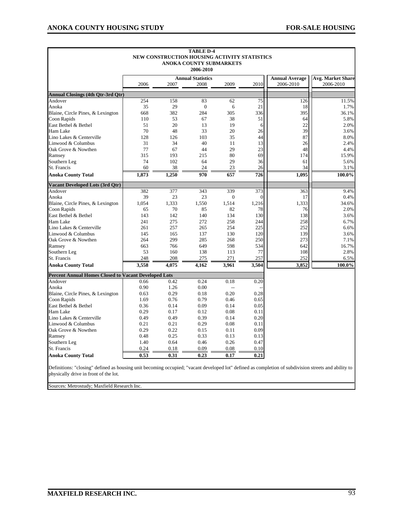|                                                             | 2006         | 2007         | <b>Annual Statistics</b><br>2008 | 2009         | 2010         | <b>Annual Average</b><br>2006-2010 | <b>Avg. Market Share</b><br>2006-2010 |
|-------------------------------------------------------------|--------------|--------------|----------------------------------|--------------|--------------|------------------------------------|---------------------------------------|
| <b>Annual Closings (4th Qtr-3rd Qtr)</b>                    |              |              |                                  |              |              |                                    |                                       |
| Andover                                                     | 254          | 158          | 83                               | 62           | 75           | 126                                | 11.5%                                 |
| Anoka                                                       | 35           | 29           | $\boldsymbol{0}$                 | 6            | 21           | 18                                 | 1.7%                                  |
| Blaine, Circle Pines, & Lexington                           | 668          | 382          | 284                              | 305          | 336          | 395                                | 36.1%                                 |
| Coon Rapids                                                 | 110          | 53           | 67                               | 38           | 51           | 64                                 | 5.8%                                  |
| East Bethel & Bethel                                        | 51           | 20           | 13                               | 19           | 6            | 22                                 | 2.0%                                  |
| Ham Lake                                                    | 70           | 48           | 33                               | 20           | 26           | 39                                 | 3.6%                                  |
| Lino Lakes & Centerville                                    | 128          | 126          | 103                              | 35           | 44           | 87                                 | 8.0%                                  |
| Linwood & Columbus                                          | 31           | 34           | 40                               | 11           | 13           | 26                                 | 2.4%                                  |
| Oak Grove & Nowthen                                         | 77           | 67           | 44                               | 29           | 23           | 48                                 | 4.4%                                  |
| Ramsey                                                      | 315          | 193          | 215                              | 80           | 69           | 174                                | 15.9%                                 |
| Southern Leg                                                | 74           | 102          | 64                               | 29           | 36           | 61                                 | 5.6%                                  |
| St. Francis                                                 | 60           | 38           | 24                               | 23           | 26           | 34                                 | 3.1%                                  |
| <b>Anoka County Total</b>                                   | 1,873        | 1,250        | 970                              | 657          | 726          | 1,095                              | 100.0%                                |
| <b>Vacant Developed Lots (3rd Qtr)</b>                      |              |              |                                  |              |              |                                    |                                       |
| Andover                                                     | 382          | 377          | 343                              | 339          | 373          | 363                                | 9.4%                                  |
| Anoka                                                       | 39           | 23           | 23                               | $\mathbf{0}$ | 0            | 17                                 | 0.4%                                  |
| Blaine, Circle Pines, & Lexington                           | 1,054        | 1,333        | 1,550                            | 1,514        | 1,216        | 1,333                              | 34.6%                                 |
| Coon Rapids                                                 | 65           | 70           | 85                               | 82           | 78           | 76                                 | 2.0%                                  |
| East Bethel & Bethel                                        | 143          | 142          | 140                              | 134          | 130          | 138                                | 3.6%                                  |
| Ham Lake                                                    | 241          | 275          | 272                              | 258          | 244          | 258                                | 6.7%                                  |
| Lino Lakes & Centerville                                    | 261          | 257          | 265                              | 254          | 225          | 252                                | 6.6%                                  |
| Linwood & Columbus                                          | 145          | 165          | 137                              | 130          | 120          | 139                                | 3.6%                                  |
| Oak Grove & Nowthen                                         | 264          | 299          | 285                              | 268          | 250          | 273                                | 7.1%                                  |
| Ramsey                                                      | 663          | 766          | 649                              | 598          | 534          | 642                                | 16.7%                                 |
| Southern Leg                                                | 53           | 160          | 138                              | 113          | 77           | 108                                | 2.8%                                  |
| St. Francis<br><b>Anoka County Total</b>                    | 248<br>3,558 | 208<br>4,075 | 275<br>4,162                     | 271<br>3,961 | 257<br>3,504 | 252<br>3,852                       | 6.5%<br>100.0%                        |
|                                                             |              |              |                                  |              |              |                                    |                                       |
| <b>Percent Annual Homes Closed to Vacant Developed Lots</b> |              |              |                                  |              |              |                                    |                                       |
| Andover                                                     | 0.66<br>0.90 | 0.42         | 0.24<br>0.00                     | 0.18         | 0.20         |                                    |                                       |
| Anoka<br>Blaine, Circle Pines, & Lexington                  | 0.63         | 1.26<br>0.29 | 0.18                             | 0.20         | 0.28         |                                    |                                       |
| Coon Rapids                                                 | 1.69         | 0.76         | 0.79                             | 0.46         | 0.65         |                                    |                                       |
| East Bethel & Bethel                                        | 0.36         | 0.14         | 0.09                             | 0.14         | 0.05         |                                    |                                       |
| Ham Lake                                                    | 0.29         | 0.17         | 0.12                             | 0.08         | 0.11         |                                    |                                       |
| Lino Lakes & Centerville                                    | 0.49         | 0.49         | 0.39                             | 0.14         | 0.20         |                                    |                                       |
| Linwood & Columbus                                          | 0.21         | 0.21         | 0.29                             | 0.08         | 0.11         |                                    |                                       |
| Oak Grove & Nowthen                                         | 0.29         | 0.22         | 0.15                             | 0.11         | 0.09         |                                    |                                       |
| Ramsey                                                      | 0.48         | 0.25         | 0.33                             | 0.13         | 0.13         |                                    |                                       |
| Southern Leg                                                | 1.40         | 0.64         | 0.46                             | 0.26         | 0.47         |                                    |                                       |
| St. Francis                                                 | 0.24         | 0.18         | 0.09                             | 0.08         | 0.10         |                                    |                                       |
|                                                             | 0.53         | 0.31         | 0.23                             | 0.17         | 0.21         |                                    |                                       |

Sources: Metrostudy; Maxfield Research Inc.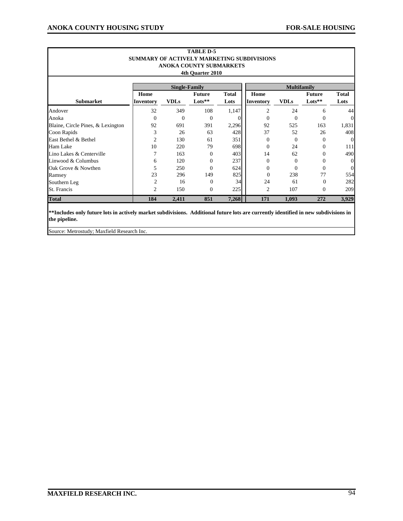|                                   |                                            |                      | <b>TABLE D-5</b>               |              |                |                    |                      |                  |  |
|-----------------------------------|--------------------------------------------|----------------------|--------------------------------|--------------|----------------|--------------------|----------------------|------------------|--|
|                                   | SUMMARY OF ACTIVELY MARKETING SUBDIVISIONS |                      |                                |              |                |                    |                      |                  |  |
|                                   |                                            |                      | <b>ANOKA COUNTY SUBMARKETS</b> |              |                |                    |                      |                  |  |
|                                   |                                            |                      | 4th Quarter 2010               |              |                |                    |                      |                  |  |
|                                   |                                            |                      |                                |              |                |                    |                      |                  |  |
|                                   |                                            | <b>Single-Family</b> |                                |              |                | <b>Multifamily</b> |                      |                  |  |
|                                   | Home                                       |                      | <b>Future</b>                  | <b>Total</b> | Home           |                    | <b>Future</b>        | <b>Total</b>     |  |
| <b>Submarket</b>                  | <b>Inventory</b>                           | <b>VDLs</b>          | $\mathbf{Lots}^{**}$           | Lots         | Inventory      | <b>VDLs</b>        | $\mathbf{Lots}^{**}$ | Lots             |  |
| Andover                           | 32                                         | 349                  | 108                            | 1,147        | $\overline{2}$ | 24                 | 6                    | 44               |  |
| Anoka                             | $\mathbf{0}$                               | $\Omega$             | $\Omega$                       | 0            | $\Omega$       | $\Omega$           | $\Omega$             | $\overline{0}$   |  |
| Blaine, Circle Pines, & Lexington | 92                                         | 691                  | 391                            | 2,296        | 92             | 525                | 163                  | 1,831            |  |
| Coon Rapids                       | 3                                          | 26                   | 63                             | 428          | 37             | 52                 | 26                   | 408              |  |
| East Bethel & Bethel              | $\overline{2}$                             | 130                  | 61                             | 351          | $\Omega$       | $\theta$           | 0                    | $\overline{0}$   |  |
| Ham Lake                          | 10                                         | 220                  | 79                             | 698          | $\Omega$       | 24                 | 0                    | 111              |  |
| Lino Lakes & Centerville          |                                            | 163                  | $\Omega$                       | 403          | 14             | 62                 | 0                    | 490              |  |
| Linwood & Columbus                | 6                                          | 120                  | $\Omega$                       | 237          | $\Omega$       | $\theta$           | 0                    | $\boldsymbol{0}$ |  |
| Oak Grove & Nowthen               | 5                                          | 250                  | $\Omega$                       | 624          | $\mathbf{0}$   | $\theta$           | 0                    | $\mathbf{0}$     |  |
| Ramsey                            | 23                                         | 296                  | 149                            | 825          | $\Omega$       | 238                | 77                   | 554              |  |
| Southern Leg                      | 2                                          | 16                   | $\Omega$                       | 34           | 24             | 61                 | 0                    | 282              |  |
| St. Francis                       | 2                                          | 150                  | $\mathbf{0}$                   | 225          | 2              | 107                | 0                    | 209              |  |
| <b>Total</b>                      | 184                                        | 2,411                | 851                            | 7,268        | 171            | 1,093              | 272                  | 3,929            |  |

**\*\*Includes only future lots in actively market subdivisions. Additional future lots are currently identified in new subdivisions in the pipeline.**

Source: Metrostudy; Maxfield Research Inc.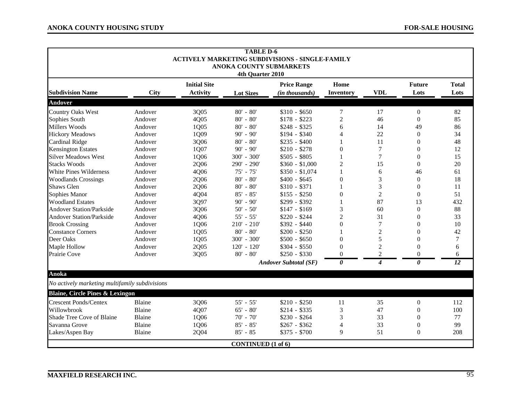|                                                |               |                     | <b>TABLE D-6</b>          |                                                        |                  |                  |                |                 |
|------------------------------------------------|---------------|---------------------|---------------------------|--------------------------------------------------------|------------------|------------------|----------------|-----------------|
|                                                |               |                     |                           | <b>ACTIVELY MARKETING SUBDIVISIONS - SINGLE-FAMILY</b> |                  |                  |                |                 |
|                                                |               |                     | ANOKA COUNTY SUBMARKETS   |                                                        |                  |                  |                |                 |
|                                                |               |                     | 4th Quarter 2010          |                                                        |                  |                  |                |                 |
|                                                |               | <b>Initial Site</b> |                           | <b>Price Range</b>                                     | Home             |                  | <b>Future</b>  | <b>Total</b>    |
| <b>Subdivision Name</b>                        | <b>City</b>   | <b>Activity</b>     | <b>Lot Sizes</b>          | (in thousands)                                         | Inventory        | <b>VDL</b>       | Lots           | Lots            |
| Andover                                        |               |                     |                           |                                                        |                  |                  |                |                 |
| <b>Country Oaks West</b>                       | Andover       | 3Q05                | $80' - 80'$               | $$310 - $650$                                          | 7                | 17               | $\theta$       | 82              |
| Sophies South                                  | Andover       | 4Q05                | $80' - 80'$               | $$178 - $223$                                          | $\overline{c}$   | 46               | $\theta$       | 85              |
| <b>Millers Woods</b>                           | Andover       | 1Q05                | $80' - 80'$               | $$248 - $325$                                          | 6                | 14               | 49             | 86              |
| <b>Hickory Meadows</b>                         | Andover       | 1Q09                | $90' - 90'$               | $$194 - $340$                                          | 4                | 22               | $\Omega$       | 34              |
| <b>Cardinal Ridge</b>                          | Andover       | 3Q06                | $80' - 80'$               | $$235 - $400$                                          |                  | 11               | $\theta$       | 48              |
| <b>Kensington Estates</b>                      | Andover       | 1Q07                | $90' - 90'$               | $$210 - $278$                                          | $\overline{0}$   | 7                | $\theta$       | 12              |
| <b>Silver Meadows West</b>                     | Andover       | 1Q06                | $300' - 300'$             | $$505 - $805$                                          | 1                | 7                | $\theta$       | 15              |
| <b>Stacks Woods</b>                            | Andover       | 2Q06                | 290' - 290'               | $$360 - $1,000$                                        | $\overline{c}$   | 15               | $\theta$       | 20              |
| White Pines Wilderness                         | Andover       | 4Q06                | $75' - 75'$               | $$350 - $1,074$                                        | 1                | 6                | 46             | 61              |
| <b>Woodlands Crossings</b>                     | Andover       | 2Q06                | $80' - 80'$               | $$400 - $645$                                          | $\overline{0}$   | 3                | $\theta$       | 18              |
| Shaws Glen                                     | Andover       | 2Q06                | $80' - 80'$               | $$310 - $371$                                          | 1                | 3                | $\theta$       | 11              |
| Sophies Manor                                  | Andover       | 4Q04                | $85' - 85'$               | $$155 - $250$                                          | $\overline{0}$   | $\overline{2}$   | $\theta$       | 51              |
| <b>Woodland Estates</b>                        | Andover       | 3Q97                | $90' - 90'$               | $$299 - $392$                                          |                  | 87               | 13             | 432             |
| <b>Andover Station/Parkside</b>                | Andover       | 3Q06                | $50' - 50'$               | $$147 - $169$                                          | 3                | 60               | $\theta$       | 88              |
| <b>Andover Station/Parkside</b>                | Andover       | 4Q06                | $55' - 55'$               | $$220 - $244$                                          | $\overline{2}$   | 31               | $\theta$       | 33              |
| <b>Brook Crossing</b>                          | Andover       | 1Q06                | $210' - 210'$             | \$392 - \$440                                          | $\boldsymbol{0}$ | $\boldsymbol{7}$ | $\overline{0}$ | 10              |
| <b>Constance Corners</b>                       | Andover       | 1Q05                | $80' - 80'$               | $$200 - $250$                                          |                  | $\boldsymbol{2}$ | $\theta$       | 42              |
| Deer Oaks                                      | Andover       | 1Q05                | 300' - 300'               | $$500 - $650$                                          | $\boldsymbol{0}$ | 5                | $\theta$       | $\overline{7}$  |
| Maple Hollow                                   | Andover       | 2Q05                | $120' - 120'$             | $$304 - $550$                                          | $\theta$         | $\overline{c}$   | $\theta$       | 6               |
| Prairie Cove                                   | Andover       | 3Q05                | $80' - 80'$               | $$250 - $330$                                          | $\Omega$         | $\overline{c}$   | $\theta$       | 6               |
|                                                |               |                     |                           | <b>Andover Subtotal (SF)</b>                           | $\theta$         | $\boldsymbol{4}$ | $\theta$       | $\overline{12}$ |
| Anoka                                          |               |                     |                           |                                                        |                  |                  |                |                 |
| No actively marketing multifamily subdivisions |               |                     |                           |                                                        |                  |                  |                |                 |
| <b>Blaine, Circle Pines &amp; Lexingon</b>     |               |                     |                           |                                                        |                  |                  |                |                 |
| <b>Crescent Ponds/Centex</b>                   | <b>Blaine</b> | 3Q06                | $55' - 55'$               | $$210 - $250$                                          | 11               | 35               | $\theta$       | 112             |
| Willowbrook                                    | Blaine        | 4Q07                | $65' - 80'$               | $$214 - $335$                                          | 3                | 47               | $\theta$       | 100             |
| Shade Tree Cove of Blaine                      | <b>Blaine</b> | 1Q06                | $70' - 70'$               | $$230 - $264$                                          | 3                | 33               | $\theta$       | 77              |
| Savanna Grove                                  | Blaine        | 1Q06                | $85' - 85'$               | $$267 - $362$                                          | $\overline{4}$   | 33               | $\theta$       | 99              |
| Lakes/Aspen Bay                                | Blaine        | 2Q04                | $85' - 85$                | \$375 - \$700                                          | 9                | 51               | $\theta$       | 208             |
|                                                |               |                     | <b>CONTINUED</b> (1 of 6) |                                                        |                  |                  |                |                 |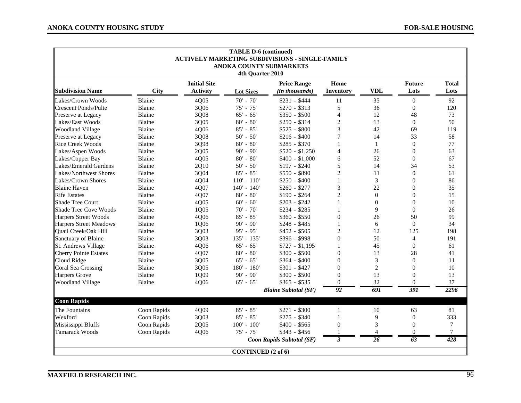|                               | <b>TABLE D-6 (continued)</b><br><b>ACTIVELY MARKETING SUBDIVISIONS - SINGLE-FAMILY</b><br>ANOKA COUNTY SUBMARKETS<br>4th Quarter 2010 |                                        |                           |                                      |                          |                  |                       |                      |  |  |  |  |
|-------------------------------|---------------------------------------------------------------------------------------------------------------------------------------|----------------------------------------|---------------------------|--------------------------------------|--------------------------|------------------|-----------------------|----------------------|--|--|--|--|
| <b>Subdivision Name</b>       | <b>City</b>                                                                                                                           | <b>Initial Site</b><br><b>Activity</b> | <b>Lot Sizes</b>          | <b>Price Range</b><br>(in thousands) | Home<br><b>Inventory</b> | <b>VDL</b>       | <b>Future</b><br>Lots | <b>Total</b><br>Lots |  |  |  |  |
| Lakes/Crown Woods             | Blaine                                                                                                                                | 4Q05                                   | $70' - 70'$               | $$231 - $444$                        | 11                       | 35               | $\Omega$              | 92                   |  |  |  |  |
| <b>Crescent Ponds/Pulte</b>   | Blaine                                                                                                                                | 3Q06                                   | $75' - 75'$               | $$270 - $313$                        | 5                        | 36               | $\mathbf{0}$          | 120                  |  |  |  |  |
| Preserve at Legacy            | Blaine                                                                                                                                | 3Q08                                   | $65' - 65'$               | $$350 - $500$                        | $\overline{4}$           | 12               | 48                    | 73                   |  |  |  |  |
| Lakes/East Woods              | Blaine                                                                                                                                | 3Q05                                   | $80' - 80'$               | $$250 - $314$                        | $\overline{c}$           | 13               | $\overline{0}$        | 50                   |  |  |  |  |
| <b>Woodland Village</b>       | Blaine                                                                                                                                | 4Q06                                   | $85' - 85'$               | $$525 - $800$                        | 3                        | 42               | 69                    | 119                  |  |  |  |  |
| Preserve at Legacy            | Blaine                                                                                                                                | 3Q08                                   | $50' - 50'$               | $$216 - $400$                        | 7                        | 14               | 33                    | 58                   |  |  |  |  |
| <b>Rice Creek Woods</b>       | Blaine                                                                                                                                | 3Q98                                   | $80' - 80'$               | $$285 - $370$                        | $\mathbf{1}$             | $\mathbf{1}$     | $\mathbf{0}$          | 77                   |  |  |  |  |
| Lakes/Aspen Woods             | Blaine                                                                                                                                | 2Q05                                   | $90' - 90'$               | $$520 - $1,250$                      | $\overline{4}$           | 26               | $\mathbf{0}$          | 63                   |  |  |  |  |
| Lakes/Copper Bay              | Blaine                                                                                                                                | 4Q05                                   | $80' - 80'$               | $$400 - $1,000$                      | 6                        | 52               | $\overline{0}$        | 67                   |  |  |  |  |
| <b>Lakes/Emerald Gardens</b>  | Blaine                                                                                                                                | 2Q10                                   | $50' - 50'$               | $$197 - $240$                        | 5                        | 14               | 34                    | 53                   |  |  |  |  |
| Lakes/Northwest Shores        | Blaine                                                                                                                                | 3Q04                                   | $85' - 85'$               | $$550 - $890$                        | $\overline{c}$           | 11               | $\theta$              | 61                   |  |  |  |  |
| Lakes/Crown Shores            | <b>Blaine</b>                                                                                                                         | 4Q04                                   | $110' - 110'$             | $$250 - $400$                        | $\mathbf{1}$             | 3                | $\Omega$              | 86                   |  |  |  |  |
| <b>Blaine Haven</b>           | Blaine                                                                                                                                | 4Q07                                   | 140' - 140'               | $$260 - $277$                        | 3                        | 22               | $\overline{0}$        | 35                   |  |  |  |  |
| <b>Rife Estates</b>           | Blaine                                                                                                                                | 4Q07                                   | $80' - 80'$               | $$190 - $264$                        | $\overline{c}$           | $\boldsymbol{0}$ | $\overline{0}$        | 15                   |  |  |  |  |
| <b>Shade Tree Court</b>       | Blaine                                                                                                                                | 4Q05                                   | $60' - 60'$               | $$203 - $242$                        | $\mathbf{1}$             | $\Omega$         | $\theta$              | 10                   |  |  |  |  |
| <b>Shade Tree Cove Woods</b>  | Blaine                                                                                                                                | 1Q05                                   | $70' - 70'$               | $$234 - $285$                        |                          | 9                | $\Omega$              | 26                   |  |  |  |  |
| <b>Harpers Street Woods</b>   | Blaine                                                                                                                                | 4Q06                                   | $85' - 85'$               | $$360 - $550$                        | $\theta$                 | 26               | 50                    | 99                   |  |  |  |  |
| <b>Harpers Street Meadows</b> | Blaine                                                                                                                                | 1Q06                                   | $90' - 90'$               | $$248 - $485$                        | 1                        | 6                | $\Omega$              | 34                   |  |  |  |  |
| Quail Creek/Oak Hill          | Blaine                                                                                                                                | 3Q03                                   | $95' - 95'$               | $$452 - $505$                        | $\overline{c}$           | 12               | 125                   | 198                  |  |  |  |  |
| Sanctuary of Blaine           | Blaine                                                                                                                                | 3Q03                                   | $135' - 135'$             | \$396 - \$998                        | $\Omega$                 | 50               | $\overline{4}$        | 191                  |  |  |  |  |
| St. Andrews Village           | Blaine                                                                                                                                | 4Q06                                   | $65' - 65'$               | $$727 - $1,195$                      | $\mathbf{1}$             | 45               | $\overline{0}$        | 61                   |  |  |  |  |
| <b>Cherry Pointe Estates</b>  | Blaine                                                                                                                                | 4Q07                                   | $80' - 80'$               | $$300 - $500$                        | $\boldsymbol{0}$         | 13               | 28                    | 41                   |  |  |  |  |
| Cloud Ridge                   | Blaine                                                                                                                                | 3Q05                                   | $65' - 65'$               | $$364 - $400$                        | $\Omega$                 | 3                | $\Omega$              | 11                   |  |  |  |  |
| Coral Sea Crossing            | Blaine                                                                                                                                | 3Q05                                   | 180' - 180'               | $$301 - $427$                        | $\overline{0}$           | $\overline{2}$   | $\theta$              | 10                   |  |  |  |  |
| <b>Harpers Grove</b>          | Blaine                                                                                                                                | 1Q09                                   | $90' - 90'$               | $$300 - $500$                        | $\overline{0}$           | 13               | $\overline{0}$        | 13                   |  |  |  |  |
| <b>Woodland Village</b>       | Blaine                                                                                                                                | 4Q06                                   | $65' - 65'$               | $$365 - $535$                        | $\theta$                 | 32               | $\theta$              | 37                   |  |  |  |  |
|                               |                                                                                                                                       |                                        |                           | <b>Blaine Subtotal (SF)</b>          | 92                       | 691              | 391                   | 2296                 |  |  |  |  |
| <b>Coon Rapids</b>            |                                                                                                                                       |                                        |                           |                                      |                          |                  |                       |                      |  |  |  |  |
| The Fountains                 | Coon Rapids                                                                                                                           | 4Q09                                   | $85' - 85'$               | \$271 - \$300                        | 1                        | 10               | 63                    | 81                   |  |  |  |  |
| Wexford                       | Coon Rapids                                                                                                                           | 3Q03                                   | $85' - 85'$               | $$275 - $340$                        | 1                        | 9                | $\overline{0}$        | 333                  |  |  |  |  |
| Mississippi Bluffs            | Coon Rapids                                                                                                                           | 2Q05                                   | $100' - 100'$             | $$400 - $565$                        | $\theta$                 | 3                | $\Omega$              | 7                    |  |  |  |  |
| <b>Tamarack Woods</b>         | Coon Rapids                                                                                                                           | 4Q06                                   | $75' - 75'$               | $$343 - $456$                        |                          | $\overline{4}$   | $\overline{0}$        | 7                    |  |  |  |  |
|                               |                                                                                                                                       |                                        |                           | Coon Rapids Subtotal (SF)            | $\mathfrak{z}$           | $\overline{26}$  | 63                    | 428                  |  |  |  |  |
|                               |                                                                                                                                       |                                        | <b>CONTINUED</b> (2 of 6) |                                      |                          |                  |                       |                      |  |  |  |  |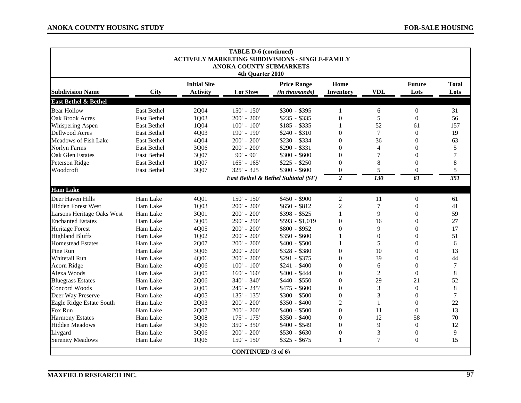|                                 | <b>TABLE D-6 (continued)</b><br><b>ACTIVELY MARKETING SUBDIVISIONS - SINGLE-FAMILY</b><br>ANOKA COUNTY SUBMARKETS<br>4th Quarter 2010 |                                        |                           |                                      |                   |                |                       |                      |  |
|---------------------------------|---------------------------------------------------------------------------------------------------------------------------------------|----------------------------------------|---------------------------|--------------------------------------|-------------------|----------------|-----------------------|----------------------|--|
| <b>Subdivision Name</b>         | <b>City</b>                                                                                                                           | <b>Initial Site</b><br><b>Activity</b> | <b>Lot Sizes</b>          | <b>Price Range</b><br>(in thousands) | Home<br>Inventory | <b>VDL</b>     | <b>Future</b><br>Lots | <b>Total</b><br>Lots |  |
| <b>East Bethel &amp; Bethel</b> |                                                                                                                                       |                                        |                           |                                      |                   |                |                       |                      |  |
| <b>Bear Hollow</b>              | East Bethel                                                                                                                           | 2Q04                                   | $150' - 150'$             | $$300 - $395$                        | 1                 | 6              | $\overline{0}$        | 31                   |  |
| <b>Oak Brook Acres</b>          | East Bethel                                                                                                                           | 1Q03                                   | $200' - 200'$             | $$235 - $335$                        | $\boldsymbol{0}$  | 5              | $\mathbf{0}$          | 56                   |  |
| Whispering Aspen                | East Bethel                                                                                                                           | 1Q04                                   | $100' - 100'$             | $$185 - $335$                        | 1                 | 52             | 61                    | 157                  |  |
| <b>Dellwood Acres</b>           | East Bethel                                                                                                                           | 4Q03                                   | 190' - 190'               | $$240 - $310$                        | $\mathbf{0}$      | $\tau$         | $\theta$              | 19                   |  |
| Meadows of Fish Lake            | East Bethel                                                                                                                           | 4Q04                                   | $200' - 200'$             | \$230 - \$334                        | $\boldsymbol{0}$  | 36             | $\theta$              | 63                   |  |
| <b>Norlyn Farms</b>             | East Bethel                                                                                                                           | 3Q06                                   | $200' - 200'$             | $$290 - $331$                        | $\theta$          | $\overline{4}$ | $\theta$              | 5                    |  |
| <b>Oak Glen Estates</b>         | <b>East Bethel</b>                                                                                                                    | 3Q07                                   | $90' - 90'$               | $$300 - $600$                        | $\theta$          | $\overline{7}$ | $\theta$              | $\overline{7}$       |  |
| Peterson Ridge                  | East Bethel                                                                                                                           | 1Q07                                   | $165' - 165'$             | $$225 - $250$                        | $\boldsymbol{0}$  | 8              | $\overline{0}$        | 8                    |  |
| Woodcroft                       | <b>East Bethel</b>                                                                                                                    | 3Q07                                   | 325' - 325                | $$300 - $600$                        | $\mathbf{0}$      | 5              | $\theta$              | 5                    |  |
|                                 |                                                                                                                                       |                                        |                           | East Bethel & Bethel Subtotal (SF)   | $\overline{2}$    | 130            | $\overline{61}$       | 351                  |  |
| <b>Ham Lake</b>                 |                                                                                                                                       |                                        |                           |                                      |                   |                |                       |                      |  |
| Deer Haven Hills                | Ham Lake                                                                                                                              | 4Q01                                   | $150' - 150'$             | $$450 - $900$                        | $\overline{c}$    | 11             | $\overline{0}$        | 61                   |  |
| <b>Hidden Forest West</b>       | Ham Lake                                                                                                                              | 1Q03                                   | $200' - 200'$             | $$650 - $812$                        | $\overline{2}$    | $\overline{7}$ | $\mathbf{0}$          | 41                   |  |
| Larsons Heritage Oaks West      | Ham Lake                                                                                                                              | 3Q01                                   | $200' - 200'$             | $$398 - $525$                        | $\mathbf{1}$      | 9              | $\theta$              | 59                   |  |
| <b>Enchanted Estates</b>        | Ham Lake                                                                                                                              | 3Q05                                   | 290' - 290'               | $$593 - $1,019$                      | $\boldsymbol{0}$  | 16             | $\overline{0}$        | 27                   |  |
| Heritage Forest                 | Ham Lake                                                                                                                              | 4Q05                                   | $200' - 200'$             | $$800 - $952$                        | $\boldsymbol{0}$  | 9              | $\overline{0}$        | 17                   |  |
| <b>Highland Bluffs</b>          | Ham Lake                                                                                                                              | 1Q02                                   | $200' - 200'$             | $$350 - $600$                        | 1                 | $\theta$       | $\theta$              | 51                   |  |
| <b>Homestead Estates</b>        | Ham Lake                                                                                                                              | 2Q07                                   | $200' - 200'$             | $$400 - $500$                        |                   | 5              | $\theta$              | 6                    |  |
| Pine Run                        | Ham Lake                                                                                                                              | 3Q06                                   | $200' - 200'$             | $$328 - $380$                        | $\theta$          | 10             | $\theta$              | 13                   |  |
| Whitetail Run                   | Ham Lake                                                                                                                              | 4Q06                                   | $200' - 200'$             | $$291 - $375$                        | $\boldsymbol{0}$  | 39             | $\theta$              | 44                   |  |
| Acorn Ridge                     | Ham Lake                                                                                                                              | 4Q06                                   | $100' - 100'$             | $$241 - $400$                        | $\boldsymbol{0}$  | 6              | $\overline{0}$        | $\overline{7}$       |  |
| Alexa Woods                     | Ham Lake                                                                                                                              | 2Q05                                   | $160' - 160'$             | $$400 - $444$                        | $\mathbf{0}$      | $\overline{2}$ | $\theta$              | 8                    |  |
| <b>Bluegrass Estates</b>        | Ham Lake                                                                                                                              | 2Q06                                   | 340' - 340'               | $$440 - $550$                        | $\mathbf{0}$      | 29             | 21                    | 52                   |  |
| <b>Concord Woods</b>            | Ham Lake                                                                                                                              | 2Q05                                   | 245' - 245'               | $$475 - $600$                        | $\mathbf{0}$      | 3              | $\theta$              | 8                    |  |
| Deer Way Preserve               | Ham Lake                                                                                                                              | 4Q05                                   | $135' - 135'$             | $$300 - $500$                        | $\mathbf{0}$      | 3              | $\theta$              | $\overline{7}$       |  |
| Eagle Ridge Estate South        | Ham Lake                                                                                                                              | 2Q03                                   | $200' - 200'$             | $$350 - $400$                        | $\overline{c}$    | $\mathbf{1}$   | $\overline{0}$        | 22                   |  |
| Fox Run                         | Ham Lake                                                                                                                              | 2Q07                                   | $200' - 200'$             | $$400 - $500$                        | $\mathbf{0}$      | 11             | $\mathbf{0}$          | 13                   |  |
| <b>Harmony Estates</b>          | Ham Lake                                                                                                                              | 3Q08                                   | $175' - 175'$             | $$350 - $400$                        | $\overline{0}$    | 12             | 58                    | 70                   |  |
| <b>Hidden Meadows</b>           | Ham Lake                                                                                                                              | 3Q06                                   | 350' - 350'               | $$400 - $549$                        | $\theta$          | 9              | $\overline{0}$        | 12                   |  |
| Livgard                         | Ham Lake                                                                                                                              | 3Q06                                   | $200' - 200'$             | $$530 - $630$                        | $\boldsymbol{0}$  | 3              | $\mathbf{0}$          | 9                    |  |
| <b>Serenity Meadows</b>         | Ham Lake                                                                                                                              | 1Q06                                   | $150' - 150'$             | $$325 - $675$                        | $\mathbf{1}$      | $\overline{7}$ | $\theta$              | 15                   |  |
|                                 |                                                                                                                                       |                                        | <b>CONTINUED</b> (3 of 6) |                                      |                   |                |                       |                      |  |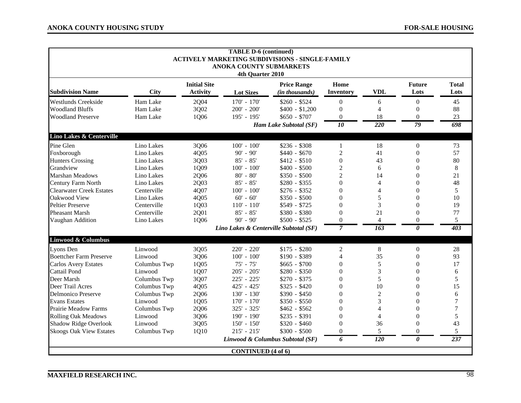|                                 |              |                                        | <b>TABLE D-6 (continued)</b>                | <b>ACTIVELY MARKETING SUBDIVISIONS - SINGLE-FAMILY</b> |                   |                  |                       |                      |
|---------------------------------|--------------|----------------------------------------|---------------------------------------------|--------------------------------------------------------|-------------------|------------------|-----------------------|----------------------|
|                                 |              |                                        | ANOKA COUNTY SUBMARKETS<br>4th Quarter 2010 |                                                        |                   |                  |                       |                      |
| <b>Subdivision Name</b>         | <b>City</b>  | <b>Initial Site</b><br><b>Activity</b> | <b>Lot Sizes</b>                            | <b>Price Range</b><br>(in thousands)                   | Home<br>Inventory | <b>VDL</b>       | <b>Future</b><br>Lots | <b>Total</b><br>Lots |
| <b>Westlunds Creekside</b>      | Ham Lake     | 2Q04                                   | $170' - 170'$                               | $$260 - $524$                                          | $\theta$          | 6                | $\theta$              | 45                   |
| <b>Woodland Bluffs</b>          | Ham Lake     | 3Q02                                   | $200' - 200'$                               | $$400 - $1,200$                                        | $\mathbf{0}$      | $\overline{4}$   | $\overline{0}$        | 88                   |
| <b>Woodland Preserve</b>        | Ham Lake     | 1Q06                                   | 195' - 195'                                 | $$650 - $707$                                          | $\theta$          | 18               | $\overline{0}$        | 23                   |
|                                 |              |                                        |                                             | Ham Lake Subtotal (SF)                                 | $\overline{10}$   | $\overline{220}$ | 79                    | 698                  |
| Lino Lakes & Centerville        |              |                                        |                                             |                                                        |                   |                  |                       |                      |
| Pine Glen                       | Lino Lakes   | 3Q06                                   | $100' - 100'$                               | $$236 - $308$                                          | 1                 | 18               | $\boldsymbol{0}$      | 73                   |
| Foxborough                      | Lino Lakes   | 4Q05                                   | $90' - 90'$                                 | $$440 - $670$                                          | $\sqrt{2}$        | 41               | $\mathbf{0}$          | 57                   |
| <b>Hunters Crossing</b>         | Lino Lakes   | 3Q03                                   | $85' - 85'$                                 | $$412 - $510$                                          | $\boldsymbol{0}$  | 43               | $\overline{0}$        | 80                   |
| Grandview                       | Lino Lakes   | 1Q09                                   | $100' - 100'$                               | $$400 - $500$                                          | $\overline{c}$    | 6                | $\theta$              | 8                    |
| <b>Marshan Meadows</b>          | Lino Lakes   | 2Q06                                   | $80' - 80'$                                 | $$350 - $500$                                          | $\overline{c}$    | 14               | $\theta$              | 21                   |
| Century Farm North              | Lino Lakes   | 2Q03                                   | $85' - 85'$                                 | $$280 - $355$                                          | $\overline{0}$    | 4                | $\overline{0}$        | 48                   |
| <b>Clearwater Creek Estates</b> | Centerville  | 4Q07                                   | $100' - 100'$                               | $$276 - $352$                                          | $\boldsymbol{0}$  | 4                | $\theta$              | 5                    |
| Oakwood View                    | Lino Lakes   | 4Q05                                   | $60' - 60'$                                 | $$350 - $500$                                          | $\mathbf{0}$      | 5                | $\theta$              | 10                   |
| <b>Peltier Preserve</b>         | Centerville  | 1Q03                                   | $110' - 110'$                               | $$549 - $725$                                          | $\theta$          | 3                | $\theta$              | 19                   |
| <b>Pheasant Marsh</b>           | Centerville  | 2Q01                                   | $85' - 85'$                                 | \$380 - \$380                                          | $\theta$          | 21               | $\theta$              | 77                   |
| Vaughan Addition                | Lino Lakes   | 1Q06                                   | $90' - 90'$                                 | $$500 - $525$                                          | $\overline{0}$    | $\overline{4}$   | $\overline{0}$        | 5                    |
|                                 |              |                                        |                                             | Lino Lakes & Centerville Subtotal (SF)                 | $\overline{7}$    | 163              | $\theta$              | 403                  |
| Linwood & Columbus              |              |                                        |                                             |                                                        |                   |                  |                       |                      |
| Lyons Den                       | Linwood      | 3Q05                                   | 220' - 220'                                 | $$175 - $280$                                          | $\overline{c}$    | $\,8\,$          | $\boldsymbol{0}$      | 28                   |
| <b>Boettcher Farm Preserve</b>  | Linwood      | 3Q06                                   | $100' - 100'$                               | \$190 - \$389                                          | $\overline{4}$    | 35               | $\theta$              | 93                   |
| <b>Carlos Avery Estates</b>     | Columbus Twp | 1Q05                                   | $75' - 75'$                                 | $$665 - $700$                                          | $\boldsymbol{0}$  | 5                | $\overline{0}$        | 17                   |
| Cattail Pond                    | Linwood      | 1Q07                                   | $205' - 205'$                               | $$280 - $350$                                          | $\boldsymbol{0}$  | 3                | $\theta$              | 6                    |
| Deer Marsh                      | Columbus Twp | 3Q07                                   | 225' - 225'                                 | $$270 - $375$                                          | $\theta$          | 5                | $\theta$              | 5                    |
| Deer Trail Acres                | Columbus Twp | 4Q05                                   | 425' - 425'                                 | $$325 - $420$                                          | $\boldsymbol{0}$  | 10               | $\overline{0}$        | 15                   |
| <b>Delmonico Preserve</b>       | Columbus Twp | 2Q06                                   | $130' - 130'$                               | $$390 - $450$                                          | $\boldsymbol{0}$  | $\overline{2}$   | $\overline{0}$        | 6                    |
| <b>Evans Estates</b>            | Linwood      | 1Q05                                   | $170' - 170'$                               | $$350 - $550$                                          | $\mathbf{0}$      | 3                | $\theta$              | 7                    |
| <b>Prairie Meadow Farms</b>     | Columbus Twp | 2Q06                                   | 325' - 325'                                 | $$462 - $562$                                          | $\mathbf{0}$      | 4                | $\Omega$              | 7                    |
| <b>Rolling Oak Meadows</b>      | Linwood      | 3Q06                                   | 190' - 190'                                 | $$235 - $391$                                          | $\theta$          | 4                | $\theta$              | 5                    |
| <b>Shadow Ridge Overlook</b>    | Linwood      | 3Q05                                   | $150' - 150'$                               | $$320 - $460$                                          | $\overline{0}$    | 36               | $\overline{0}$        | 43                   |
| <b>Skoogs Oak View Estates</b>  | Columbus Twp | 1Q10                                   | $215' - 215'$                               | $$300 - $500$                                          | $\overline{0}$    | 5                | $\overline{0}$        | 5                    |
|                                 |              |                                        |                                             | Linwood & Columbus Subtotal (SF)                       | 6                 | $\overline{120}$ | 0                     | $\overline{237}$     |
|                                 |              |                                        | <b>CONTINUED</b> (4 of 6)                   |                                                        |                   |                  |                       |                      |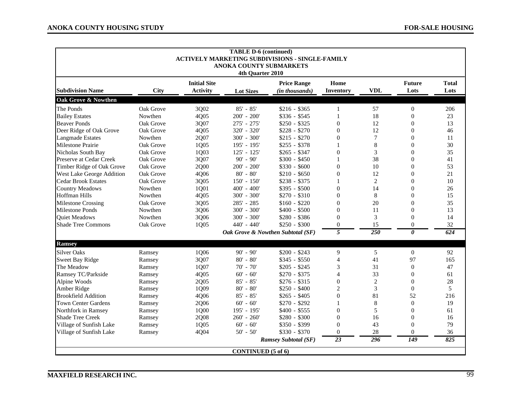|                            | <b>TABLE D-6 (continued)</b><br><b>ACTIVELY MARKETING SUBDIVISIONS - SINGLE-FAMILY</b><br><b>ANOKA COUNTY SUBMARKETS</b><br>4th Quarter 2010 |                                        |                           |                                      |                   |                  |                       |                      |  |  |  |
|----------------------------|----------------------------------------------------------------------------------------------------------------------------------------------|----------------------------------------|---------------------------|--------------------------------------|-------------------|------------------|-----------------------|----------------------|--|--|--|
| <b>Subdivision Name</b>    | <b>City</b>                                                                                                                                  | <b>Initial Site</b><br><b>Activity</b> | <b>Lot Sizes</b>          | <b>Price Range</b><br>(in thousands) | Home<br>Inventory | <b>VDL</b>       | <b>Future</b><br>Lots | <b>Total</b><br>Lots |  |  |  |
| Oak Grove & Nowthen        |                                                                                                                                              |                                        |                           |                                      |                   |                  |                       |                      |  |  |  |
| The Ponds                  | Oak Grove                                                                                                                                    | 3Q02                                   | $85' - 85'$               | $$216 - $365$                        | $\mathbf{1}$      | 57               | $\boldsymbol{0}$      | 206                  |  |  |  |
| <b>Bailey Estates</b>      | Nowthen                                                                                                                                      | 4Q05                                   | $200' - 200'$             | $$336 - $545$                        | $\mathbf{1}$      | 18               | $\overline{0}$        | 23                   |  |  |  |
| <b>Beaver Ponds</b>        | Oak Grove                                                                                                                                    | 3Q07                                   | 275' - 275'               | $$250 - $325$                        | $\overline{0}$    | 12               | $\theta$              | 13                   |  |  |  |
| Deer Ridge of Oak Grove    | Oak Grove                                                                                                                                    | 4Q05                                   | 320' - 320'               | $$228 - $270$                        | $\overline{0}$    | 12               | $\Omega$              | 46                   |  |  |  |
| <b>Langmade Estates</b>    | Nowthen                                                                                                                                      | 2Q07                                   | $300' - 300'$             | $$215 - $270$                        | $\overline{0}$    | $7\phantom{.0}$  | $\theta$              | 11                   |  |  |  |
| Milestone Prairie          | Oak Grove                                                                                                                                    | 1Q05                                   | 195' - 195'               | $$255 - $378$                        | $\mathbf{1}$      | 8                | $\overline{0}$        | 30                   |  |  |  |
| Nicholas South Bay         | Oak Grove                                                                                                                                    | 1Q03                                   | $125' - 125'$             | $$265 - $347$                        | $\overline{0}$    | 3                | $\theta$              | 35                   |  |  |  |
| Preserve at Cedar Creek    | Oak Grove                                                                                                                                    | 3Q07                                   | $90' - 90'$               | $$300 - $450$                        | $\mathbf{1}$      | 38               | $\Omega$              | 41                   |  |  |  |
| Timber Ridge of Oak Grove  | Oak Grove                                                                                                                                    | 2Q00                                   | $200' - 200'$             | $$330 - $600$                        | $\overline{0}$    | 10               | $\Omega$              | 53                   |  |  |  |
| West Lake George Addition  | Oak Grove                                                                                                                                    | 4Q06                                   | $80' - 80'$               | $$210 - $650$                        | $\overline{0}$    | 12               | $\overline{0}$        | 21                   |  |  |  |
| <b>Cedar Brook Estates</b> | Oak Grove                                                                                                                                    | 3Q05                                   | $150' - 150'$             | $$238 - $375$                        |                   | $\overline{c}$   | $\theta$              | 10                   |  |  |  |
| <b>Country Meadows</b>     | Nowthen                                                                                                                                      | 1Q01                                   | $400' - 400'$             | $$395 - $500$                        | $\boldsymbol{0}$  | 14               | $\theta$              | 26                   |  |  |  |
| <b>Hoffman Hills</b>       | Nowthen                                                                                                                                      | 4Q05                                   | $300' - 300'$             | $$270 - $310$                        | $\overline{0}$    | 8                | $\Omega$              | 15                   |  |  |  |
| <b>Milestone Crossing</b>  | Oak Grove                                                                                                                                    | 3Q05                                   | 285' - 285                | $$160 - $220$                        | $\overline{0}$    | 20               | $\theta$              | 35                   |  |  |  |
| <b>Milestone Ponds</b>     | Nowthen                                                                                                                                      | 3Q06                                   | 300' - 300'               | $$400 - $500$                        | $\overline{0}$    | 11               | $\theta$              | 13                   |  |  |  |
| <b>Quiet Meadows</b>       | Nowthen                                                                                                                                      | 3Q06                                   | $300' - 300'$             | $$280 - $386$                        | $\overline{0}$    | 3                | $\Omega$              | 14                   |  |  |  |
| <b>Shade Tree Commons</b>  | Oak Grove                                                                                                                                    | 1Q05                                   | 440' - 440'               | $$250 - $300$                        | $\theta$          | 15               | $\Omega$              | 32                   |  |  |  |
|                            |                                                                                                                                              |                                        |                           | Oak Grove & Nowthen Subtotal (SF)    | 5                 | $\overline{250}$ | 0                     | 624                  |  |  |  |
| <b>Ramsey</b>              |                                                                                                                                              |                                        |                           |                                      |                   |                  |                       |                      |  |  |  |
| <b>Silver Oaks</b>         | Ramsey                                                                                                                                       | 1Q06                                   | $90' - 90'$               | $$200 - $243$                        | 9                 | 5                | $\mathbf{0}$          | 92                   |  |  |  |
| Sweet Bay Ridge            | Ramsey                                                                                                                                       | 3Q07                                   | $80' - 80'$               | $$345 - $550$                        | $\overline{4}$    | 41               | 97                    | 165                  |  |  |  |
| The Meadow                 | Ramsey                                                                                                                                       | 1Q07                                   | $70' - 70'$               | $$205 - $245$                        | 3                 | 31               | $\theta$              | 47                   |  |  |  |
| Ramsey TC/Parkside         | Ramsey                                                                                                                                       | 4Q05                                   | $60' - 60'$               | $$270 - $375$                        | 4                 | 33               | $\overline{0}$        | 61                   |  |  |  |
| Alpine Woods               | Ramsey                                                                                                                                       | 2Q05                                   | $85' - 85'$               | $$276 - $315$                        | $\overline{0}$    | $\overline{2}$   | $\theta$              | 28                   |  |  |  |
| Amber Ridge                | Ramsey                                                                                                                                       | 1Q09                                   | $80' - 80'$               | $$250 - $400$                        | $\overline{2}$    | 3                | $\Omega$              | 5                    |  |  |  |
| <b>Brookfield Addition</b> | Ramsey                                                                                                                                       | 4Q06                                   | $85' - 85'$               | $$265 - $405$                        | $\overline{0}$    | 81               | 52                    | 216                  |  |  |  |
| <b>Town Center Gardens</b> | Ramsey                                                                                                                                       | 2Q06                                   | $60' - 60'$               | $$270 - $292$                        | 1                 | $\,8\,$          | $\mathbf{0}$          | 19                   |  |  |  |
| Northfork in Ramsey        | Ramsey                                                                                                                                       | 1Q00                                   | 195' - 195'               | $$400 - $555$                        | $\boldsymbol{0}$  | 5                | $\theta$              | 61                   |  |  |  |
| <b>Shade Tree Creek</b>    | Ramsey                                                                                                                                       | 2Q08                                   | $260' - 260'$             | $$280 - $300$                        | $\theta$          | 16               | $\theta$              | 16                   |  |  |  |
| Village of Sunfish Lake    | Ramsey                                                                                                                                       | 1Q05                                   | $60' - 60'$               | \$350 - \$399                        | $\theta$          | 43               | $\Omega$              | 79                   |  |  |  |
| Village of Sunfish Lake    | Ramsey                                                                                                                                       | 4Q04                                   | $50' - 50'$               | $$330 - $370$                        | $\theta$          | 28               | $\Omega$              | 36                   |  |  |  |
|                            |                                                                                                                                              |                                        |                           | <b>Ramsey Subtotal (SF)</b>          | $\overline{23}$   | 296              | 149                   | 825                  |  |  |  |
|                            |                                                                                                                                              |                                        | <b>CONTINUED</b> (5 of 6) |                                      |                   |                  |                       |                      |  |  |  |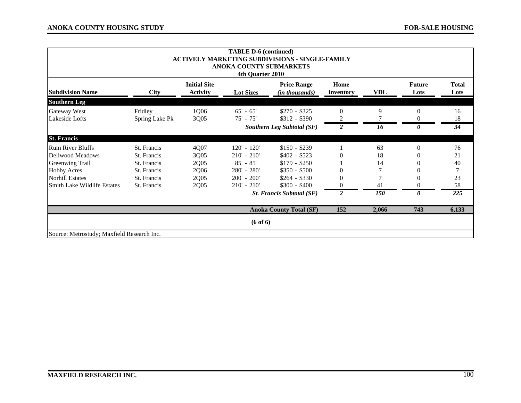|                                            | <b>TABLE D-6 (continued)</b><br><b>ACTIVELY MARKETING SUBDIVISIONS - SINGLE-FAMILY</b><br>ANOKA COUNTY SUBMARKETS<br>4th Quarter 2010 |                                        |                          |                                             |                          |            |                       |                      |  |  |  |
|--------------------------------------------|---------------------------------------------------------------------------------------------------------------------------------------|----------------------------------------|--------------------------|---------------------------------------------|--------------------------|------------|-----------------------|----------------------|--|--|--|
| <b>Subdivision Name</b>                    | <b>City</b>                                                                                                                           | <b>Initial Site</b><br><b>Activity</b> | <b>Lot Sizes</b>         | <b>Price Range</b><br><i>(in thousands)</i> | Home<br><b>Inventory</b> | VDL        | <b>Future</b><br>Lots | <b>Total</b><br>Lots |  |  |  |
| <b>Southern Leg</b>                        |                                                                                                                                       |                                        |                          |                                             |                          |            |                       |                      |  |  |  |
| Gateway West<br>Lakeside Lofts             | Fridley<br>Spring Lake Pk                                                                                                             | 1Q06<br>3Q05                           | $65' - 65'$<br>75' - 75' | $$270 - $325$<br>$$312 - $390$              | $\theta$<br>2            | 9          | $\theta$<br>0         | 16<br>18             |  |  |  |
|                                            |                                                                                                                                       |                                        |                          | <b>Southern Leg Subtotal (SF)</b>           | $\overline{c}$           | 16         | 0                     | 34                   |  |  |  |
| <b>St. Francis</b>                         |                                                                                                                                       |                                        |                          |                                             |                          |            |                       |                      |  |  |  |
| <b>Rum River Bluffs</b>                    | St. Francis                                                                                                                           | 4Q07                                   | $120' - 120'$            | $$150 - $239$                               |                          | 63         | $\Omega$              | 76                   |  |  |  |
| Dellwood Meadows                           | St. Francis                                                                                                                           | 3Q05                                   | $210' - 210'$            | $$402 - $523$                               | $\Omega$                 | 18         |                       | 21                   |  |  |  |
| <b>Greenwing Trail</b>                     | St. Francis                                                                                                                           | 2Q05                                   | $85' - 85'$              | $$179 - $250$                               |                          | 14         |                       | 40                   |  |  |  |
| <b>Hobby Acres</b>                         | St. Francis                                                                                                                           | 2Q06                                   | 280' - 280'              | $$350 - $500$                               |                          |            |                       |                      |  |  |  |
| <b>Norhill Estates</b>                     | St. Francis                                                                                                                           | 2Q05                                   | $200' - 200'$            | $$264 - $330$                               |                          |            |                       | 23                   |  |  |  |
| Smith Lake Wildlife Estates                | St. Francis                                                                                                                           | 2Q05                                   | $210' - 210'$            | $$300 - $400$                               |                          | 41         | 0                     | 58                   |  |  |  |
|                                            |                                                                                                                                       |                                        |                          | <b>St. Francis Subtotal (SF)</b>            | $\overline{2}$           | <b>150</b> | 0                     | $\overline{225}$     |  |  |  |
|                                            |                                                                                                                                       |                                        |                          | <b>Anoka County Total (SF)</b>              | 152                      | 2,066      | 743                   | 6,133                |  |  |  |
|                                            |                                                                                                                                       |                                        | (6 of 6)                 |                                             |                          |            |                       |                      |  |  |  |
| Source: Metrostudy; Maxfield Research Inc. |                                                                                                                                       |                                        |                          |                                             |                          |            |                       |                      |  |  |  |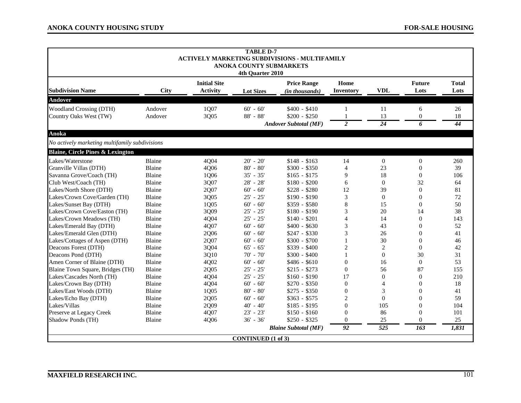| <b>TABLE D-7</b><br><b>ACTIVELY MARKETING SUBDIVISIONS - MULTIFAMILY</b><br><b>ANOKA COUNTY SUBMARKETS</b><br>4th Quarter 2010 |                    |                                        |                           |                                                                |                                                |                  |                          |                      |
|--------------------------------------------------------------------------------------------------------------------------------|--------------------|----------------------------------------|---------------------------|----------------------------------------------------------------|------------------------------------------------|------------------|--------------------------|----------------------|
| <b>Subdivision Name</b>                                                                                                        | <b>City</b>        | <b>Initial Site</b><br><b>Activity</b> | <b>Lot Sizes</b>          | <b>Price Range</b><br>(in thousands)                           | Home<br>Inventory                              | <b>VDL</b>       | <b>Future</b><br>Lots    | <b>Total</b><br>Lots |
| Andover                                                                                                                        |                    |                                        |                           |                                                                |                                                |                  |                          |                      |
| <b>Woodland Crossing (DTH)</b><br>Country Oaks West (TW)                                                                       | Andover<br>Andover | 1Q07<br>3Q05                           | $60' - 60'$<br>88' - 88'  | $$400 - $410$<br>$$200 - $250$<br><b>Andover Subtotal (MF)</b> | $\mathbf{1}$<br>$\mathbf{1}$<br>$\overline{2}$ | 11<br>13<br>24   | 6<br>$\overline{0}$<br>6 | 26<br>18<br>44       |
| Anoka                                                                                                                          |                    |                                        |                           |                                                                |                                                |                  |                          |                      |
| No actively marketing multifamily subdivisions                                                                                 |                    |                                        |                           |                                                                |                                                |                  |                          |                      |
| <b>Blaine, Circle Pines &amp; Lexington</b>                                                                                    |                    |                                        |                           |                                                                |                                                |                  |                          |                      |
| Lakes/Waterstone                                                                                                               | Blaine             | 4Q04                                   | $20' - 20'$               | $$148 - $163$                                                  | 14                                             | $\boldsymbol{0}$ | $\boldsymbol{0}$         | 260                  |
| Granville Villas (DTH)                                                                                                         | Blaine             | 4Q06                                   | $80' - 80'$               | $$300 - $350$                                                  | $\overline{4}$                                 | 23               | $\theta$                 | 39                   |
| Savanna Grove/Coach (TH)                                                                                                       | Blaine             | 1Q06                                   | $35' - 35'$               | $$165 - $175$                                                  | 9                                              | 18               | $\theta$                 | 106                  |
| Club West/Coach (TH)                                                                                                           | Blaine             | 3Q07                                   | 28' - 28'                 | $$180 - $200$                                                  | 6                                              | $\Omega$         | 32                       | 64                   |
| Lakes/North Shore (DTH)                                                                                                        | Blaine             | 2Q07                                   | $60' - 60'$               | $$228 - $280$                                                  | 12                                             | 39               | $\boldsymbol{0}$         | 81                   |
| Lakes/Crown Cove/Garden (TH)                                                                                                   | Blaine             | 3Q05                                   | $25' - 25'$               | $$190 - $190$                                                  | 3                                              | $\overline{0}$   | $\overline{0}$           | 72                   |
| Lakes/Sunset Bay (DTH)                                                                                                         | Blaine             | 1Q05                                   | $60' - 60'$               | \$359 - \$580                                                  | 8                                              | 15               | $\Omega$                 | 50                   |
| Lakes/Crown Cove/Easton (TH)                                                                                                   | Blaine             | 3Q09                                   | $25' - 25'$               | $$180 - $190$                                                  | 3                                              | 20               | 14                       | 38                   |
| Lakes/Crown Meadows (TH)                                                                                                       | Blaine             | 4Q04                                   | $25' - 25'$               | $$140 - $201$                                                  | $\overline{\mathcal{A}}$                       | 14               | $\Omega$                 | 143                  |
| Lakes/Emerald Bay (DTH)                                                                                                        | Blaine             | 4Q07                                   | $60' - 60'$               | $$400 - $630$                                                  | 3                                              | 43               | $\Omega$                 | 52                   |
| Lakes/Emerald Glen (DTH)                                                                                                       | Blaine             | 2Q06                                   | $60' - 60'$               | $$247 - $330$                                                  | 3                                              | 26               | $\theta$                 | 41                   |
| Lakes/Cottages of Aspen (DTH)                                                                                                  | Blaine             | 2Q07                                   | $60' - 60'$               | $$300 - $700$                                                  |                                                | 30               | $\theta$                 | 46                   |
| Deacons Forest (DTH)                                                                                                           | Blaine             | 3Q04                                   | $65' - 65'$               | \$339 - \$400                                                  | 2                                              | 2                | $\theta$                 | 42                   |
| Deacons Pond (DTH)                                                                                                             | Blaine             | 3Q10                                   | $70' - 70'$               | $$300 - $400$                                                  |                                                | $\theta$         | 30                       | 31                   |
| Amen Corner of Blaine (DTH)                                                                                                    | Blaine             | 4Q02                                   | $60' - 60'$               | $$486 - $610$                                                  | $\theta$                                       | 16               | $\overline{0}$           | 53                   |
| Blaine Town Square, Bridges (TH)                                                                                               | Blaine             | 2Q05                                   | $25' - 25'$               | $$215 - $273$                                                  | $\boldsymbol{0}$                               | 56               | 87                       | 155                  |
| Lakes/Cascades North (TH)                                                                                                      | Blaine             | 4Q04                                   | $25' - 25'$               | $$160 - $190$                                                  | 17                                             | $\theta$         | $\theta$                 | 210                  |
| Lakes/Crown Bay (DTH)                                                                                                          | Blaine             | 4Q04                                   | $60' - 60'$               | $$270 - $350$                                                  | $\overline{0}$                                 | $\overline{4}$   | $\Omega$                 | 18                   |
| Lakes/East Woods (DTH)                                                                                                         | Blaine             | 1Q05                                   | $80' - 80'$               | $$275 - $350$                                                  | $\overline{0}$                                 | 3                | $\Omega$                 | 41                   |
| Lakes/Echo Bay (DTH)                                                                                                           | Blaine             | 2Q05                                   | $60' - 60'$               | $$363 - $575$                                                  | 2                                              | $\Omega$         | $\Omega$                 | 59                   |
| Lakes/Villas                                                                                                                   | Blaine             | 2Q09                                   | $40' - 40'$               | $$185 - $195$                                                  | $\theta$                                       | 105              | $\theta$                 | 104                  |
| Preserve at Legacy Creek                                                                                                       | <b>Blaine</b>      | 4Q07                                   | $23' - 23'$               | $$150 - $160$                                                  | $\overline{0}$                                 | 86               | $\Omega$                 | 101                  |
| Shadow Ponds (TH)                                                                                                              | Blaine             | 4Q06                                   | $36' - 36'$               | $$250 - $325$                                                  | $\Omega$                                       | 25               | $\Omega$                 | 25                   |
|                                                                                                                                |                    |                                        |                           | <b>Blaine Subtotal (MF)</b>                                    | 92                                             | 525              | 163                      | 1,831                |
|                                                                                                                                |                    |                                        | <b>CONTINUED</b> (1 of 3) |                                                                |                                                |                  |                          |                      |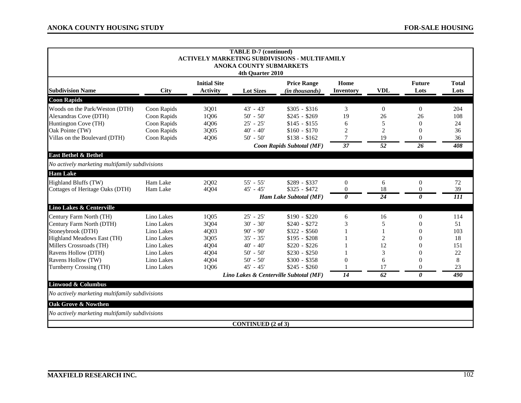| <b>TABLE D-7 (continued)</b>                   |                     |                           |                           |                                                      |                  |                 |                 |              |
|------------------------------------------------|---------------------|---------------------------|---------------------------|------------------------------------------------------|------------------|-----------------|-----------------|--------------|
|                                                |                     |                           |                           | <b>ACTIVELY MARKETING SUBDIVISIONS - MULTIFAMILY</b> |                  |                 |                 |              |
|                                                |                     |                           | ANOKA COUNTY SUBMARKETS   |                                                      |                  |                 |                 |              |
| 4th Quarter 2010                               |                     |                           |                           |                                                      |                  |                 |                 |              |
|                                                | <b>Initial Site</b> |                           |                           | <b>Price Range</b>                                   | Home             |                 | <b>Future</b>   | <b>Total</b> |
| <b>Subdivision Name</b>                        | City                | <b>Activity</b>           | <b>Lot Sizes</b>          | (in thousands)                                       | <b>Inventory</b> | <b>VDL</b>      | Lots            | Lots         |
| <b>Coon Rapids</b>                             |                     |                           |                           |                                                      |                  |                 |                 |              |
| Woods on the Park/Weston (DTH)                 | Coon Rapids         | 3Q01                      | $43' - 43'$               | $$305 - $316$                                        | 3                | $\overline{0}$  | $\mathbf{0}$    | 204          |
| Alexandras Cove (DTH)                          | Coon Rapids         | 1Q06                      | $50' - 50'$               | $$245 - $269$                                        | 19               | 26              | 26              | 108          |
| Huntington Cove (TH)                           | Coon Rapids         | 4Q06                      | $25' - 25'$               | $$145 - $155$                                        | 6                | 5               | $\Omega$        | 24           |
| Oak Pointe (TW)                                | Coon Rapids         | 3Q05                      | $40' - 40'$               | $$160 - $170$                                        | $\overline{c}$   | $\overline{2}$  | $\theta$        | 36           |
| Villas on the Boulevard (DTH)                  | Coon Rapids         | 4Q06                      | $50' - 50'$               | $$138 - $162$                                        | 7                | 19              | $\theta$        | 36           |
|                                                |                     | Coon Rapids Subtotal (MF) |                           |                                                      | $\overline{37}$  | $\overline{52}$ | $\overline{26}$ | 408          |
| <b>East Bethel &amp; Bethel</b>                |                     |                           |                           |                                                      |                  |                 |                 |              |
| No actively marketing multifamily subdivisions |                     |                           |                           |                                                      |                  |                 |                 |              |
| <b>Ham Lake</b>                                |                     |                           |                           |                                                      |                  |                 |                 |              |
| <b>Highland Bluffs (TW)</b>                    | Ham Lake            | 2Q02                      | $55' - 55'$               | $$289 - $337$                                        | $\boldsymbol{0}$ | 6               | $\overline{0}$  | 72           |
| Cottages of Heritage Oaks (DTH)                | Ham Lake            | 4Q04                      | $45' - 45'$               | $$325 - $472$                                        | $\theta$         | 18              | $\theta$        | 39           |
|                                                |                     |                           |                           | Ham Lake Subtotal (MF)                               | 0                | $\overline{24}$ | 0               | 111          |
| Lino Lakes & Centerville                       |                     |                           |                           |                                                      |                  |                 |                 |              |
| Century Farm North (TH)                        | Lino Lakes          | 1Q05                      | $25' - 25'$               | $$190 - $220$                                        | 6                | 16              | $\overline{0}$  | 114          |
| Century Farm North (DTH)                       | Lino Lakes          | 3Q04                      | $30' - 30'$               | $$240 - $272$                                        | 3                | 5               | $\theta$        | 51           |
| Stoneybrook (DTH)                              | Lino Lakes          | 4Q03                      | $90' - 90'$               | $$322 - $560$                                        |                  |                 | $\theta$        | 103          |
| Highland Meadows East (TH)                     | Lino Lakes          | 3Q05                      | $35' - 35'$               | $$195 - $208$                                        |                  | 2               | $\Omega$        | 18           |
| Millers Crossroads (TH)                        | Lino Lakes          | 4Q04                      | $40' - 40'$               | $$220 - $226$                                        |                  | 12              | 0               | 151          |
| Ravens Hollow (DTH)                            | Lino Lakes          | 4Q04                      | $50' - 50'$               | $$230 - $250$                                        |                  | 3               | $\theta$        | 22           |
| Ravens Hollow (TW)                             | Lino Lakes          | 4Q04                      | $50' - 50'$               | $$300 - $358$                                        | 0                | 6               | $\theta$        | 8            |
| Turnberry Crossing (TH)                        | Lino Lakes          | 1Q06                      | $45' - 45'$               | $$245 - $260$                                        |                  | 17              | $\theta$        | 23           |
| Lino Lakes & Centerville Subtotal (MF)         |                     |                           |                           | 14                                                   | 62               | 0               | 490             |              |
| Linwood & Columbus                             |                     |                           |                           |                                                      |                  |                 |                 |              |
| No actively marketing multifamily subdivisions |                     |                           |                           |                                                      |                  |                 |                 |              |
| Oak Grove & Nowthen                            |                     |                           |                           |                                                      |                  |                 |                 |              |
| No actively marketing multifamily subdivisions |                     |                           |                           |                                                      |                  |                 |                 |              |
|                                                |                     |                           | <b>CONTINUED (2 of 3)</b> |                                                      |                  |                 |                 |              |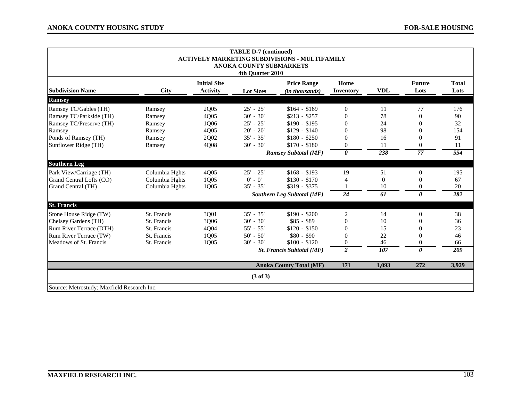| <b>TABLE D-7 (continued)</b><br><b>ACTIVELY MARKETING SUBDIVISIONS - MULTIFAMILY</b><br><b>ANOKA COUNTY SUBMARKETS</b><br>4th Quarter 2010 |                |                                        |                     |                                      |                          |            |                       |                      |
|--------------------------------------------------------------------------------------------------------------------------------------------|----------------|----------------------------------------|---------------------|--------------------------------------|--------------------------|------------|-----------------------|----------------------|
| <b>Subdivision Name</b>                                                                                                                    | <b>City</b>    | <b>Initial Site</b><br><b>Activity</b> | <b>Lot Sizes</b>    | <b>Price Range</b><br>(in thousands) | Home<br><b>Inventory</b> | <b>VDL</b> | <b>Future</b><br>Lots | <b>Total</b><br>Lots |
| <b>Ramsey</b>                                                                                                                              |                |                                        |                     |                                      |                          |            |                       |                      |
| Ramsey TC/Gables (TH)                                                                                                                      | Ramsey         | 2Q05                                   | $25' - 25'$         | $$164 - $169$                        | $\theta$                 | 11         | 77                    | 176                  |
| Ramsey TC/Parkside (TH)                                                                                                                    | Ramsey         | 4Q05                                   | $30' - 30'$         | $$213 - $257$                        | $\Omega$                 | 78         | $\Omega$              | 90                   |
| Ramsey TC/Preserve (TH)                                                                                                                    | Ramsey         | 1Q06                                   | $25' - 25'$         | $$190 - $195$                        | $\Omega$                 | 24         | $\Omega$              | 32                   |
| Ramsey                                                                                                                                     | Ramsey         | 4Q05                                   | $20' - 20'$         | $$129 - $140$                        | $\theta$                 | 98         |                       | 154                  |
| Ponds of Ramsey (TH)                                                                                                                       | Ramsey         | 2Q02                                   | $35' - 35'$         | $$180 - $250$                        | $\overline{0}$           | 16         | $\Omega$              | 91                   |
| Sunflower Ridge (TH)                                                                                                                       | Ramsey         | 4Q08                                   | $30' - 30'$         | $$170 - $180$                        | $\overline{0}$           | 11         | $\theta$              | 11                   |
|                                                                                                                                            |                |                                        |                     | <b>Ramsey Subtotal (MF)</b>          | 0                        | 238        | 77                    | 554                  |
| <b>Southern Leg</b>                                                                                                                        |                |                                        |                     |                                      |                          |            |                       |                      |
| Park View/Carriage (TH)                                                                                                                    | Columbia Hghts | 4Q05                                   | $25' - 25'$         | $$168 - $193$                        | 19                       | 51         | $\Omega$              | 195                  |
| Grand Central Lofts (CO)                                                                                                                   | Columbia Hghts | 1Q05                                   | $0' - 0'$           | $$130 - $170$                        |                          | $\Omega$   |                       | 67                   |
| Grand Central (TH)                                                                                                                         | Columbia Hghts | 1Q05                                   | $35' - 35'$         | $$319 - $375$                        |                          | 10         | $\Omega$              | 20                   |
|                                                                                                                                            |                |                                        |                     | Southern Leg Subtotal (MF)           | 24                       | 61         | 0                     | 282                  |
| <b>St. Francis</b>                                                                                                                         |                |                                        |                     |                                      |                          |            |                       |                      |
| Stone House Ridge (TW)                                                                                                                     | St. Francis    | 3Q01                                   | $35' - 35'$         | $$190 - $200$                        | 2                        | 14         | $\Omega$              | 38                   |
| Chelsey Gardens (TH)                                                                                                                       | St. Francis    | 3Q06                                   | $30' - 30'$         | $$85 - $89$                          | $\overline{0}$           | 10         | $\Omega$              | 36                   |
| Rum River Terrace (DTH)                                                                                                                    | St. Francis    | 4Q04                                   | $55' - 55'$         | $$120 - $150$                        | $\overline{0}$           | 15         |                       | 23                   |
| Rum River Terrace (TW)                                                                                                                     | St. Francis    | 1Q05                                   | $50' - 50'$         | $$80 - $90$                          | $\overline{0}$           | 22         |                       | 46                   |
| Meadows of St. Francis                                                                                                                     | St. Francis    | 1Q05                                   | $30' - 30'$         | $$100 - $120$                        | $\overline{0}$           | 46         | 0                     | 66                   |
|                                                                                                                                            |                |                                        |                     | <b>St. Francis Subtotal (MF)</b>     | $\overline{c}$           | 107        | 0                     | 209                  |
|                                                                                                                                            |                |                                        |                     | <b>Anoka County Total (MF)</b>       | 171                      | 1,093      | 272                   | 3,929                |
|                                                                                                                                            |                |                                        | $(3 \text{ of } 3)$ |                                      |                          |            |                       |                      |
| Source: Metrostudy: Maxfield Research Inc.                                                                                                 |                |                                        |                     |                                      |                          |            |                       |                      |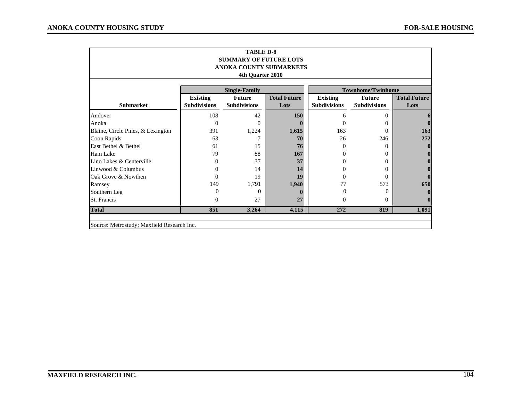| <b>TABLE D-8</b><br><b>SUMMARY OF FUTURE LOTS</b><br>ANOKA COUNTY SUBMARKETS<br>4th Quarter 2010 |                                        |                                      |                             |                                        |                                      |                             |
|--------------------------------------------------------------------------------------------------|----------------------------------------|--------------------------------------|-----------------------------|----------------------------------------|--------------------------------------|-----------------------------|
|                                                                                                  |                                        | <b>Single-Family</b>                 |                             |                                        | <b>Townhome/Twinhome</b>             |                             |
| <b>Submarket</b>                                                                                 | <b>Existing</b><br><b>Subdivisions</b> | <b>Future</b><br><b>Subdivisions</b> | <b>Total Future</b><br>Lots | <b>Existing</b><br><b>Subdivisions</b> | <b>Future</b><br><b>Subdivisions</b> | <b>Total Future</b><br>Lots |
| Andover                                                                                          | 108                                    | 42                                   | 150                         | 6                                      | $\Omega$                             |                             |
| Anoka                                                                                            | $\Omega$                               | $\Omega$                             | 0                           | 0                                      | $\Omega$                             |                             |
| Blaine, Circle Pines, & Lexington                                                                | 391                                    | 1,224                                | 1,615                       | 163                                    | $\Omega$                             | 163                         |
| Coon Rapids                                                                                      | 63                                     | 7                                    | 70                          | 26                                     | 246                                  | 272                         |
| East Bethel & Bethel                                                                             | 61                                     | 15                                   | 76                          | $\Omega$                               | $\Omega$                             |                             |
| Ham Lake                                                                                         | 79                                     | 88                                   | 167                         | 0                                      | $\Omega$                             |                             |
| Lino Lakes & Centerville                                                                         | 0                                      | 37                                   | 37                          | 0                                      | $\Omega$                             |                             |
| Linwood & Columbus                                                                               | $^{(1)}$                               | 14                                   | 14                          | 0                                      | $\Omega$                             |                             |
| Oak Grove & Nowthen                                                                              | 0                                      | 19                                   | 19                          | 0                                      | $\Omega$                             |                             |
| Ramsey                                                                                           | 149                                    | 1,791                                | 1,940                       | 77                                     | 573                                  | 650                         |
| Southern Leg                                                                                     | $\Omega$                               | 0                                    | 0                           | $\Omega$                               | $\Omega$                             |                             |
| <b>St. Francis</b>                                                                               | $\Omega$                               | 27                                   | 27                          | $\Omega$                               | $\Omega$                             |                             |
| <b>Total</b>                                                                                     | 851                                    | 3,264                                | 4,115                       | 272                                    | 819                                  | 1,091                       |
| Source: Metrostudy; Maxfield Research Inc.                                                       |                                        |                                      |                             |                                        |                                      |                             |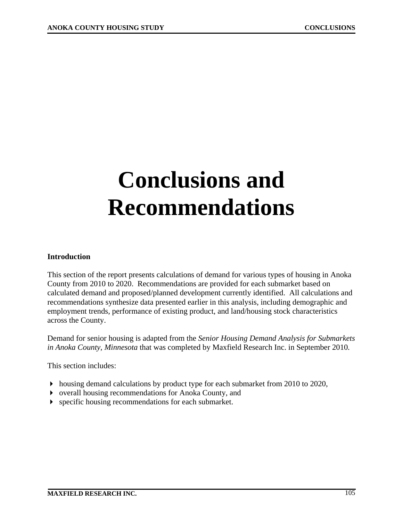# **Conclusions and Recommendations**

#### **Introduction**

This section of the report presents calculations of demand for various types of housing in Anoka County from 2010 to 2020. Recommendations are provided for each submarket based on calculated demand and proposed/planned development currently identified. All calculations and recommendations synthesize data presented earlier in this analysis, including demographic and employment trends, performance of existing product, and land/housing stock characteristics across the County.

Demand for senior housing is adapted from the *Senior Housing Demand Analysis for Submarkets in Anoka County, Minnesota* that was completed by Maxfield Research Inc. in September 2010*.*

This section includes:

- housing demand calculations by product type for each submarket from 2010 to 2020,
- overall housing recommendations for Anoka County, and
- specific housing recommendations for each submarket.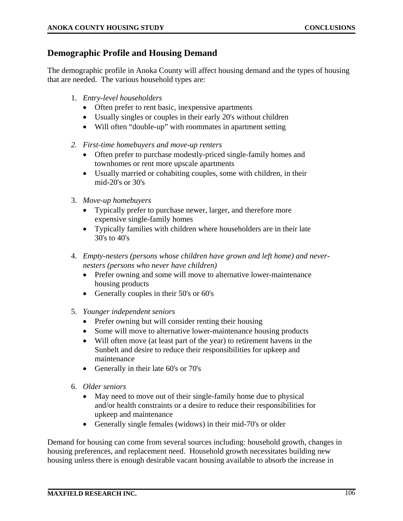## **Demographic Profile and Housing Demand**

The demographic profile in Anoka County will affect housing demand and the types of housing that are needed. The various household types are:

- 1. *Entry-level householders*
	- Often prefer to rent basic, inexpensive apartments
	- Usually singles or couples in their early 20's without children
	- Will often "double-up" with roommates in apartment setting
- *2. First-time homebuyers and move-up renters* 
	- Often prefer to purchase modestly-priced single-family homes and townhomes or rent more upscale apartments
	- Usually married or cohabiting couples, some with children, in their mid-20's or 30's
- 3. *Move-up homebuyers*
	- Typically prefer to purchase newer, larger, and therefore more expensive single-family homes
	- Typically families with children where householders are in their late 30's to 40's
- 4. *Empty-nesters (persons whose children have grown and left home) and nevernesters (persons who never have children)*
	- Prefer owning and some will move to alternative lower-maintenance housing products
	- Generally couples in their 50's or 60's
- 5. *Younger independent seniors*
	- Prefer owning but will consider renting their housing
	- Some will move to alternative lower-maintenance housing products
	- Will often move (at least part of the year) to retirement havens in the Sunbelt and desire to reduce their responsibilities for upkeep and maintenance
	- Generally in their late 60's or 70's
- 6. *Older seniors*
	- May need to move out of their single-family home due to physical and/or health constraints or a desire to reduce their responsibilities for upkeep and maintenance
	- Generally single females (widows) in their mid-70's or older

Demand for housing can come from several sources including: household growth, changes in housing preferences, and replacement need. Household growth necessitates building new housing unless there is enough desirable vacant housing available to absorb the increase in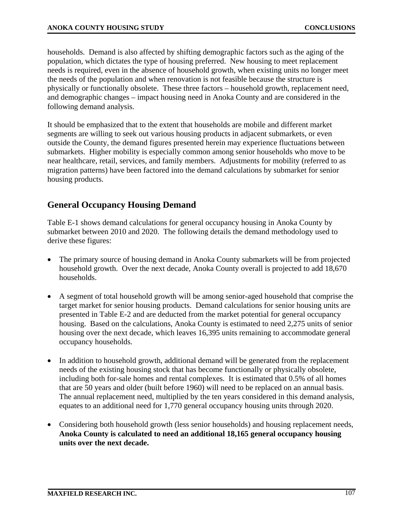households. Demand is also affected by shifting demographic factors such as the aging of the population, which dictates the type of housing preferred. New housing to meet replacement needs is required, even in the absence of household growth, when existing units no longer meet the needs of the population and when renovation is not feasible because the structure is physically or functionally obsolete. These three factors – household growth, replacement need, and demographic changes – impact housing need in Anoka County and are considered in the following demand analysis.

It should be emphasized that to the extent that households are mobile and different market segments are willing to seek out various housing products in adjacent submarkets, or even outside the County, the demand figures presented herein may experience fluctuations between submarkets. Higher mobility is especially common among senior households who move to be near healthcare, retail, services, and family members. Adjustments for mobility (referred to as migration patterns) have been factored into the demand calculations by submarket for senior housing products.

## **General Occupancy Housing Demand**

Table E-1 shows demand calculations for general occupancy housing in Anoka County by submarket between 2010 and 2020. The following details the demand methodology used to derive these figures:

- The primary source of housing demand in Anoka County submarkets will be from projected household growth. Over the next decade, Anoka County overall is projected to add 18,670 households.
- A segment of total household growth will be among senior-aged household that comprise the target market for senior housing products. Demand calculations for senior housing units are presented in Table E-2 and are deducted from the market potential for general occupancy housing. Based on the calculations, Anoka County is estimated to need 2,275 units of senior housing over the next decade, which leaves 16,395 units remaining to accommodate general occupancy households.
- In addition to household growth, additional demand will be generated from the replacement needs of the existing housing stock that has become functionally or physically obsolete, including both for-sale homes and rental complexes. It is estimated that 0.5% of all homes that are 50 years and older (built before 1960) will need to be replaced on an annual basis. The annual replacement need, multiplied by the ten years considered in this demand analysis, equates to an additional need for 1,770 general occupancy housing units through 2020.
- Considering both household growth (less senior households) and housing replacement needs, **Anoka County is calculated to need an additional 18,165 general occupancy housing units over the next decade.**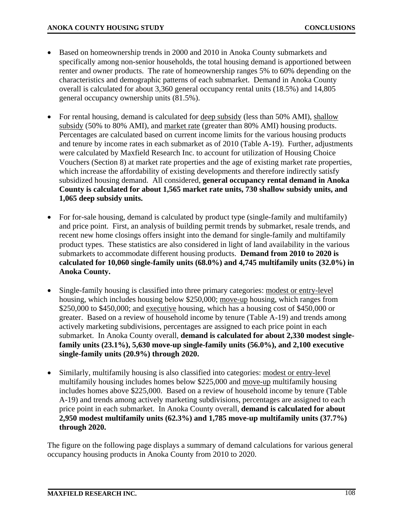- Based on homeownership trends in 2000 and 2010 in Anoka County submarkets and specifically among non-senior households, the total housing demand is apportioned between renter and owner products. The rate of homeownership ranges 5% to 60% depending on the characteristics and demographic patterns of each submarket. Demand in Anoka County overall is calculated for about 3,360 general occupancy rental units (18.5%) and 14,805 general occupancy ownership units (81.5%).
- For rental housing, demand is calculated for deep subsidy (less than 50% AMI), shallow subsidy (50% to 80% AMI), and market rate (greater than 80% AMI) housing products. Percentages are calculated based on current income limits for the various housing products and tenure by income rates in each submarket as of 2010 (Table A-19). Further, adjustments were calculated by Maxfield Research Inc. to account for utilization of Housing Choice Vouchers (Section 8) at market rate properties and the age of existing market rate properties, which increase the affordability of existing developments and therefore indirectly satisfy subsidized housing demand. All considered, **general occupancy rental demand in Anoka County is calculated for about 1,565 market rate units, 730 shallow subsidy units, and 1,065 deep subsidy units.**
- For for-sale housing, demand is calculated by product type (single-family and multifamily) and price point. First, an analysis of building permit trends by submarket, resale trends, and recent new home closings offers insight into the demand for single-family and multifamily product types. These statistics are also considered in light of land availability in the various submarkets to accommodate different housing products. **Demand from 2010 to 2020 is calculated for 10,060 single-family units (68.0%) and 4,745 multifamily units (32.0%) in Anoka County.**
- Single-family housing is classified into three primary categories: modest or entry-level housing, which includes housing below \$250,000; move-up housing, which ranges from \$250,000 to \$450,000; and executive housing, which has a housing cost of \$450,000 or greater. Based on a review of household income by tenure (Table A-19) and trends among actively marketing subdivisions, percentages are assigned to each price point in each submarket. In Anoka County overall, **demand is calculated for about 2,330 modest singlefamily units (23.1%), 5,630 move-up single-family units (56.0%), and 2,100 executive single-family units (20.9%) through 2020.**
- Similarly, multifamily housing is also classified into categories: modest or entry-level multifamily housing includes homes below \$225,000 and move-up multifamily housing includes homes above \$225,000. Based on a review of household income by tenure (Table A-19) and trends among actively marketing subdivisions, percentages are assigned to each price point in each submarket. In Anoka County overall, **demand is calculated for about 2,950 modest multifamily units (62.3%) and 1,785 move-up multifamily units (37.7%) through 2020.**

The figure on the following page displays a summary of demand calculations for various general occupancy housing products in Anoka County from 2010 to 2020.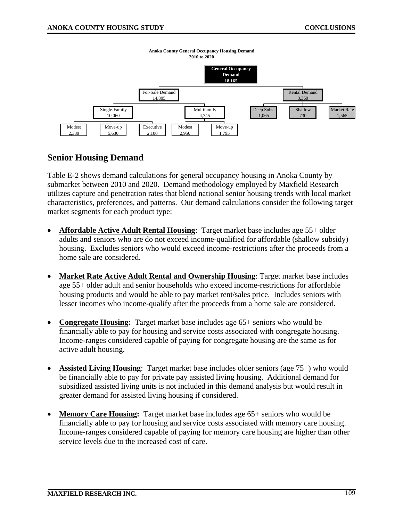

#### **Anoka County General Occupancy Housing Demand 2010 to 2020**

## **Senior Housing Demand**

Table E-2 shows demand calculations for general occupancy housing in Anoka County by submarket between 2010 and 2020. Demand methodology employed by Maxfield Research utilizes capture and penetration rates that blend national senior housing trends with local market characteristics, preferences, and patterns. Our demand calculations consider the following target market segments for each product type:

- **Affordable Active Adult Rental Housing**: Target market base includes age 55+ older adults and seniors who are do not exceed income-qualified for affordable (shallow subsidy) housing. Excludes seniors who would exceed income-restrictions after the proceeds from a home sale are considered.
- **Market Rate Active Adult Rental and Ownership Housing**: Target market base includes age 55+ older adult and senior households who exceed income-restrictions for affordable housing products and would be able to pay market rent/sales price. Includes seniors with lesser incomes who income-qualify after the proceeds from a home sale are considered.
- **Congregate Housing:** Target market base includes age 65+ seniors who would be financially able to pay for housing and service costs associated with congregate housing. Income-ranges considered capable of paying for congregate housing are the same as for active adult housing.
- **Assisted Living Housing**: Target market base includes older seniors (age 75+) who would be financially able to pay for private pay assisted living housing. Additional demand for subsidized assisted living units is not included in this demand analysis but would result in greater demand for assisted living housing if considered.
- **Memory Care Housing:** Target market base includes age 65+ seniors who would be financially able to pay for housing and service costs associated with memory care housing. Income-ranges considered capable of paying for memory care housing are higher than other service levels due to the increased cost of care.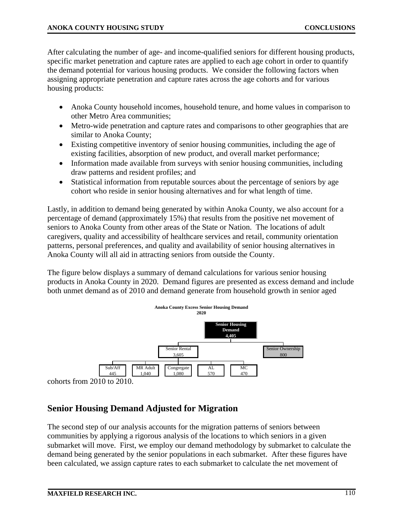After calculating the number of age- and income-qualified seniors for different housing products, specific market penetration and capture rates are applied to each age cohort in order to quantify the demand potential for various housing products. We consider the following factors when assigning appropriate penetration and capture rates across the age cohorts and for various housing products:

- Anoka County household incomes, household tenure, and home values in comparison to other Metro Area communities;
- Metro-wide penetration and capture rates and comparisons to other geographies that are similar to Anoka County;
- Existing competitive inventory of senior housing communities, including the age of existing facilities, absorption of new product, and overall market performance;
- Information made available from surveys with senior housing communities, including draw patterns and resident profiles; and
- Statistical information from reputable sources about the percentage of seniors by age cohort who reside in senior housing alternatives and for what length of time.

Lastly, in addition to demand being generated by within Anoka County, we also account for a percentage of demand (approximately 15%) that results from the positive net movement of seniors to Anoka County from other areas of the State or Nation. The locations of adult caregivers, quality and accessibility of healthcare services and retail, community orientation patterns, personal preferences, and quality and availability of senior housing alternatives in Anoka County will all aid in attracting seniors from outside the County.

The figure below displays a summary of demand calculations for various senior housing products in Anoka County in 2020. Demand figures are presented as excess demand and include both unmet demand as of 2010 and demand generate from household growth in senior aged



cohorts from 2010 to 2010.

# **Senior Housing Demand Adjusted for Migration**

The second step of our analysis accounts for the migration patterns of seniors between communities by applying a rigorous analysis of the locations to which seniors in a given submarket will move. First, we employ our demand methodology by submarket to calculate the demand being generated by the senior populations in each submarket. After these figures have been calculated, we assign capture rates to each submarket to calculate the net movement of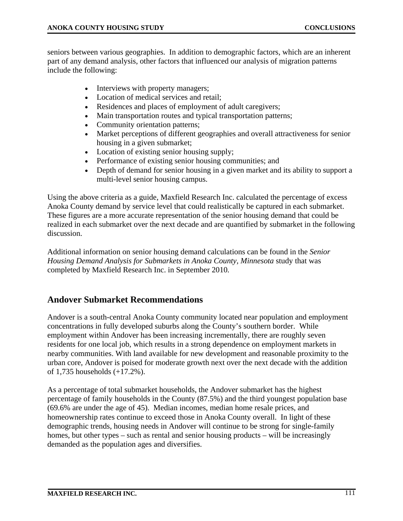seniors between various geographies. In addition to demographic factors, which are an inherent part of any demand analysis, other factors that influenced our analysis of migration patterns include the following:

- Interviews with property managers;
- Location of medical services and retail;
- Residences and places of employment of adult caregivers;
- Main transportation routes and typical transportation patterns;
- Community orientation patterns;
- Market perceptions of different geographies and overall attractiveness for senior housing in a given submarket;
- Location of existing senior housing supply;
- Performance of existing senior housing communities; and
- Depth of demand for senior housing in a given market and its ability to support a multi-level senior housing campus.

Using the above criteria as a guide, Maxfield Research Inc. calculated the percentage of excess Anoka County demand by service level that could realistically be captured in each submarket. These figures are a more accurate representation of the senior housing demand that could be realized in each submarket over the next decade and are quantified by submarket in the following discussion.

Additional information on senior housing demand calculations can be found in the *Senior Housing Demand Analysis for Submarkets in Anoka County, Minnesota* study that was completed by Maxfield Research Inc. in September 2010*.*

# **Andover Submarket Recommendations**

Andover is a south-central Anoka County community located near population and employment concentrations in fully developed suburbs along the County's southern border. While employment within Andover has been increasing incrementally, there are roughly seven residents for one local job, which results in a strong dependence on employment markets in nearby communities. With land available for new development and reasonable proximity to the urban core, Andover is poised for moderate growth next over the next decade with the addition of 1,735 households (+17.2%).

As a percentage of total submarket households, the Andover submarket has the highest percentage of family households in the County (87.5%) and the third youngest population base (69.6% are under the age of 45). Median incomes, median home resale prices, and homeownership rates continue to exceed those in Anoka County overall. In light of these demographic trends, housing needs in Andover will continue to be strong for single-family homes, but other types – such as rental and senior housing products – will be increasingly demanded as the population ages and diversifies.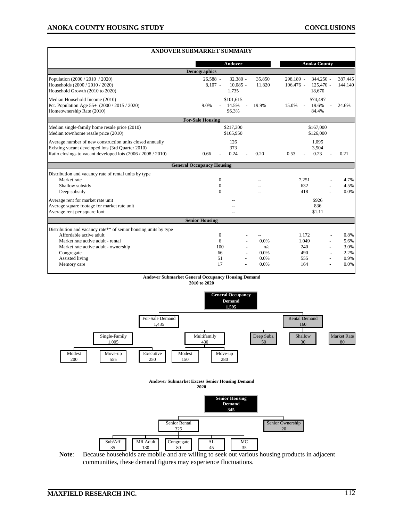|                                                                                                                                                                                                                         | <b>ANDOVER SUBMARKET SUMMARY</b>                             |                                            |                                                                  |                                              |  |
|-------------------------------------------------------------------------------------------------------------------------------------------------------------------------------------------------------------------------|--------------------------------------------------------------|--------------------------------------------|------------------------------------------------------------------|----------------------------------------------|--|
|                                                                                                                                                                                                                         | Andover                                                      |                                            | <b>Anoka County</b>                                              |                                              |  |
|                                                                                                                                                                                                                         | <b>Demographics</b>                                          |                                            |                                                                  |                                              |  |
| Population (2000 / 2010 / 2020)<br>Households (2000 / 2010 / 2020)<br>Household Growth (2010 to 2020)                                                                                                                   | $32,380 -$<br>$26,588 -$<br>$10,085 -$<br>$8,107 -$<br>1.735 | 35,850<br>11,820                           | $344,250 -$<br>298.189 -<br>$106,476$ -<br>$125,470$ -<br>18,670 | 387,445<br>144,140                           |  |
| Median Household Income (2010)<br>Pct. Population Age 55+ (2000 / 2015 / 2020)<br>Homeownership Rate (2010)                                                                                                             | \$101,615<br>14.5%<br>9.0%<br>96.3%                          | 19.9%<br>$\overline{a}$                    | \$74,497<br>15.0%<br>19.6%<br>$\overline{a}$<br>84.4%            | 24.6%                                        |  |
|                                                                                                                                                                                                                         | <b>For-Sale Housing</b>                                      |                                            |                                                                  |                                              |  |
| Median single-family home resale price (2010)<br>Median townhome resale price (2010)                                                                                                                                    | \$217,300<br>\$167,000<br>\$126,000<br>\$165,950             |                                            |                                                                  |                                              |  |
| Average number of new construction units closed annually<br>Existing vacant developed lots (3rd Quarter 2010)<br>Ratio closings to vacant developed lots (2006 / 2008 / 2010)                                           | 126<br>373<br>0.24<br>0.66                                   | 0.20                                       | 1,095<br>3,504<br>0.23<br>0.53                                   | 0.21                                         |  |
|                                                                                                                                                                                                                         | <b>General Occupancy Housing</b>                             |                                            |                                                                  |                                              |  |
| Distribution and vacancy rate of rental units by type<br>Market rate<br>Shallow subsidy<br>Deep subsidy                                                                                                                 | $\mathbf{0}$<br>$\mathbf{0}$<br>$\Omega$                     |                                            | 7.251<br>632<br>418                                              | 4.7%<br>4.5%<br>0.0%                         |  |
| Average rent for market rate unit<br>Average square footage for market rate unit<br>Average rent per square foot                                                                                                        |                                                              |                                            | \$926<br>836<br>\$1.11                                           |                                              |  |
|                                                                                                                                                                                                                         | <b>Senior Housing</b>                                        |                                            |                                                                  |                                              |  |
| Distribution and vacancy rate** of senior housing units by type<br>Affordable active adult<br>Market rate active adult - rental<br>Market rate active adult - ownership<br>Congregate<br>Assisted living<br>Memory care | $\mathbf{0}$<br>6<br>100<br>66<br>51<br>17                   | $-$<br>0.0%<br>n/a<br>0.0%<br>0.0%<br>0.0% | 1,172<br>1,049<br>240<br>490<br>555<br>164                       | 0.8%<br>5.6%<br>3.0%<br>2.2%<br>0.9%<br>0.0% |  |

#### **Andover Submarket General Occupancy Housing Demand 2010 to 2020**

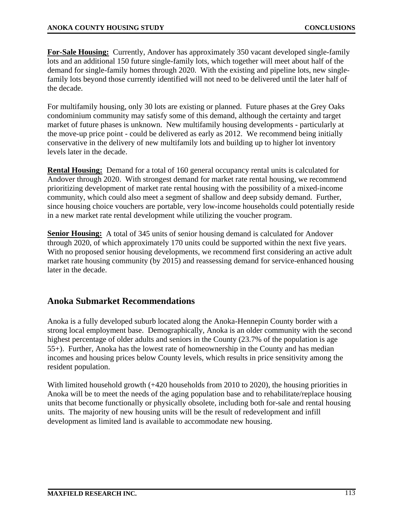**For-Sale Housing:** Currently, Andover has approximately 350 vacant developed single-family lots and an additional 150 future single-family lots, which together will meet about half of the demand for single-family homes through 2020. With the existing and pipeline lots, new singlefamily lots beyond those currently identified will not need to be delivered until the later half of the decade.

For multifamily housing, only 30 lots are existing or planned. Future phases at the Grey Oaks condominium community may satisfy some of this demand, although the certainty and target market of future phases is unknown. New multifamily housing developments - particularly at the move-up price point - could be delivered as early as 2012. We recommend being initially conservative in the delivery of new multifamily lots and building up to higher lot inventory levels later in the decade.

**Rental Housing:** Demand for a total of 160 general occupancy rental units is calculated for Andover through 2020. With strongest demand for market rate rental housing, we recommend prioritizing development of market rate rental housing with the possibility of a mixed-income community, which could also meet a segment of shallow and deep subsidy demand. Further, since housing choice vouchers are portable, very low-income households could potentially reside in a new market rate rental development while utilizing the voucher program.

**Senior Housing:** A total of 345 units of senior housing demand is calculated for Andover through 2020, of which approximately 170 units could be supported within the next five years. With no proposed senior housing developments, we recommend first considering an active adult market rate housing community (by 2015) and reassessing demand for service-enhanced housing later in the decade.

## **Anoka Submarket Recommendations**

Anoka is a fully developed suburb located along the Anoka-Hennepin County border with a strong local employment base. Demographically, Anoka is an older community with the second highest percentage of older adults and seniors in the County (23.7% of the population is age 55+). Further, Anoka has the lowest rate of homeownership in the County and has median incomes and housing prices below County levels, which results in price sensitivity among the resident population.

With limited household growth (+420 households from 2010 to 2020), the housing priorities in Anoka will be to meet the needs of the aging population base and to rehabilitate/replace housing units that become functionally or physically obsolete, including both for-sale and rental housing units. The majority of new housing units will be the result of redevelopment and infill development as limited land is available to accommodate new housing.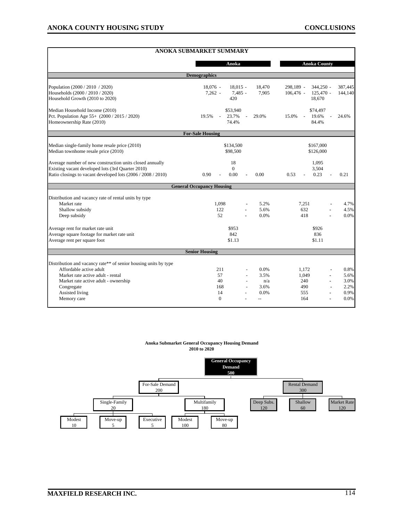|                                                                                                                                                                               | <b>ANOKA SUBMARKET SUMMARY</b>                       |                         |                                               |                        |                      |  |  |
|-------------------------------------------------------------------------------------------------------------------------------------------------------------------------------|------------------------------------------------------|-------------------------|-----------------------------------------------|------------------------|----------------------|--|--|
|                                                                                                                                                                               | Anoka                                                |                         | <b>Anoka County</b>                           |                        |                      |  |  |
| <b>Demographics</b>                                                                                                                                                           |                                                      |                         |                                               |                        |                      |  |  |
| Population (2000 / 2010 / 2020)                                                                                                                                               | $18.076 -$<br>$18.015 -$                             | 18,470                  | 298,189 -                                     | $344,250 -$<br>387,445 |                      |  |  |
| Households (2000 / 2010 / 2020)<br>Household Growth (2010 to 2020)                                                                                                            | $7,262 -$<br>420                                     | 7,485 -<br>7,905        | $106,476$ -<br>18,670                         | $125,470 -$<br>144,140 |                      |  |  |
| Median Household Income (2010)<br>Pct. Population Age 55+ (2000 / 2015 / 2020)<br>Homeownership Rate (2010)                                                                   | \$53,940<br>23.7%<br>19.5%<br>$\mathcal{L}$<br>74.4% | 29.0%<br>$\overline{a}$ | \$74,497<br>19.6%<br>15.0%<br>$\sim$<br>84.4% | 24.6%                  |                      |  |  |
|                                                                                                                                                                               | <b>For-Sale Housing</b>                              |                         |                                               |                        |                      |  |  |
| Median single-family home resale price (2010)<br>Median townhome resale price (2010)                                                                                          | \$134,500<br>\$98,500                                |                         | \$167,000<br>\$126,000                        |                        |                      |  |  |
| Average number of new construction units closed annually<br>Existing vacant developed lots (3rd Quarter 2010)<br>Ratio closings to vacant developed lots (2006 / 2008 / 2010) | 18<br>$\Omega$<br>0.00<br>0.90                       | 0.00                    | 1,095<br>3,504<br>0.23<br>0.53                | 0.21                   |                      |  |  |
|                                                                                                                                                                               | <b>General Occupancy Housing</b>                     |                         |                                               |                        |                      |  |  |
| Distribution and vacancy rate of rental units by type<br>Market rate<br>Shallow subsidy<br>Deep subsidy                                                                       | 1,098<br>122<br>52                                   | 5.2%<br>5.6%<br>0.0%    | 7,251<br>632<br>418                           |                        | 4.7%<br>4.5%<br>0.0% |  |  |
| Average rent for market rate unit<br>Average square footage for market rate unit<br>Average rent per square foot                                                              | \$953<br>\$926<br>842<br>836<br>\$1.13<br>\$1.11     |                         |                                               |                        |                      |  |  |
|                                                                                                                                                                               | <b>Senior Housing</b>                                |                         |                                               |                        |                      |  |  |
| Distribution and vacancy rate** of senior housing units by type                                                                                                               |                                                      |                         |                                               |                        |                      |  |  |
| Affordable active adult<br>Market rate active adult - rental                                                                                                                  | 211<br>57                                            | 0.0%<br>3.5%            | 1,172<br>1,049                                |                        | 0.8%<br>5.6%         |  |  |
| Market rate active adult - ownership                                                                                                                                          | 40                                                   | n/a                     | 240                                           |                        | 3.0%                 |  |  |
| Congregate<br>Assisted living                                                                                                                                                 | 168<br>14                                            | 3.6%<br>0.0%            | 490<br>555                                    |                        | 2.2%<br>0.9%         |  |  |
| Memory care                                                                                                                                                                   | $\Omega$                                             | $\overline{a}$          | 164                                           |                        | 0.0%                 |  |  |

#### **Anoka Submarket General Occupancy Housing Demand 2010 to 2020**

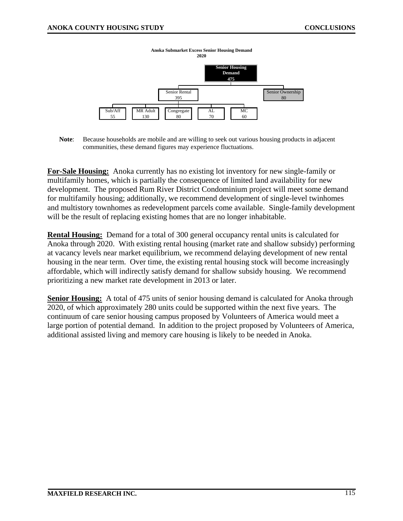

**Note**: Because households are mobile and are willing to seek out various housing products in adjacent communities, these demand figures may experience fluctuations.

**For-Sale Housing:** Anoka currently has no existing lot inventory for new single-family or multifamily homes, which is partially the consequence of limited land availability for new development. The proposed Rum River District Condominium project will meet some demand for multifamily housing; additionally, we recommend development of single-level twinhomes and multistory townhomes as redevelopment parcels come available. Single-family development will be the result of replacing existing homes that are no longer inhabitable.

**Rental Housing:** Demand for a total of 300 general occupancy rental units is calculated for Anoka through 2020. With existing rental housing (market rate and shallow subsidy) performing at vacancy levels near market equilibrium, we recommend delaying development of new rental housing in the near term. Over time, the existing rental housing stock will become increasingly affordable, which will indirectly satisfy demand for shallow subsidy housing. We recommend prioritizing a new market rate development in 2013 or later.

**Senior Housing:** A total of 475 units of senior housing demand is calculated for Anoka through 2020, of which approximately 280 units could be supported within the next five years. The continuum of care senior housing campus proposed by Volunteers of America would meet a large portion of potential demand. In addition to the project proposed by Volunteers of America, additional assisted living and memory care housing is likely to be needed in Anoka.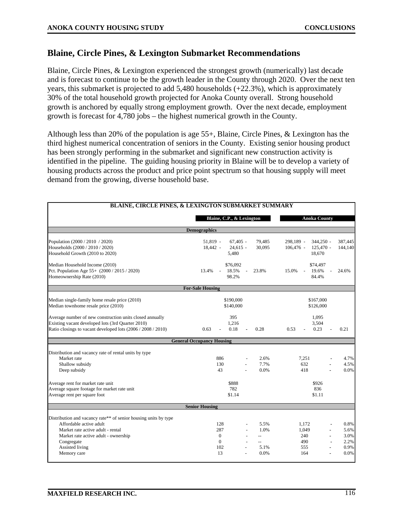#### **Blaine, Circle Pines, & Lexington Submarket Recommendations**

Blaine, Circle Pines, & Lexington experienced the strongest growth (numerically) last decade and is forecast to continue to be the growth leader in the County through 2020. Over the next ten years, this submarket is projected to add 5,480 households (+22.3%), which is approximately 30% of the total household growth projected for Anoka County overall. Strong household growth is anchored by equally strong employment growth. Over the next decade, employment growth is forecast for 4,780 jobs – the highest numerical growth in the County.

Although less than 20% of the population is age 55+, Blaine, Circle Pines, & Lexington has the third highest numerical concentration of seniors in the County. Existing senior housing product has been strongly performing in the submarket and significant new construction activity is identified in the pipeline. The guiding housing priority in Blaine will be to develop a variety of housing products across the product and price point spectrum so that housing supply will meet demand from the growing, diverse household base.

| BLAINE, CIRCLE PINES, & LEXINGTON SUBMARKET SUMMARY                                                                                                                                                                     |                                                                                                             |                                                                                                              |  |  |  |  |  |  |
|-------------------------------------------------------------------------------------------------------------------------------------------------------------------------------------------------------------------------|-------------------------------------------------------------------------------------------------------------|--------------------------------------------------------------------------------------------------------------|--|--|--|--|--|--|
|                                                                                                                                                                                                                         | Blaine, C.P., & Lexington                                                                                   | <b>Anoka County</b>                                                                                          |  |  |  |  |  |  |
| <b>Demographics</b>                                                                                                                                                                                                     |                                                                                                             |                                                                                                              |  |  |  |  |  |  |
| Population (2000 / 2010 / 2020)<br>Households (2000 / 2010 / 2020)<br>Household Growth (2010 to 2020)                                                                                                                   | $67,405 -$<br>51,819 -<br>79,485<br>30.095<br>18.442 -<br>$24.615 -$<br>5,480                               | 298,189 -<br>344,250 -<br>387,445<br>144,140<br>$106.476 -$<br>$125.470 -$<br>18,670                         |  |  |  |  |  |  |
| Median Household Income (2010)<br>Pct. Population Age 55+ (2000 / 2015 / 2020)<br>Homeownership Rate (2010)                                                                                                             | \$76,092<br>18.5%<br>23.8%<br>13.4%<br>$\sim$<br>98.2%                                                      | \$74,497<br>15.0%<br>19.6%<br>24.6%<br>$\overline{\phantom{a}}$<br>84.4%                                     |  |  |  |  |  |  |
|                                                                                                                                                                                                                         | <b>For-Sale Housing</b>                                                                                     |                                                                                                              |  |  |  |  |  |  |
| Median single-family home resale price (2010)<br>Median townhome resale price (2010)                                                                                                                                    | \$190,000<br>\$140,000                                                                                      | \$167,000<br>\$126,000                                                                                       |  |  |  |  |  |  |
| Average number of new construction units closed annually<br>Existing vacant developed lots (3rd Quarter 2010)<br>Ratio closings to vacant developed lots (2006 / 2008 / 2010)                                           | 395<br>1.216<br>0.18<br>0.63<br>0.28                                                                        | 1,095<br>3.504<br>0.53<br>0.23<br>0.21                                                                       |  |  |  |  |  |  |
|                                                                                                                                                                                                                         | <b>General Occupancy Housing</b>                                                                            |                                                                                                              |  |  |  |  |  |  |
| Distribution and vacancy rate of rental units by type<br>Market rate<br>Shallow subsidy<br>Deep subsidy                                                                                                                 | 886<br>2.6%<br>130<br>7.7%<br>43<br>0.0%                                                                    | 7,251<br>4.7%<br>632<br>4.5%<br>0.0%<br>418                                                                  |  |  |  |  |  |  |
| Average rent for market rate unit<br>Average square footage for market rate unit<br>Average rent per square foot                                                                                                        | \$888<br>782<br>\$1.14                                                                                      | \$926<br>836<br>\$1.11                                                                                       |  |  |  |  |  |  |
|                                                                                                                                                                                                                         | <b>Senior Housing</b>                                                                                       |                                                                                                              |  |  |  |  |  |  |
| Distribution and vacancy rate** of senior housing units by type<br>Affordable active adult<br>Market rate active adult - rental<br>Market rate active adult - ownership<br>Congregate<br>Assisted living<br>Memory care | 128<br>5.5%<br>287<br>1.0%<br>$\Omega$<br>$\overline{a}$<br>$\Omega$<br>$\sim$<br>102<br>5.1%<br>13<br>0.0% | 0.8%<br>1,172<br>1,049<br>5.6%<br>3.0%<br>240<br>2.2%<br>490<br>$\overline{a}$<br>0.9%<br>555<br>0.0%<br>164 |  |  |  |  |  |  |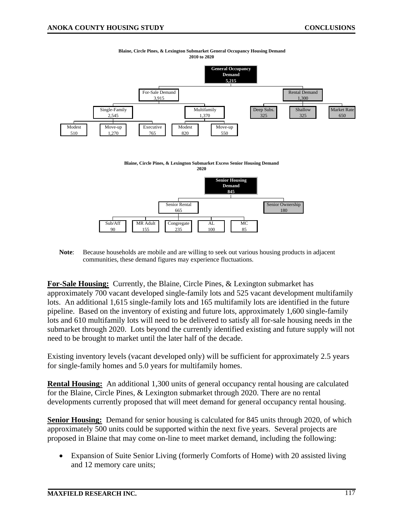

**Blaine, Circle Pines, & Lexington Submarket General Occupancy Housing Demand 2010 to 2020**

**Note**: Because households are mobile and are willing to seek out various housing products in adjacent communities, these demand figures may experience fluctuations.

**For-Sale Housing:** Currently, the Blaine, Circle Pines, & Lexington submarket has approximately 700 vacant developed single-family lots and 525 vacant development multifamily lots. An additional 1,615 single-family lots and 165 multifamily lots are identified in the future pipeline. Based on the inventory of existing and future lots, approximately 1,600 single-family lots and 610 multifamily lots will need to be delivered to satisfy all for-sale housing needs in the submarket through 2020. Lots beyond the currently identified existing and future supply will not need to be brought to market until the later half of the decade.

Existing inventory levels (vacant developed only) will be sufficient for approximately 2.5 years for single-family homes and 5.0 years for multifamily homes.

**Rental Housing:** An additional 1,300 units of general occupancy rental housing are calculated for the Blaine, Circle Pines, & Lexington submarket through 2020. There are no rental developments currently proposed that will meet demand for general occupancy rental housing.

**Senior Housing:** Demand for senior housing is calculated for 845 units through 2020, of which approximately 500 units could be supported within the next five years. Several projects are proposed in Blaine that may come on-line to meet market demand, including the following:

• Expansion of Suite Senior Living (formerly Comforts of Home) with 20 assisted living and 12 memory care units;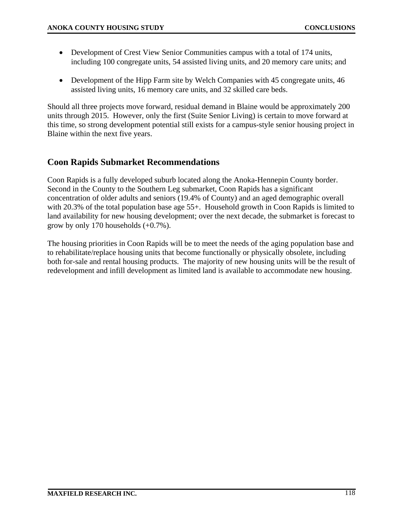- Development of Crest View Senior Communities campus with a total of 174 units, including 100 congregate units, 54 assisted living units, and 20 memory care units; and
- Development of the Hipp Farm site by Welch Companies with 45 congregate units, 46 assisted living units, 16 memory care units, and 32 skilled care beds.

Should all three projects move forward, residual demand in Blaine would be approximately 200 units through 2015. However, only the first (Suite Senior Living) is certain to move forward at this time, so strong development potential still exists for a campus-style senior housing project in Blaine within the next five years.

## **Coon Rapids Submarket Recommendations**

Coon Rapids is a fully developed suburb located along the Anoka-Hennepin County border. Second in the County to the Southern Leg submarket, Coon Rapids has a significant concentration of older adults and seniors (19.4% of County) and an aged demographic overall with 20.3% of the total population base age 55+. Household growth in Coon Rapids is limited to land availability for new housing development; over the next decade, the submarket is forecast to grow by only 170 households (+0.7%).

The housing priorities in Coon Rapids will be to meet the needs of the aging population base and to rehabilitate/replace housing units that become functionally or physically obsolete, including both for-sale and rental housing products. The majority of new housing units will be the result of redevelopment and infill development as limited land is available to accommodate new housing.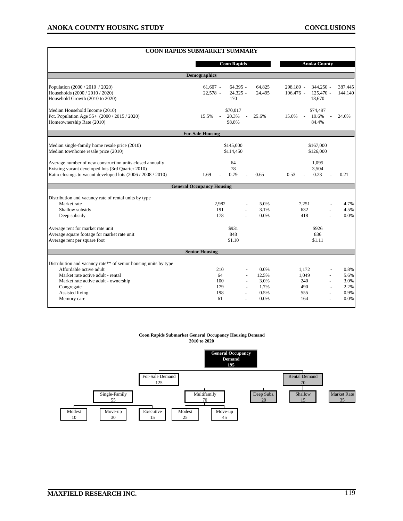|                                                                           | <b>COON RAPIDS SUBMARKET SUMMARY</b>                         |                                                    |
|---------------------------------------------------------------------------|--------------------------------------------------------------|----------------------------------------------------|
|                                                                           | <b>Coon Rapids</b>                                           | <b>Anoka County</b>                                |
|                                                                           | <b>Demographics</b>                                          |                                                    |
| Population (2000 / 2010 / 2020)                                           | $64,395 -$<br>$61,607 -$<br>64,825                           | 298,189 -<br>$344,250 -$<br>387,445                |
| Households (2000 / 2010 / 2020)                                           | 24,495<br>22,578 -<br>$24,325 -$                             | $106,476$ -<br>$125,470 -$<br>144,140              |
| Household Growth (2010 to 2020)                                           | 170                                                          | 18,670                                             |
| Median Household Income (2010)                                            | \$70,017                                                     | \$74,497                                           |
| Pct. Population Age 55+ (2000 / 2015 / 2020)<br>Homeownership Rate (2010) | 15.5%<br>20.3%<br>25.6%<br>$\overline{\phantom{a}}$<br>98.8% | 15.0%<br>19.6%<br>24.6%<br>$\overline{a}$<br>84.4% |
|                                                                           | <b>For-Sale Housing</b>                                      |                                                    |
|                                                                           |                                                              |                                                    |
| Median single-family home resale price (2010)                             | \$145,000                                                    | \$167,000                                          |
| Median townhome resale price (2010)                                       | \$114,450                                                    | \$126,000                                          |
| Average number of new construction units closed annually                  | 64                                                           | 1,095                                              |
| Existing vacant developed lots (3rd Quarter 2010)                         | 78                                                           | 3,504                                              |
| Ratio closings to vacant developed lots (2006 / 2008 / 2010)              | 0.79<br>1.69<br>0.65                                         | 0.23<br>0.53<br>0.21                               |
|                                                                           | <b>General Occupancy Housing</b>                             |                                                    |
| Distribution and vacancy rate of rental units by type                     |                                                              |                                                    |
| Market rate                                                               | 2.982<br>5.0%                                                | 7.251<br>4.7%                                      |
| Shallow subsidy                                                           | 191<br>3.1%                                                  | 632<br>4.5%                                        |
| Deep subsidy                                                              | 178<br>0.0%                                                  | 0.0%<br>418                                        |
| Average rent for market rate unit                                         | \$931                                                        | \$926                                              |
| Average square footage for market rate unit                               | 848                                                          | 836                                                |
| Average rent per square foot                                              | \$1.10                                                       | \$1.11                                             |
|                                                                           | <b>Senior Housing</b>                                        |                                                    |
| Distribution and vacancy rate** of senior housing units by type           |                                                              |                                                    |
| Affordable active adult                                                   | 0.0%<br>210                                                  | 0.8%<br>1.172                                      |
| Market rate active adult - rental                                         | 64<br>12.5%                                                  | 1,049<br>5.6%                                      |
| Market rate active adult - ownership                                      | 3.0%<br>100                                                  | 3.0%<br>240                                        |
| Congregate                                                                | 179<br>1.7%                                                  | 490<br>2.2%                                        |
| Assisted living                                                           | 198<br>0.5%                                                  | 0.9%<br>555<br>ä,                                  |
| Memory care                                                               | 61<br>0.0%                                                   | 0.0%<br>164                                        |

#### **Coon Rapids Submarket General Occupancy Housing Demand 2010 to 2020**

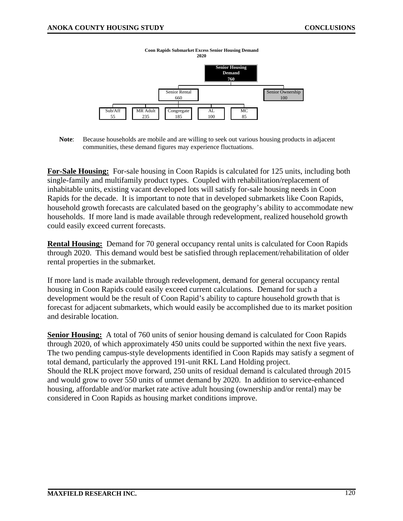

**Note**: Because households are mobile and are willing to seek out various housing products in adjacent communities, these demand figures may experience fluctuations.

**For-Sale Housing:** For-sale housing in Coon Rapids is calculated for 125 units, including both single-family and multifamily product types. Coupled with rehabilitation/replacement of inhabitable units, existing vacant developed lots will satisfy for-sale housing needs in Coon Rapids for the decade. It is important to note that in developed submarkets like Coon Rapids, household growth forecasts are calculated based on the geography's ability to accommodate new households. If more land is made available through redevelopment, realized household growth could easily exceed current forecasts.

**Rental Housing:** Demand for 70 general occupancy rental units is calculated for Coon Rapids through 2020. This demand would best be satisfied through replacement/rehabilitation of older rental properties in the submarket.

If more land is made available through redevelopment, demand for general occupancy rental housing in Coon Rapids could easily exceed current calculations. Demand for such a development would be the result of Coon Rapid's ability to capture household growth that is forecast for adjacent submarkets, which would easily be accomplished due to its market position and desirable location.

**Senior Housing:** A total of 760 units of senior housing demand is calculated for Coon Rapids through 2020, of which approximately 450 units could be supported within the next five years. The two pending campus-style developments identified in Coon Rapids may satisfy a segment of total demand, particularly the approved 191-unit RKL Land Holding project. Should the RLK project move forward, 250 units of residual demand is calculated through 2015 and would grow to over 550 units of unmet demand by 2020. In addition to service-enhanced housing, affordable and/or market rate active adult housing (ownership and/or rental) may be considered in Coon Rapids as housing market conditions improve.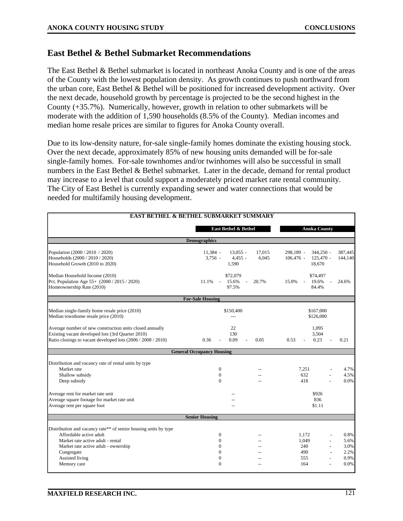#### **East Bethel & Bethel Submarket Recommendations**

The East Bethel & Bethel submarket is located in northeast Anoka County and is one of the areas of the County with the lowest population density. As growth continues to push northward from the urban core, East Bethel & Bethel will be positioned for increased development activity. Over the next decade, household growth by percentage is projected to be the second highest in the County (+35.7%). Numerically, however, growth in relation to other submarkets will be moderate with the addition of 1,590 households (8.5% of the County). Median incomes and median home resale prices are similar to figures for Anoka County overall.

Due to its low-density nature, for-sale single-family homes dominate the existing housing stock. Over the next decade, approximately 85% of new housing units demanded will be for-sale single-family homes. For-sale townhomes and/or twinhomes will also be successful in small numbers in the East Bethel & Bethel submarket. Later in the decade, demand for rental product may increase to a level that could support a moderately priced market rate rental community. The City of East Bethel is currently expanding sewer and water connections that would be needed for multifamily housing development.

| <b>EAST BETHEL &amp; BETHEL SUBMARKET SUMMARY</b>                                                                                                                                     |                                                                |                        |                              |                                                            |
|---------------------------------------------------------------------------------------------------------------------------------------------------------------------------------------|----------------------------------------------------------------|------------------------|------------------------------|------------------------------------------------------------|
|                                                                                                                                                                                       | East Bethel & Bethel                                           |                        |                              | <b>Anoka County</b>                                        |
|                                                                                                                                                                                       | <b>Demographics</b>                                            |                        |                              |                                                            |
| Population (2000 / 2010 / 2020)<br>Households (2000 / 2010 / 2020)<br>Household Growth (2010 to 2020)                                                                                 | $11,384 -$<br>$13,055 -$<br>$3,756 -$<br>$4,455 -$<br>1,590    | 17,015<br>6,045        | 298.189 -<br>$106,476$ -     | $344.250 -$<br>387,445<br>$125,470 -$<br>144,140<br>18,670 |
| Median Household Income (2010)<br>Pct. Population Age 55+ (2000 / 2015 / 2020)<br>Homeownership Rate (2010)                                                                           | \$72,079<br>15.6%<br>11.1%<br>$\mathcal{L}$<br>97.5%           | 20.7%                  | 15.0%                        | \$74,497<br>19.6%<br>24.6%<br>84.4%                        |
|                                                                                                                                                                                       | <b>For-Sale Housing</b>                                        |                        |                              |                                                            |
| Median single-family home resale price (2010)<br>Median townhome resale price (2010)                                                                                                  | \$150,400<br>$\overline{a}$                                    | \$167,000<br>\$126,000 |                              |                                                            |
| Average number of new construction units closed annually<br>Existing vacant developed lots (3rd Quarter 2010)<br>Ratio closings to vacant developed lots (2006 / 2008 / 2010)         | 22<br>130<br>0.36<br>0.09                                      | 0.05                   | 0.53                         | 1,095<br>3,504<br>0.23<br>0.21                             |
|                                                                                                                                                                                       | <b>General Occupancy Housing</b>                               |                        |                              |                                                            |
| Distribution and vacancy rate of rental units by type<br>Market rate<br>Shallow subsidy<br>Deep subsidy                                                                               | $\mathbf{0}$<br>$\Omega$<br>$\Omega$                           | $\sim$                 | 7,251<br>632<br>418          | 4.7%<br>4.5%<br>0.0%                                       |
| Average rent for market rate unit<br>Average square footage for market rate unit<br>Average rent per square foot                                                                      |                                                                | \$926<br>836<br>\$1.11 |                              |                                                            |
|                                                                                                                                                                                       | <b>Senior Housing</b>                                          |                        |                              |                                                            |
| Distribution and vacancy rate** of senior housing units by type<br>Affordable active adult<br>Market rate active adult - rental<br>Market rate active adult - ownership<br>Congregate | $\mathbf{0}$<br>$\overline{0}$<br>$\mathbf{0}$<br>$\mathbf{0}$ | $-$<br>$\sim$          | 1.172<br>1,049<br>240<br>490 | 0.8%<br>5.6%<br>3.0%<br>2.2%                               |
| Assisted living<br>Memory care                                                                                                                                                        | $\boldsymbol{0}$<br>$\theta$                                   |                        | 555<br>164                   | 0.9%<br>0.0%                                               |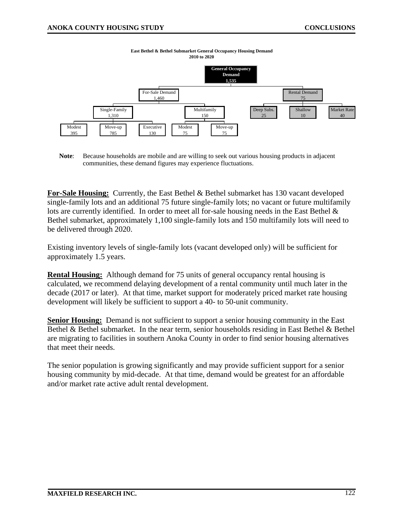

**East Bethel & Bethel Submarket General Occupancy Housing Demand 2010 to 2020**

**Note**: Because households are mobile and are willing to seek out various housing products in adjacent communities, these demand figures may experience fluctuations.

**For-Sale Housing:** Currently, the East Bethel & Bethel submarket has 130 vacant developed single-family lots and an additional 75 future single-family lots; no vacant or future multifamily lots are currently identified. In order to meet all for-sale housing needs in the East Bethel & Bethel submarket, approximately 1,100 single-family lots and 150 multifamily lots will need to be delivered through 2020.

Existing inventory levels of single-family lots (vacant developed only) will be sufficient for approximately 1.5 years.

**Rental Housing:** Although demand for 75 units of general occupancy rental housing is calculated, we recommend delaying development of a rental community until much later in the decade (2017 or later). At that time, market support for moderately priced market rate housing development will likely be sufficient to support a 40- to 50-unit community.

**Senior Housing:** Demand is not sufficient to support a senior housing community in the East Bethel & Bethel submarket. In the near term, senior households residing in East Bethel & Bethel are migrating to facilities in southern Anoka County in order to find senior housing alternatives that meet their needs.

The senior population is growing significantly and may provide sufficient support for a senior housing community by mid-decade. At that time, demand would be greatest for an affordable and/or market rate active adult rental development.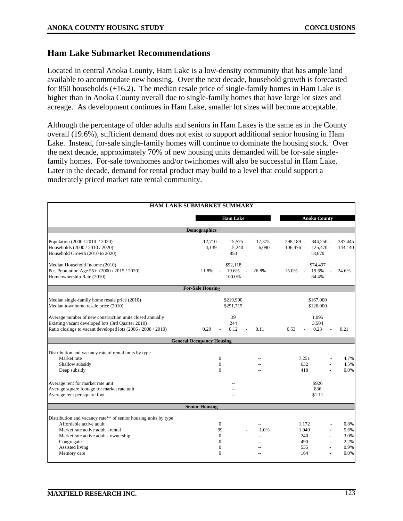#### **Ham Lake Submarket Recommendations**

Located in central Anoka County, Ham Lake is a low-density community that has ample land available to accommodate new housing. Over the next decade, household growth is forecasted for 850 households (+16.2). The median resale price of single-family homes in Ham Lake is higher than in Anoka County overall due to single-family homes that have large lot sizes and acreage. As development continues in Ham Lake, smaller lot sizes will become acceptable.

Although the percentage of older adults and seniors in Ham Lakes is the same as in the County overall (19.6%), sufficient demand does not exist to support additional senior housing in Ham Lake. Instead, for-sale single-family homes will continue to dominate the housing stock. Over the next decade, approximately 70% of new housing units demanded will be for-sale singlefamily homes. For-sale townhomes and/or twinhomes will also be successful in Ham Lake. Later in the decade, demand for rental product may build to a level that could support a moderately priced market rate rental community.

|                                                                                                                                                                                                          | HAM LAKE SUBMARKET SUMMARY                                 |                 |                                                              |                                      |  |  |  |  |
|----------------------------------------------------------------------------------------------------------------------------------------------------------------------------------------------------------|------------------------------------------------------------|-----------------|--------------------------------------------------------------|--------------------------------------|--|--|--|--|
|                                                                                                                                                                                                          | <b>Ham Lake</b>                                            |                 | <b>Anoka County</b>                                          |                                      |  |  |  |  |
| <b>Demographics</b>                                                                                                                                                                                      |                                                            |                 |                                                              |                                      |  |  |  |  |
| Population (2000 / 2010 / 2020)<br>Households (2000 / 2010 / 2020)<br>Household Growth (2010 to 2020)                                                                                                    | $12,710 -$<br>$15,575 -$<br>$4,139 -$<br>$5,240 -$<br>850  | 17,375<br>6,090 | 298,189 -<br>344,250 -<br>$106,476$ -<br>125,470 -<br>18,670 | 387,445<br>144,140                   |  |  |  |  |
| Median Household Income (2010)<br>Pct. Population Age 55+ (2000 / 2015 / 2020)<br>Homeownership Rate (2010)                                                                                              | \$92,118<br>11.8%<br>19.6%<br>$\sim$<br>100.0%             | 26.8%           | \$74,497<br>15.0%<br>19.6%<br>$\sim$<br>84.4%                | 24.6%                                |  |  |  |  |
|                                                                                                                                                                                                          | <b>For-Sale Housing</b>                                    |                 |                                                              |                                      |  |  |  |  |
| Median single-family home resale price (2010)<br>Median townhome resale price (2010)                                                                                                                     | \$219,900<br>\$291,715                                     |                 | \$167,000<br>\$126,000                                       |                                      |  |  |  |  |
| Average number of new construction units closed annually<br>Existing vacant developed lots (3rd Quarter 2010)<br>Ratio closings to vacant developed lots (2006 / 2008 / 2010)                            | 39<br>244<br>0.29<br>0.12                                  | 0.11            | 1,095<br>3,504<br>0.53<br>0.23                               | 0.21                                 |  |  |  |  |
|                                                                                                                                                                                                          | <b>General Occupancy Housing</b>                           |                 |                                                              |                                      |  |  |  |  |
| Distribution and vacancy rate of rental units by type<br>Market rate<br>Shallow subsidy<br>Deep subsidy                                                                                                  | $\mathbf{0}$<br>$\mathbf{0}$<br>$\Omega$                   | $\sim$          | 7,251<br>632<br>418                                          | 4.7%<br>4.5%<br>0.0%                 |  |  |  |  |
| Average rent for market rate unit<br>Average square footage for market rate unit<br>Average rent per square foot                                                                                         |                                                            |                 | \$926<br>836<br>\$1.11                                       |                                      |  |  |  |  |
|                                                                                                                                                                                                          | <b>Senior Housing</b>                                      |                 |                                                              |                                      |  |  |  |  |
| Distribution and vacancy rate** of senior housing units by type<br>Affordable active adult<br>Market rate active adult - rental<br>Market rate active adult - ownership<br>Congregate<br>Assisted living | $\mathbf{0}$<br>99<br>$\mathbf{0}$<br>$\Omega$<br>$\Omega$ | 1.0%            | 1.172<br>1,049<br>240<br>490<br>555                          | 0.8%<br>5.6%<br>3.0%<br>2.2%<br>0.9% |  |  |  |  |
| Memory care                                                                                                                                                                                              | $\Omega$                                                   |                 | 164                                                          | 0.0%                                 |  |  |  |  |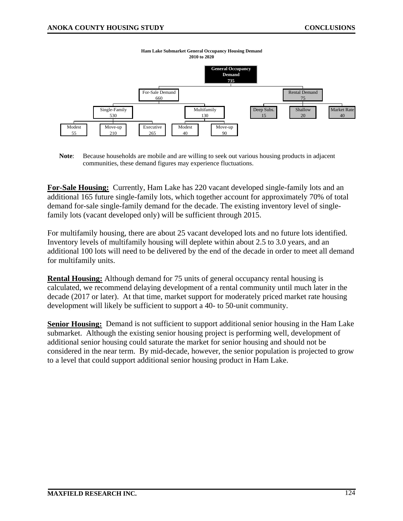

**Ham Lake Submarket General Occupancy Housing Demand 2010 to 2020**

**Note**: Because households are mobile and are willing to seek out various housing products in adjacent communities, these demand figures may experience fluctuations.

**For-Sale Housing:** Currently, Ham Lake has 220 vacant developed single-family lots and an additional 165 future single-family lots, which together account for approximately 70% of total demand for-sale single-family demand for the decade. The existing inventory level of singlefamily lots (vacant developed only) will be sufficient through 2015.

For multifamily housing, there are about 25 vacant developed lots and no future lots identified. Inventory levels of multifamily housing will deplete within about 2.5 to 3.0 years, and an additional 100 lots will need to be delivered by the end of the decade in order to meet all demand for multifamily units.

**Rental Housing:** Although demand for 75 units of general occupancy rental housing is calculated, we recommend delaying development of a rental community until much later in the decade (2017 or later). At that time, market support for moderately priced market rate housing development will likely be sufficient to support a 40- to 50-unit community.

**Senior Housing:** Demand is not sufficient to support additional senior housing in the Ham Lake submarket. Although the existing senior housing project is performing well, development of additional senior housing could saturate the market for senior housing and should not be considered in the near term. By mid-decade, however, the senior population is projected to grow to a level that could support additional senior housing product in Ham Lake.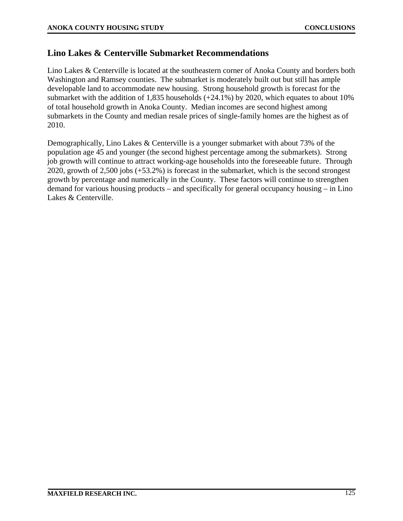#### **Lino Lakes & Centerville Submarket Recommendations**

Lino Lakes & Centerville is located at the southeastern corner of Anoka County and borders both Washington and Ramsey counties. The submarket is moderately built out but still has ample developable land to accommodate new housing. Strong household growth is forecast for the submarket with the addition of 1,835 households (+24.1%) by 2020, which equates to about 10% of total household growth in Anoka County. Median incomes are second highest among submarkets in the County and median resale prices of single-family homes are the highest as of 2010.

Demographically, Lino Lakes & Centerville is a younger submarket with about 73% of the population age 45 and younger (the second highest percentage among the submarkets). Strong job growth will continue to attract working-age households into the foreseeable future. Through 2020, growth of 2,500 jobs (+53.2%) is forecast in the submarket, which is the second strongest growth by percentage and numerically in the County. These factors will continue to strengthen demand for various housing products – and specifically for general occupancy housing – in Lino Lakes & Centerville.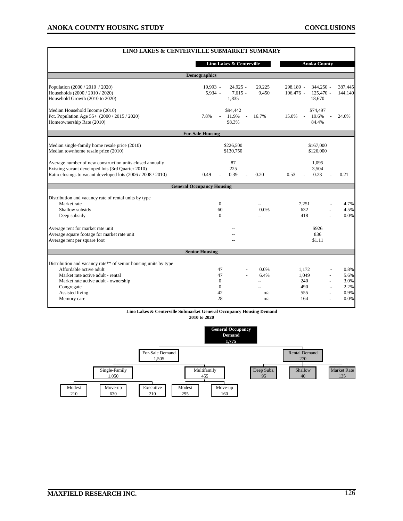| <b>LINO LAKES &amp; CENTERVILLE SUBMARKET SUMMARY</b>           |                                  |                      |                                 |         |  |  |  |  |
|-----------------------------------------------------------------|----------------------------------|----------------------|---------------------------------|---------|--|--|--|--|
|                                                                 | Lino Lakes & Centerville         |                      | <b>Anoka County</b>             |         |  |  |  |  |
| <b>Demographics</b>                                             |                                  |                      |                                 |         |  |  |  |  |
| Population (2000 / 2010 / 2020)                                 | $19.993 -$                       | $24,925 -$<br>29,225 | 298,189 -<br>$344,250 -$        | 387,445 |  |  |  |  |
| Households (2000 / 2010 / 2020)                                 | 5,934 -                          | $7,615 -$<br>9,450   | $106,476$ -<br>$125,470 -$      | 144,140 |  |  |  |  |
| Household Growth (2010 to 2020)                                 | 1,835                            |                      | 18,670                          |         |  |  |  |  |
| Median Household Income (2010)                                  | \$94,442                         |                      | \$74,497                        |         |  |  |  |  |
| Pct. Population Age 55+ (2000 / 2015 / 2020)                    | 11.9%<br>7.8%                    | 16.7%<br>$\sim$      | 15.0%<br>19.6%<br>$\mathcal{L}$ | 24.6%   |  |  |  |  |
| Homeownership Rate (2010)                                       | 98.3%                            |                      | 84.4%                           |         |  |  |  |  |
|                                                                 | <b>For-Sale Housing</b>          |                      |                                 |         |  |  |  |  |
| Median single-family home resale price (2010)                   | \$226,500                        |                      | \$167,000                       |         |  |  |  |  |
| Median townhome resale price (2010)                             | \$130.750                        |                      | \$126,000                       |         |  |  |  |  |
|                                                                 |                                  |                      |                                 |         |  |  |  |  |
| Average number of new construction units closed annually        | 87                               |                      | 1,095                           |         |  |  |  |  |
| Existing vacant developed lots (3rd Quarter 2010)               | 225                              |                      | 3,504                           |         |  |  |  |  |
| Ratio closings to vacant developed lots (2006 / 2008 / 2010)    | 0.39<br>0.49                     | 0.20                 | 0.23<br>0.53                    | 0.21    |  |  |  |  |
|                                                                 | <b>General Occupancy Housing</b> |                      |                                 |         |  |  |  |  |
| Distribution and vacancy rate of rental units by type           |                                  |                      |                                 |         |  |  |  |  |
| Market rate                                                     | $\overline{0}$                   |                      | 7,251                           | 4.7%    |  |  |  |  |
| Shallow subsidy                                                 | 60                               | 0.0%                 | 632                             | 4.5%    |  |  |  |  |
| Deep subsidy                                                    | $\Omega$                         | $\overline{a}$       | 418                             | 0.0%    |  |  |  |  |
| Average rent for market rate unit                               |                                  |                      | \$926                           |         |  |  |  |  |
| Average square footage for market rate unit                     |                                  |                      | 836                             |         |  |  |  |  |
| Average rent per square foot                                    |                                  |                      | \$1.11                          |         |  |  |  |  |
|                                                                 | <b>Senior Housing</b>            |                      |                                 |         |  |  |  |  |
|                                                                 |                                  |                      |                                 |         |  |  |  |  |
| Distribution and vacancy rate** of senior housing units by type |                                  |                      |                                 |         |  |  |  |  |
| Affordable active adult                                         | 47                               | 0.0%                 | 1.172                           | 0.8%    |  |  |  |  |
| Market rate active adult - rental                               | 47                               | 6.4%                 | 1,049                           | 5.6%    |  |  |  |  |
| Market rate active adult - ownership                            | $\Omega$                         | --                   | 240                             | 3.0%    |  |  |  |  |
| Congregate                                                      | $\mathbf{0}$                     |                      | 490                             | 2.2%    |  |  |  |  |
| Assisted living                                                 | 42                               | n/a                  | 555                             | 0.9%    |  |  |  |  |
| Memory care                                                     | 28                               | n/a                  | 164                             | 0.0%    |  |  |  |  |

#### **Lino Lakes & Centerville Submarket General Occupancy Housing Demand**

**2010 to 2020**

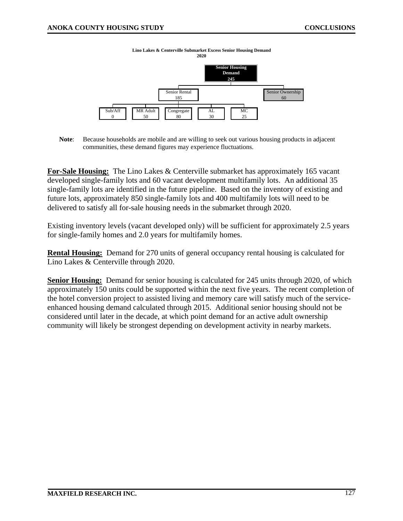

**Note**: Because households are mobile and are willing to seek out various housing products in adjacent communities, these demand figures may experience fluctuations.

**For-Sale Housing:** The Lino Lakes & Centerville submarket has approximately 165 vacant developed single-family lots and 60 vacant development multifamily lots. An additional 35 single-family lots are identified in the future pipeline. Based on the inventory of existing and future lots, approximately 850 single-family lots and 400 multifamily lots will need to be delivered to satisfy all for-sale housing needs in the submarket through 2020.

Existing inventory levels (vacant developed only) will be sufficient for approximately 2.5 years for single-family homes and 2.0 years for multifamily homes.

**Rental Housing:** Demand for 270 units of general occupancy rental housing is calculated for Lino Lakes & Centerville through 2020.

**Senior Housing:** Demand for senior housing is calculated for 245 units through 2020, of which approximately 150 units could be supported within the next five years. The recent completion of the hotel conversion project to assisted living and memory care will satisfy much of the serviceenhanced housing demand calculated through 2015. Additional senior housing should not be considered until later in the decade, at which point demand for an active adult ownership community will likely be strongest depending on development activity in nearby markets.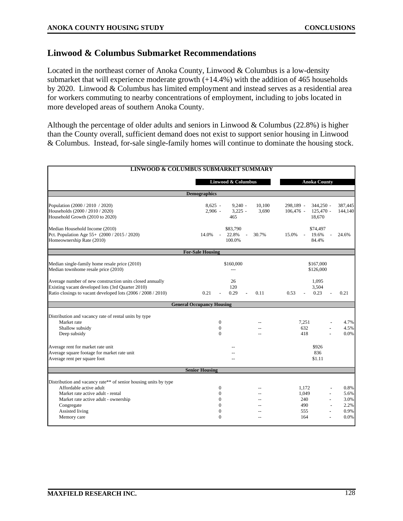#### **Linwood & Columbus Submarket Recommendations**

Located in the northeast corner of Anoka County, Linwood & Columbus is a low-density submarket that will experience moderate growth  $(+14.4\%)$  with the addition of 465 households by 2020. Linwood & Columbus has limited employment and instead serves as a residential area for workers commuting to nearby concentrations of employment, including to jobs located in more developed areas of southern Anoka County.

Although the percentage of older adults and seniors in Linwood & Columbus (22.8%) is higher than the County overall, sufficient demand does not exist to support senior housing in Linwood & Columbus. Instead, for-sale single-family homes will continue to dominate the housing stock.

| <b>LINWOOD &amp; COLUMBUS SUBMARKET SUMMARY</b>                                                               |                                                        |        |                                                        |                                  |  |  |
|---------------------------------------------------------------------------------------------------------------|--------------------------------------------------------|--------|--------------------------------------------------------|----------------------------------|--|--|
|                                                                                                               | Linwood & Columbus                                     |        | <b>Anoka County</b>                                    |                                  |  |  |
|                                                                                                               | <b>Demographics</b>                                    |        |                                                        |                                  |  |  |
| Population (2000 / 2010 / 2020)                                                                               | $8,625 -$<br>$9,240 -$                                 | 10,100 | 298,189 -<br>344,250 -                                 | 387,445                          |  |  |
| Households (2000 / 2010 / 2020)<br>Household Growth (2010 to 2020)                                            | $2,906 -$<br>$3,225 -$<br>465                          | 3,690  | $106,476$ -<br>$125,470 -$<br>18.670                   | 144,140                          |  |  |
| Median Household Income (2010)<br>Pct. Population Age 55+ (2000 / 2015 / 2020)                                | \$83,790<br>14.0%<br>22.8%<br>$\overline{\phantom{a}}$ | 30.7%  | \$74,497<br>15.0%<br>19.6%<br>$\overline{\phantom{a}}$ | 24.6%                            |  |  |
| Homeownership Rate (2010)                                                                                     | 100.0%                                                 |        | 84.4%                                                  |                                  |  |  |
|                                                                                                               | <b>For-Sale Housing</b>                                |        |                                                        |                                  |  |  |
| Median single-family home resale price (2010)<br>Median townhome resale price (2010)                          | \$160,000                                              |        |                                                        | \$167,000<br>\$126,000           |  |  |
| Average number of new construction units closed annually<br>Existing vacant developed lots (3rd Quarter 2010) | 26<br>120                                              |        | 1,095<br>3,504                                         |                                  |  |  |
| Ratio closings to vacant developed lots (2006 / 2008 / 2010)                                                  | 0.21<br>0.29                                           | 0.11   | 0.23<br>0.53                                           | 0.21                             |  |  |
|                                                                                                               | <b>General Occupancy Housing</b>                       |        |                                                        |                                  |  |  |
| Distribution and vacancy rate of rental units by type                                                         |                                                        |        |                                                        |                                  |  |  |
| Market rate                                                                                                   | $\mathbf{0}$                                           |        | 7,251                                                  | 4.7%                             |  |  |
| Shallow subsidy                                                                                               | $\mathbf{0}$                                           |        | 632                                                    | 4.5%                             |  |  |
| Deep subsidy                                                                                                  | $\Omega$                                               | $\sim$ | 418                                                    | 0.0%                             |  |  |
| Average rent for market rate unit                                                                             |                                                        |        | \$926                                                  |                                  |  |  |
| Average square footage for market rate unit<br>Average rent per square foot                                   |                                                        |        | 836<br>\$1.11                                          |                                  |  |  |
|                                                                                                               |                                                        |        |                                                        |                                  |  |  |
|                                                                                                               | <b>Senior Housing</b>                                  |        |                                                        |                                  |  |  |
| Distribution and vacancy rate** of senior housing units by type                                               |                                                        |        |                                                        |                                  |  |  |
| Affordable active adult                                                                                       | $\boldsymbol{0}$                                       |        | 1,172                                                  | 0.8%                             |  |  |
| Market rate active adult - rental                                                                             | 0                                                      |        | 1,049                                                  | 5.6%                             |  |  |
| Market rate active adult - ownership                                                                          | 0                                                      |        | 240                                                    | 3.0%<br>$\overline{\phantom{a}}$ |  |  |
| Congregate                                                                                                    | 0                                                      |        | 490                                                    | 2.2%                             |  |  |
| Assisted living                                                                                               | $\mathbf{0}$                                           |        | 555                                                    | 0.9%                             |  |  |
| Memory care                                                                                                   | $\Omega$                                               |        | 164                                                    | 0.0%                             |  |  |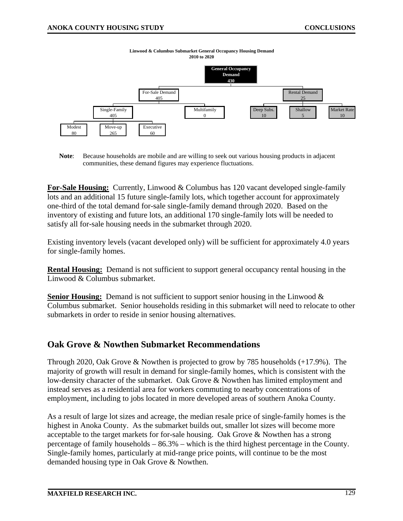

**Linwood & Columbus Submarket General Occupancy Housing Demand 2010 to 2020**

**Note**: Because households are mobile and are willing to seek out various housing products in adjacent communities, these demand figures may experience fluctuations.

**For-Sale Housing:** Currently, Linwood & Columbus has 120 vacant developed single-family lots and an additional 15 future single-family lots, which together account for approximately one-third of the total demand for-sale single-family demand through 2020. Based on the inventory of existing and future lots, an additional 170 single-family lots will be needed to satisfy all for-sale housing needs in the submarket through 2020.

Existing inventory levels (vacant developed only) will be sufficient for approximately 4.0 years for single-family homes.

**Rental Housing:** Demand is not sufficient to support general occupancy rental housing in the Linwood & Columbus submarket.

**Senior Housing:** Demand is not sufficient to support senior housing in the Linwood & Columbus submarket. Senior households residing in this submarket will need to relocate to other submarkets in order to reside in senior housing alternatives.

#### **Oak Grove & Nowthen Submarket Recommendations**

Through 2020, Oak Grove & Nowthen is projected to grow by 785 households (+17.9%). The majority of growth will result in demand for single-family homes, which is consistent with the low-density character of the submarket. Oak Grove & Nowthen has limited employment and instead serves as a residential area for workers commuting to nearby concentrations of employment, including to jobs located in more developed areas of southern Anoka County.

As a result of large lot sizes and acreage, the median resale price of single-family homes is the highest in Anoka County. As the submarket builds out, smaller lot sizes will become more acceptable to the target markets for for-sale housing. Oak Grove & Nowthen has a strong percentage of family households – 86.3% – which is the third highest percentage in the County. Single-family homes, particularly at mid-range price points, will continue to be the most demanded housing type in Oak Grove & Nowthen.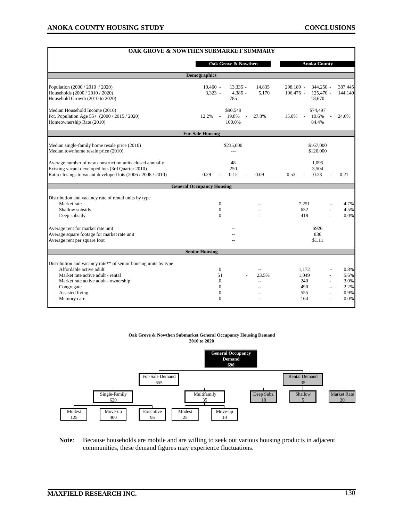| OAK GROVE & NOWTHEN SUBMARKET SUMMARY                                                                             |                                  |                        |                                          |             |         |
|-------------------------------------------------------------------------------------------------------------------|----------------------------------|------------------------|------------------------------------------|-------------|---------|
|                                                                                                                   | Oak Grove & Nowthen              |                        | <b>Anoka County</b>                      |             |         |
|                                                                                                                   | <b>Demographics</b>              |                        |                                          |             |         |
| Population (2000 / 2010 / 2020)                                                                                   | $10,460 -$<br>$13,335 -$         | 14,835                 | 298,189 -                                | $344,250 -$ | 387,445 |
| Households (2000 / 2010 / 2020)<br>Household Growth (2010 to 2020)                                                | $3,323 -$<br>$4,385 -$<br>785    | 5,170                  | $106,476$ -<br>18,670                    | $125,470 -$ | 144,140 |
| Median Household Income (2010)                                                                                    | \$90,549                         |                        | \$74,497                                 |             |         |
| Pct. Population Age 55+ (2000 / 2015 / 2020)<br>Homeownership Rate (2010)                                         | 19.8%<br>12.2%<br>100.0%         | 27.8%                  | 15.0%<br>19.6%<br>$\mathcal{L}$<br>84.4% |             | 24.6%   |
|                                                                                                                   | <b>For-Sale Housing</b>          |                        |                                          |             |         |
| Median single-family home resale price (2010)<br>Median townhome resale price (2010)                              | \$235,000                        | \$167,000<br>\$126,000 |                                          |             |         |
| Average number of new construction units closed annually                                                          | 48                               |                        | 1,095                                    |             |         |
| Existing vacant developed lots (3rd Quarter 2010)<br>Ratio closings to vacant developed lots (2006 / 2008 / 2010) | 250<br>0.15<br>0.29              | 0.09                   | 3,504<br>0.23<br>0.53                    |             | 0.21    |
|                                                                                                                   | <b>General Occupancy Housing</b> |                        |                                          |             |         |
| Distribution and vacancy rate of rental units by type                                                             |                                  |                        |                                          |             |         |
| Market rate                                                                                                       | $\mathbf{0}$                     |                        | 7.251                                    |             | 4.7%    |
| Shallow subsidy                                                                                                   | $\Omega$                         | $-$                    | 632                                      |             | 4.5%    |
| Deep subsidy                                                                                                      | $\Omega$                         | $\sim$                 | 418                                      |             | 0.0%    |
| Average rent for market rate unit                                                                                 |                                  |                        | \$926                                    |             |         |
| Average square footage for market rate unit<br>Average rent per square foot                                       |                                  |                        | 836<br>\$1.11                            |             |         |
|                                                                                                                   | <b>Senior Housing</b>            |                        |                                          |             |         |
| Distribution and vacancy rate** of senior housing units by type                                                   |                                  |                        |                                          |             |         |
| Affordable active adult                                                                                           | $\mathbf{0}$                     | $\overline{a}$         | 1.172                                    |             | 0.8%    |
| Market rate active adult - rental                                                                                 | 51                               | 23.5%                  | 1,049                                    |             | 5.6%    |
| Market rate active adult - ownership                                                                              | $\mathbf{0}$                     | $\sim$                 | 240                                      |             | 3.0%    |
| Congregate                                                                                                        | $\Omega$                         |                        | 490                                      |             | 2.2%    |
| Assisted living                                                                                                   | $\mathbf{0}$                     |                        | 555                                      |             | 0.9%    |
| Memory care                                                                                                       | $\theta$                         | $\sim$                 | 164                                      |             | 0.0%    |

#### **Oak Grove & Nowthen Submarket General Occupancy Housing Demand 2010 to 2020**



**Note**: Because households are mobile and are willing to seek out various housing products in adjacent communities, these demand figures may experience fluctuations.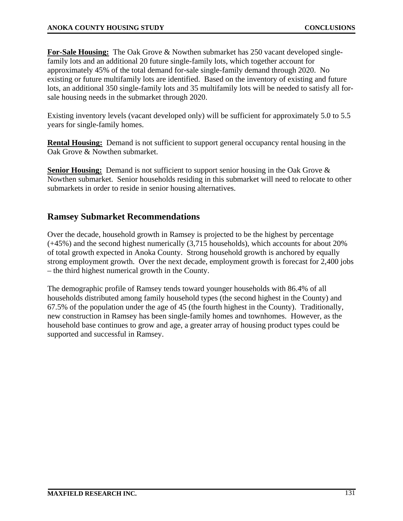**For-Sale Housing:** The Oak Grove & Nowthen submarket has 250 vacant developed singlefamily lots and an additional 20 future single-family lots, which together account for approximately 45% of the total demand for-sale single-family demand through 2020. No existing or future multifamily lots are identified. Based on the inventory of existing and future lots, an additional 350 single-family lots and 35 multifamily lots will be needed to satisfy all forsale housing needs in the submarket through 2020.

Existing inventory levels (vacant developed only) will be sufficient for approximately 5.0 to 5.5 years for single-family homes.

**Rental Housing:** Demand is not sufficient to support general occupancy rental housing in the Oak Grove & Nowthen submarket.

**Senior Housing:** Demand is not sufficient to support senior housing in the Oak Grove & Nowthen submarket. Senior households residing in this submarket will need to relocate to other submarkets in order to reside in senior housing alternatives.

## **Ramsey Submarket Recommendations**

Over the decade, household growth in Ramsey is projected to be the highest by percentage (+45%) and the second highest numerically (3,715 households), which accounts for about 20% of total growth expected in Anoka County. Strong household growth is anchored by equally strong employment growth. Over the next decade, employment growth is forecast for 2,400 jobs – the third highest numerical growth in the County.

The demographic profile of Ramsey tends toward younger households with 86.4% of all households distributed among family household types (the second highest in the County) and 67.5% of the population under the age of 45 (the fourth highest in the County). Traditionally, new construction in Ramsey has been single-family homes and townhomes. However, as the household base continues to grow and age, a greater array of housing product types could be supported and successful in Ramsey.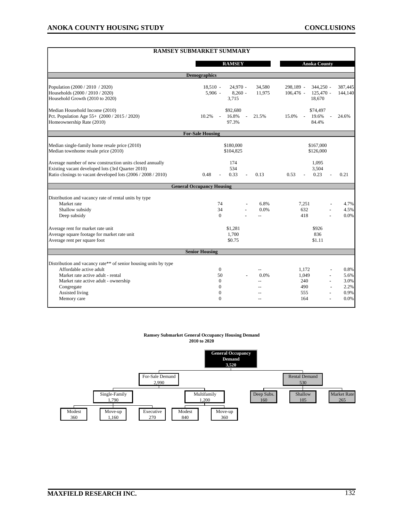|                                                                                                                                                                               | <b>RAMSEY SUBMARKET SUMMARY</b>               |                                             |                                                        |                      |  |  |  |  |
|-------------------------------------------------------------------------------------------------------------------------------------------------------------------------------|-----------------------------------------------|---------------------------------------------|--------------------------------------------------------|----------------------|--|--|--|--|
|                                                                                                                                                                               | <b>RAMSEY</b>                                 |                                             | <b>Anoka County</b>                                    |                      |  |  |  |  |
| <b>Demographics</b>                                                                                                                                                           |                                               |                                             |                                                        |                      |  |  |  |  |
| Population (2000 / 2010 / 2020)<br>Households (2000 / 2010 / 2020)                                                                                                            | $18,510 -$<br>$5,906 -$                       | $24,970 -$<br>34,580<br>$8.260 -$<br>11,975 | $344,250 -$<br>298,189 -<br>$125,470 -$<br>$106,476$ - | 387,445<br>144,140   |  |  |  |  |
| Household Growth (2010 to 2020)                                                                                                                                               | 3,715                                         |                                             | 18,670                                                 |                      |  |  |  |  |
| Median Household Income (2010)<br>Pct. Population Age 55+ (2000 / 2015 / 2020)<br>Homeownership Rate (2010)                                                                   | \$92,680<br>10.2%<br>16.8%<br>$\sim$<br>97.3% | 21.5%<br>$\overline{a}$                     | \$74,497<br>15.0%<br>19.6%<br>$\mathcal{L}$<br>84.4%   | 24.6%                |  |  |  |  |
|                                                                                                                                                                               | <b>For-Sale Housing</b>                       |                                             |                                                        |                      |  |  |  |  |
| Median single-family home resale price (2010)<br>Median townhome resale price (2010)                                                                                          | \$180,000<br>\$104,825                        |                                             | \$167,000<br>\$126,000                                 |                      |  |  |  |  |
| Average number of new construction units closed annually<br>Existing vacant developed lots (3rd Quarter 2010)<br>Ratio closings to vacant developed lots (2006 / 2008 / 2010) | 174<br>534<br>0.48<br>0.33                    | 0.13                                        | 1,095<br>3,504<br>0.53<br>0.23                         | 0.21                 |  |  |  |  |
|                                                                                                                                                                               | <b>General Occupancy Housing</b>              |                                             |                                                        |                      |  |  |  |  |
| Distribution and vacancy rate of rental units by type<br>Market rate<br>Shallow subsidy<br>Deep subsidy                                                                       | 74<br>34<br>$\Omega$                          | 6.8%<br>0.0%<br>$\sim$                      | 7.251<br>632<br>418                                    | 4.7%<br>4.5%<br>0.0% |  |  |  |  |
| Average rent for market rate unit<br>Average square footage for market rate unit<br>Average rent per square foot                                                              | \$1,281<br>1.700<br>\$0.75                    |                                             | \$926<br>836<br>\$1.11                                 |                      |  |  |  |  |
|                                                                                                                                                                               | <b>Senior Housing</b>                         |                                             |                                                        |                      |  |  |  |  |
| Distribution and vacancy rate** of senior housing units by type<br>Affordable active adult                                                                                    | $\mathbf{0}$                                  |                                             | 1,172                                                  | 0.8%                 |  |  |  |  |
| Market rate active adult - rental<br>Market rate active adult - ownership                                                                                                     | 50<br>$\mathbf{0}$                            | 0.0%<br>$\overline{a}$                      | 1,049<br>240                                           | 5.6%<br>3.0%         |  |  |  |  |
| Congregate<br>Assisted living<br>Memory care                                                                                                                                  | $\mathbf{0}$<br>$\mathbf{0}$<br>$\Omega$      |                                             | 490<br>555<br>164                                      | 2.2%<br>0.9%<br>0.0% |  |  |  |  |

#### **Ramsey Submarket General Occupancy Housing Demand 2010 to 2020**

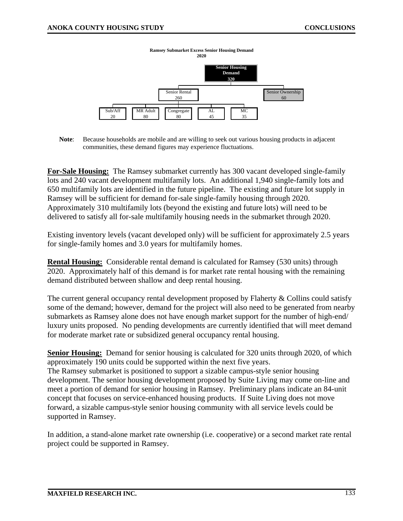

**Note**: Because households are mobile and are willing to seek out various housing products in adjacent communities, these demand figures may experience fluctuations.

**For-Sale Housing:** The Ramsey submarket currently has 300 vacant developed single-family lots and 240 vacant development multifamily lots. An additional 1,940 single-family lots and 650 multifamily lots are identified in the future pipeline. The existing and future lot supply in Ramsey will be sufficient for demand for-sale single-family housing through 2020. Approximately 310 multifamily lots (beyond the existing and future lots) will need to be delivered to satisfy all for-sale multifamily housing needs in the submarket through 2020.

Existing inventory levels (vacant developed only) will be sufficient for approximately 2.5 years for single-family homes and 3.0 years for multifamily homes.

**Rental Housing:** Considerable rental demand is calculated for Ramsey (530 units) through 2020. Approximately half of this demand is for market rate rental housing with the remaining demand distributed between shallow and deep rental housing.

The current general occupancy rental development proposed by Flaherty & Collins could satisfy some of the demand; however, demand for the project will also need to be generated from nearby submarkets as Ramsey alone does not have enough market support for the number of high-end/ luxury units proposed. No pending developments are currently identified that will meet demand for moderate market rate or subsidized general occupancy rental housing.

**Senior Housing:** Demand for senior housing is calculated for 320 units through 2020, of which approximately 190 units could be supported within the next five years. The Ramsey submarket is positioned to support a sizable campus-style senior housing development. The senior housing development proposed by Suite Living may come on-line and meet a portion of demand for senior housing in Ramsey. Preliminary plans indicate an 84-unit concept that focuses on service-enhanced housing products. If Suite Living does not move forward, a sizable campus-style senior housing community with all service levels could be supported in Ramsey.

In addition, a stand-alone market rate ownership (i.e. cooperative) or a second market rate rental project could be supported in Ramsey.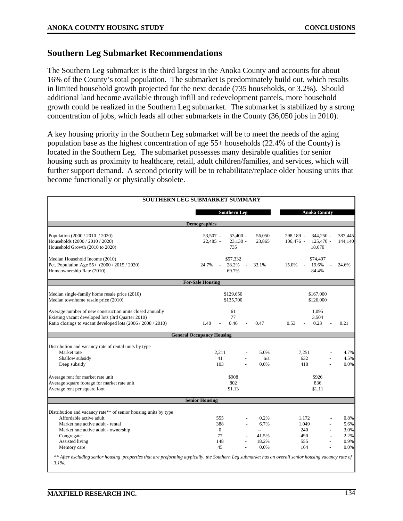#### **Southern Leg Submarket Recommendations**

The Southern Leg submarket is the third largest in the Anoka County and accounts for about 16% of the County's total population. The submarket is predominately build out, which results in limited household growth projected for the next decade (735 households, or 3.2%). Should additional land become available through infill and redevelopment parcels, more household growth could be realized in the Southern Leg submarket. The submarket is stabilized by a strong concentration of jobs, which leads all other submarkets in the County (36,050 jobs in 2010).

A key housing priority in the Southern Leg submarket will be to meet the needs of the aging population base as the highest concentration of age 55+ households (22.4% of the County) is located in the Southern Leg. The submarket possesses many desirable qualities for senior housing such as proximity to healthcare, retail, adult children/families, and services, which will further support demand. A second priority will be to rehabilitate/replace older housing units that become functionally or physically obsolete.

|                                                                                                                                                                  | <b>SOUTHERN LEG SUBMARKET SUMMARY</b> |                                |                                           |             |              |  |  |  |
|------------------------------------------------------------------------------------------------------------------------------------------------------------------|---------------------------------------|--------------------------------|-------------------------------------------|-------------|--------------|--|--|--|
|                                                                                                                                                                  | <b>Southern Leg</b>                   |                                | <b>Anoka County</b>                       |             |              |  |  |  |
| <b>Demographics</b>                                                                                                                                              |                                       |                                |                                           |             |              |  |  |  |
| Population (2000 / 2010 / 2020)                                                                                                                                  | 53.507 -                              | $53,400 -$<br>56,050<br>23,865 | 298,189 -                                 | $344,250 -$ | 387,445      |  |  |  |
| Households (2000 / 2010 / 2020)<br>Household Growth (2010 to 2020)                                                                                               | 22,485 -<br>$23.130 -$<br>735         | $106,476$ -                    | $125.470 -$<br>144,140<br>18,670          |             |              |  |  |  |
| Median Household Income (2010)                                                                                                                                   | \$57,332                              |                                | \$74,497                                  |             |              |  |  |  |
| Pct. Population Age 55+ (2000 / 2015 / 2020)<br>Homeownership Rate (2010)                                                                                        | 24.7%<br>28.2%<br>$\sim$<br>69.7%     | 33.1%                          | 19.6%<br>15.0%<br>$\blacksquare$<br>84.4% |             | 24.6%        |  |  |  |
|                                                                                                                                                                  | <b>For-Sale Housing</b>               |                                |                                           |             |              |  |  |  |
| Median single-family home resale price (2010)<br>Median townhome resale price (2010)                                                                             | \$129,650<br>\$135,700                | \$167,000<br>\$126,000         |                                           |             |              |  |  |  |
| Average number of new construction units closed annually                                                                                                         | 61                                    |                                | 1,095                                     |             |              |  |  |  |
| Existing vacant developed lots (3rd Quarter 2010)<br>Ratio closings to vacant developed lots (2006 / 2008 / 2010)                                                | 77<br>1.40<br>0.46                    | 0.47                           | 3,504<br>0.23<br>0.53                     |             | 0.21         |  |  |  |
|                                                                                                                                                                  | <b>General Occupancy Housing</b>      |                                |                                           |             |              |  |  |  |
| Distribution and vacancy rate of rental units by type                                                                                                            |                                       |                                |                                           |             |              |  |  |  |
| Market rate                                                                                                                                                      | 2,211                                 | 5.0%                           | 7,251                                     |             | 4.7%         |  |  |  |
| Shallow subsidy<br>Deep subsidy                                                                                                                                  | 41<br>103                             | n/a<br>0.0%                    | 632<br>418                                |             | 4.5%<br>0.0% |  |  |  |
| Average rent for market rate unit                                                                                                                                | \$908                                 |                                | \$926                                     |             |              |  |  |  |
| Average square footage for market rate unit                                                                                                                      | 802                                   | 836                            |                                           |             |              |  |  |  |
| Average rent per square foot                                                                                                                                     |                                       | \$1.13<br>\$1.11               |                                           |             |              |  |  |  |
|                                                                                                                                                                  | <b>Senior Housing</b>                 |                                |                                           |             |              |  |  |  |
| Distribution and vacancy rate** of senior housing units by type                                                                                                  |                                       |                                |                                           |             |              |  |  |  |
| Affordable active adult                                                                                                                                          | 555                                   | 0.2%                           | 1,172                                     |             | 0.8%         |  |  |  |
| Market rate active adult - rental                                                                                                                                | 388                                   | 6.7%                           | 1,049                                     |             | 5.6%         |  |  |  |
| Market rate active adult - ownership                                                                                                                             | $\theta$<br>77                        | $\overline{a}$                 | 240                                       |             | 3.0%         |  |  |  |
| Congregate<br>Assisted living                                                                                                                                    | 148                                   | 41.5%<br>18.2%                 | 490<br>555                                |             | 2.2%<br>0.9% |  |  |  |
| Memory care                                                                                                                                                      | 45                                    | 0.0%                           | 164                                       |             | 0.0%         |  |  |  |
| ** After excluding senior housing properties that are preforming atypically, the Southern Leg submarket has an overall senior housing vacancy rate of<br>$3.1\%$ |                                       |                                |                                           |             |              |  |  |  |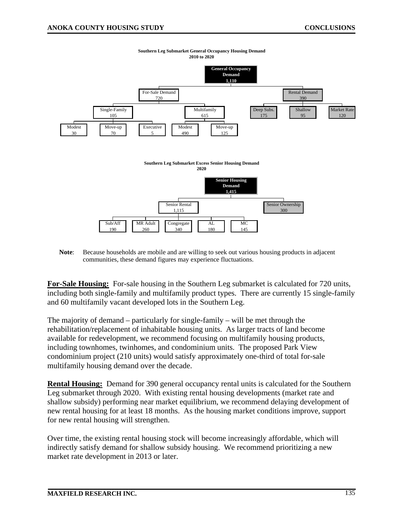

**Southern Leg Submarket General Occupancy Housing Demand 2010 to 2020**

**Note**: Because households are mobile and are willing to seek out various housing products in adjacent communities, these demand figures may experience fluctuations.

**For-Sale Housing:** For-sale housing in the Southern Leg submarket is calculated for 720 units, including both single-family and multifamily product types. There are currently 15 single-family and 60 multifamily vacant developed lots in the Southern Leg.

The majority of demand – particularly for single-family – will be met through the rehabilitation/replacement of inhabitable housing units. As larger tracts of land become available for redevelopment, we recommend focusing on multifamily housing products, including townhomes, twinhomes, and condominium units. The proposed Park View condominium project (210 units) would satisfy approximately one-third of total for-sale multifamily housing demand over the decade.

**Rental Housing:** Demand for 390 general occupancy rental units is calculated for the Southern Leg submarket through 2020. With existing rental housing developments (market rate and shallow subsidy) performing near market equilibrium, we recommend delaying development of new rental housing for at least 18 months. As the housing market conditions improve, support for new rental housing will strengthen.

Over time, the existing rental housing stock will become increasingly affordable, which will indirectly satisfy demand for shallow subsidy housing. We recommend prioritizing a new market rate development in 2013 or later.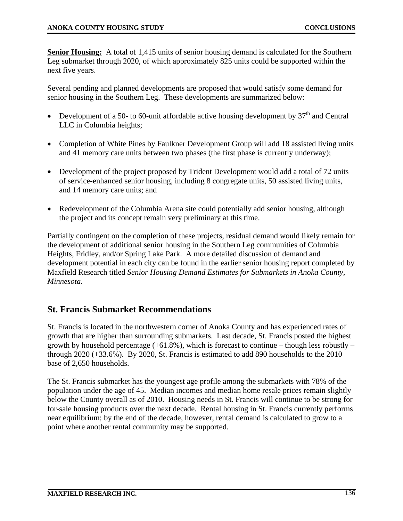**Senior Housing:** A total of 1,415 units of senior housing demand is calculated for the Southern Leg submarket through 2020, of which approximately 825 units could be supported within the next five years.

Several pending and planned developments are proposed that would satisfy some demand for senior housing in the Southern Leg. These developments are summarized below:

- Development of a 50- to 60-unit affordable active housing development by  $37<sup>th</sup>$  and Central LLC in Columbia heights;
- Completion of White Pines by Faulkner Development Group will add 18 assisted living units and 41 memory care units between two phases (the first phase is currently underway);
- Development of the project proposed by Trident Development would add a total of 72 units of service-enhanced senior housing, including 8 congregate units, 50 assisted living units, and 14 memory care units; and
- Redevelopment of the Columbia Arena site could potentially add senior housing, although the project and its concept remain very preliminary at this time.

Partially contingent on the completion of these projects, residual demand would likely remain for the development of additional senior housing in the Southern Leg communities of Columbia Heights, Fridley, and/or Spring Lake Park. A more detailed discussion of demand and development potential in each city can be found in the earlier senior housing report completed by Maxfield Research titled *Senior Housing Demand Estimates for Submarkets in Anoka County, Minnesota.* 

## **St. Francis Submarket Recommendations**

St. Francis is located in the northwestern corner of Anoka County and has experienced rates of growth that are higher than surrounding submarkets. Last decade, St. Francis posted the highest growth by household percentage  $(+61.8\%)$ , which is forecast to continue – though less robustly – through 2020 (+33.6%). By 2020, St. Francis is estimated to add 890 households to the 2010 base of 2,650 households.

The St. Francis submarket has the youngest age profile among the submarkets with 78% of the population under the age of 45. Median incomes and median home resale prices remain slightly below the County overall as of 2010. Housing needs in St. Francis will continue to be strong for for-sale housing products over the next decade. Rental housing in St. Francis currently performs near equilibrium; by the end of the decade, however, rental demand is calculated to grow to a point where another rental community may be supported.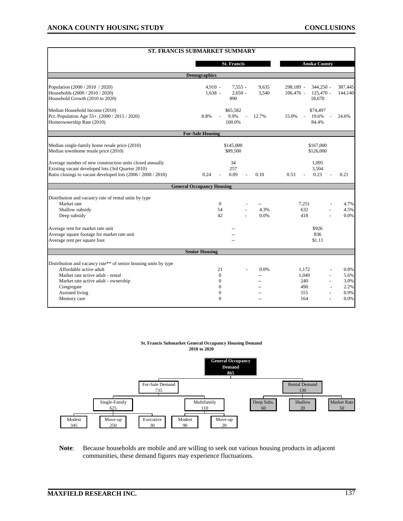|                                                                                                                   | <b>ST. FRANCIS SUBMARKET SUMMARY</b> |                           |                                                     |                        |  |  |  |  |
|-------------------------------------------------------------------------------------------------------------------|--------------------------------------|---------------------------|-----------------------------------------------------|------------------------|--|--|--|--|
|                                                                                                                   |                                      | <b>St. Francis</b>        | <b>Anoka County</b>                                 |                        |  |  |  |  |
| <b>Demographics</b>                                                                                               |                                      |                           |                                                     |                        |  |  |  |  |
| Population (2000 / 2010 / 2020)                                                                                   | 4,910 -                              | $7,555 -$<br>9,635        | 298,189 -<br>$344,250 -$                            | 387,445                |  |  |  |  |
| Households (2000 / 2010 / 2020)<br>Household Growth (2010 to 2020)                                                | $1,638 -$                            | $2.650 -$<br>3,540<br>890 | $125,470 -$<br>$106,476$ -<br>18,670                | 144,140                |  |  |  |  |
| Median Household Income (2010)                                                                                    |                                      | \$65,582                  | \$74,497                                            |                        |  |  |  |  |
| Pct. Population Age 55+ (2000 / 2015 / 2020)<br>Homeownership Rate (2010)                                         | 8.8%                                 | 9.9%<br>12.7%<br>100.0%   | 15.0%<br>19.6%<br>$\overline{\phantom{a}}$<br>84.4% | 24.6%                  |  |  |  |  |
|                                                                                                                   | <b>For-Sale Housing</b>              |                           |                                                     |                        |  |  |  |  |
| Median single-family home resale price (2010)<br>Median townhome resale price (2010)                              |                                      | \$145,000<br>\$89,500     | \$167,000<br>\$126,000                              |                        |  |  |  |  |
| Average number of new construction units closed annually                                                          |                                      | 34                        | 1,095                                               |                        |  |  |  |  |
| Existing vacant developed lots (3rd Quarter 2010)<br>Ratio closings to vacant developed lots (2006 / 2008 / 2010) | 0.24                                 | 257<br>0.09<br>0.10       | 3,504<br>0.23<br>0.53                               | 0.21                   |  |  |  |  |
|                                                                                                                   | <b>General Occupancy Housing</b>     |                           |                                                     |                        |  |  |  |  |
| Distribution and vacancy rate of rental units by type                                                             |                                      |                           |                                                     |                        |  |  |  |  |
| Market rate                                                                                                       | $\mathbf{0}$                         |                           | 7.251                                               | 4.7%                   |  |  |  |  |
| Shallow subsidy                                                                                                   | 54                                   | 4.3%                      | 632                                                 | 4.5%                   |  |  |  |  |
| Deep subsidy                                                                                                      | 42                                   | 0.0%                      | 418                                                 | 0.0%                   |  |  |  |  |
| Average rent for market rate unit                                                                                 | \$926                                |                           |                                                     |                        |  |  |  |  |
| Average square footage for market rate unit<br>Average rent per square foot                                       | 836<br>\$1.11                        |                           |                                                     |                        |  |  |  |  |
|                                                                                                                   | <b>Senior Housing</b>                |                           |                                                     |                        |  |  |  |  |
| Distribution and vacancy rate** of senior housing units by type                                                   |                                      |                           |                                                     |                        |  |  |  |  |
| Affordable active adult                                                                                           | 21                                   | 0.0%                      | 1.172                                               | 0.8%                   |  |  |  |  |
| Market rate active adult - rental                                                                                 | $\Omega$                             | $\overline{a}$            | 1,049                                               | 5.6%                   |  |  |  |  |
| Market rate active adult - ownership                                                                              | $\mathbf{0}$                         |                           | 240                                                 | 3.0%                   |  |  |  |  |
| Congregate                                                                                                        | $\Omega$                             |                           | 490                                                 | 2.2%                   |  |  |  |  |
| Assisted living                                                                                                   | $\Omega$                             | $-$                       | 555                                                 | 0.9%                   |  |  |  |  |
| Memory care                                                                                                       | $\Omega$                             | $\sim$                    | 164                                                 | 0.0%<br>$\blacksquare$ |  |  |  |  |

#### **St. Francis Submarket General Occupancy Housing Demand 2010 to 2020**



**Note**: Because households are mobile and are willing to seek out various housing products in adjacent communities, these demand figures may experience fluctuations.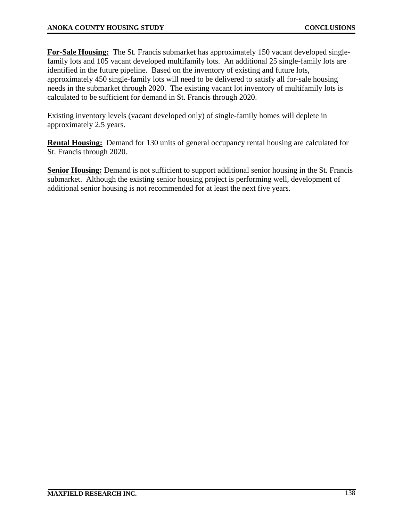**For-Sale Housing:** The St. Francis submarket has approximately 150 vacant developed singlefamily lots and 105 vacant developed multifamily lots. An additional 25 single-family lots are identified in the future pipeline. Based on the inventory of existing and future lots, approximately 450 single-family lots will need to be delivered to satisfy all for-sale housing needs in the submarket through 2020. The existing vacant lot inventory of multifamily lots is calculated to be sufficient for demand in St. Francis through 2020.

Existing inventory levels (vacant developed only) of single-family homes will deplete in approximately 2.5 years.

**Rental Housing:** Demand for 130 units of general occupancy rental housing are calculated for St. Francis through 2020.

**Senior Housing:** Demand is not sufficient to support additional senior housing in the St. Francis submarket. Although the existing senior housing project is performing well, development of additional senior housing is not recommended for at least the next five years.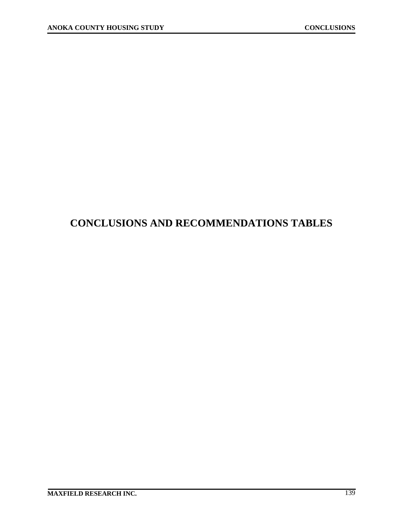## **CONCLUSIONS AND RECOMMENDATIONS TABLES**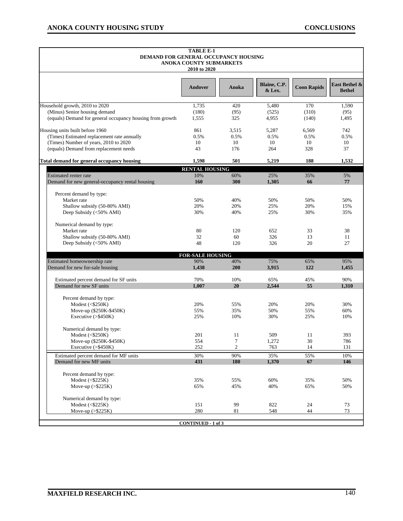| <b>TABLE E-1</b><br>DEMAND FOR GENERAL OCCUPANCY HOUSING<br>ANOKA COUNTY SUBMARKETS<br>2010 to 2020 |                           |                |                        |                    |                                |  |  |
|-----------------------------------------------------------------------------------------------------|---------------------------|----------------|------------------------|--------------------|--------------------------------|--|--|
|                                                                                                     | Andover                   | Anoka          | Blaine, C.P.<br>& Lex. | <b>Coon Rapids</b> | East Bethel &<br><b>Bethel</b> |  |  |
| Household growth, 2010 to 2020                                                                      | 1,735                     | 420            | 5,480                  | 170                | 1,590                          |  |  |
| (Minus) Senior housing demand                                                                       | (180)                     | (95)           | (525)                  | (310)              | (95)                           |  |  |
| (equals) Demand for general occupancy housing from growth                                           | 1,555                     | 325            | 4,955                  | (140)              | 1,495                          |  |  |
| Housing units built before 1960                                                                     | 861                       | 3,515          | 5,287                  | 6,569              | 742                            |  |  |
| (Times) Estimated replacement rate annually                                                         | 0.5%                      | 0.5%           | 0.5%                   | 0.5%               | 0.5%                           |  |  |
| (Times) Number of years, 2010 to 2020                                                               | 10                        | 10             | 10                     | 10                 | 10                             |  |  |
| (equals) Demand from replacement needs                                                              | 43                        | 176            | 264                    | 328                | 37                             |  |  |
| Total demand for general occupancy housing                                                          | 1,598                     | 501            | 5,219                  | 188                | 1,532                          |  |  |
|                                                                                                     | <b>RENTAL HOUSING</b>     |                |                        |                    |                                |  |  |
| Estimated renter rate                                                                               | 10%                       | 60%            | 25%                    | 35%                | 5%                             |  |  |
| Demand for new general-occupancy rental housing                                                     | 160                       | 300            | 1,305                  | 66                 | 77                             |  |  |
| Percent demand by type:                                                                             |                           |                |                        |                    |                                |  |  |
| Market rate                                                                                         | 50%                       | 40%            | 50%                    | 50%                | 50%                            |  |  |
| Shallow subsidy (50-80% AMI)                                                                        | 20%                       | 20%            | 25%                    | 20%                | 15%                            |  |  |
| Deep Subsidy (<50% AMI)                                                                             | 30%                       | 40%            | 25%                    | 30%                | 35%                            |  |  |
| Numerical demand by type:                                                                           |                           |                |                        |                    |                                |  |  |
| Market rate                                                                                         | 80                        | 120            | 652                    | 33                 | 38                             |  |  |
| Shallow subsidy (50-80% AMI)                                                                        | 32                        | 60             | 326                    | 13                 | 11                             |  |  |
| Deep Subsidy (<50% AMI)                                                                             | 48                        | 120            | 326                    | 20                 | 27                             |  |  |
| <b>FOR-SALE HOUSING</b>                                                                             |                           |                |                        |                    |                                |  |  |
| Estimated homeownership rate                                                                        | 90%                       | 40%            | 75%                    | 65%                | 95%                            |  |  |
| Demand for new for-sale housing                                                                     | 1,438                     | 200            | 3,915                  | 122                | 1,455                          |  |  |
| Estimated percent demand for SF units                                                               | 70%                       | 10%            | 65%                    | 45%                | 90%                            |  |  |
| Demand for new SF units                                                                             | 1,007                     | 20             | 2.544                  | 55                 | 1,310                          |  |  |
| Percent demand by type:                                                                             |                           |                |                        |                    |                                |  |  |
| Modest (<\$250K)                                                                                    | 20%                       | 55%            | 20%                    | 20%                | 30%                            |  |  |
| Move-up (\$250K-\$450K)                                                                             | 55%                       | 35%            | 50%                    | 55%                | 60%                            |  |  |
| Executive (>\$450K)                                                                                 | 25%                       | 10%            | 30%                    | 25%                | 10%                            |  |  |
| Numerical demand by type:                                                                           |                           |                |                        |                    |                                |  |  |
| Modest $($250K)$                                                                                    | 201                       | 11             | 509                    | 11                 | 393                            |  |  |
| Move-up (\$250K-\$450K)                                                                             | 554                       | 7              | 1,272                  | 30                 | 786                            |  |  |
| Executive (>\$450K)                                                                                 | 252                       | $\overline{c}$ | 763                    | 14                 | 131                            |  |  |
| Estimated percent demand for MF units                                                               | 30%                       | 90%            | 35%                    | 55%                | 10%                            |  |  |
| Demand for new MF units                                                                             | 431                       | <b>180</b>     | 1,370                  | 67                 | 146                            |  |  |
| Percent demand by type:                                                                             |                           |                |                        |                    |                                |  |  |
| Modest $($225K)$                                                                                    | 35%                       | 55%            | 60%                    | 35%                | 50%                            |  |  |
| Move-up $(>\$225K)$                                                                                 | 65%                       | 45%            | 40%                    | 65%                | 50%                            |  |  |
| Numerical demand by type:                                                                           |                           |                |                        |                    |                                |  |  |
| Modest $($225K)$                                                                                    | 151                       | 99             | 822                    | 24                 | 73                             |  |  |
| Move-up $(>\$225K)$                                                                                 | 280                       | 81             | 548                    | 44                 | 73                             |  |  |
|                                                                                                     | <b>CONTINUED - 1 of 3</b> |                |                        |                    |                                |  |  |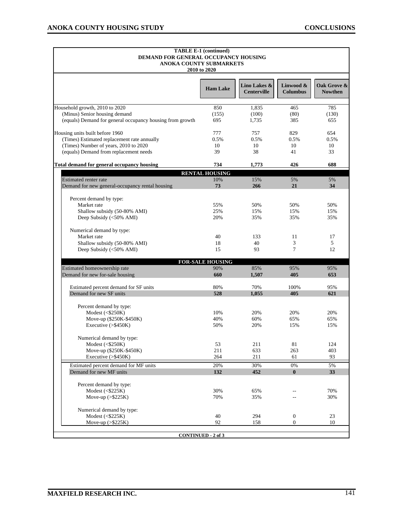$\blacksquare$ 

| <b>TABLE E-1 (continued)</b><br>DEMAND FOR GENERAL OCCUPANCY HOUSING<br><b>ANOKA COUNTY SUBMARKETS</b><br>2010 to 2020 |                         |                                    |                              |                               |  |  |  |  |
|------------------------------------------------------------------------------------------------------------------------|-------------------------|------------------------------------|------------------------------|-------------------------------|--|--|--|--|
|                                                                                                                        | <b>Ham Lake</b>         | Lino Lakes &<br><b>Centerville</b> | Linwood &<br><b>Columbus</b> | Oak Grove &<br><b>Nowthen</b> |  |  |  |  |
| Household growth, 2010 to 2020                                                                                         | 850                     | 1,835                              | 465                          | 785                           |  |  |  |  |
| (Minus) Senior housing demand                                                                                          | (155)                   | (100)                              | (80)                         | (130)                         |  |  |  |  |
| (equals) Demand for general occupancy housing from growth                                                              | 695                     | 1,735                              | 385                          | 655                           |  |  |  |  |
| Housing units built before 1960                                                                                        | 777                     | 757                                | 829                          | 654                           |  |  |  |  |
| (Times) Estimated replacement rate annually                                                                            | 0.5%                    | 0.5%                               | 0.5%                         | 0.5%                          |  |  |  |  |
| (Times) Number of years, 2010 to 2020                                                                                  | 10                      | 10                                 | 10                           | 10                            |  |  |  |  |
| (equals) Demand from replacement needs                                                                                 | 39                      | 38                                 | 41                           | 33                            |  |  |  |  |
| <b>Total demand for general occupancy housing</b>                                                                      | 734                     | 1,773                              | 426                          | 688                           |  |  |  |  |
|                                                                                                                        | <b>RENTAL HOUSING</b>   |                                    |                              |                               |  |  |  |  |
| <b>Estimated renter rate</b>                                                                                           | 10%                     | 15%                                | 5%                           | 5%                            |  |  |  |  |
| Demand for new general-occupancy rental housing                                                                        | 73                      | 266                                | 21                           | 34                            |  |  |  |  |
|                                                                                                                        |                         |                                    |                              |                               |  |  |  |  |
| Percent demand by type:<br>Market rate                                                                                 | 55%                     | 50%                                | 50%                          | 50%                           |  |  |  |  |
| Shallow subsidy (50-80% AMI)                                                                                           | 25%                     | 15%                                | 15%                          | 15%                           |  |  |  |  |
| Deep Subsidy (<50% AMI)                                                                                                | 20%                     | 35%                                | 35%                          | 35%                           |  |  |  |  |
|                                                                                                                        |                         |                                    |                              |                               |  |  |  |  |
| Numerical demand by type:                                                                                              |                         |                                    |                              |                               |  |  |  |  |
| Market rate                                                                                                            | 40                      | 133                                | 11                           | 17                            |  |  |  |  |
| Shallow subsidy (50-80% AMI)                                                                                           | 18                      | 40                                 | 3                            | 5                             |  |  |  |  |
| Deep Subsidy (<50% AMI)                                                                                                | 15                      | 93                                 | 7                            | 12                            |  |  |  |  |
|                                                                                                                        | <b>FOR-SALE HOUSING</b> |                                    |                              |                               |  |  |  |  |
| Estimated homeownership rate                                                                                           | 90%                     | 85%                                | 95%                          | 95%                           |  |  |  |  |
| Demand for new for-sale housing                                                                                        | 660                     | 1,507                              | 405                          | 653                           |  |  |  |  |
| Estimated percent demand for SF units                                                                                  | 80%                     | 70%                                | 100%                         | 95%                           |  |  |  |  |
| Demand for new SF units                                                                                                | 528                     | 1,055                              | 405                          | 621                           |  |  |  |  |
|                                                                                                                        |                         |                                    |                              |                               |  |  |  |  |
| Percent demand by type:                                                                                                |                         |                                    |                              |                               |  |  |  |  |
| Modest $($250K)$                                                                                                       | 10%                     | 20%                                | 20%                          | 20%                           |  |  |  |  |
| Move-up (\$250K-\$450K)                                                                                                | 40%                     | 60%                                | 65%                          | 65%                           |  |  |  |  |
| Executive $(>\,$ \$450K)                                                                                               | 50%                     | 20%                                | 15%                          | 15%                           |  |  |  |  |
| Numerical demand by type:                                                                                              |                         |                                    |                              |                               |  |  |  |  |
| Modest (<\$250K)                                                                                                       | 53                      | 211                                | 81                           | 124                           |  |  |  |  |
| Move-up (\$250K-\$450K)                                                                                                | 211                     | 633                                | 263                          | 403                           |  |  |  |  |
| Executive (>\$450K)                                                                                                    | 264                     | 211                                | 61                           | 93                            |  |  |  |  |
| Estimated percent demand for MF units                                                                                  | 20%                     | 30%                                | $0\%$                        | 5%                            |  |  |  |  |
| Demand for new MF units                                                                                                | 132                     | 452                                | $\bf{0}$                     | 33                            |  |  |  |  |
| Percent demand by type:                                                                                                |                         |                                    |                              |                               |  |  |  |  |
| Modest $($225K)$                                                                                                       | 30%                     | 65%                                |                              | 70%                           |  |  |  |  |
| Move-up $(>\$225K)$                                                                                                    | 70%                     | 35%                                |                              | 30%                           |  |  |  |  |
|                                                                                                                        |                         |                                    |                              |                               |  |  |  |  |
| Numerical demand by type:                                                                                              |                         |                                    |                              |                               |  |  |  |  |
| Modest $($225K)$                                                                                                       | 40                      | 294                                | $\boldsymbol{0}$             | 23                            |  |  |  |  |
| Move-up $(>\$225K)$                                                                                                    | 92                      | 158                                | $\boldsymbol{0}$             | 10                            |  |  |  |  |
| <b>CONTINUED - 2 of 3</b>                                                                                              |                         |                                    |                              |                               |  |  |  |  |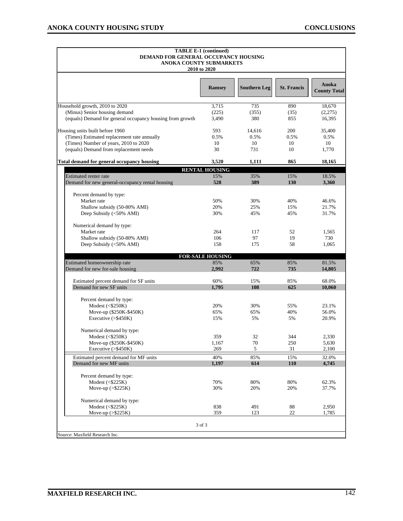| <b>TABLE E-1 (continued)</b><br>DEMAND FOR GENERAL OCCUPANCY HOUSING<br>ANOKA COUNTY SUBMARKETS<br>2010 to 2020 |                         |                     |                    |                              |  |
|-----------------------------------------------------------------------------------------------------------------|-------------------------|---------------------|--------------------|------------------------------|--|
|                                                                                                                 | <b>Ramsey</b>           | <b>Southern Leg</b> | <b>St. Francis</b> | Anoka<br><b>County Total</b> |  |
| Household growth, 2010 to 2020                                                                                  | 3,715                   | 735                 | 890                | 18,670                       |  |
| (Minus) Senior housing demand                                                                                   | (225)                   | (355)               | (35)               | (2,275)                      |  |
| (equals) Demand for general occupancy housing from growth                                                       | 3,490                   | 380                 | 855                | 16,395                       |  |
| Housing units built before 1960                                                                                 | 593                     | 14,616              | 200                | 35,400                       |  |
| (Times) Estimated replacement rate annually                                                                     | 0.5%                    | 0.5%                | 0.5%               | 0.5%                         |  |
| (Times) Number of years, 2010 to 2020                                                                           | 10                      | 10                  | 10                 | 10                           |  |
| (equals) Demand from replacement needs                                                                          | 30                      | 731                 | 10                 | 1,770                        |  |
| Total demand for general occupancy housing                                                                      | 3,520                   | 1,111               | 865                | 18,165                       |  |
|                                                                                                                 | <b>RENTAL HOUSING</b>   |                     |                    |                              |  |
| <b>Estimated renter rate</b><br>Demand for new general-occupancy rental housing                                 | 15%<br>528              | 35%                 | 15%                | 18.5%                        |  |
|                                                                                                                 |                         | 389                 | <b>130</b>         | 3,360                        |  |
| Percent demand by type:                                                                                         |                         |                     |                    |                              |  |
| Market rate                                                                                                     | 50%                     | 30%                 | 40%                | 46.6%                        |  |
| Shallow subsidy (50-80% AMI)                                                                                    | 20%                     | 25%                 | 15%                | 21.7%                        |  |
| Deep Subsidy (<50% AMI)                                                                                         | 30%                     | 45%                 | 45%                | 31.7%                        |  |
| Numerical demand by type:                                                                                       |                         |                     |                    |                              |  |
| Market rate                                                                                                     | 264                     | 117                 | 52                 | 1,565                        |  |
| Shallow subsidy (50-80% AMI)                                                                                    | 106                     | 97                  | 19                 | 730                          |  |
| Deep Subsidy (<50% AMI)                                                                                         | 158                     | 175                 | 58                 | 1,065                        |  |
|                                                                                                                 | <b>FOR-SALE HOUSING</b> |                     |                    |                              |  |
| Estimated homeownership rate                                                                                    | 85%                     | 65%                 | 85%                | 81.5%                        |  |
| Demand for new for-sale housing                                                                                 | 2,992                   | 722                 | 735                | 14,805                       |  |
| Estimated percent demand for SF units                                                                           | 60%                     | 15%                 | 85%                | 68.0%                        |  |
| Demand for new SF units                                                                                         | 1,795                   | 108                 | 625                | 10,060                       |  |
| Percent demand by type:                                                                                         |                         |                     |                    |                              |  |
| Modest $($250K)$                                                                                                | 20%                     | 30%                 | 55%                | 23.1%                        |  |
| Move-up (\$250K-\$450K)                                                                                         | 65%                     | 65%                 | 40%                | 56.0%                        |  |
| Executive $(>\,$ \$450K)                                                                                        | 15%                     | 5%                  | 5%                 | 20.9%                        |  |
|                                                                                                                 |                         |                     |                    |                              |  |
| Numerical demand by type:<br>Modest $($250K)$                                                                   | 359                     | 32                  | 344                | 2,330                        |  |
| Move-up (\$250K-\$450K)                                                                                         | 1,167                   | 70                  | 250                | 5,630                        |  |
| Executive (>\$450K)                                                                                             | 269                     | 5                   | 31                 | 2,100                        |  |
| Estimated percent demand for MF units                                                                           | 40%                     | 85%                 | 15%                | 32.0%                        |  |
| Demand for new MF units                                                                                         | 1,197                   | 614                 | <b>110</b>         | 4,745                        |  |
|                                                                                                                 |                         |                     |                    |                              |  |
| Percent demand by type:                                                                                         |                         |                     |                    |                              |  |
| Modest $($225K)$                                                                                                | 70%                     | 80%                 | 80%                | 62.3%                        |  |
| Move-up $(>\$225K)$                                                                                             | 30%                     | 20%                 | 20%                | 37.7%                        |  |
| Numerical demand by type:                                                                                       |                         |                     |                    |                              |  |
| Modest $($225K)$                                                                                                | 838                     | 491                 | 88                 | 2,950                        |  |
| Move-up $(>\frac{5225K}{h})$                                                                                    | 359                     | 123                 | 22                 | 1,785                        |  |
|                                                                                                                 | 3 of 3                  |                     |                    |                              |  |
| Source: Maxfield Research Inc.                                                                                  |                         |                     |                    |                              |  |